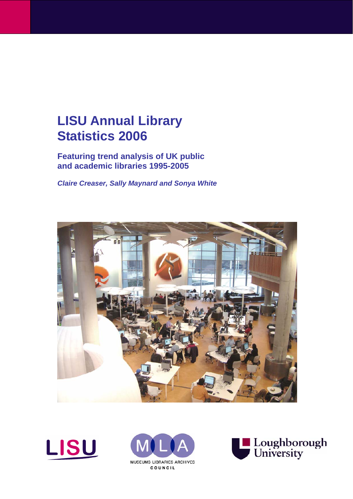# **LISU Annual Library Statistics 2006**

**Featuring trend analysis of UK public and academic libraries 1995-2005** 

*Claire Creaser, Sally Maynard and Sonya White*







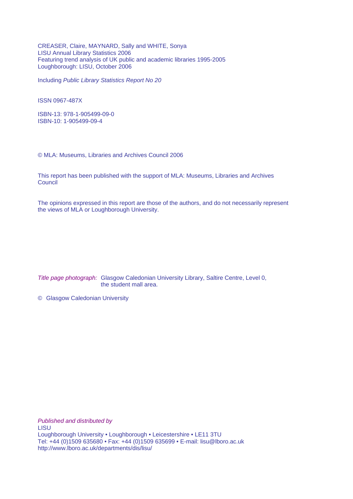CREASER, Claire, MAYNARD, Sally and WHITE, Sonya LISU Annual Library Statistics 2006 Featuring trend analysis of UK public and academic libraries 1995-2005 Loughborough: LISU, October 2006

Including *Public Library Statistics Report No 20* 

ISSN 0967-487X

ISBN-13: 978-1-905499-09-0 ISBN-10: 1-905499-09-4

© MLA: Museums, Libraries and Archives Council 2006

This report has been published with the support of MLA: Museums, Libraries and Archives **Council** 

The opinions expressed in this report are those of the authors, and do not necessarily represent the views of MLA or Loughborough University.

*Title page photograph:* Glasgow Caledonian University Library, Saltire Centre, Level 0, the student mall area.

© Glasgow Caledonian University

*Published and distributed by*  LISU Loughborough University • Loughborough • Leicestershire • LE11 3TU Tel: +44 (0)1509 635680 • Fax: +44 (0)1509 635699 • E-mail: lisu@lboro.ac.uk http://www.lboro.ac.uk/departments/dis/lisu/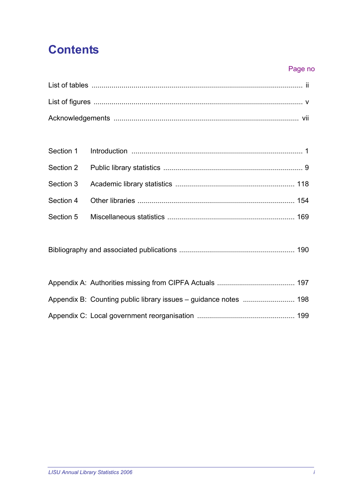# **Contents**

#### Page no

[Bibliography and associated publications .......................................................... 190](#page-199-0)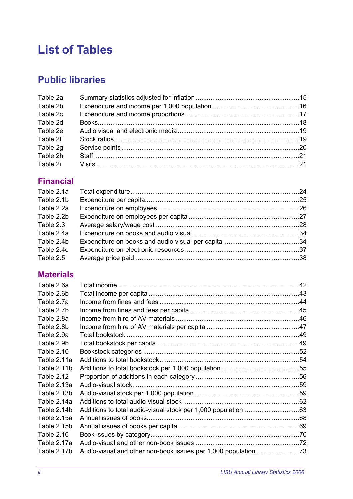# <span id="page-3-0"></span>**List of Tables**

# **Public libraries**

| Table 2a |  |
|----------|--|
| Table 2b |  |
| Table 2c |  |
| Table 2d |  |
| Table 2e |  |
| Table 2f |  |
| Table 2g |  |
| Table 2h |  |
| Table 2i |  |

# **Financial**

| Table 2.1a |  |
|------------|--|
| Table 2.1b |  |
| Table 2.2a |  |
| Table 2.2b |  |
| Table 2.3  |  |
| Table 2.4a |  |
| Table 2.4b |  |
| Table 2.4c |  |
| Table 2.5  |  |
|            |  |

# **Materials**

| Table 2.6a        |                    |  |
|-------------------|--------------------|--|
| Table 2.6b        |                    |  |
| Table 2.7a        |                    |  |
| Table 2.7b        |                    |  |
| Table 2.8a        |                    |  |
| Table 2.8b        |                    |  |
| Table 2.9a        |                    |  |
| Table 2.9b        |                    |  |
| <b>Table 2.10</b> |                    |  |
| Table 2.11a       |                    |  |
| Table 2.11b       |                    |  |
| <b>Table 2.12</b> |                    |  |
| Table 2.13a       | Audio-visual stock |  |
| Table 2.13b       |                    |  |
| Table 2.14a       |                    |  |
| Table 2.14b       |                    |  |
| Table 2.15a       |                    |  |
| Table 2.15b       |                    |  |
| <b>Table 2.16</b> |                    |  |
| Table 2.17a       |                    |  |
| Table 2.17b       |                    |  |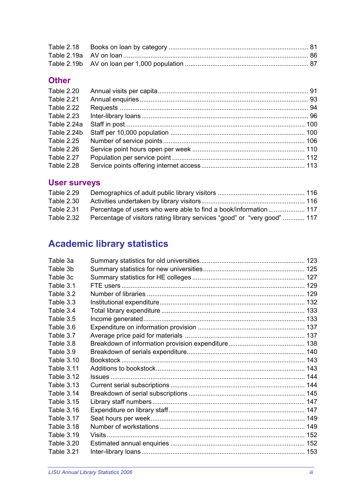## **Other**

| <b>Table 2.20</b> |  |
|-------------------|--|
| <b>Table 2.21</b> |  |
| Table 2.22        |  |
| <b>Table 2.23</b> |  |
| Table 2.24a       |  |
| Table 2.24b       |  |
| <b>Table 2.25</b> |  |
| Table 2.26        |  |
| Table 2.27        |  |
| Table 2.28        |  |

# **User surveys**

| Table 2.29        |                                                                           |  |
|-------------------|---------------------------------------------------------------------------|--|
| Table 2.30        |                                                                           |  |
| <b>Table 2.31</b> | Percentage of users who were able to find a book/information 117          |  |
| Table 2.32        | Percentage of visitors rating library services "good" or "very good"  117 |  |

# **Academic library statistics**

| Table 3a          |  |
|-------------------|--|
| Table 3b          |  |
| Table 3c          |  |
| Table 3.1         |  |
| Table 3.2         |  |
| Table 3.3         |  |
| Table 3.4         |  |
| Table 3.5         |  |
| Table 3.6         |  |
| Table 3.7         |  |
| Table 3.8         |  |
| Table 3.9         |  |
| <b>Table 3.10</b> |  |
| <b>Table 3.11</b> |  |
| Table 3.12        |  |
| <b>Table 3.13</b> |  |
| Table 3.14        |  |
| <b>Table 3.15</b> |  |
| Table 3.16        |  |
| Table 3.17        |  |
| Table 3.18        |  |
| <b>Table 3.19</b> |  |
| <b>Table 3.20</b> |  |
| Table 3.21        |  |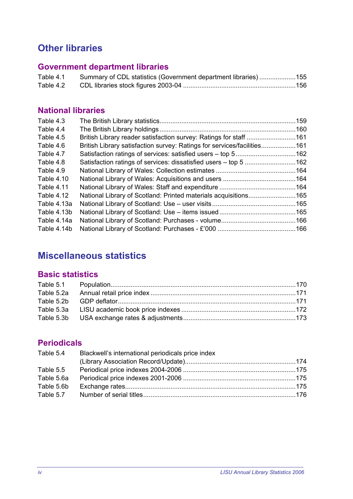# **Other libraries**

# **Government department libraries**

| Table 4.1 | Summary of CDL statistics (Government department libraries) 155 |  |
|-----------|-----------------------------------------------------------------|--|
| Table 4.2 |                                                                 |  |

## **National libraries**

| British Library reader satisfaction survey: Ratings for staff 161<br>British Library satisfaction survey: Ratings for services/facilities161<br>Satisfaction ratings of services: dissatisfied users – top 5 162<br>National Library of Scotland: Printed materials acquisitions165 |
|-------------------------------------------------------------------------------------------------------------------------------------------------------------------------------------------------------------------------------------------------------------------------------------|

# **Miscellaneous statistics**

## **Basic statistics**

# **Periodicals**

| Blackwell's international periodicals price index |  |
|---------------------------------------------------|--|
|                                                   |  |
|                                                   |  |
|                                                   |  |
|                                                   |  |
|                                                   |  |
|                                                   |  |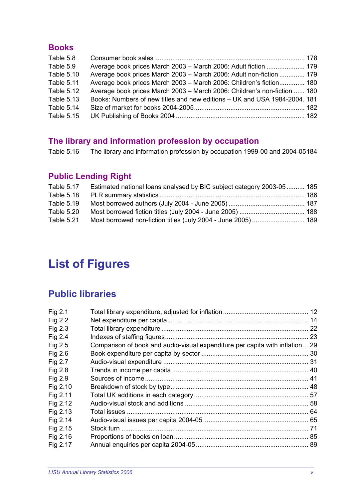#### <span id="page-6-0"></span>**Books**

| Table 5.8         |                                                                           |  |
|-------------------|---------------------------------------------------------------------------|--|
| Table 5.9         | Average book prices March 2003 - March 2006: Adult fiction  179           |  |
| <b>Table 5.10</b> | Average book prices March 2003 - March 2006: Adult non-fiction  179       |  |
| <b>Table 5.11</b> | Average book prices March 2003 - March 2006: Children's fiction 180       |  |
| Table 5.12        | Average book prices March 2003 - March 2006: Children's non-fiction  180  |  |
| <b>Table 5.13</b> | Books: Numbers of new titles and new editions – UK and USA 1984-2004. 181 |  |
| <b>Table 5.14</b> |                                                                           |  |
| Table 5.15        |                                                                           |  |

# **The library and information profession by occupation**

Table 5.16 The library and information profession by occupation 1999-00 and 2004-05184

# **Public Lending Right**

| Table 5.17        | Estimated national loans analysed by BIC subject category 2003-05 185 |  |
|-------------------|-----------------------------------------------------------------------|--|
| <b>Table 5.18</b> |                                                                       |  |
| <b>Table 5.19</b> |                                                                       |  |
| Table 5.20        |                                                                       |  |
| Table 5.21        |                                                                       |  |

# **List of Figures**

# **Public libraries**

| Fig 2.1  |                                                                              |  |
|----------|------------------------------------------------------------------------------|--|
| Fig 2.2  |                                                                              |  |
| Fig 2.3  |                                                                              |  |
| Fig 2.4  |                                                                              |  |
| Fig 2.5  | Comparison of book and audio-visual expenditure per capita with inflation 29 |  |
| Fig 2.6  |                                                                              |  |
| Fig 2.7  |                                                                              |  |
| Fig 2.8  |                                                                              |  |
| Fig 2.9  |                                                                              |  |
| Fig 2.10 |                                                                              |  |
| Fig 2.11 |                                                                              |  |
| Fig 2.12 |                                                                              |  |
| Fig 2.13 |                                                                              |  |
| Fig 2.14 |                                                                              |  |
| Fig 2.15 |                                                                              |  |
| Fig 2.16 |                                                                              |  |
| Fig 2.17 |                                                                              |  |
|          |                                                                              |  |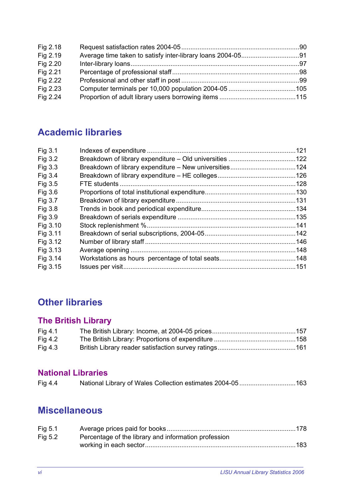| Fig 2.18 |  |
|----------|--|
| Fig 2.19 |  |
| Fig 2.20 |  |
| Fig 2.21 |  |
| Fig 2.22 |  |
| Fig 2.23 |  |
| Fig 2.24 |  |

# **Academic libraries**

| Fig 3.1  |  |
|----------|--|
| Fig 3.2  |  |
| Fig 3.3  |  |
| Fig 3.4  |  |
| Fig 3.5  |  |
| Fig 3.6  |  |
| Fig 3.7  |  |
| Fig 3.8  |  |
| Fig 3.9  |  |
| Fig 3.10 |  |
| Fig 3.11 |  |
| Fig 3.12 |  |
| Fig 3.13 |  |
| Fig 3.14 |  |
| Fig 3.15 |  |
|          |  |

# **Other libraries**

# **The British Library**

| Fig $4.1$ |  |
|-----------|--|
| Fig $4.2$ |  |
| Fig $4.3$ |  |

## **National Libraries**

| Fig 4.4 |  |  |
|---------|--|--|
|---------|--|--|

# **Miscellaneous**

| Fig 5.1   |                                                      |  |
|-----------|------------------------------------------------------|--|
| Fig $5.2$ | Percentage of the library and information profession |  |
|           |                                                      |  |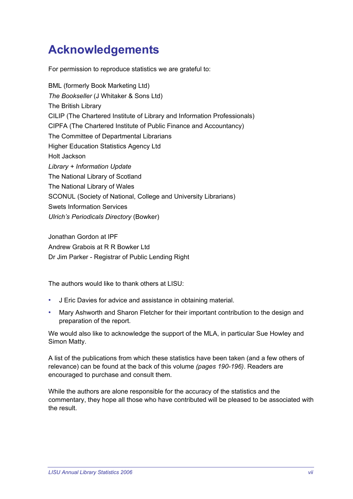# <span id="page-8-0"></span>**Acknowledgements**

For permission to reproduce statistics we are grateful to:

BML (formerly Book Marketing Ltd) *The Bookseller* (J Whitaker & Sons Ltd) The British Library CILIP (The Chartered Institute of Library and Information Professionals) CIPFA (The Chartered Institute of Public Finance and Accountancy) The Committee of Departmental Librarians Higher Education Statistics Agency Ltd Holt Jackson *Library + Information Update*  The National Library of Scotland The National Library of Wales SCONUL (Society of National, College and University Librarians) Swets Information Services *Ulrich's Periodicals Directory* (Bowker)

Jonathan Gordon at IPF Andrew Grabois at R R Bowker Ltd Dr Jim Parker - Registrar of Public Lending Right

The authors would like to thank others at LISU:

- J Eric Davies for advice and assistance in obtaining material.
- Mary Ashworth and Sharon Fletcher for their important contribution to the design and preparation of the report.

We would also like to acknowledge the support of the MLA, in particular Sue Howley and Simon Matty.

A list of the publications from which these statistics have been taken (and a few others of relevance) can be found at the back of this volume *(pages 190-196)*. Readers are encouraged to purchase and consult them.

While the authors are alone responsible for the accuracy of the statistics and the commentary, they hope all those who have contributed will be pleased to be associated with the result.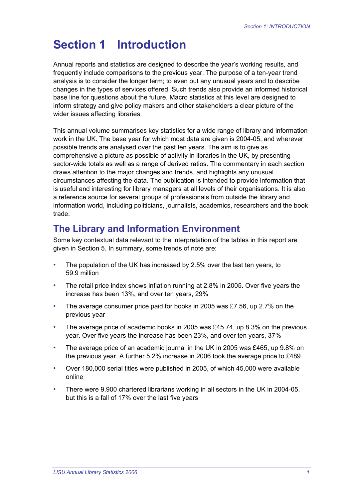# <span id="page-10-0"></span>**Section 1 Introduction**

Annual reports and statistics are designed to describe the year's working results, and frequently include comparisons to the previous year. The purpose of a ten-year trend analysis is to consider the longer term; to even out any unusual years and to describe changes in the types of services offered. Such trends also provide an informed historical base line for questions about the future. Macro statistics at this level are designed to inform strategy and give policy makers and other stakeholders a clear picture of the wider issues affecting libraries.

This annual volume summarises key statistics for a wide range of library and information work in the UK. The base year for which most data are given is 2004-05, and wherever possible trends are analysed over the past ten years. The aim is to give as comprehensive a picture as possible of activity in libraries in the UK, by presenting sector-wide totals as well as a range of derived ratios. The commentary in each section draws attention to the major changes and trends, and highlights any unusual circumstances affecting the data. The publication is intended to provide information that is useful and interesting for library managers at all levels of their organisations. It is also a reference source for several groups of professionals from outside the library and information world, including politicians, journalists, academics, researchers and the book trade.

# **The Library and Information Environment**

Some key contextual data relevant to the interpretation of the tables in this report are given in Section 5. In summary, some trends of note are:

- The population of the UK has increased by 2.5% over the last ten years, to 59.9 million
- The retail price index shows inflation running at 2.8% in 2005. Over five years the increase has been 13%, and over ten years, 29%
- The average consumer price paid for books in 2005 was £7.56, up 2.7% on the previous year
- The average price of academic books in 2005 was £45.74, up 8.3% on the previous year. Over five years the increase has been 23%, and over ten years, 37%
- The average price of an academic journal in the UK in 2005 was £465, up 9.8% on the previous year. A further 5.2% increase in 2006 took the average price to £489
- Over 180,000 serial titles were published in 2005, of which 45,000 were available online
- There were 9,900 chartered librarians working in all sectors in the UK in 2004-05, but this is a fall of 17% over the last five years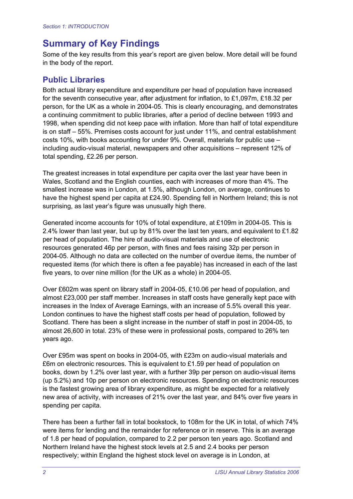# **Summary of Key Findings**

Some of the key results from this year's report are given below. More detail will be found in the body of the report.

#### **Public Libraries**

Both actual library expenditure and expenditure per head of population have increased for the seventh consecutive year, after adjustment for inflation, to £1,097m, £18.32 per person, for the UK as a whole in 2004-05. This is clearly encouraging, and demonstrates a continuing commitment to public libraries, after a period of decline between 1993 and 1998, when spending did not keep pace with inflation. More than half of total expenditure is on staff – 55%. Premises costs account for just under 11%, and central establishment costs 10%, with books accounting for under 9%. Overall, materials for public use – including audio-visual material, newspapers and other acquisitions – represent 12% of total spending, £2.26 per person.

The greatest increases in total expenditure per capita over the last year have been in Wales, Scotland and the English counties, each with increases of more than 4%. The smallest increase was in London, at 1.5%, although London, on average, continues to have the highest spend per capita at £24.90. Spending fell in Northern Ireland; this is not surprising, as last year's figure was unusually high there.

Generated income accounts for 10% of total expenditure, at £109m in 2004-05. This is 2.4% lower than last year, but up by 81% over the last ten years, and equivalent to £1.82 per head of population. The hire of audio-visual materials and use of electronic resources generated 46p per person, with fines and fees raising 32p per person in 2004-05. Although no data are collected on the number of overdue items, the number of requested items (for which there is often a fee payable) has increased in each of the last five years, to over nine million (for the UK as a whole) in 2004-05.

Over £602m was spent on library staff in 2004-05, £10.06 per head of population, and almost £23,000 per staff member. Increases in staff costs have generally kept pace with increases in the Index of Average Earnings, with an increase of 5.5% overall this year. London continues to have the highest staff costs per head of population, followed by Scotland. There has been a slight increase in the number of staff in post in 2004-05, to almost 26,600 in total. 23% of these were in professional posts, compared to 26% ten years ago.

Over £95m was spent on books in 2004-05, with £23m on audio-visual materials and £6m on electronic resources. This is equivalent to £1.59 per head of population on books, down by 1.2% over last year, with a further 39p per person on audio-visual items (up 5.2%) and 10p per person on electronic resources. Spending on electronic resources is the fastest growing area of library expenditure, as might be expected for a relatively new area of activity, with increases of 21% over the last year, and 84% over five years in spending per capita.

There has been a further fall in total bookstock, to 108m for the UK in total, of which 74% were items for lending and the remainder for reference or in reserve. This is an average of 1.8 per head of population, compared to 2.2 per person ten years ago. Scotland and Northern Ireland have the highest stock levels at 2.5 and 2.4 books per person respectively; within England the highest stock level on average is in London, at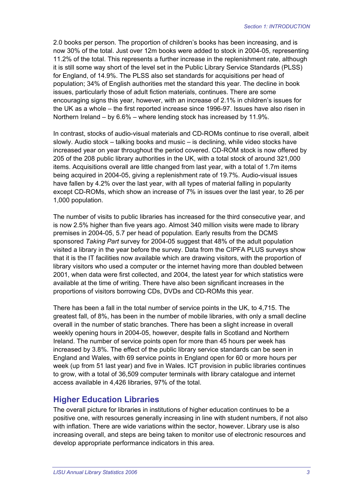2.0 books per person. The proportion of children's books has been increasing, and is now 30% of the total. Just over 12m books were added to stock in 2004-05, representing 11.2% of the total. This represents a further increase in the replenishment rate, although it is still some way short of the level set in the Public Library Service Standards (PLSS) for England, of 14.9%. The PLSS also set standards for acquisitions per head of population; 34% of English authorities met the standard this year. The decline in book issues, particularly those of adult fiction materials, continues. There are some encouraging signs this year, however, with an increase of 2.1% in children's issues for the UK as a whole – the first reported increase since 1996-97. Issues have also risen in Northern Ireland – by 6.6% – where lending stock has increased by 11.9%.

In contrast, stocks of audio-visual materials and CD-ROMs continue to rise overall, albeit slowly. Audio stock – talking books and music – is declining, while video stocks have increased year on year throughout the period covered. CD-ROM stock is now offered by 205 of the 208 public library authorities in the UK, with a total stock of around 321,000 items. Acquisitions overall are little changed from last year, with a total of 1.7m items being acquired in 2004-05, giving a replenishment rate of 19.7%. Audio-visual issues have fallen by 4.2% over the last year, with all types of material falling in popularity except CD-ROMs, which show an increase of 7% in issues over the last year, to 26 per 1,000 population.

The number of visits to public libraries has increased for the third consecutive year, and is now 2.5% higher than five years ago. Almost 340 million visits were made to library premises in 2004-05, 5.7 per head of population. Early results from the DCMS sponsored *Taking Part* survey for 2004-05 suggest that 48% of the adult population visited a library in the year before the survey. Data from the CIPFA PLUS surveys show that it is the IT facilities now available which are drawing visitors, with the proportion of library visitors who used a computer or the internet having more than doubled between 2001, when data were first collected, and 2004, the latest year for which statistics were available at the time of writing. There have also been significant increases in the proportions of visitors borrowing CDs, DVDs and CD-ROMs this year.

There has been a fall in the total number of service points in the UK, to 4,715. The greatest fall, of 8%, has been in the number of mobile libraries, with only a small decline overall in the number of static branches. There has been a slight increase in overall weekly opening hours in 2004-05, however, despite falls in Scotland and Northern Ireland. The number of service points open for more than 45 hours per week has increased by 3.8%. The effect of the public library service standards can be seen in England and Wales, with 69 service points in England open for 60 or more hours per week (up from 51 last year) and five in Wales. ICT provision in public libraries continues to grow, with a total of 36,509 computer terminals with library catalogue and internet access available in 4,426 libraries, 97% of the total.

#### **Higher Education Libraries**

The overall picture for libraries in institutions of higher education continues to be a positive one, with resources generally increasing in line with student numbers, if not also with inflation. There are wide variations within the sector, however. Library use is also increasing overall, and steps are being taken to monitor use of electronic resources and develop appropriate performance indicators in this area.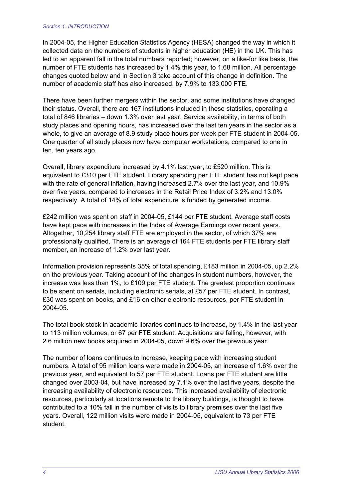#### *Section 1: INTRODUCTION*

In 2004-05, the Higher Education Statistics Agency (HESA) changed the way in which it collected data on the numbers of students in higher education (HE) in the UK. This has led to an apparent fall in the total numbers reported; however, on a like-for like basis, the number of FTE students has increased by 1.4% this year, to 1.68 million. All percentage changes quoted below and in Section 3 take account of this change in definition. The number of academic staff has also increased, by 7.9% to 133,000 FTE.

There have been further mergers within the sector, and some institutions have changed their status. Overall, there are 167 institutions included in these statistics, operating a total of 846 libraries – down 1.3% over last year. Service availability, in terms of both study places and opening hours, has increased over the last ten years in the sector as a whole, to give an average of 8.9 study place hours per week per FTE student in 2004-05. One quarter of all study places now have computer workstations, compared to one in ten, ten years ago.

Overall, library expenditure increased by 4.1% last year, to £520 million. This is equivalent to £310 per FTE student. Library spending per FTE student has not kept pace with the rate of general inflation, having increased 2.7% over the last year, and 10.9% over five years, compared to increases in the Retail Price Index of 3.2% and 13.0% respectively. A total of 14% of total expenditure is funded by generated income.

£242 million was spent on staff in 2004-05, £144 per FTE student. Average staff costs have kept pace with increases in the Index of Average Earnings over recent years. Altogether, 10,254 library staff FTE are employed in the sector, of which 37% are professionally qualified. There is an average of 164 FTE students per FTE library staff member, an increase of 1.2% over last year.

Information provision represents 35% of total spending, £183 million in 2004-05, up 2.2% on the previous year. Taking account of the changes in student numbers, however, the increase was less than 1%, to £109 per FTE student. The greatest proportion continues to be spent on serials, including electronic serials, at £57 per FTE student. In contrast, £30 was spent on books, and £16 on other electronic resources, per FTE student in 2004-05.

The total book stock in academic libraries continues to increase, by 1.4% in the last year to 113 million volumes, or 67 per FTE student. Acquisitions are falling, however, with 2.6 million new books acquired in 2004-05, down 9.6% over the previous year.

The number of loans continues to increase, keeping pace with increasing student numbers. A total of 95 million loans were made in 2004-05, an increase of 1.6% over the previous year, and equivalent to 57 per FTE student. Loans per FTE student are little changed over 2003-04, but have increased by 7.1% over the last five years, despite the increasing availability of electronic resources. This increased availability of electronic resources, particularly at locations remote to the library buildings, is thought to have contributed to a 10% fall in the number of visits to library premises over the last five years. Overall, 122 million visits were made in 2004-05, equivalent to 73 per FTE student.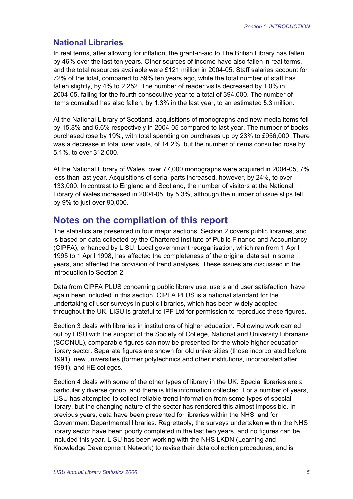#### **National Libraries**

In real terms, after allowing for inflation, the grant-in-aid to The British Library has fallen by 46% over the last ten years. Other sources of income have also fallen in real terms, and the total resources available were £121 million in 2004-05. Staff salaries account for 72% of the total, compared to 59% ten years ago, while the total number of staff has fallen slightly, by 4% to 2,252. The number of reader visits decreased by 1.0% in 2004-05, falling for the fourth consecutive year to a total of 394,000. The number of items consulted has also fallen, by 1.3% in the last year, to an estimated 5.3 million.

At the National Library of Scotland, acquisitions of monographs and new media items fell by 15.8% and 6.6% respectively in 2004-05 compared to last year. The number of books purchased rose by 19%, with total spending on purchases up by 23% to £956,000. There was a decrease in total user visits, of 14.2%, but the number of items consulted rose by 5.1%, to over 312,000.

At the National Library of Wales, over 77,000 monographs were acquired in 2004-05, 7% less than last year. Acquisitions of serial parts increased, however, by 24%, to over 133,000. In contrast to England and Scotland, the number of visitors at the National Library of Wales increased in 2004-05, by 5.3%, although the number of issue slips fell by 9% to just over 90,000.

# **Notes on the compilation of this report**

The statistics are presented in four major sections. Section 2 covers public libraries, and is based on data collected by the Chartered Institute of Public Finance and Accountancy (CIPFA), enhanced by LISU. Local government reorganisation, which ran from 1 April 1995 to 1 April 1998, has affected the completeness of the original data set in some years, and affected the provision of trend analyses. These issues are discussed in the introduction to Section 2.

Data from CIPFA PLUS concerning public library use, users and user satisfaction, have again been included in this section. CIPFA PLUS is a national standard for the undertaking of user surveys in public libraries, which has been widely adopted throughout the UK. LISU is grateful to IPF Ltd for permission to reproduce these figures.

Section 3 deals with libraries in institutions of higher education. Following work carried out by LISU with the support of the Society of College, National and University Librarians (SCONUL), comparable figures can now be presented for the whole higher education library sector. Separate figures are shown for old universities (those incorporated before 1991), new universities (former polytechnics and other institutions, incorporated after 1991), and HE colleges.

Section 4 deals with some of the other types of library in the UK. Special libraries are a particularly diverse group, and there is little information collected. For a number of years, LISU has attempted to collect reliable trend information from some types of special library, but the changing nature of the sector has rendered this almost impossible. In previous years, data have been presented for libraries within the NHS, and for Government Departmental libraries. Regrettably, the surveys undertaken within the NHS library sector have been poorly completed in the last two years, and no figures can be included this year. LISU has been working with the NHS LKDN (Learning and Knowledge Development Network) to revise their data collection procedures, and is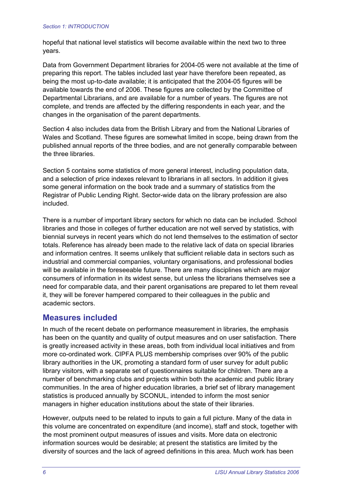hopeful that national level statistics will become available within the next two to three years.

Data from Government Department libraries for 2004-05 were not available at the time of preparing this report. The tables included last year have therefore been repeated, as being the most up-to-date available; it is anticipated that the 2004-05 figures will be available towards the end of 2006. These figures are collected by the Committee of Departmental Librarians, and are available for a number of years. The figures are not complete, and trends are affected by the differing respondents in each year, and the changes in the organisation of the parent departments.

Section 4 also includes data from the British Library and from the National Libraries of Wales and Scotland. These figures are somewhat limited in scope, being drawn from the published annual reports of the three bodies, and are not generally comparable between the three libraries.

Section 5 contains some statistics of more general interest, including population data, and a selection of price indexes relevant to librarians in all sectors. In addition it gives some general information on the book trade and a summary of statistics from the Registrar of Public Lending Right. Sector-wide data on the library profession are also included.

There is a number of important library sectors for which no data can be included. School libraries and those in colleges of further education are not well served by statistics, with biennial surveys in recent years which do not lend themselves to the estimation of sector totals. Reference has already been made to the relative lack of data on special libraries and information centres. It seems unlikely that sufficient reliable data in sectors such as industrial and commercial companies, voluntary organisations, and professional bodies will be available in the foreseeable future. There are many disciplines which are major consumers of information in its widest sense, but unless the librarians themselves see a need for comparable data, and their parent organisations are prepared to let them reveal it, they will be forever hampered compared to their colleagues in the public and academic sectors.

#### **Measures included**

In much of the recent debate on performance measurement in libraries, the emphasis has been on the quantity and quality of output measures and on user satisfaction. There is greatly increased activity in these areas, both from individual local initiatives and from more co-ordinated work. CIPFA PLUS membership comprises over 90% of the public library authorities in the UK, promoting a standard form of user survey for adult public library visitors, with a separate set of questionnaires suitable for children. There are a number of benchmarking clubs and projects within both the academic and public library communities. In the area of higher education libraries, a brief set of library management statistics is produced annually by SCONUL, intended to inform the most senior managers in higher education institutions about the state of their libraries.

However, outputs need to be related to inputs to gain a full picture. Many of the data in this volume are concentrated on expenditure (and income), staff and stock, together with the most prominent output measures of issues and visits. More data on electronic information sources would be desirable; at present the statistics are limited by the diversity of sources and the lack of agreed definitions in this area. Much work has been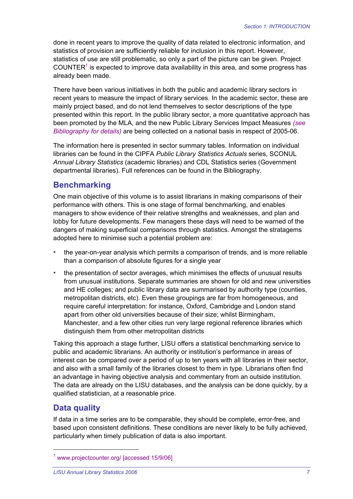done in recent years to improve the quality of data related to electronic information, and statistics of provision are sufficiently reliable for inclusion in this report. However, statistics of use are still problematic, so only a part of the picture can be given. Project COUNTER $<sup>1</sup>$  is expected to improve data availability in this area, and some progress has</sup> already been made.

There have been various initiatives in both the public and academic library sectors in recent years to measure the impact of library services. In the academic sector, these are mainly project based, and do not lend themselves to sector descriptions of the type presented within this report. In the public library sector, a more quantitative approach has been promoted by the MLA, and the new Public Library Services Impact Measures *(see Bibliography for details)* are being collected on a national basis in respect of 2005-06.

The information here is presented in sector summary tables. Information on individual libraries can be found in the CIPFA *Public Library Statistics Actuals* series, SCONUL *Annual Library Statistics* (academic libraries) and CDL Statistics series (Government departmental libraries). Full references can be found in the Bibliography.

#### **Benchmarking**

One main objective of this volume is to assist librarians in making comparisons of their performance with others. This is one stage of formal benchmarking, and enables managers to show evidence of their relative strengths and weaknesses, and plan and lobby for future developments. Few managers these days will need to be warned of the dangers of making superficial comparisons through statistics. Amongst the stratagems adopted here to minimise such a potential problem are:

- the year-on-year analysis which permits a comparison of trends, and is more reliable than a comparison of absolute figures for a single year
- the presentation of sector averages, which minimises the effects of unusual results from unusual institutions. Separate summaries are shown for old and new universities and HE colleges; and public library data are summarised by authority type (counties, metropolitan districts, etc). Even these groupings are far from homogeneous, and require careful interpretation: for instance, Oxford, Cambridge and London stand apart from other old universities because of their size; whilst Birmingham, Manchester, and a few other cities run very large regional reference libraries which distinguish them from other metropolitan districts

Taking this approach a stage further, LISU offers a statistical benchmarking service to public and academic librarians. An authority or institution's performance in areas of interest can be compared over a period of up to ten years with all libraries in their sector, and also with a small family of the libraries closest to them in type. Librarians often find an advantage in having objective analysis and commentary from an outside institution. The data are already on the LISU databases, and the analysis can be done quickly, by a qualified statistician, at a reasonable price.

#### **Data quality**

 $\overline{a}$ 

If data in a time series are to be comparable, they should be complete, error-free, and based upon consistent definitions. These conditions are never likely to be fully achieved, particularly when timely publication of data is also important.

<sup>1</sup> www.projectcounter.org/ [accessed 15/9/06]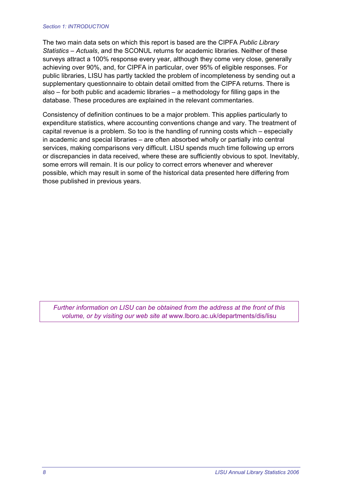#### *Section 1: INTRODUCTION*

The two main data sets on which this report is based are the CIPFA *Public Library Statistics – Actuals*, and the SCONUL returns for academic libraries. Neither of these surveys attract a 100% response every year, although they come very close, generally achieving over 90%, and, for CIPFA in particular, over 95% of eligible responses. For public libraries, LISU has partly tackled the problem of incompleteness by sending out a supplementary questionnaire to obtain detail omitted from the CIPFA returns. There is also – for both public and academic libraries – a methodology for filling gaps in the database. These procedures are explained in the relevant commentaries.

Consistency of definition continues to be a major problem. This applies particularly to expenditure statistics, where accounting conventions change and vary. The treatment of capital revenue is a problem. So too is the handling of running costs which – especially in academic and special libraries – are often absorbed wholly or partially into central services, making comparisons very difficult. LISU spends much time following up errors or discrepancies in data received, where these are sufficiently obvious to spot. Inevitably, some errors will remain. It is our policy to correct errors whenever and wherever possible, which may result in some of the historical data presented here differing from those published in previous years.

*Further information on LISU can be obtained from the address at the front of this volume, or by visiting our web site at* www.lboro.ac.uk/departments/dis/lisu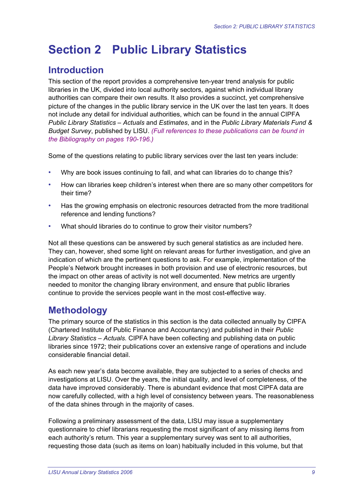# <span id="page-18-0"></span>**Section 2 Public Library Statistics**

# **Introduction**

This section of the report provides a comprehensive ten-year trend analysis for public libraries in the UK, divided into local authority sectors, against which individual library authorities can compare their own results. It also provides a succinct, yet comprehensive picture of the changes in the public library service in the UK over the last ten years. It does not include any detail for individual authorities, which can be found in the annual CIPFA *Public Library Statistics – Actuals* and *Estimates*, and in the *Public Library Materials Fund & Budget Survey*, published by LISU. *(Full references to these publications can be found in the Bibliography on pages 190-196.)*

Some of the questions relating to public library services over the last ten years include:

- Why are book issues continuing to fall, and what can libraries do to change this?
- How can libraries keep children's interest when there are so many other competitors for their time?
- Has the growing emphasis on electronic resources detracted from the more traditional reference and lending functions?
- What should libraries do to continue to grow their visitor numbers?

Not all these questions can be answered by such general statistics as are included here. They can, however, shed some light on relevant areas for further investigation, and give an indication of which are the pertinent questions to ask. For example, implementation of the People's Network brought increases in both provision and use of electronic resources, but the impact on other areas of activity is not well documented. New metrics are urgently needed to monitor the changing library environment, and ensure that public libraries continue to provide the services people want in the most cost-effective way.

# **Methodology**

The primary source of the statistics in this section is the data collected annually by CIPFA (Chartered Institute of Public Finance and Accountancy) and published in their *Public Library Statistics – Actuals.* CIPFA have been collecting and publishing data on public libraries since 1972; their publications cover an extensive range of operations and include considerable financial detail.

As each new year's data become available, they are subjected to a series of checks and investigations at LISU. Over the years, the initial quality, and level of completeness, of the data have improved considerably. There is abundant evidence that most CIPFA data are now carefully collected, with a high level of consistency between years. The reasonableness of the data shines through in the majority of cases.

Following a preliminary assessment of the data, LISU may issue a supplementary questionnaire to chief librarians requesting the most significant of any missing items from each authority's return. This year a supplementary survey was sent to all authorities, requesting those data (such as items on loan) habitually included in this volume, but that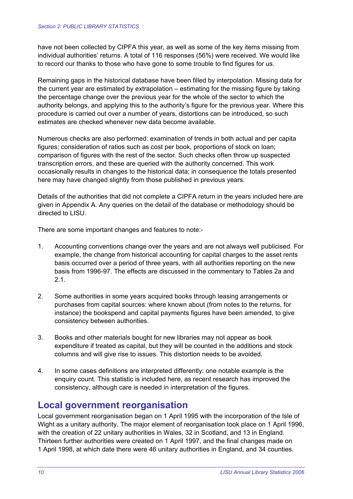have not been collected by CIPFA this year, as well as some of the key items missing from individual authorities' returns. A total of 116 responses (56%) were received. We would like to record our thanks to those who have gone to some trouble to find figures for us.

Remaining gaps in the historical database have been filled by interpolation. Missing data for the current year are estimated by extrapolation – estimating for the missing figure by taking the percentage change over the previous year for the whole of the sector to which the authority belongs, and applying this to the authority's figure for the previous year. Where this procedure is carried out over a number of years, distortions can be introduced, so such estimates are checked whenever new data become available.

Numerous checks are also performed: examination of trends in both actual and per capita figures; consideration of ratios such as cost per book, proportions of stock on loan; comparison of figures with the rest of the sector. Such checks often throw up suspected transcription errors, and these are queried with the authority concerned. This work occasionally results in changes to the historical data; in consequence the totals presented here may have changed slightly from those published in previous years.

Details of the authorities that did not complete a CIPFA return in the years included here are given in Appendix A. Any queries on the detail of the database or methodology should be directed to LISU.

There are some important changes and features to note:-

- 1. Accounting conventions change over the years and are not always well publicised. For example, the change from historical accounting for capital charges to the asset rents basis occurred over a period of three years, with all authorities reporting on the new basis from 1996-97. The effects are discussed in the commentary to Tables 2a and 2.1.
- 2. Some authorities in some years acquired books through leasing arrangements or purchases from capital sources: where known about (from notes to the returns, for instance) the bookspend and capital payments figures have been amended, to give consistency between authorities.
- 3. Books and other materials bought for new libraries may not appear as book expenditure if treated as capital, but they will be counted in the additions and stock columns and will give rise to issues. This distortion needs to be avoided.
- 4. In some cases definitions are interpreted differently: one notable example is the enquiry count. This statistic is included here, as recent research has improved the consistency, although care is needed in interpretation of the figures.

# **Local government reorganisation**

Local government reorganisation began on 1 April 1995 with the incorporation of the Isle of Wight as a unitary authority. The major element of reorganisation took place on 1 April 1996, with the creation of 22 unitary authorities in Wales, 32 in Scotland, and 13 in England. Thirteen further authorities were created on 1 April 1997, and the final changes made on 1 April 1998, at which date there were 46 unitary authorities in England, and 34 counties.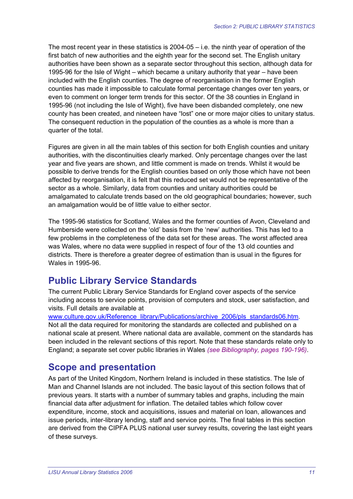The most recent year in these statistics is 2004-05 – i.e. the ninth year of operation of the first batch of new authorities and the eighth year for the second set. The English unitary authorities have been shown as a separate sector throughout this section, although data for 1995-96 for the Isle of Wight – which became a unitary authority that year – have been included with the English counties. The degree of reorganisation in the former English counties has made it impossible to calculate formal percentage changes over ten years, or even to comment on longer term trends for this sector. Of the 38 counties in England in 1995-96 (not including the Isle of Wight), five have been disbanded completely, one new county has been created, and nineteen have "lost" one or more major cities to unitary status. The consequent reduction in the population of the counties as a whole is more than a quarter of the total.

Figures are given in all the main tables of this section for both English counties and unitary authorities, with the discontinuities clearly marked. Only percentage changes over the last year and five years are shown, and little comment is made on trends. Whilst it would be possible to derive trends for the English counties based on only those which have not been affected by reorganisation, it is felt that this reduced set would not be representative of the sector as a whole. Similarly, data from counties and unitary authorities could be amalgamated to calculate trends based on the old geographical boundaries; however, such an amalgamation would be of little value to either sector.

The 1995-96 statistics for Scotland, Wales and the former counties of Avon, Cleveland and Humberside were collected on the 'old' basis from the 'new' authorities. This has led to a few problems in the completeness of the data set for these areas. The worst affected area was Wales, where no data were supplied in respect of four of the 13 old counties and districts. There is therefore a greater degree of estimation than is usual in the figures for Wales in 1995-96.

# **Public Library Service Standards**

The current Public Library Service Standards for England cover aspects of the service including access to service points, provision of computers and stock, user satisfaction, and visits. Full details are available at

www.culture.gov.uk/Reference\_library/Publications/archive\_2006/pls\_standards06.htm. Not all the data required for monitoring the standards are collected and published on a national scale at present. Where national data are available, comment on the standards has been included in the relevant sections of this report. Note that these standards relate only to England; a separate set cover public libraries in Wales *(see Bibliography, pages 190-196)*.

# **Scope and presentation**

As part of the United Kingdom, Northern Ireland is included in these statistics. The Isle of Man and Channel Islands are not included. The basic layout of this section follows that of previous years. It starts with a number of summary tables and graphs, including the main financial data after adjustment for inflation. The detailed tables which follow cover expenditure, income, stock and acquisitions, issues and material on loan, allowances and issue periods, inter-library lending, staff and service points. The final tables in this section are derived from the CIPFA PLUS national user survey results, covering the last eight years of these surveys.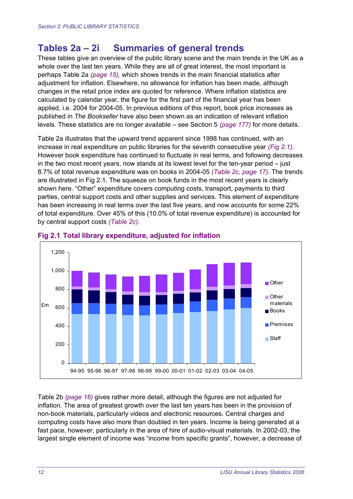# **Tables 2a – 2i Summaries of general trends**

These tables give an overview of the public library scene and the main trends in the UK as a whole over the last ten years. While they are all of great interest, the most important is perhaps Table 2a *(page 15),* which shows trends in the main financial statistics after adjustment for inflation. Elsewhere, no allowance for inflation has been made, although changes in the retail price index are quoted for reference. Where inflation statistics are calculated by calendar year, the figure for the first part of the financial year has been applied, i.e. 2004 for 2004-05. In previous editions of this report, book price increases as published in *The Bookseller* have also been shown as an indication of relevant inflation levels. These statistics are no longer available – see Section 5 *(page 177)* for more details.

Table 2a illustrates that the upward trend apparent since 1998 has continued, with an increase in real expenditure on public libraries for the seventh consecutive year *(Fig 2.1)*. However book expenditure has continued to fluctuate in real terms, and following decreases in the two most recent years, now stands at its lowest level for the ten-year period – just 8.7% of total revenue expenditure was on books in 2004-05 *(Table 2c, page 17)*. The trends are illustrated in Fig 2.1. The squeeze on book funds in the most recent years is clearly shown here. "Other" expenditure covers computing costs, transport, payments to third parties, central support costs and other supplies and services. This element of expenditure has been increasing in real terms over the last five years, and now accounts for some 22% of total expenditure. Over 45% of this (10.0% of total revenue expenditure) is accounted for by central support costs *(Table 2c)*.



#### **Fig 2.1 Total library expenditure, adjusted for inflation**

Table 2b *(page 16)* gives rather more detail, although the figures are not adjusted for inflation. The area of greatest growth over the last ten years has been in the provision of non-book materials, particularly videos and electronic resources. Central charges and computing costs have also more than doubled in ten years. Income is being generated at a fast pace, however, particularly in the area of hire of audio-visual materials. In 2002-03, the largest single element of income was "income from specific grants", however, a decrease of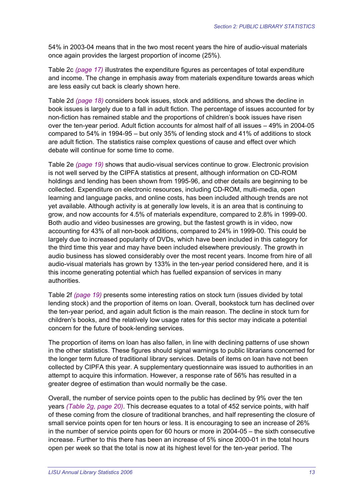54% in 2003-04 means that in the two most recent years the hire of audio-visual materials once again provides the largest proportion of income (25%).

Table 2c *(page 17)* illustrates the expenditure figures as percentages of total expenditure and income. The change in emphasis away from materials expenditure towards areas which are less easily cut back is clearly shown here.

Table 2d *(page 18)* considers book issues, stock and additions, and shows the decline in book issues is largely due to a fall in adult fiction. The percentage of issues accounted for by non-fiction has remained stable and the proportions of children's book issues have risen over the ten-year period. Adult fiction accounts for almost half of all issues – 49% in 2004-05 compared to 54% in 1994-95 – but only 35% of lending stock and 41% of additions to stock are adult fiction. The statistics raise complex questions of cause and effect over which debate will continue for some time to come.

Table 2e *(page 19)* shows that audio-visual services continue to grow. Electronic provision is not well served by the CIPFA statistics at present, although information on CD-ROM holdings and lending has been shown from 1995-96, and other details are beginning to be collected. Expenditure on electronic resources, including CD-ROM, multi-media, open learning and language packs, and online costs, has been included although trends are not yet available. Although activity is at generally low levels, it is an area that is continuing to grow, and now accounts for 4.5% of materials expenditure, compared to 2.8% in 1999-00. Both audio and video businesses are growing, but the fastest growth is in video, now accounting for 43% of all non-book additions, compared to 24% in 1999-00. This could be largely due to increased popularity of DVDs, which have been included in this category for the third time this year and may have been included elsewhere previously. The growth in audio business has slowed considerably over the most recent years. Income from hire of all audio-visual materials has grown by 133% in the ten-year period considered here, and it is this income generating potential which has fuelled expansion of services in many authorities.

Table 2f *(page 19)* presents some interesting ratios on stock turn (issues divided by total lending stock) and the proportion of items on loan. Overall, bookstock turn has declined over the ten-year period, and again adult fiction is the main reason. The decline in stock turn for children's books, and the relatively low usage rates for this sector may indicate a potential concern for the future of book-lending services.

The proportion of items on loan has also fallen, in line with declining patterns of use shown in the other statistics. These figures should signal warnings to public librarians concerned for the longer term future of traditional library services. Details of items on loan have not been collected by CIPFA this year. A supplementary questionnaire was issued to authorities in an attempt to acquire this information. However, a response rate of 56% has resulted in a greater degree of estimation than would normally be the case.

Overall, the number of service points open to the public has declined by 9% over the ten years *(Table 2g, page 20)*. This decrease equates to a total of 452 service points, with half of these coming from the closure of traditional branches, and half representing the closure of small service points open for ten hours or less. It is encouraging to see an increase of 26% in the number of service points open for 60 hours or more in 2004-05 – the sixth consecutive increase. Further to this there has been an increase of 5% since 2000-01 in the total hours open per week so that the total is now at its highest level for the ten-year period. The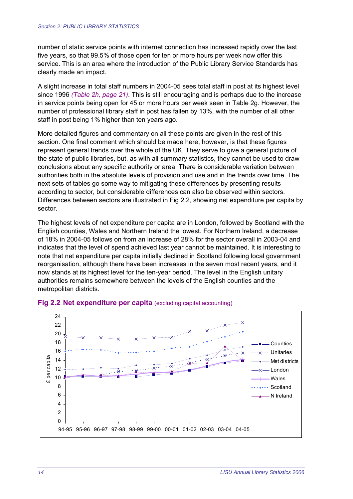number of static service points with internet connection has increased rapidly over the last five years, so that 99.5% of those open for ten or more hours per week now offer this service. This is an area where the introduction of the Public Library Service Standards has clearly made an impact.

A slight increase in total staff numbers in 2004-05 sees total staff in post at its highest level since 1996 *(Table 2h, page 21)*. This is still encouraging and is perhaps due to the increase in service points being open for 45 or more hours per week seen in Table 2g. However, the number of professional library staff in post has fallen by 13%, with the number of all other staff in post being 1% higher than ten years ago.

More detailed figures and commentary on all these points are given in the rest of this section. One final comment which should be made here, however, is that these figures represent general trends over the whole of the UK. They serve to give a general picture of the state of public libraries, but, as with all summary statistics, they cannot be used to draw conclusions about any specific authority or area. There is considerable variation between authorities both in the absolute levels of provision and use and in the trends over time. The next sets of tables go some way to mitigating these differences by presenting results according to sector, but considerable differences can also be observed within sectors. Differences between sectors are illustrated in Fig 2.2, showing net expenditure per capita by sector.

The highest levels of net expenditure per capita are in London, followed by Scotland with the English counties, Wales and Northern Ireland the lowest. For Northern Ireland, a decrease of 18% in 2004-05 follows on from an increase of 28% for the sector overall in 2003-04 and indicates that the level of spend achieved last year cannot be maintained. It is interesting to note that net expenditure per capita initially declined in Scotland following local government reorganisation, although there have been increases in the seven most recent years, and it now stands at its highest level for the ten-year period. The level in the English unitary authorities remains somewhere between the levels of the English counties and the metropolitan districts.



#### **Fig 2.2 Net expenditure per capita** (excluding capital accounting)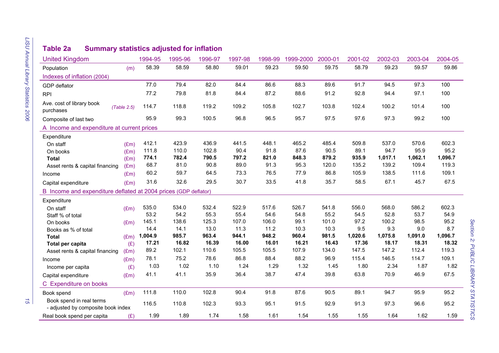# LISU Annual Library Statistics 2006 *LISU Annual Library Statistics 2006 15*

# **Table 2a Summary statistics adjusted for inflation**

| <b>United Kingdom</b>                                           |             | 1994-95 | 1995-96 | 1996-97 | 1997-98 | 1998-99 | 1999-2000 | 2000-01 | 2001-02 | 2002-03 | 2003-04 | 2004-05 |
|-----------------------------------------------------------------|-------------|---------|---------|---------|---------|---------|-----------|---------|---------|---------|---------|---------|
| Population                                                      | (m)         | 58.39   | 58.59   | 58.80   | 59.01   | 59.23   | 59.50     | 59.75   | 58.79   | 59.23   | 59.57   | 59.86   |
| Indexes of inflation (2004)                                     |             |         |         |         |         |         |           |         |         |         |         |         |
| GDP deflator                                                    |             | 77.0    | 79.4    | 82.0    | 84.4    | 86.6    | 88.3      | 89.6    | 91.7    | 94.5    | 97.3    | 100     |
| <b>RPI</b>                                                      |             | 77.2    | 79.8    | 81.8    | 84.4    | 87.2    | 88.6      | 91.2    | 92.8    | 94.4    | 97.1    | 100     |
| Ave. cost of library book<br>purchases                          | (Table 2.5) | 114.7   | 118.8   | 119.2   | 109.2   | 105.8   | 102.7     | 103.8   | 102.4   | 100.2   | 101.4   | 100     |
| Composite of last two                                           |             | 95.9    | 99.3    | 100.5   | 96.8    | 96.5    | 95.7      | 97.5    | 97.6    | 97.3    | 99.2    | 100     |
| A Income and expenditure at current prices                      |             |         |         |         |         |         |           |         |         |         |         |         |
| Expenditure                                                     |             |         |         |         |         |         |           |         |         |         |         |         |
| On staff                                                        | (Em)        | 412.1   | 423.9   | 436.9   | 441.5   | 448.1   | 465.2     | 485.4   | 509.8   | 537.0   | 570.6   | 602.3   |
| On books                                                        | (Em)        | 111.8   | 110.0   | 102.8   | 90.4    | 91.8    | 87.6      | 90.5    | 89.1    | 94.7    | 95.9    | 95.2    |
| <b>Total</b>                                                    | (Em)        | 774.1   | 782.4   | 790.5   | 797.2   | 821.0   | 848.3     | 879.2   | 935.9   | 1,017.1 | 1,062.1 | 1,096.7 |
| Asset rents & capital financing                                 | (Em)        | 68.7    | 81.0    | 90.8    | 89.0    | 91.3    | 95.3      | 120.0   | 135.2   | 139.2   | 109.4   | 119.3   |
| Income                                                          | (Em)        | 60.2    | 59.7    | 64.5    | 73.3    | 76.5    | 77.9      | 86.8    | 105.9   | 138.5   | 111.6   | 109.1   |
| Capital expenditure                                             | (Em)        | 31.6    | 32.6    | 29.5    | 30.7    | 33.5    | 41.8      | 35.7    | 58.5    | 67.1    | 45.7    | 67.5    |
| B Income and expenditure deflated at 2004 prices (GDP deflator) |             |         |         |         |         |         |           |         |         |         |         |         |
| Expenditure                                                     |             |         |         |         |         |         |           |         |         |         |         |         |
| On staff                                                        | (Em)        | 535.0   | 534.0   | 532.4   | 522.9   | 517.6   | 526.7     | 541.8   | 556.0   | 568.0   | 586.2   | 602.3   |
| Staff % of total                                                |             | 53.2    | 54.2    | 55.3    | 55.4    | 54.6    | 54.8      | 55.2    | 54.5    | 52.8    | 53.7    | 54.9    |
| On books                                                        | (Em)        | 145.1   | 138.6   | 125.3   | 107.0   | 106.0   | 99.1      | 101.0   | 97.2    | 100.2   | 98.5    | 95.2    |
| Books as % of total                                             |             | 14.4    | 14.1    | 13.0    | 11.3    | 11.2    | 10.3      | 10.3    | 9.5     | 9.3     | 9.0     | 8.7     |
| <b>Total</b>                                                    | (Em)        | 1,004.9 | 985.7   | 963.4   | 944.1   | 948.2   | 960.4     | 981.5   | 1,020.6 | 1,075.8 | 1,091.0 | 1,096.7 |
| Total per capita                                                | (E)         | 17.21   | 16.82   | 16.39   | 16.00   | 16.01   | 16.21     | 16.43   | 17.36   | 18.17   | 18.31   | 18.32   |
| Asset rents & capital financing                                 | (Em)        | 89.2    | 102.1   | 110.6   | 105.5   | 105.5   | 107.9     | 134.0   | 147.5   | 147.2   | 112.4   | 119.3   |
| Income                                                          | (Em)        | 78.1    | 75.2    | 78.6    | 86.8    | 88.4    | 88.2      | 96.9    | 115.4   | 146.5   | 114.7   | 109.1   |
| Income per capita                                               | (E)         | 1.03    | 1.02    | 1.10    | 1.24    | 1.29    | 1.32      | 1.45    | 1.80    | 2.34    | 1.87    | 1.82    |
| Capital expenditure                                             | (Em)        | 41.1    | 41.1    | 35.9    | 36.4    | 38.7    | 47.4      | 39.8    | 63.8    | 70.9    | 46.9    | 67.5    |
| C Expenditure on books                                          |             |         |         |         |         |         |           |         |         |         |         |         |
| Book spend                                                      | (Em)        | 111.8   | 110.0   | 102.8   | 90.4    | 91.8    | 87.6      | 90.5    | 89.1    | 94.7    | 95.9    | 95.2    |
| Book spend in real terms<br>- adjusted by composite book index  |             | 116.5   | 110.8   | 102.3   | 93.3    | 95.1    | 91.5      | 92.9    | 91.3    | 97.3    | 96.6    | 95.2    |
| Real book spend per capita                                      | (E)         | 1.99    | 1.89    | 1.74    | 1.58    | 1.61    | 1.54      | 1.55    | 1.55    | 1.64    | 1.62    | 1.59    |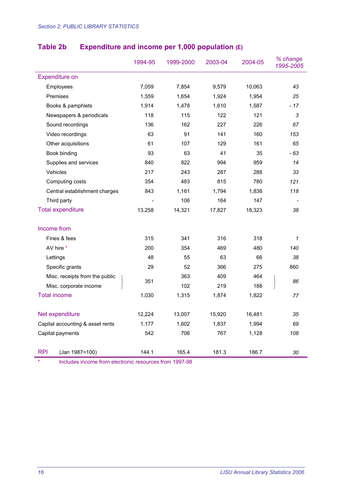|                                                        | 1994-95 | 1999-2000 | 2003-04 | 2004-05 | % change<br>1995-2005 |
|--------------------------------------------------------|---------|-----------|---------|---------|-----------------------|
| <b>Expenditure on</b>                                  |         |           |         |         |                       |
| Employees                                              | 7,059   | 7,854     | 9,579   | 10,063  | 43                    |
| Premises                                               | 1,559   | 1,654     | 1,924   | 1,954   | 25                    |
| Books & pamphlets                                      | 1,914   | 1,478     | 1,610   | 1,587   | $-17$                 |
| Newspapers & periodicals                               | 118     | 115       | 122     | 121     | 3                     |
| Sound recordings                                       | 136     | 162       | 227     | 226     | 67                    |
| Video recordings                                       | 63      | 91        | 141     | 160     | 153                   |
| Other acquisitions                                     | 61      | 107       | 129     | 161     | 65                    |
| Book binding                                           | 93      | 63        | 41      | 35      | - 63                  |
| Supplies and services                                  | 840     | 822       | 994     | 959     | 14                    |
| Vehicles                                               | 217     | 243       | 287     | 288     | 33                    |
| Computing costs                                        | 354     | 483       | 815     | 780     | 121                   |
| Central establishment charges                          | 843     | 1,161     | 1,794   | 1,838   | 118                   |
| Third party                                            |         | 106       | 164     | 147     |                       |
| <b>Total expenditure</b>                               | 13,258  | 14,321    | 17,827  | 18,323  | 38                    |
| Income from                                            |         |           |         |         |                       |
| Fines & fees                                           | 315     | 341       | 316     | 318     | $\mathcal I$          |
| AV hire *                                              | 200     | 354       | 469     | 480     | 140                   |
| Lettings                                               | 48      | 55        | 63      | 66      | 38                    |
| Specific grants                                        | 29      | 52        | 366     | 275     | 860                   |
| Misc. receipts from the public                         |         | 363       | 409     | 464     |                       |
| Misc. corporate income                                 | 351     | 102       | 219     | 188     | 86                    |
| <b>Total income</b>                                    | 1,030   | 1,315     | 1,874   | 1,822   | 77                    |
| Net expenditure                                        | 12,224  | 13,007    | 15,920  | 16,481  | 35                    |
| Capital accounting & asset rents                       | 1,177   | 1,602     | 1,837   | 1,994   | 69                    |
| Capital payments                                       | 542     | 706       | 767     | 1,128   | 108                   |
| <b>RPI</b><br>(Jan 1987=100)                           | 144.1   | 165.4     | 181.3   | 186.7   | 30                    |
| Includes income from electronic resources from 1997-98 |         |           |         |         |                       |

#### **Table 2b Expenditure and income per 1,000 population (£)**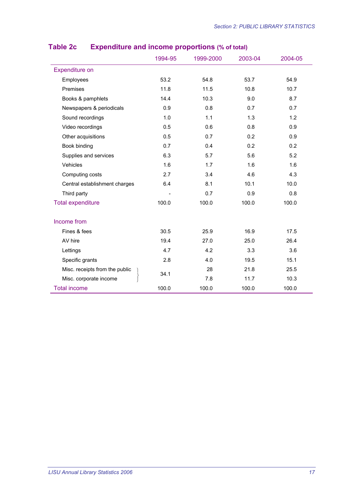|                                | 1994-95 | 1999-2000 | 2003-04 | 2004-05 |
|--------------------------------|---------|-----------|---------|---------|
| Expenditure on                 |         |           |         |         |
| Employees                      | 53.2    | 54.8      | 53.7    | 54.9    |
| Premises                       | 11.8    | 11.5      | 10.8    | 10.7    |
| Books & pamphlets              | 14.4    | 10.3      | 9.0     | 8.7     |
| Newspapers & periodicals       | 0.9     | 0.8       | 0.7     | 0.7     |
| Sound recordings               | 1.0     | 1.1       | 1.3     | 1.2     |
| Video recordings               | 0.5     | 0.6       | 0.8     | 0.9     |
| Other acquisitions             | 0.5     | 0.7       | 0.2     | 0.9     |
| Book binding                   | 0.7     | 0.4       | 0.2     | 0.2     |
| Supplies and services          | 6.3     | 5.7       | 5.6     | 5.2     |
| Vehicles                       | 1.6     | 1.7       | 1.6     | 1.6     |
| Computing costs                | 2.7     | 3.4       | 4.6     | 4.3     |
| Central establishment charges  | 6.4     | 8.1       | 10.1    | 10.0    |
| Third party                    |         | 0.7       | 0.9     | 0.8     |
| <b>Total expenditure</b>       | 100.0   | 100.0     | 100.0   | 100.0   |
| Income from                    |         |           |         |         |
| Fines & fees                   | 30.5    | 25.9      | 16.9    | 17.5    |
| AV hire                        | 19.4    | 27.0      | 25.0    | 26.4    |
| Lettings                       | 4.7     | 4.2       | 3.3     | 3.6     |
| Specific grants                | 2.8     | 4.0       | 19.5    | 15.1    |
| Misc. receipts from the public | 34.1    | 28        | 21.8    | 25.5    |
| Misc. corporate income         |         | 7.8       | 11.7    | 10.3    |
| <b>Total income</b>            | 100.0   | 100.0     | 100.0   | 100.0   |

# **Table 2c Expenditure and income proportions (% of total)**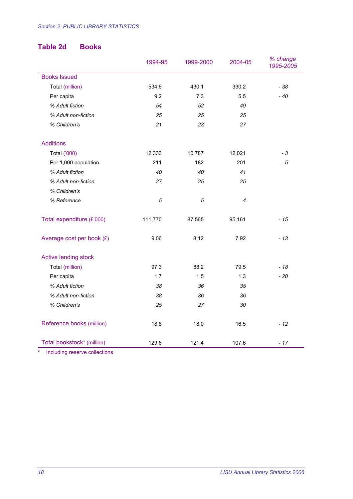#### **Table 2d Books**

|                             | 1994-95    | 1999-2000 | 2004-05 | % change<br>1995-2005 |
|-----------------------------|------------|-----------|---------|-----------------------|
| <b>Books Issued</b>         |            |           |         |                       |
| Total (million)             | 534.6      | 430.1     | 330.2   | $-38$                 |
| Per capita                  | 9.2        | 7.3       | 5.5     | $-40$                 |
| % Adult fiction             | 54         | 52        | 49      |                       |
| % Adult non-fiction         | 25         | 25        | 25      |                       |
| % Children's                | 21         | 23        | 27      |                       |
| <b>Additions</b>            |            |           |         |                       |
| Total ('000)                | 12,333     | 10,787    | 12,021  | $-3$                  |
| Per 1,000 population        | 211        | 182       | 201     | $-5$                  |
| % Adult fiction             | 40         | 40        | 41      |                       |
| % Adult non-fiction         | 27         | 25        | 25      |                       |
| % Children's                |            |           |         |                       |
| % Reference                 | $\sqrt{5}$ | 5         | 4       |                       |
| Total expenditure (£'000)   | 111,770    | 87,565    | 95,161  | $-15$                 |
| Average cost per book $(E)$ | 9.06       | 8.12      | 7.92    | $-13$                 |
| <b>Active lending stock</b> |            |           |         |                       |
| Total (million)             | 97.3       | 88.2      | 79.5    | $-18$                 |
| Per capita                  | 1.7        | 1.5       | 1.3     | $-20$                 |
| % Adult fiction             | 38         | 36        | 35      |                       |
| % Adult non-fiction         | 38         | 36        | 36      |                       |
| % Children's                | 25         | 27        | 30      |                       |
| Reference books (million)   | 18.8       | 18.0      | 16.5    | $-12$                 |
| Total bookstock* (million)  | 129.6      | 121.4     | 107.6   | $-17$                 |

\* Including reserve collections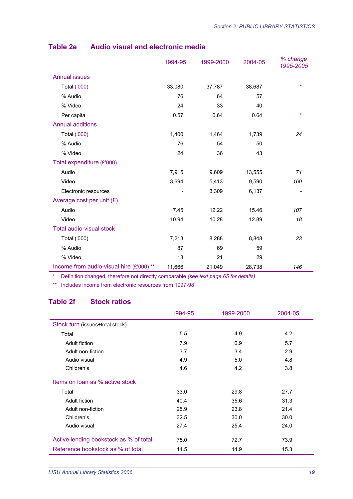|                                          | 1994-95 | 1999-2000 | 2004-05 | % change<br>1995-2005 |
|------------------------------------------|---------|-----------|---------|-----------------------|
| <b>Annual issues</b>                     |         |           |         |                       |
| Total ('000)                             | 33,080  | 37,787    | 38,687  | $\star$               |
| % Audio                                  | 76      | 64        | 57      |                       |
| % Video                                  | 24      | 33        | 40      |                       |
| Per capita                               | 0.57    | 0.64      | 0.64    | $\star$               |
| <b>Annual additions</b>                  |         |           |         |                       |
| Total ('000)                             | 1,400   | 1,464     | 1,739   | 24                    |
| % Audio                                  | 76      | 54        | 50      |                       |
| % Video                                  | 24      | 36        | 43      |                       |
| Total expenditure (£'000)                |         |           |         |                       |
| Audio                                    | 7,915   | 9,609     | 13,555  | 71                    |
| Video                                    | 3,694   | 5,413     | 9,590   | 160                   |
| Electronic resources                     | -       | 3,309     | 6,137   | -                     |
| Average cost per unit $(E)$              |         |           |         |                       |
| Audio                                    | 7.45    | 12.22     | 15.46   | 107                   |
| Video                                    | 10.94   | 10.28     | 12.89   | 18                    |
| Total audio-visual stock                 |         |           |         |                       |
| Total ('000)                             | 7,213   | 8,288     | 8,848   | 23                    |
| % Audio                                  | 87      | 69        | 59      |                       |
| % Video                                  | 13      | 21        | 29      |                       |
| Income from audio-visual hire (£'000) ** | 11,666  | 21,049    | 28,738  | 146                   |

#### **Table 2e Audio visual and electronic media**

\* Definition changed, therefore not directly comparable *(see text page 65 for details)* 

\*\* Includes income from electronic resources from 1997-98

#### **Table 2f Stock ratios**

|                                        | 1994-95 | 1999-2000 | 2004-05 |
|----------------------------------------|---------|-----------|---------|
| Stock turn (issues÷total stock)        |         |           |         |
| Total                                  | 5.5     | 4.9       | 4.2     |
| Adult fiction                          | 7.9     | 6.9       | 5.7     |
| Adult non-fiction                      | 3.7     | 3.4       | 2.9     |
| Audio visual                           | 4.9     | 5.0       | 4.8     |
| Children's                             | 4.6     | 4.2       | 3.8     |
| Items on loan as % active stock        |         |           |         |
| Total                                  | 33.0    | 29.8      | 27.7    |
| Adult fiction                          | 40.4    | 35.6      | 31.3    |
| Adult non-fiction                      | 25.9    | 23.8      | 21.4    |
| Children's                             | 32.5    | 30.0      | 30.0    |
| Audio visual                           | 27.4    | 25.4      | 24.0    |
| Active lending bookstock as % of total | 75.0    | 72.7      | 73.9    |
| Reference bookstock as % of total      | 14.5    | 14.9      | 15.3    |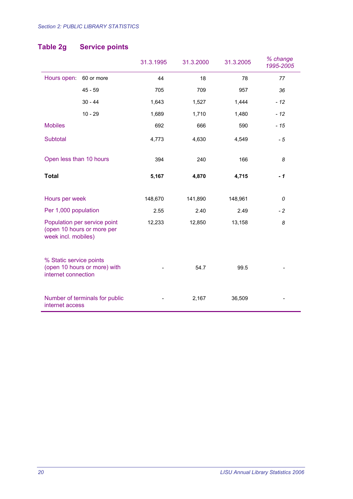# **Table 2g Service points**

|                                                |                                                            | 31.3.1995 | 31.3.2000 | 31.3.2005 | % change<br>1995-2005 |
|------------------------------------------------|------------------------------------------------------------|-----------|-----------|-----------|-----------------------|
| Hours open:                                    | 60 or more                                                 | 44        | 18        | 78        | 77                    |
|                                                | $45 - 59$                                                  | 705       | 709       | 957       | 36                    |
|                                                | $30 - 44$                                                  | 1,643     | 1,527     | 1,444     | $-12$                 |
|                                                | $10 - 29$                                                  | 1,689     | 1,710     | 1,480     | $-12$                 |
| <b>Mobiles</b>                                 |                                                            | 692       | 666       | 590       | $-15$                 |
| Subtotal                                       |                                                            | 4,773     | 4,630     | 4,549     | $-5$                  |
| Open less than 10 hours                        |                                                            | 394       | 240       | 166       | 8                     |
| <b>Total</b>                                   |                                                            | 5,167     | 4,870     | 4,715     | $-1$                  |
| Hours per week                                 |                                                            | 148,670   | 141,890   | 148,961   | 0                     |
| Per 1,000 population                           |                                                            | 2.55      | 2.40      | 2.49      | $-2$                  |
| week incl. mobiles)                            | Population per service point<br>(open 10 hours or more per | 12,233    | 12,850    | 13,158    | 8                     |
| % Static service points<br>internet connection | (open 10 hours or more) with                               |           | 54.7      | 99.5      |                       |
| internet access                                | Number of terminals for public                             |           | 2,167     | 36,509    |                       |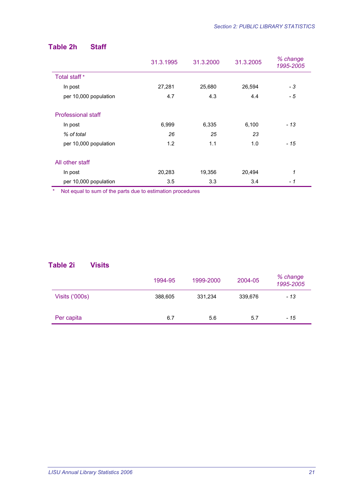## **Table 2h Staff**

|                           | 31.3.1995 | 31.3.2000 | 31.3.2005 | % change<br>1995-2005 |
|---------------------------|-----------|-----------|-----------|-----------------------|
| Total staff *             |           |           |           |                       |
| In post                   | 27,281    | 25,680    | 26,594    | - 3                   |
| per 10,000 population     | 4.7       | 4.3       | 4.4       | - 5                   |
| <b>Professional staff</b> |           |           |           |                       |
| In post                   | 6,999     | 6,335     | 6,100     | - 13                  |
| % of total                | 26        | 25        | 23        |                       |
| per 10,000 population     | 1.2       | 1.1       | 1.0       | - 15                  |
| All other staff           |           |           |           |                       |
| In post                   | 20,283    | 19,356    | 20,494    | 1                     |
| per 10,000 population     | 3.5       | 3.3       | 3.4       | - 1                   |

\* Not equal to sum of the parts due to estimation procedures

#### **Table 2i Visits**

|                | 1994-95 | 1999-2000 | 2004-05 | % change<br>1995-2005 |
|----------------|---------|-----------|---------|-----------------------|
| Visits ('000s) | 388,605 | 331,234   | 339,676 | - 13                  |
| Per capita     | 6.7     | 5.6       | 5.7     | - 15                  |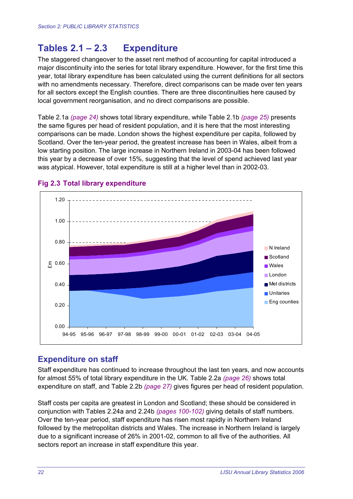# **Tables 2.1 – 2.3 Expenditure**

The staggered changeover to the asset rent method of accounting for capital introduced a major discontinuity into the series for total library expenditure. However, for the first time this year, total library expenditure has been calculated using the current definitions for all sectors with no amendments necessary. Therefore, direct comparisons can be made over ten years for all sectors except the English counties. There are three discontinuities here caused by local government reorganisation, and no direct comparisons are possible.

Table 2.1a *(page 24)* shows total library expenditure, while Table 2.1b *(page 25)* presents the same figures per head of resident population, and it is here that the most interesting comparisons can be made. London shows the highest expenditure per capita, followed by Scotland. Over the ten-year period, the greatest increase has been in Wales, albeit from a low starting position. The large increase in Northern Ireland in 2003-04 has been followed this year by a decrease of over 15%, suggesting that the level of spend achieved last year was atypical. However, total expenditure is still at a higher level than in 2002-03.



#### **Fig 2.3 Total library expenditure**

#### **Expenditure on staff**

Staff expenditure has continued to increase throughout the last ten years, and now accounts for almost 55% of total library expenditure in the UK. Table 2.2a *(page 26)* shows total expenditure on staff, and Table 2.2b *(page 27)* gives figures per head of resident population.

Staff costs per capita are greatest in London and Scotland; these should be considered in conjunction with Tables 2.24a and 2.24b *(pages 100-102)* giving details of staff numbers. Over the ten-year period, staff expenditure has risen most rapidly in Northern Ireland followed by the metropolitan districts and Wales. The increase in Northern Ireland is largely due to a significant increase of 26% in 2001-02, common to all five of the authorities. All sectors report an increase in staff expenditure this year.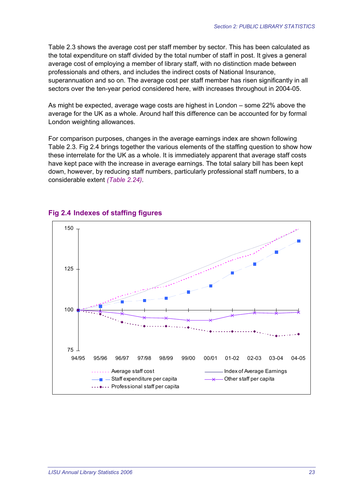Table 2.3 shows the average cost per staff member by sector. This has been calculated as the total expenditure on staff divided by the total number of staff in post. It gives a general average cost of employing a member of library staff, with no distinction made between professionals and others, and includes the indirect costs of National Insurance, superannuation and so on. The average cost per staff member has risen significantly in all sectors over the ten-year period considered here, with increases throughout in 2004-05.

As might be expected, average wage costs are highest in London – some 22% above the average for the UK as a whole. Around half this difference can be accounted for by formal London weighting allowances.

For comparison purposes, changes in the average earnings index are shown following Table 2.3. Fig 2.4 brings together the various elements of the staffing question to show how these interrelate for the UK as a whole. It is immediately apparent that average staff costs have kept pace with the increase in average earnings. The total salary bill has been kept down, however, by reducing staff numbers, particularly professional staff numbers, to a considerable extent *(Table 2.24)*.



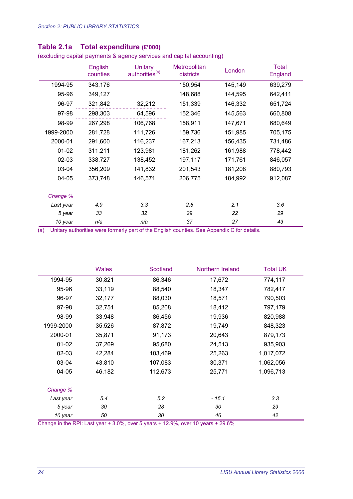|           | English<br>counties | <b>Unitary</b><br>authorities <sup>(a)</sup> | Metropolitan<br>districts | London  | <b>Total</b><br>England |
|-----------|---------------------|----------------------------------------------|---------------------------|---------|-------------------------|
| 1994-95   | 343,176             |                                              | 150,954                   | 145,149 | 639,279                 |
| 95-96     | 349,127             |                                              | 148,688                   | 144,595 | 642,411                 |
| 96-97     | 321,842             | 32,212                                       | 151,339                   | 146,332 | 651,724                 |
| 97-98     | 298,303             | 64,596                                       | 152,346                   | 145,563 | 660,808                 |
| 98-99     | 267,298             | 106,768                                      | 158,911                   | 147,671 | 680,649                 |
| 1999-2000 | 281,728             | 111,726                                      | 159,736                   | 151,985 | 705,175                 |
| 2000-01   | 291,600             | 116,237                                      | 167,213                   | 156,435 | 731,486                 |
| $01 - 02$ | 311,211             | 123,981                                      | 181,262                   | 161,988 | 778,442                 |
| $02 - 03$ | 338,727             | 138,452                                      | 197,117                   | 171,761 | 846,057                 |
| 03-04     | 356,209             | 141,832                                      | 201,543                   | 181,208 | 880,793                 |
| 04-05     | 373,748             | 146,571                                      | 206,775                   | 184,992 | 912,087                 |
|           |                     |                                              |                           |         |                         |
| Change %  |                     |                                              |                           |         |                         |
| Last year | 4.9                 | 3.3                                          | 2.6                       | 2.1     | 3.6                     |
| 5 year    | 33                  | 32                                           | 29                        | 22      | 29                      |
| 10 year   | n/a                 | n/a                                          | 37                        | 27      | 43                      |

#### **Table 2.1a Total expenditure (£'000)**

(excluding capital payments & agency services and capital accounting)

(a) Unitary authorities were formerly part of the English counties. See Appendix C for details.

|           | <b>Wales</b> | <b>Scotland</b> | Northern Ireland | <b>Total UK</b> |
|-----------|--------------|-----------------|------------------|-----------------|
| 1994-95   | 30,821       | 86,346          | 17,672           | 774,117         |
| 95-96     | 33,119       | 88,540          | 18,347           | 782,417         |
| 96-97     | 32,177       | 88,030          | 18,571           | 790,503         |
| 97-98     | 32,751       | 85,208          | 18,412           | 797,179         |
| 98-99     | 33,948       | 86,456          | 19,936           | 820,988         |
| 1999-2000 | 35,526       | 87,872          | 19,749           | 848,323         |
| 2000-01   | 35,871       | 91,173          | 20,643           | 879,173         |
| $01 - 02$ | 37,269       | 95,680          | 24,513           | 935,903         |
| $02 - 03$ | 42,284       | 103,469         | 25,263           | 1,017,072       |
| 03-04     | 43,810       | 107,083         | 30,371           | 1,062,056       |
| 04-05     | 46,182       | 112,673         | 25,771           | 1,096,713       |
| Change %  |              |                 |                  |                 |
| Last year | 5.4          | 5.2             | $-15.1$          | 3.3             |
| 5 year    | 30           | 28              | 30               | 29              |
| 10 year   | 50           | 30              | 46               | 42              |

Change in the RPI: Last year + 3.0%, over 5 years + 12.9%, over 10 years + 29.6%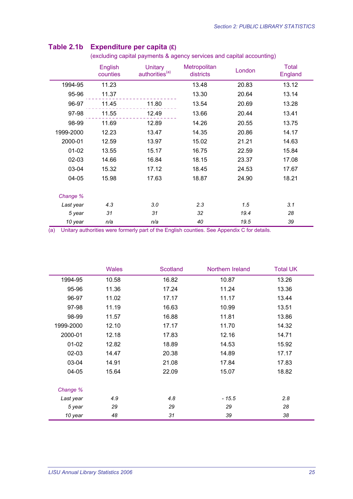|           | English<br>counties | Unitary<br>authorities <sup>(a)</sup> | <b>Metropolitan</b><br>districts | London | <b>Total</b><br>England |
|-----------|---------------------|---------------------------------------|----------------------------------|--------|-------------------------|
| 1994-95   | 11.23               |                                       | 13.48                            | 20.83  | 13.12                   |
| 95-96     | 11.37               |                                       | 13.30                            | 20.64  | 13.14                   |
| 96-97     | 11.45               | 11.80                                 | 13.54                            | 20.69  | 13.28                   |
| 97-98     | 11.55               | 12.49                                 | 13.66                            | 20.44  | 13.41                   |
| 98-99     | 11.69               | 12.89                                 | 14.26                            | 20.55  | 13.75                   |
| 1999-2000 | 12.23               | 13.47                                 | 14.35                            | 20.86  | 14.17                   |
| 2000-01   | 12.59               | 13.97                                 | 15.02                            | 21.21  | 14.63                   |
| $01 - 02$ | 13.55               | 15.17                                 | 16.75                            | 22.59  | 15.84                   |
| 02-03     | 14.66               | 16.84                                 | 18.15                            | 23.37  | 17.08                   |
| 03-04     | 15.32               | 17.12                                 | 18.45                            | 24.53  | 17.67                   |
| 04-05     | 15.98               | 17.63                                 | 18.87                            | 24.90  | 18.21                   |
|           |                     |                                       |                                  |        |                         |
| Change %  |                     |                                       |                                  |        |                         |
| Last year | 4.3                 | 3.0                                   | 2.3                              | 1.5    | 3.1                     |
| 5 year    | 31                  | 31                                    | 32                               | 19.4   | 28                      |
| 10 year   | n/a                 | n/a                                   | 40                               | 19.5   | 39                      |

#### **Table 2.1b Expenditure per capita (£)**

(excluding capital payments & agency services and capital accounting)

(a) Unitary authorities were formerly part of the English counties. See Appendix C for details.

|           | <b>Wales</b> | Scotland | Northern Ireland | <b>Total UK</b> |
|-----------|--------------|----------|------------------|-----------------|
| 1994-95   | 10.58        | 16.82    | 10.87            | 13.26           |
| 95-96     | 11.36        | 17.24    | 11.24            | 13.36           |
| 96-97     | 11.02        | 17.17    | 11.17            | 13.44           |
| 97-98     | 11.19        | 16.63    | 10.99            | 13.51           |
| 98-99     | 11.57        | 16.88    | 11.81            | 13.86           |
| 1999-2000 | 12.10        | 17.17    | 11.70            | 14.32           |
| 2000-01   | 12.18        | 17.83    | 12.16            | 14.71           |
| $01-02$   | 12.82        | 18.89    | 14.53            | 15.92           |
| 02-03     | 14.47        | 20.38    | 14.89            | 17.17           |
| 03-04     | 14.91        | 21.08    | 17.84            | 17.83           |
| 04-05     | 15.64        | 22.09    | 15.07            | 18.82           |
| Change %  |              |          |                  |                 |
| Last year | 4.9          | 4.8      | $-15.5$          | 2.8             |
| 5 year    | 29           | 29       | 29               | 28              |
| 10 year   | 48           | 31       | 39               | 38              |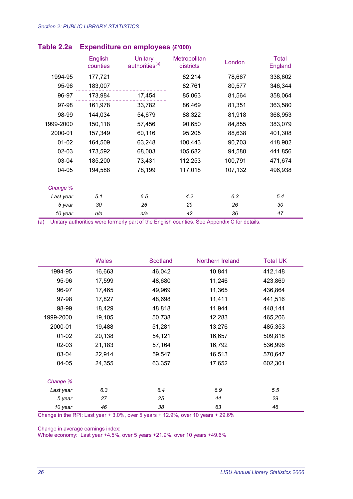|           | <b>English</b><br>counties | <b>Unitary</b><br>authorities <sup>(a)</sup> | <b>Metropolitan</b><br>districts | London  | <b>Total</b><br>England |
|-----------|----------------------------|----------------------------------------------|----------------------------------|---------|-------------------------|
| 1994-95   | 177,721                    |                                              | 82,214                           | 78,667  | 338,602                 |
| 95-96     | 183,007                    |                                              | 82,761                           | 80,577  | 346,344                 |
| 96-97     | 173,984                    | 17,454                                       | 85,063                           | 81,564  | 358,064                 |
| 97-98     | 161,978                    | 33,782                                       | 86,469                           | 81,351  | 363,580                 |
| 98-99     | 144,034                    | 54,679                                       | 88,322                           | 81,918  | 368,953                 |
| 1999-2000 | 150,118                    | 57,456                                       | 90,650                           | 84,855  | 383,079                 |
| 2000-01   | 157,349                    | 60,116                                       | 95,205                           | 88,638  | 401,308                 |
| $01 - 02$ | 164,509                    | 63,248                                       | 100,443                          | 90,703  | 418,902                 |
| 02-03     | 173,592                    | 68,003                                       | 105,682                          | 94,580  | 441,856                 |
| 03-04     | 185,200                    | 73,431                                       | 112,253                          | 100,791 | 471,674                 |
| 04-05     | 194,588                    | 78,199                                       | 117,018                          | 107,132 | 496,938                 |
| Change %  |                            |                                              |                                  |         |                         |
| Last year | 5.1                        | 6.5                                          | 4.2                              | 6.3     | 5.4                     |
| 5 year    | 30                         | 26                                           | 29                               | 26      | 30                      |
| 10 year   | n/a                        | n/a                                          | 42                               | 36      | 47                      |

#### **Table 2.2a Expenditure on employees (£'000)**

(a) Unitary authorities were formerly part of the English counties. See Appendix C for details.

|           | <b>Wales</b> | <b>Scotland</b> | Northern Ireland | <b>Total UK</b> |
|-----------|--------------|-----------------|------------------|-----------------|
| 1994-95   | 16,663       | 46,042          | 10,841           | 412,148         |
| 95-96     | 17,599       | 48,680          | 11,246           | 423,869         |
| 96-97     | 17,465       | 49,969          | 11,365           | 436,864         |
| 97-98     | 17,827       | 48,698          | 11,411           | 441,516         |
| 98-99     | 18,429       | 48,818          | 11,944           | 448,144         |
| 1999-2000 | 19,105       | 50,738          | 12,283           | 465,206         |
| 2000-01   | 19,488       | 51,281          | 13,276           | 485,353         |
| $01 - 02$ | 20,138       | 54,121          | 16,657           | 509,818         |
| $02 - 03$ | 21,183       | 57,164          | 16,792           | 536,996         |
| 03-04     | 22,914       | 59,547          | 16,513           | 570,647         |
| 04-05     | 24,355       | 63,357          | 17,652           | 602,301         |
| Change %  |              |                 |                  |                 |
| Last year | 6.3          | 6.4             | 6.9              | 5.5             |
| 5 year    | 27           | 25              | 44               | 29              |
| 10 year   | 46           | 38              | 63               | 46              |

Change in the RPI: Last year + 3.0%, over 5 years + 12.9%, over 10 years + 29.6%

Change in average earnings index:

Whole economy: Last year +4.5%, over 5 years +21.9%, over 10 years +49.6%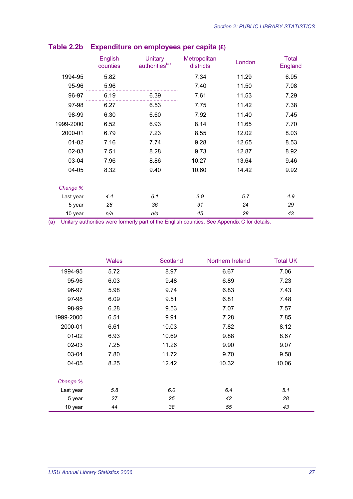|           | English<br>counties | <b>Unitary</b><br>authorities <sup>(a)</sup> | Metropolitan<br>districts | London | <b>Total</b><br>England |
|-----------|---------------------|----------------------------------------------|---------------------------|--------|-------------------------|
| 1994-95   | 5.82                |                                              | 7.34                      | 11.29  | 6.95                    |
| 95-96     | 5.96                |                                              | 7.40                      | 11.50  | 7.08                    |
| 96-97     | 6.19                | 6.39                                         | 7.61                      | 11.53  | 7.29                    |
| 97-98     | 6.27                | 6.53                                         | 7.75                      | 11.42  | 7.38                    |
| 98-99     | 6.30                | 6.60                                         | 7.92                      | 11.40  | 7.45                    |
| 1999-2000 | 6.52                | 6.93                                         | 8.14                      | 11.65  | 7.70                    |
| 2000-01   | 6.79                | 7.23                                         | 8.55                      | 12.02  | 8.03                    |
| $01 - 02$ | 7.16                | 7.74                                         | 9.28                      | 12.65  | 8.53                    |
| 02-03     | 7.51                | 8.28                                         | 9.73                      | 12.87  | 8.92                    |
| 03-04     | 7.96                | 8.86                                         | 10.27                     | 13.64  | 9.46                    |
| 04-05     | 8.32                | 9.40                                         | 10.60                     | 14.42  | 9.92                    |
|           |                     |                                              |                           |        |                         |
| Change %  |                     |                                              |                           |        |                         |
| Last year | 4.4                 | 6.1                                          | 3.9                       | 5.7    | 4.9                     |
| 5 year    | 28                  | 36                                           | 31                        | 24     | 29                      |
| 10 year   | n/a                 | n/a                                          | 45                        | 28     | 43                      |

## **Table 2.2b Expenditure on employees per capita (£)**

|           | <b>Wales</b> | Scotland | Northern Ireland | <b>Total UK</b> |
|-----------|--------------|----------|------------------|-----------------|
| 1994-95   | 5.72         | 8.97     | 6.67             | 7.06            |
| 95-96     | 6.03         | 9.48     | 6.89             | 7.23            |
| 96-97     | 5.98         | 9.74     | 6.83             | 7.43            |
| 97-98     | 6.09         | 9.51     | 6.81             | 7.48            |
| 98-99     | 6.28         | 9.53     | 7.07             | 7.57            |
| 1999-2000 | 6.51         | 9.91     | 7.28             | 7.85            |
| 2000-01   | 6.61         | 10.03    | 7.82             | 8.12            |
| $01 - 02$ | 6.93         | 10.69    | 9.88             | 8.67            |
| $02 - 03$ | 7.25         | 11.26    | 9.90             | 9.07            |
| 03-04     | 7.80         | 11.72    | 9.70             | 9.58            |
| 04-05     | 8.25         | 12.42    | 10.32            | 10.06           |
| Change %  |              |          |                  |                 |
| Last year | 5.8          | 6.0      | 6.4              | 5.1             |
| 5 year    | 27           | 25       | 42               | 28              |
| 10 year   | 44           | 38       | 55               | 43              |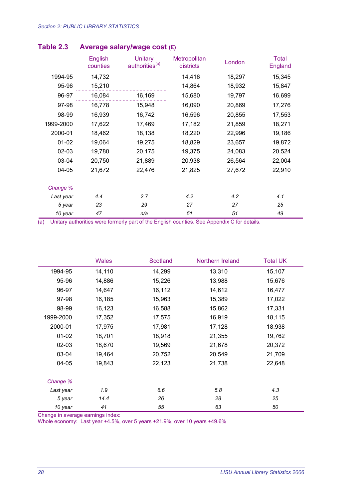|           | English<br>counties | Unitary<br>authorities <sup>(a)</sup> | Metropolitan<br>districts | London | <b>Total</b><br>England |
|-----------|---------------------|---------------------------------------|---------------------------|--------|-------------------------|
| 1994-95   | 14,732              |                                       | 14,416                    | 18,297 | 15,345                  |
| 95-96     | 15,210              |                                       | 14,864                    | 18,932 | 15,847                  |
| 96-97     | 16,084              | 16,169                                | 15,680                    | 19,797 | 16,699                  |
| 97-98     | 16,778              | 15,948                                | 16,090                    | 20,869 | 17,276                  |
| 98-99     | 16,939              | 16,742                                | 16,596                    | 20,855 | 17,553                  |
| 1999-2000 | 17,622              | 17,469                                | 17,182                    | 21,859 | 18,271                  |
| 2000-01   | 18,462              | 18,138                                | 18,220                    | 22,996 | 19,186                  |
| $01-02$   | 19,064              | 19,275                                | 18,829                    | 23,657 | 19,872                  |
| 02-03     | 19,780              | 20,175                                | 19,375                    | 24,083 | 20,524                  |
| 03-04     | 20,750              | 21,889                                | 20,938                    | 26,564 | 22,004                  |
| 04-05     | 21,672              | 22,476                                | 21,825                    | 27,672 | 22,910                  |
| Change %  |                     |                                       |                           |        |                         |
| Last year | 4.4                 | 2.7                                   | 4.2                       | 4.2    | 4.1                     |
| 5 year    | 23                  | 29                                    | 27                        | 27     | 25                      |
| 10 year   | 47                  | n/a                                   | 51                        | 51     | 49                      |

#### **Table 2.3 Average salary/wage cost (£)**

(a) Unitary authorities were formerly part of the English counties. See Appendix C for details.

|           | <b>Wales</b> | Scotland | Northern Ireland | <b>Total UK</b> |
|-----------|--------------|----------|------------------|-----------------|
| 1994-95   | 14,110       | 14,299   | 13,310           | 15,107          |
| 95-96     | 14,886       | 15,226   | 13,988           | 15,676          |
| 96-97     | 14,647       | 16,112   | 14,612           | 16,477          |
| 97-98     | 16,185       | 15,963   | 15,389           | 17,022          |
| 98-99     | 16,123       | 16,588   | 15,862           | 17,331          |
| 1999-2000 | 17,352       | 17,575   | 16,919           | 18,115          |
| 2000-01   | 17,975       | 17,981   | 17,128           | 18,938          |
| $01 - 02$ | 18,701       | 18,918   | 21,355           | 19,762          |
| 02-03     | 18,670       | 19,569   | 21,678           | 20,372          |
| 03-04     | 19,464       | 20,752   | 20,549           | 21,709          |
| $04 - 05$ | 19,843       | 22,123   | 21,738           | 22,648          |
| Change %  |              |          |                  |                 |
| Last year | 1.9          | 6.6      | 5.8              | 4.3             |
| 5 year    | 14.4         | 26       | 28               | 25              |
| 10 year   | 41           | 55       | 63               | 50              |

Change in average earnings index:

Whole economy: Last year +4.5%, over 5 years +21.9%, over 10 years +49.6%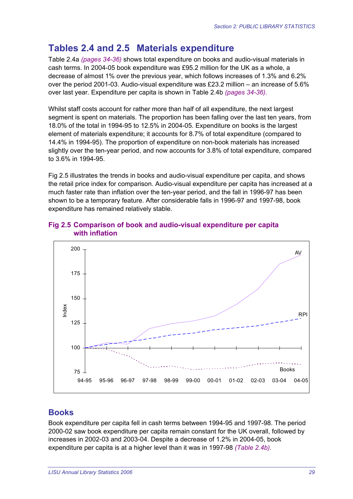# **Tables 2.4 and 2.5 Materials expenditure**

Table 2.4a *(pages 34-36)* shows total expenditure on books and audio-visual materials in cash terms. In 2004-05 book expenditure was £95.2 million for the UK as a whole, a decrease of almost 1% over the previous year, which follows increases of 1.3% and 6.2% over the period 2001-03. Audio-visual expenditure was £23.2 million – an increase of 5.6% over last year. Expenditure per capita is shown in Table 2.4b *(pages 34-36).*

Whilst staff costs account for rather more than half of all expenditure, the next largest segment is spent on materials. The proportion has been falling over the last ten years, from 18.0% of the total in 1994-95 to 12.5% in 2004-05. Expenditure on books is the largest element of materials expenditure; it accounts for 8.7% of total expenditure (compared to 14.4% in 1994-95). The proportion of expenditure on non-book materials has increased slightly over the ten-year period, and now accounts for 3.8% of total expenditure, compared to 3.6% in 1994-95.

Fig 2.5 illustrates the trends in books and audio-visual expenditure per capita, and shows the retail price index for comparison. Audio-visual expenditure per capita has increased at a much faster rate than inflation over the ten-year period, and the fall in 1996-97 has been shown to be a temporary feature. After considerable falls in 1996-97 and 1997-98, book expenditure has remained relatively stable.



#### **Fig 2.5 Comparison of book and audio-visual expenditure per capita with inflation**

## **Books**

Book expenditure per capita fell in cash terms between 1994-95 and 1997-98. The period 2000-02 saw book expenditure per capita remain constant for the UK overall, followed by increases in 2002-03 and 2003-04. Despite a decrease of 1.2% in 2004-05, book expenditure per capita is at a higher level than it was in 1997-98 *(Table 2.4b).*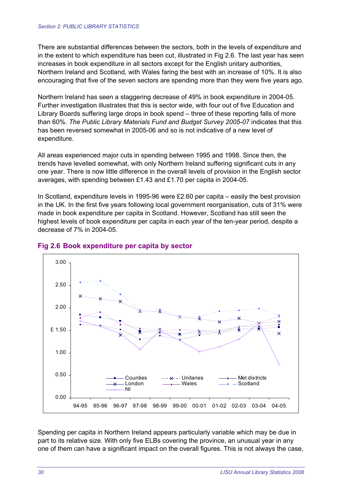There are substantial differences between the sectors, both in the levels of expenditure and in the extent to which expenditure has been cut, illustrated in Fig 2.6*.* The last year has seen increases in book expenditure in all sectors except for the English unitary authorities, Northern Ireland and Scotland, with Wales faring the best with an increase of 10%. It is also encouraging that five of the seven sectors are spending more than they were five years ago.

Northern Ireland has seen a staggering decrease of 49% in book expenditure in 2004-05. Further investigation illustrates that this is sector wide, with four out of five Education and Library Boards suffering large drops in book spend – three of these reporting falls of more than 60%. *The Public Library Materials Fund and Budget Survey 2005-07* indicates that this has been reversed somewhat in 2005-06 and so is not indicative of a new level of expenditure.

All areas experienced major cuts in spending between 1995 and 1998. Since then, the trends have levelled somewhat, with only Northern Ireland suffering significant cuts in any one year. There is now little difference in the overall levels of provision in the English sector averages, with spending between £1.43 and £1.70 per capita in 2004-05.

In Scotland, expenditure levels in 1995-96 were £2.60 per capita – easily the best provision in the UK. In the first five years following local government reorganisation, cuts of 31% were made in book expenditure per capita in Scotland. However, Scotland has still seen the highest levels of book expenditure per capita in each year of the ten-year period, despite a decrease of 7% in 2004-05.



#### **Fig 2.6 Book expenditure per capita by sector**

Spending per capita in Northern Ireland appears particularly variable which may be due in part to its relative size. With only five ELBs covering the province, an unusual year in any one of them can have a significant impact on the overall figures. This is not always the case,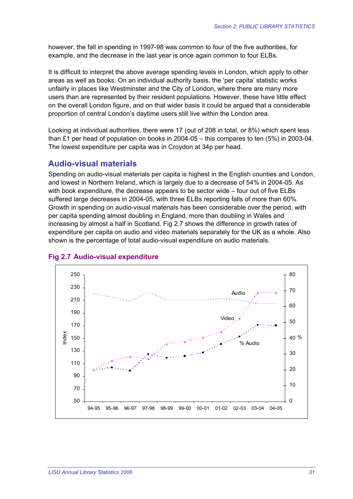however, the fall in spending in 1997-98 was common to four of the five authorities, for example, and the decrease in the last year is once again common to four ELBs.

It is difficult to interpret the above average spending levels in London, which apply to other areas as well as books. On an individual authority basis, the 'per capita' statistic works unfairly in places like Westminster and the City of London, where there are many more users than are represented by their resident populations. However, these have little effect on the overall London figure, and on that wider basis it could be argued that a considerable proportion of central London's daytime users still live within the London area.

Looking at individual authorities, there were 17 (out of 208 in total, or 8%) which spent less than £1 per head of population on books in 2004-05 – this compares to ten (5%) in 2003-04. The lowest expenditure per capita was in Croydon at 34p per head.

#### **Audio-visual materials**

Spending on audio-visual materials per capita is highest in the English counties and London, and lowest in Northern Ireland, which is largely due to a decrease of 54% in 2004-05. As with book expenditure, the decrease appears to be sector wide – four out of five ELBs suffered large decreases in 2004-05, with three ELBs reporting falls of more than 60%. Growth in spending on audio-visual materials has been considerable over the period, with per capita spending almost doubling in England, more than doubling in Wales and increasing by almost a half in Scotland. Fig 2.7 shows the difference in growth rates of expenditure per capita on audio and video materials separately for the UK as a whole. Also shown is the percentage of total audio-visual expenditure on audio materials.



#### **Fig 2.7 Audio-visual expenditure**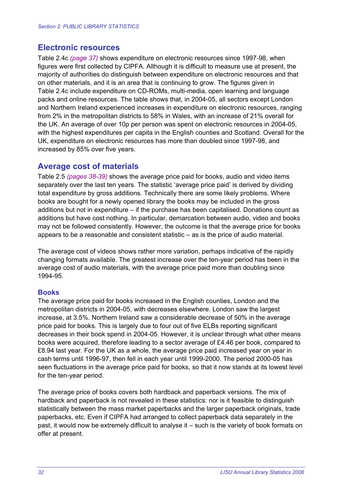#### **Electronic resources**

Table 2.4c *(page 37)* shows expenditure on electronic resources since 1997-98, when figures were first collected by CIPFA. Although it is difficult to measure use at present, the majority of authorities do distinguish between expenditure on electronic resources and that on other materials, and it is an area that is continuing to grow. The figures given in Table 2.4c include expenditure on CD-ROMs, multi-media, open learning and language packs and online resources. The table shows that, in 2004-05, all sectors except London and Northern Ireland experienced increases in expenditure on electronic resources, ranging from 2% in the metropolitan districts to 58% in Wales, with an increase of 21% overall for the UK. An average of over 10p per person was spent on electronic resources in 2004-05, with the highest expenditures per capita in the English counties and Scotland. Overall for the UK, expenditure on electronic resources has more than doubled since 1997-98, and increased by 85% over five years.

#### **Average cost of materials**

Table 2.5 *(pages 38-39)* shows the average price paid for books, audio and video items separately over the last ten years. The statistic 'average price paid' is derived by dividing total expenditure by gross additions. Technically there are some likely problems. Where books are bought for a newly opened library the books may be included in the gross additions but not in expenditure – if the purchase has been capitalised. Donations count as additions but have cost nothing. In particular, demarcation between audio, video and books may not be followed consistently. However, the outcome is that the average price for books appears to be a reasonable and consistent statistic – as is the price of audio material.

The average cost of videos shows rather more variation, perhaps indicative of the rapidly changing formats available. The greatest increase over the ten-year period has been in the average cost of audio materials, with the average price paid more than doubling since 1994-95.

#### **Books**

The average price paid for books increased in the English counties, London and the metropolitan districts in 2004-05, with decreases elsewhere. London saw the largest increase, at 3.5%. Northern Ireland saw a considerable decrease of 50% in the average price paid for books. This is largely due to four out of five ELBs reporting significant decreases in their book spend in 2004-05. However, it is unclear through what other means books were acquired, therefore leading to a sector average of £4.46 per book, compared to £8.94 last year. For the UK as a whole, the average price paid increased year on year in cash terms until 1996-97, then fell in each year until 1999-2000. The period 2000-05 has seen fluctuations in the average price paid for books, so that it now stands at its lowest level for the ten-year period.

The average price of books covers both hardback and paperback versions. The mix of hardback and paperback is not revealed in these statistics: nor is it feasible to distinguish statistically between the mass market paperbacks and the larger paperback originals, trade paperbacks, etc. Even if CIPFA had arranged to collect paperback data separately in the past, it would now be extremely difficult to analyse it – such is the variety of book formats on offer at present.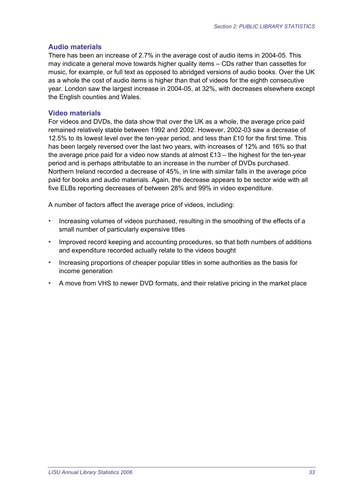#### **Audio materials**

There has been an increase of 2.7% in the average cost of audio items in 2004-05. This may indicate a general move towards higher quality items – CDs rather than cassettes for music, for example, or full text as opposed to abridged versions of audio books. Over the UK as a whole the cost of audio items is higher than that of videos for the eighth consecutive year. London saw the largest increase in 2004-05, at 32%, with decreases elsewhere except the English counties and Wales.

#### **Video materials**

For videos and DVDs, the data show that over the UK as a whole, the average price paid remained relatively stable between 1992 and 2002. However, 2002-03 saw a decrease of 12.5% to its lowest level over the ten-year period, and less than £10 for the first time. This has been largely reversed over the last two years, with increases of 12% and 16% so that the average price paid for a video now stands at almost  $£13 -$  the highest for the ten-year period and is perhaps attributable to an increase in the number of DVDs purchased. Northern Ireland recorded a decrease of 45%, in line with similar falls in the average price paid for books and audio materials. Again, the decrease appears to be sector wide with all five ELBs reporting decreases of between 28% and 99% in video expenditure.

A number of factors affect the average price of videos, including:

- Increasing volumes of videos purchased, resulting in the smoothing of the effects of a small number of particularly expensive titles
- Improved record keeping and accounting procedures, so that both numbers of additions and expenditure recorded actually relate to the videos bought
- Increasing proportions of cheaper popular titles in some authorities as the basis for income generation
- A move from VHS to newer DVD formats, and their relative pricing in the market place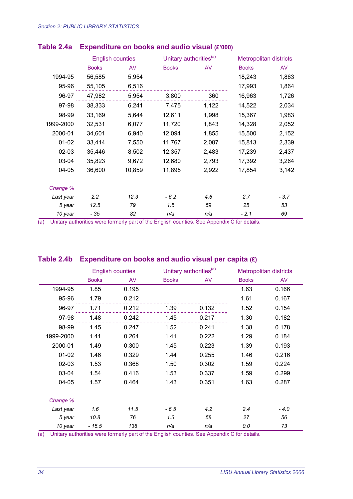|           | <b>English counties</b> |        | Unitary authorities <sup>(a)</sup> |       | <b>Metropolitan districts</b> |        |
|-----------|-------------------------|--------|------------------------------------|-------|-------------------------------|--------|
|           | <b>Books</b>            | AV     | <b>Books</b>                       | AV    | <b>Books</b>                  | AV     |
| 1994-95   | 56,585                  | 5,954  |                                    |       | 18,243                        | 1,863  |
| 95-96     | 55,105                  | 6,516  |                                    |       | 17,993                        | 1,864  |
| 96-97     | 47,982                  | 5,954  | 3,800                              | 360   | 16,963                        | 1,726  |
| 97-98     | 38,333                  | 6,241  | 7,475                              | 1,122 | 14,522                        | 2,034  |
| 98-99     | 33,169                  | 5,644  | 12,611                             | 1,998 | 15,367                        | 1,983  |
| 1999-2000 | 32,531                  | 6,077  | 11,720                             | 1,843 | 14,328                        | 2,052  |
| 2000-01   | 34,601                  | 6,940  | 12,094                             | 1,855 | 15,500                        | 2,152  |
| $01 - 02$ | 33,414                  | 7,550  | 11,767                             | 2,087 | 15,813                        | 2,339  |
| 02-03     | 35,446                  | 8,502  | 12,357                             | 2,483 | 17,239                        | 2,437  |
| 03-04     | 35,823                  | 9,672  | 12,680                             | 2,793 | 17,392                        | 3,264  |
| 04-05     | 36,600                  | 10,859 | 11,895                             | 2,922 | 17,854                        | 3,142  |
|           |                         |        |                                    |       |                               |        |
| Change %  |                         |        |                                    |       |                               |        |
| Last year | 2.2                     | 12.3   | $-6.2$                             | 4.6   | 2.7                           | $-3.7$ |
| 5 year    | 12.5                    | 79     | 1.5                                | 59    | 25                            | 53     |
| 10 year   | - 35                    | 82     | n/a                                | n/a   | $-2.1$                        | 69     |

#### **Table 2.4a Expenditure on books and audio visual (£'000)**

(a) Unitary authorities were formerly part of the English counties. See Appendix C for details.

#### **Table 2.4b Expenditure on books and audio visual per capita (£)**

|           |              | <b>English counties</b> | Unitary authorities <sup>(a)</sup> |       | <b>Metropolitan districts</b> |        |
|-----------|--------------|-------------------------|------------------------------------|-------|-------------------------------|--------|
|           | <b>Books</b> | AV                      | <b>Books</b>                       | AV    | <b>Books</b>                  | AV     |
| 1994-95   | 1.85         | 0.195                   |                                    |       | 1.63                          | 0.166  |
| 95-96     | 1.79         | 0.212                   |                                    |       | 1.61                          | 0.167  |
| 96-97     | 1.71         | 0.212                   | 1.39                               | 0.132 | 1.52                          | 0.154  |
| 97-98     | 1.48         | 0.242                   | 1.45                               | 0.217 | 1.30                          | 0.182  |
| 98-99     | 1.45         | 0.247                   | 1.52                               | 0.241 | 1.38                          | 0.178  |
| 1999-2000 | 1.41         | 0.264                   | 1.41                               | 0.222 | 1.29                          | 0.184  |
| 2000-01   | 1.49         | 0.300                   | 1.45                               | 0.223 | 1.39                          | 0.193  |
| $01 - 02$ | 1.46         | 0.329                   | 1.44                               | 0.255 | 1.46                          | 0.216  |
| $02 - 03$ | 1.53         | 0.368                   | 1.50                               | 0.302 | 1.59                          | 0.224  |
| 03-04     | 1.54         | 0.416                   | 1.53                               | 0.337 | 1.59                          | 0.299  |
| 04-05     | 1.57         | 0.464                   | 1.43                               | 0.351 | 1.63                          | 0.287  |
|           |              |                         |                                    |       |                               |        |
| Change %  |              |                         |                                    |       |                               |        |
| Last year | 1.6          | 11.5                    | $-6.5$                             | 4.2   | 2.4                           | $-4.0$ |
| 5 year    | 10.8         | 76                      | 1.3                                | 58    | 27                            | 56     |
| 10 year   | $-15.5$      | 138                     | n/a                                | n/a   | 0.0                           | 73     |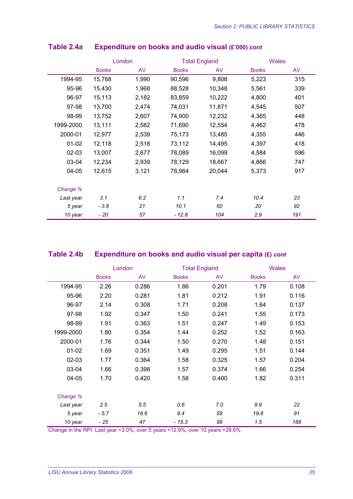|           |              | London |              | <b>Total England</b> |              | <b>Wales</b> |  |
|-----------|--------------|--------|--------------|----------------------|--------------|--------------|--|
|           | <b>Books</b> | AV     | <b>Books</b> | AV                   | <b>Books</b> | AV           |  |
| 1994-95   | 15,768       | 1,990  | 90,596       | 9,808                | 5,223        | 315          |  |
| 95-96     | 15,430       | 1,968  | 88,528       | 10,348               | 5,561        | 339          |  |
| 96-97     | 15,113       | 2,182  | 83,859       | 10,222               | 4,800        | 401          |  |
| 97-98     | 13,700       | 2,474  | 74,031       | 11,871               | 4,545        | 507          |  |
| 98-99     | 13,752       | 2,607  | 74,900       | 12,232               | 4,365        | 448          |  |
| 1999-2000 | 13,111       | 2,582  | 71,690       | 12,554               | 4,462        | 478          |  |
| 2000-01   | 12,977       | 2,539  | 75,173       | 13,485               | 4,355        | 446          |  |
| $01 - 02$ | 12,118       | 2,518  | 73,112       | 14,495               | 4,397        | 418          |  |
| 02-03     | 13,007       | 2,677  | 78,089       | 16,099               | 4,584        | 596          |  |
| 03-04     | 12,234       | 2,939  | 78,129       | 18,667               | 4,866        | 747          |  |
| 04-05     | 12,615       | 3,121  | 78,964       | 20,044               | 5,373        | 917          |  |
| Change %  |              |        |              |                      |              |              |  |
| Last year | 3.1          | 6.2    | 1.1          | 7.4                  | 10.4         | 23           |  |
| 5 year    | $-3.8$       | 21     | 10.1         | 60                   | 20           | 92           |  |
| 10 year   | - 20         | 57     | $-12.8$      | 104                  | 2.9          | 191          |  |

#### **Table 2.4a Expenditure on books and audio visual (£'000)** *cont*

## **Table 2.4b Expenditure on books and audio visual per capita (£)** *cont*

|           |              | London | <b>Total England</b> |       | <b>Wales</b> |       |
|-----------|--------------|--------|----------------------|-------|--------------|-------|
|           | <b>Books</b> | AV     | <b>Books</b>         | AV    | <b>Books</b> | AV    |
| 1994-95   | 2.26         | 0.286  | 1.86                 | 0.201 | 1.79         | 0.108 |
| 95-96     | 2.20         | 0.281  | 1.81                 | 0.212 | 1.91         | 0.116 |
| 96-97     | 2.14         | 0.308  | 1.71                 | 0.208 | 1.64         | 0.137 |
| 97-98     | 1.92         | 0.347  | 1.50                 | 0.241 | 1.55         | 0.173 |
| 98-99     | 1.91         | 0.363  | 1.51                 | 0.247 | 1.49         | 0.153 |
| 1999-2000 | 1.80         | 0.354  | 1.44                 | 0.252 | 1.52         | 0.163 |
| 2000-01   | 1.76         | 0.344  | 1.50                 | 0.270 | 1.48         | 0.151 |
| $01 - 02$ | 1.69         | 0.351  | 1.49                 | 0.295 | 1.51         | 0.144 |
| $02 - 03$ | 1.77         | 0.364  | 1.58                 | 0.325 | 1.57         | 0.204 |
| 03-04     | 1.66         | 0.398  | 1.57                 | 0.374 | 1.66         | 0.254 |
| 04-05     | 1.70         | 0.420  | 1.58                 | 0.400 | 1.82         | 0.311 |
| Change %  |              |        |                      |       |              |       |
| Last year | 2.5          | 5.5    | 0.6                  | 7.0   | 9.9          | 22    |
| 5 year    | $-5.7$       | 18.6   | 9.4                  | 59    | 19.8         | 91    |
| 10 year   | $-25$        | 47     | $-15.3$              | 99    | 1.5          | 188   |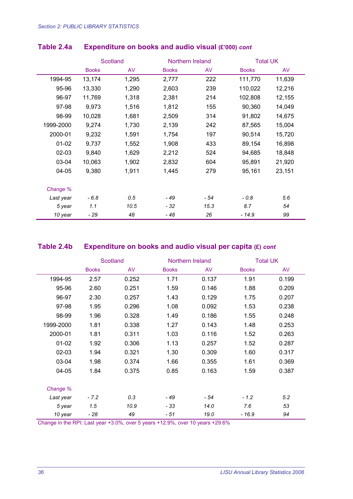|           |              | <b>Scotland</b> | Northern Ireland |      |              | <b>Total UK</b> |  |
|-----------|--------------|-----------------|------------------|------|--------------|-----------------|--|
|           | <b>Books</b> | AV              | <b>Books</b>     | AV   | <b>Books</b> | AV              |  |
| 1994-95   | 13,174       | 1,295           | 2,777            | 222  | 111,770      | 11,639          |  |
| 95-96     | 13,330       | 1,290           | 2,603            | 239  | 110,022      | 12,216          |  |
| 96-97     | 11,769       | 1,318           | 2,381            | 214  | 102,808      | 12,155          |  |
| 97-98     | 9,973        | 1,516           | 1,812            | 155  | 90,360       | 14,049          |  |
| 98-99     | 10,028       | 1,681           | 2,509            | 314  | 91,802       | 14,675          |  |
| 1999-2000 | 9,274        | 1,730           | 2,139            | 242  | 87,565       | 15,004          |  |
| 2000-01   | 9,232        | 1,591           | 1,754            | 197  | 90,514       | 15,720          |  |
| $01-02$   | 9,737        | 1,552           | 1,908            | 433  | 89,154       | 16,898          |  |
| 02-03     | 9,840        | 1,629           | 2,212            | 524  | 94,685       | 18,848          |  |
| 03-04     | 10,063       | 1,902           | 2,832            | 604  | 95,891       | 21,920          |  |
| 04-05     | 9,380        | 1,911           | 1,445            | 279  | 95,161       | 23,151          |  |
| Change %  |              |                 |                  |      |              |                 |  |
| Last year | $-6.8$       | 0.5             | $-49$            | - 54 | $-0.8$       | 5.6             |  |
| 5 year    | 1.1          | 10.5            | - 32             | 15.3 | 8.7          | 54              |  |
| 10 year   | - 29         | 48              | - 48             | 26   | - 14.9       | 99              |  |

#### **Table 2.4a Expenditure on books and audio visual (£'000)** *cont*

## **Table 2.4b Expenditure on books and audio visual per capita (£)** *cont*

|           | Scotland     |       | Northern Ireland |       |              | <b>Total UK</b> |  |
|-----------|--------------|-------|------------------|-------|--------------|-----------------|--|
|           | <b>Books</b> | AV    | <b>Books</b>     | AV    | <b>Books</b> | AV              |  |
| 1994-95   | 2.57         | 0.252 | 1.71             | 0.137 | 1.91         | 0.199           |  |
| 95-96     | 2.60         | 0.251 | 1.59             | 0.146 | 1.88         | 0.209           |  |
| 96-97     | 2.30         | 0.257 | 1.43             | 0.129 | 1.75         | 0.207           |  |
| 97-98     | 1.95         | 0.296 | 1.08             | 0.092 | 1.53         | 0.238           |  |
| 98-99     | 1.96         | 0.328 | 1.49             | 0.186 | 1.55         | 0.248           |  |
| 1999-2000 | 1.81         | 0.338 | 1.27             | 0.143 | 1.48         | 0.253           |  |
| 2000-01   | 1.81         | 0.311 | 1.03             | 0.116 | 1.52         | 0.263           |  |
| $01 - 02$ | 1.92         | 0.306 | 1.13             | 0.257 | 1.52         | 0.287           |  |
| $02 - 03$ | 1.94         | 0.321 | 1.30             | 0.309 | 1.60         | 0.317           |  |
| 03-04     | 1.98         | 0.374 | 1.66             | 0.355 | 1.61         | 0.369           |  |
| 04-05     | 1.84         | 0.375 | 0.85             | 0.163 | 1.59         | 0.387           |  |
| Change %  |              |       |                  |       |              |                 |  |
| Last year | $-7.2$       | 0.3   | - 49             | - 54  | $-1.2$       | 5.2             |  |
| 5 year    | 1.5          | 10.9  | $-33$            | 14.0  | 7.6          | 53              |  |
| 10 year   | - 28         | 49    | - 51             | 19.0  | - 16.9       | 94              |  |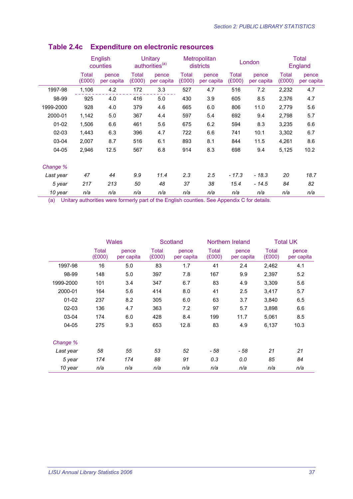|           |                 | English<br>counties | Unitary<br>authorities <sup>(a)</sup> |                     | Metropolitan<br>districts |                     | London                 |                     | <b>Total</b><br>England |                     |
|-----------|-----------------|---------------------|---------------------------------------|---------------------|---------------------------|---------------------|------------------------|---------------------|-------------------------|---------------------|
|           | Total<br>(£000) | pence<br>per capita | Total<br>(E000)                       | pence<br>per capita | Total<br>(E000)           | pence<br>per capita | <b>Total</b><br>(E000) | pence<br>per capita | <b>Total</b><br>(E000)  | pence<br>per capita |
| 1997-98   | 1,106           | 4.2                 | 172                                   | 3.3                 | 527                       | 4.7                 | 516                    | 7.2                 | 2,232                   | 4.7                 |
| 98-99     | 925             | 4.0                 | 416                                   | 5.0                 | 430                       | 3.9                 | 605                    | 8.5                 | 2,376                   | 4.7                 |
| 1999-2000 | 928             | 4.0                 | 379                                   | 4.6                 | 665                       | 6.0                 | 806                    | 11.0                | 2,779                   | 5.6                 |
| 2000-01   | 1,142           | 5.0                 | 367                                   | 4.4                 | 597                       | 5.4                 | 692                    | 9.4                 | 2,798                   | 5.7                 |
| $01 - 02$ | 1,506           | 6.6                 | 461                                   | 5.6                 | 675                       | 6.2                 | 594                    | 8.3                 | 3,235                   | 6.6                 |
| $02 - 03$ | 1,443           | 6.3                 | 396                                   | 4.7                 | 722                       | 6.6                 | 741                    | 10.1                | 3,302                   | 6.7                 |
| 03-04     | 2,007           | 8.7                 | 516                                   | 6.1                 | 893                       | 8.1                 | 844                    | 11.5                | 4,261                   | 8.6                 |
| $04 - 05$ | 2,946           | 12.5                | 567                                   | 6.8                 | 914                       | 8.3                 | 698                    | 9.4                 | 5,125                   | 10.2                |
| Change %  |                 |                     |                                       |                     |                           |                     |                        |                     |                         |                     |
| Last year | 47              | 44                  | 9.9                                   | 11.4                | 2.3                       | 2.5                 | $-17.3$                | $-18.3$             | 20                      | 18.7                |
| 5 year    | 217             | 213                 | 50                                    | 48                  | 37                        | 38                  | 15.4                   | $-14.5$             | 84                      | 82                  |
| 10 year   | n/a             | n/a                 | n/a                                   | n/a                 | n/a                       | n/a                 | n/a                    | n/a                 | n/a                     | n/a                 |

## **Table 2.4c Expenditure on electronic resources**

|           | <b>Wales</b>    |                     |                 | Scotland            |                        | Northern Ireland    |                 | <b>Total UK</b>     |  |
|-----------|-----------------|---------------------|-----------------|---------------------|------------------------|---------------------|-----------------|---------------------|--|
|           | Total<br>(E000) | pence<br>per capita | Total<br>(E000) | pence<br>per capita | <b>Total</b><br>(E000) | pence<br>per capita | Total<br>(E000) | pence<br>per capita |  |
| 1997-98   | 16              | 5.0                 | 83              | 1.7                 | 41                     | 2.4                 | 2,462           | 4.1                 |  |
| 98-99     | 148             | 5.0                 | 397             | 7.8                 | 167                    | 9.9                 | 2,397           | 5.2                 |  |
| 1999-2000 | 101             | 3.4                 | 347             | 6.7                 | 83                     | 4.9                 | 3,309           | 5.6                 |  |
| 2000-01   | 164             | 5.6                 | 414             | 8.0                 | 41                     | 2.5                 | 3,417           | 5.7                 |  |
| $01 - 02$ | 237             | 8.2                 | 305             | 6.0                 | 63                     | 3.7                 | 3,840           | 6.5                 |  |
| $02 - 03$ | 136             | 4.7                 | 363             | 7.2                 | 97                     | 5.7                 | 3,898           | 6.6                 |  |
| 03-04     | 174             | 6.0                 | 428             | 8.4                 | 199                    | 11.7                | 5,061           | 8.5                 |  |
| 04-05     | 275             | 9.3                 | 653             | 12.8                | 83                     | 4.9                 | 6,137           | 10.3                |  |
| Change %  |                 |                     |                 |                     |                        |                     |                 |                     |  |
| Last year | 58              | 55                  | 53              | 52                  | - 58                   | - 58                | 21              | 21                  |  |
| 5 year    | 174             | 174                 | 88              | 91                  | 0.3                    | 0.0                 | 85              | 84                  |  |
| 10 year   | n/a             | n/a                 | n/a             | n/a                 | n/a                    | n/a                 | n/a             | n/a                 |  |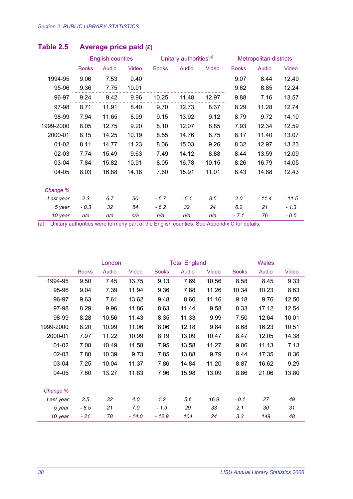|           |              | <b>English counties</b> |       |              | Unitary authorities <sup>(a)</sup> |       | <b>Metropolitan districts</b> |         |         |
|-----------|--------------|-------------------------|-------|--------------|------------------------------------|-------|-------------------------------|---------|---------|
|           | <b>Books</b> | Audio                   | Video | <b>Books</b> | Audio                              | Video | <b>Books</b>                  | Audio   | Video   |
| 1994-95   | 9.06         | 7.53                    | 9.40  |              |                                    |       | 9.07                          | 8.44    | 12.49   |
| 95-96     | 9.36         | 7.75                    | 10.91 |              |                                    |       | 9.62                          | 8.85    | 12.24   |
| 96-97     | 9.24         | 9.42                    | 9.96  | 10.25        | 11.48                              | 12.97 | 9.88                          | 7.16    | 13.57   |
| 97-98     | 8.71         | 11.91                   | 8.40  | 9.70         | 12.73                              | 8.37  | 8.29                          | 11.28   | 12.74   |
| 98-99     | 7.94         | 11.65                   | 8.99  | 9.15         | 13.92                              | 9.12  | 8.79                          | 9.72    | 14.10   |
| 1999-2000 | 8.05         | 12.75                   | 9.20  | 8.10         | 12.07                              | 8.85  | 7.93                          | 12.34   | 12.59   |
| 2000-01   | 8.15         | 14.25                   | 10.19 | 8.55         | 14.76                              | 8.75  | 8.17                          | 11.40   | 13.07   |
| $01 - 02$ | 8.11         | 14.77                   | 11.23 | 8.06         | 15.03                              | 9.26  | 8.32                          | 12.97   | 13.23   |
| 02-03     | 7.74         | 15.49                   | 9.63  | 7.49         | 14.12                              | 8.88  | 8.44                          | 13.59   | 12.09   |
| 03-04     | 7.84         | 15.82                   | 10.91 | 8.05         | 16.78                              | 10.15 | 8.26                          | 16.79   | 14.05   |
| 04-05     | 8.03         | 16.88                   | 14.18 | 7.60         | 15.91                              | 11.01 | 8.43                          | 14.88   | 12.43   |
|           |              |                         |       |              |                                    |       |                               |         |         |
| Change %  |              |                         |       |              |                                    |       |                               |         |         |
| Last year | 2.3          | 6.7                     | 30    | $-5.7$       | $-5.1$                             | 8.5   | 2.0                           | $-11.4$ | $-11.5$ |
| 5 year    | $-0.3$       | 32                      | 54    | $-6.2$       | 32                                 | 24    | 6.2                           | 21      | $-1.3$  |
| 10 year   | n/a          | n/a                     | n/a   | n/a          | n/a                                | n/a   | - 7.1                         | 76      | - 0.5   |

## **Table 2.5 Average price paid (£)**

|           |              | London |         |              | <b>Total England</b> |              |              | <b>Wales</b> |       |  |
|-----------|--------------|--------|---------|--------------|----------------------|--------------|--------------|--------------|-------|--|
|           | <b>Books</b> | Audio  | Video   | <b>Books</b> | Audio                | <b>Video</b> | <b>Books</b> | Audio        | Video |  |
| 1994-95   | 9.50         | 7.45   | 13.75   | 9.13         | 7.69                 | 10.56        | 8.58         | 8.45         | 9.33  |  |
| 95-96     | 9.04         | 7.39   | 11.94   | 9.36         | 7.88                 | 11.26        | 10.34        | 10.23        | 8.63  |  |
| 96-97     | 9.63         | 7.61   | 13.62   | 9.48         | 8.60                 | 11.16        | 9.18         | 9.76         | 12.50 |  |
| 97-98     | 8.29         | 9.96   | 11.86   | 8.63         | 11.44                | 9.58         | 8.33         | 17.12        | 12.54 |  |
| 98-99     | 8.28         | 10.56  | 11.43   | 8.35         | 11.33                | 9.99         | 7.50         | 12.64        | 10.01 |  |
| 1999-2000 | 8.20         | 10.99  | 11.06   | 8.06         | 12.18                | 9.84         | 8.68         | 16.23        | 10.51 |  |
| 2000-01   | 7.97         | 11.22  | 10.99   | 8.19         | 13.09                | 10.47        | 8.47         | 12.05        | 14.38 |  |
| $01 - 02$ | 7.08         | 10.49  | 11.58   | 7.95         | 13.58                | 11.27        | 9.06         | 11.13        | 7.13  |  |
| $02 - 03$ | 7.80         | 10.39  | 9.73    | 7.85         | 13.88                | 9.79         | 8.44         | 17.35        | 8.36  |  |
| 03-04     | 7.25         | 10.04  | 11.37   | 7.86         | 14.84                | 11.20        | 8.87         | 16.62        | 9.29  |  |
| 04-05     | 7.60         | 13.27  | 11.83   | 7.96         | 15.98                | 13.09        | 8.86         | 21.06        | 13.80 |  |
| Change %  |              |        |         |              |                      |              |              |              |       |  |
| Last year | 3.5          | 32     | 4.0     | 1.2          | 5.6                  | 16.9         | $-0.1$       | 27           | 49    |  |
| 5 year    | $-8.5$       | 21     | 7.0     | $-1.3$       | 29                   | 33           | 2.1          | 30           | 31    |  |
| 10 year   | - 21         | 78     | $-14.0$ | $-12.9$      | 104                  | 24           | 3.3          | 149          | 48    |  |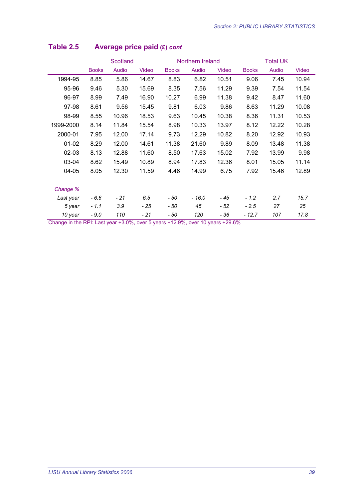|           | Scotland     |       |       | Northern Ireland |         |       | <b>Total UK</b> |       |       |
|-----------|--------------|-------|-------|------------------|---------|-------|-----------------|-------|-------|
|           | <b>Books</b> | Audio | Video | <b>Books</b>     | Audio   | Video | <b>Books</b>    | Audio | Video |
| 1994-95   | 8.85         | 5.86  | 14.67 | 8.83             | 6.82    | 10.51 | 9.06            | 7.45  | 10.94 |
| 95-96     | 9.46         | 5.30  | 15.69 | 8.35             | 7.56    | 11.29 | 9.39            | 7.54  | 11.54 |
| 96-97     | 8.99         | 7.49  | 16.90 | 10.27            | 6.99    | 11.38 | 9.42            | 8.47  | 11.60 |
| 97-98     | 8.61         | 9.56  | 15.45 | 9.81             | 6.03    | 9.86  | 8.63            | 11.29 | 10.08 |
| 98-99     | 8.55         | 10.96 | 18.53 | 9.63             | 10.45   | 10.38 | 8.36            | 11.31 | 10.53 |
| 1999-2000 | 8.14         | 11.84 | 15.54 | 8.98             | 10.33   | 13.97 | 8.12            | 12.22 | 10.28 |
| 2000-01   | 7.95         | 12.00 | 17.14 | 9.73             | 12.29   | 10.82 | 8.20            | 12.92 | 10.93 |
| $01-02$   | 8.29         | 12.00 | 14.61 | 11.38            | 21.60   | 9.89  | 8.09            | 13.48 | 11.38 |
| $02 - 03$ | 8.13         | 12.88 | 11.60 | 8.50             | 17.63   | 15.02 | 7.92            | 13.99 | 9.98  |
| 03-04     | 8.62         | 15.49 | 10.89 | 8.94             | 17.83   | 12.36 | 8.01            | 15.05 | 11.14 |
| 04-05     | 8.05         | 12.30 | 11.59 | 4.46             | 14.99   | 6.75  | 7.92            | 15.46 | 12.89 |
|           |              |       |       |                  |         |       |                 |       |       |
| Change %  |              |       |       |                  |         |       |                 |       |       |
| Last year | $-6.6$       | $-21$ | 6.5   | - 50             | $-16.0$ | - 45  | $-1.2$          | 2.7   | 15.7  |
| 5 year    | $-1.1$       | 3.9   | - 25  | - 50             | 45      | - 52  | $-2.5$          | 27    | 25    |
| 10 year   | $-9.0$       | 110   | - 21  | - 50             | 120     | - 36  | $-12.7$         | 107   | 17.8  |

## **Table 2.5 Average price paid (£)** *cont*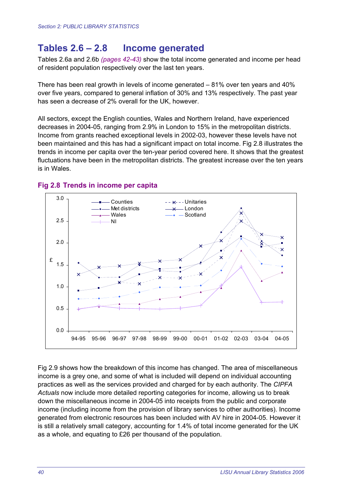## **Tables 2.6 – 2.8 Income generated**

Tables 2.6a and 2.6b *(pages 42-43)* show the total income generated and income per head of resident population respectively over the last ten years.

There has been real growth in levels of income generated – 81% over ten years and 40% over five years, compared to general inflation of 30% and 13% respectively. The past year has seen a decrease of 2% overall for the UK, however.

All sectors, except the English counties, Wales and Northern Ireland, have experienced decreases in 2004-05, ranging from 2.9% in London to 15% in the metropolitan districts. Income from grants reached exceptional levels in 2002-03, however these levels have not been maintained and this has had a significant impact on total income. Fig 2.8 illustrates the trends in income per capita over the ten-year period covered here. It shows that the greatest fluctuations have been in the metropolitan districts. The greatest increase over the ten years is in Wales.



#### **Fig 2.8 Trends in income per capita**

Fig 2.9 shows how the breakdown of this income has changed. The area of miscellaneous income is a grey one, and some of what is included will depend on individual accounting practices as well as the services provided and charged for by each authority. The *CIPFA Actuals* now include more detailed reporting categories for income, allowing us to break down the miscellaneous income in 2004-05 into receipts from the public and corporate income (including income from the provision of library services to other authorities). Income generated from electronic resources has been included with AV hire in 2004-05. However it is still a relatively small category, accounting for 1.4% of total income generated for the UK as a whole, and equating to £26 per thousand of the population.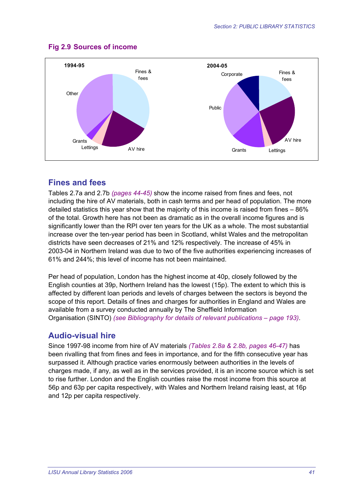

#### **Fig 2.9 Sources of income**

### **Fines and fees**

Tables 2.7a and 2.7b *(pages 44-45)* show the income raised from fines and fees, not including the hire of AV materials, both in cash terms and per head of population. The more detailed statistics this year show that the majority of this income is raised from fines – 86% of the total. Growth here has not been as dramatic as in the overall income figures and is significantly lower than the RPI over ten years for the UK as a whole. The most substantial increase over the ten-year period has been in Scotland, whilst Wales and the metropolitan districts have seen decreases of 21% and 12% respectively. The increase of 45% in 2003-04 in Northern Ireland was due to two of the five authorities experiencing increases of 61% and 244%; this level of income has not been maintained.

Per head of population, London has the highest income at 40p, closely followed by the English counties at 39p, Northern Ireland has the lowest (15p). The extent to which this is affected by different loan periods and levels of charges between the sectors is beyond the scope of this report. Details of fines and charges for authorities in England and Wales are available from a survey conducted annually by The Sheffield Information Organisation (SINTO) *(see Bibliography for details of relevant publications – page 193)*.

#### **Audio-visual hire**

Since 1997-98 income from hire of AV materials *(Tables 2.8a & 2.8b, pages 46-47)* has been rivalling that from fines and fees in importance, and for the fifth consecutive year has surpassed it. Although practice varies enormously between authorities in the levels of charges made, if any, as well as in the services provided, it is an income source which is set to rise further. London and the English counties raise the most income from this source at 56p and 63p per capita respectively, with Wales and Northern Ireland raising least, at 16p and 12p per capita respectively.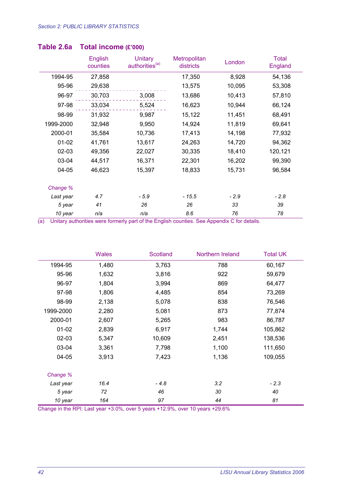|           | English<br>counties | <b>Unitary</b><br>authorities <sup>(a)</sup> | Metropolitan<br>districts | London | <b>Total</b><br>England |
|-----------|---------------------|----------------------------------------------|---------------------------|--------|-------------------------|
| 1994-95   | 27,858              |                                              | 17,350                    | 8,928  | 54,136                  |
| 95-96     | 29,638              |                                              | 13,575                    | 10,095 | 53,308                  |
| 96-97     | 30,703              | 3,008                                        | 13,686                    | 10,413 | 57,810                  |
| 97-98     | 33,034              | 5,524                                        | 16,623                    | 10,944 | 66,124                  |
| 98-99     | 31,932              | 9,987                                        | 15,122                    | 11,451 | 68,491                  |
| 1999-2000 | 32,948              | 9,950                                        | 14,924                    | 11,819 | 69,641                  |
| 2000-01   | 35,584              | 10,736                                       | 17,413                    | 14,198 | 77,932                  |
| $01-02$   | 41,761              | 13,617                                       | 24,263                    | 14,720 | 94,362                  |
| 02-03     | 49,356              | 22,027                                       | 30,335                    | 18,410 | 120,121                 |
| 03-04     | 44,517              | 16,371                                       | 22,301                    | 16,202 | 99,390                  |
| 04-05     | 46,623              | 15,397                                       | 18,833                    | 15,731 | 96,584                  |
| Change %  |                     |                                              |                           |        |                         |
| Last year | 4.7                 | $-5.9$                                       | $-15.5$                   | $-2.9$ | $-2.8$                  |
| 5 year    | 41                  | 26                                           | 26                        | 33     | 39                      |
| 10 year   | n/a                 | n/a                                          | 8.6                       | 76     | 78                      |

#### **Table 2.6a Total income (£'000)**

(a) Unitary authorities were formerly part of the English counties. See Appendix C for details.

|           | <b>Wales</b> | <b>Scotland</b> | Northern Ireland | <b>Total UK</b> |
|-----------|--------------|-----------------|------------------|-----------------|
| 1994-95   | 1,480        | 3,763           | 788              | 60,167          |
| 95-96     | 1,632        | 3,816           | 922              | 59,679          |
| 96-97     | 1,804        | 3,994           | 869              | 64,477          |
| 97-98     | 1,806        | 4,485           | 854              | 73,269          |
| 98-99     | 2,138        | 5,078           | 838              | 76,546          |
| 1999-2000 | 2,280        | 5,081           | 873              | 77,874          |
| 2000-01   | 2,607        | 5,265           | 983              | 86,787          |
| $01 - 02$ | 2,839        | 6,917           | 1,744            | 105,862         |
| 02-03     | 5,347        | 10,609          | 2,451            | 138,536         |
| 03-04     | 3,361        | 7,798           | 1,100            | 111,650         |
| $04 - 05$ | 3,913        | 7,423           | 1,136            | 109,055         |
| Change %  |              |                 |                  |                 |
| Last year | 16.4         | $-4.8$          | 3.2              | $-2.3$          |
| 5 year    | 72           | 46              | 30               | 40              |
| 10 year   | 164          | 97              | 44               | 81              |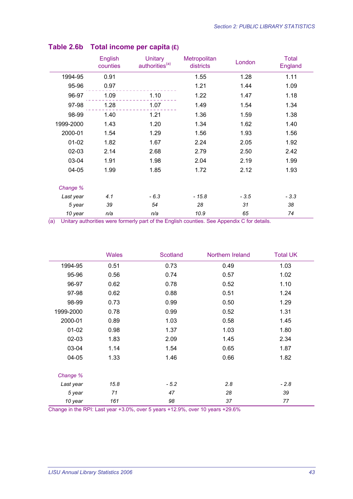|           | <b>English</b><br>counties | Unitary<br>authorities <sup>(a)</sup> | Metropolitan<br>districts | London | <b>Total</b><br>England |
|-----------|----------------------------|---------------------------------------|---------------------------|--------|-------------------------|
| 1994-95   | 0.91                       |                                       | 1.55                      | 1.28   | 1.11                    |
| 95-96     | 0.97                       |                                       | 1.21                      | 1.44   | 1.09                    |
| 96-97     | 1.09                       | 1.10                                  | 1.22                      | 1.47   | 1.18                    |
| 97-98     | 1.28                       | 1.07                                  | 1.49                      | 1.54   | 1.34                    |
| 98-99     | 1.40                       | 1.21                                  | 1.36                      | 1.59   | 1.38                    |
| 1999-2000 | 1.43                       | 1.20                                  | 1.34                      | 1.62   | 1.40                    |
| 2000-01   | 1.54                       | 1.29                                  | 1.56                      | 1.93   | 1.56                    |
| $01 - 02$ | 1.82                       | 1.67                                  | 2.24                      | 2.05   | 1.92                    |
| $02 - 03$ | 2.14                       | 2.68                                  | 2.79                      | 2.50   | 2.42                    |
| 03-04     | 1.91                       | 1.98                                  | 2.04                      | 2.19   | 1.99                    |
| 04-05     | 1.99                       | 1.85                                  | 1.72                      | 2.12   | 1.93                    |
| Change %  |                            |                                       |                           |        |                         |
| Last year | 4.1                        | $-6.3$                                | $-15.8$                   | $-3.5$ | $-3.3$                  |
| 5 year    | 39                         | 54                                    | 28                        | 31     | 38                      |
| 10 year   | n/a                        | n/a                                   | 10.9                      | 65     | 74                      |

## **Table 2.6b Total income per capita (£)**

(a) Unitary authorities were formerly part of the English counties. See Appendix C for details.

|           | <b>Wales</b> | Scotland | Northern Ireland | <b>Total UK</b> |
|-----------|--------------|----------|------------------|-----------------|
| 1994-95   | 0.51         | 0.73     | 0.49             | 1.03            |
| 95-96     | 0.56         | 0.74     | 0.57             | 1.02            |
| 96-97     | 0.62         | 0.78     | 0.52             | 1.10            |
| 97-98     | 0.62         | 0.88     | 0.51             | 1.24            |
| 98-99     | 0.73         | 0.99     | 0.50             | 1.29            |
| 1999-2000 | 0.78         | 0.99     | 0.52             | 1.31            |
| 2000-01   | 0.89         | 1.03     | 0.58             | 1.45            |
| $01 - 02$ | 0.98         | 1.37     | 1.03             | 1.80            |
| 02-03     | 1.83         | 2.09     | 1.45             | 2.34            |
| 03-04     | 1.14         | 1.54     | 0.65             | 1.87            |
| 04-05     | 1.33         | 1.46     | 0.66             | 1.82            |
| Change %  |              |          |                  |                 |
| Last year | 15.8         | $-5.2$   | 2.8              | $-2.8$          |
| 5 year    | 71           | 47       | 28               | 39              |
| 10 year   | 161          | 98       | 37               | 77              |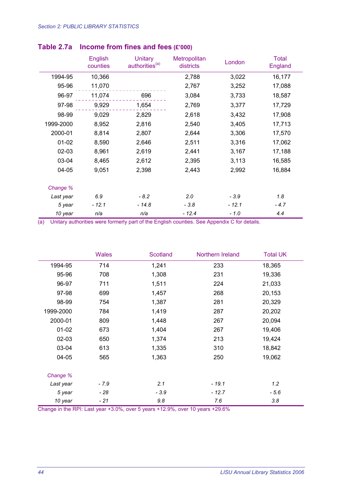|           | English<br>counties | <b>Unitary</b><br>authorities <sup>(a)</sup> | Metropolitan<br>districts | London  | <b>Total</b><br>England |
|-----------|---------------------|----------------------------------------------|---------------------------|---------|-------------------------|
| 1994-95   | 10,366              |                                              | 2,788                     | 3,022   | 16,177                  |
| 95-96     | 11,070              |                                              | 2,767                     | 3,252   | 17,088                  |
| 96-97     | 11,074              | 696                                          | 3,084                     | 3,733   | 18,587                  |
| 97-98     | 9,929               | 1,654                                        | 2,769                     | 3,377   | 17,729                  |
| 98-99     | 9,029               | 2,829                                        | 2,618                     | 3,432   | 17,908                  |
| 1999-2000 | 8,952               | 2,816                                        | 2,540                     | 3,405   | 17,713                  |
| 2000-01   | 8,814               | 2,807                                        | 2,644                     | 3,306   | 17,570                  |
| $01-02$   | 8,590               | 2,646                                        | 2,511                     | 3,316   | 17,062                  |
| $02 - 03$ | 8,961               | 2,619                                        | 2,441                     | 3,167   | 17,188                  |
| 03-04     | 8,465               | 2,612                                        | 2,395                     | 3,113   | 16,585                  |
| 04-05     | 9,051               | 2,398                                        | 2,443                     | 2,992   | 16,884                  |
|           |                     |                                              |                           |         |                         |
| Change %  |                     |                                              |                           |         |                         |
| Last year | 6.9                 | $-8.2$                                       | 2.0                       | $-3.9$  | 1.8                     |
| 5 year    | $-12.1$             | $-14.8$                                      | $-3.8$                    | $-12.1$ | $-4.7$                  |
| 10 year   | n/a                 | n/a                                          | $-12.4$                   | $-1.0$  | 4.4                     |

#### **Table 2.7a Income from fines and fees (£'000)**

(a) Unitary authorities were formerly part of the English counties. See Appendix C for details.

|           | <b>Wales</b> | <b>Scotland</b> | Northern Ireland | <b>Total UK</b> |
|-----------|--------------|-----------------|------------------|-----------------|
| 1994-95   | 714          | 1,241           | 233              | 18,365          |
| 95-96     | 708          | 1,308           | 231              | 19,336          |
| 96-97     | 711          | 1,511           | 224              | 21,033          |
| 97-98     | 699          | 1,457           | 268              | 20,153          |
| 98-99     | 754          | 1,387           | 281              | 20,329          |
| 1999-2000 | 784          | 1,419           | 287              | 20,202          |
| 2000-01   | 809          | 1,448           | 267              | 20,094          |
| $01 - 02$ | 673          | 1,404           | 267              | 19,406          |
| 02-03     | 650          | 1,374           | 213              | 19,424          |
| 03-04     | 613          | 1,335           | 310              | 18,842          |
| $04 - 05$ | 565          | 1,363           | 250              | 19,062          |
| Change %  |              |                 |                  |                 |
| Last year | - 7.9        | 2.1             | $-19.1$          | 1.2             |
| 5 year    | - 28         | $-3.9$          | $-12.7$          | - 5.6           |
| 10 year   | - 21         | 9.8             | 7.6              | 3.8             |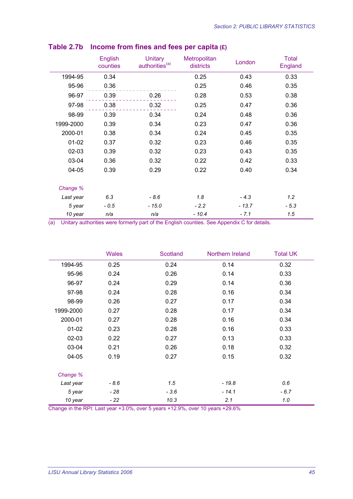|           | English<br>counties | <b>Unitary</b><br>authorities <sup>(a)</sup> | Metropolitan<br>districts | London  | <b>Total</b><br>England |
|-----------|---------------------|----------------------------------------------|---------------------------|---------|-------------------------|
| 1994-95   | 0.34                |                                              | 0.25                      | 0.43    | 0.33                    |
| 95-96     | 0.36                |                                              | 0.25                      | 0.46    | 0.35                    |
| 96-97     | 0.39                | 0.26                                         | 0.28                      | 0.53    | 0.38                    |
| 97-98     | 0.38                | 0.32                                         | 0.25                      | 0.47    | 0.36                    |
| 98-99     | 0.39                | 0.34                                         | 0.24                      | 0.48    | 0.36                    |
| 1999-2000 | 0.39                | 0.34                                         | 0.23                      | 0.47    | 0.36                    |
| 2000-01   | 0.38                | 0.34                                         | 0.24                      | 0.45    | 0.35                    |
| $01 - 02$ | 0.37                | 0.32                                         | 0.23                      | 0.46    | 0.35                    |
| 02-03     | 0.39                | 0.32                                         | 0.23                      | 0.43    | 0.35                    |
| 03-04     | 0.36                | 0.32                                         | 0.22                      | 0.42    | 0.33                    |
| 04-05     | 0.39                | 0.29                                         | 0.22                      | 0.40    | 0.34                    |
| Change %  |                     |                                              |                           |         |                         |
| Last year | 6.3                 | $-8.6$                                       | 1.8                       | $-4.3$  | 1.2                     |
| 5 year    | $-0.5$              | $-15.0$                                      | $-2.2$                    | $-13.7$ | $-5.3$                  |
| 10 year   | n/a                 | n/a                                          | $-10.4$                   | $-7.1$  | 1.5                     |

## **Table 2.7b Income from fines and fees per capita (£)**

(a) Unitary authorities were formerly part of the English counties. See Appendix C for details.

|           | <b>Wales</b> | Scotland | Northern Ireland | <b>Total UK</b> |
|-----------|--------------|----------|------------------|-----------------|
| 1994-95   | 0.25         | 0.24     | 0.14             | 0.32            |
| 95-96     | 0.24         | 0.26     | 0.14             | 0.33            |
| 96-97     | 0.24         | 0.29     | 0.14             | 0.36            |
| 97-98     | 0.24         | 0.28     | 0.16             | 0.34            |
| 98-99     | 0.26         | 0.27     | 0.17             | 0.34            |
| 1999-2000 | 0.27         | 0.28     | 0.17             | 0.34            |
| 2000-01   | 0.27         | 0.28     | 0.16             | 0.34            |
| $01 - 02$ | 0.23         | 0.28     | 0.16             | 0.33            |
| $02 - 03$ | 0.22         | 0.27     | 0.13             | 0.33            |
| 03-04     | 0.21         | 0.26     | 0.18             | 0.32            |
| 04-05     | 0.19         | 0.27     | 0.15             | 0.32            |
| Change %  |              |          |                  |                 |
| Last year | $-8.6$       | 1.5      | $-19.8$          | 0.6             |
| 5 year    | - 28         | $-3.6$   | $-14.1$          | $-6.7$          |
| 10 year   | - 22         | 10.3     | 2.1              | 1.0             |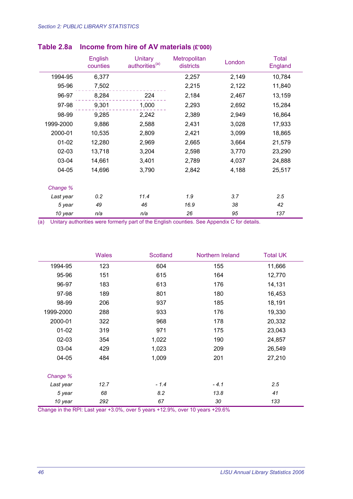|           | English<br>counties | <b>Unitary</b><br>authorities <sup>(a)</sup> | Metropolitan<br>districts | London | <b>Total</b><br>England |
|-----------|---------------------|----------------------------------------------|---------------------------|--------|-------------------------|
| 1994-95   | 6,377               |                                              | 2,257                     | 2,149  | 10,784                  |
| 95-96     | 7,502               |                                              | 2,215                     | 2,122  | 11,840                  |
| 96-97     | 8,284               | 224                                          | 2,184                     | 2,467  | 13,159                  |
| 97-98     | 9,301               | 1,000                                        | 2,293                     | 2,692  | 15,284                  |
| 98-99     | 9,285               | 2,242                                        | 2,389                     | 2,949  | 16,864                  |
| 1999-2000 | 9,886               | 2,588                                        | 2,431                     | 3,028  | 17,933                  |
| 2000-01   | 10,535              | 2,809                                        | 2,421                     | 3,099  | 18,865                  |
| $01 - 02$ | 12,280              | 2,969                                        | 2,665                     | 3,664  | 21,579                  |
| 02-03     | 13,718              | 3,204                                        | 2,598                     | 3,770  | 23,290                  |
| 03-04     | 14,661              | 3,401                                        | 2,789                     | 4,037  | 24,888                  |
| 04-05     | 14,696              | 3,790                                        | 2,842                     | 4,188  | 25,517                  |
| Change %  |                     |                                              |                           |        |                         |
| Last year | 0.2                 | 11.4                                         | 1.9                       | 3.7    | 2.5                     |
| 5 year    | 49                  | 46                                           | 16.9                      | 38     | 42                      |
| 10 year   | n/a                 | n/a                                          | 26                        | 95     | 137                     |

## **Table 2.8a Income from hire of AV materials (£'000)**

(a) Unitary authorities were formerly part of the English counties. See Appendix C for details.

|           | <b>Wales</b> | Scotland | Northern Ireland | <b>Total UK</b> |
|-----------|--------------|----------|------------------|-----------------|
| 1994-95   | 123          | 604      | 155              | 11,666          |
| 95-96     | 151          | 615      | 164              | 12,770          |
| 96-97     | 183          | 613      | 176              | 14,131          |
| 97-98     | 189          | 801      | 180              | 16,453          |
| 98-99     | 206          | 937      | 185              | 18,191          |
| 1999-2000 | 288          | 933      | 176              | 19,330          |
| 2000-01   | 322          | 968      | 178              | 20,332          |
| $01 - 02$ | 319          | 971      | 175              | 23,043          |
| 02-03     | 354          | 1,022    | 190              | 24,857          |
| 03-04     | 429          | 1,023    | 209              | 26,549          |
| 04-05     | 484          | 1,009    | 201              | 27,210          |
| Change %  |              |          |                  |                 |
| Last year | 12.7         | $-1.4$   | $-4.1$           | 2.5             |
| 5 year    | 68           | 8.2      | 13.8             | 41              |
| 10 year   | 292          | 67       | 30               | 133             |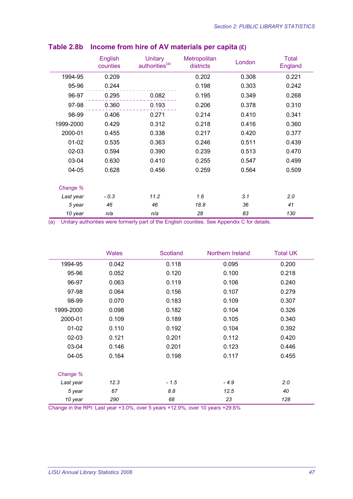|           | <b>English</b><br>counties | Unitary<br>authorities <sup>(a)</sup> | <b>Metropolitan</b><br>districts | London | <b>Total</b><br>England |
|-----------|----------------------------|---------------------------------------|----------------------------------|--------|-------------------------|
| 1994-95   | 0.209                      |                                       | 0.202                            | 0.308  | 0.221                   |
| 95-96     | 0.244                      |                                       | 0.198                            | 0.303  | 0.242                   |
| 96-97     | 0.295                      | 0.082                                 | 0.195                            | 0.349  | 0.268                   |
| 97-98     | 0.360                      | 0.193                                 | 0.206                            | 0.378  | 0.310                   |
| 98-99     | 0.406                      | 0.271                                 | 0.214                            | 0.410  | 0.341                   |
| 1999-2000 | 0.429                      | 0.312                                 | 0.218                            | 0.416  | 0.360                   |
| 2000-01   | 0.455                      | 0.338                                 | 0.217                            | 0.420  | 0.377                   |
| $01 - 02$ | 0.535                      | 0.363                                 | 0.246                            | 0.511  | 0.439                   |
| 02-03     | 0.594                      | 0.390                                 | 0.239                            | 0.513  | 0.470                   |
| 03-04     | 0.630                      | 0.410                                 | 0.255                            | 0.547  | 0.499                   |
| 04-05     | 0.628                      | 0.456                                 | 0.259                            | 0.564  | 0.509                   |
| Change %  |                            |                                       |                                  |        |                         |
| Last year | $-0.3$                     | 11.2                                  | 1.6                              | 3.1    | 2.0                     |
| 5 year    | 46                         | 46                                    | 18.8                             | 36     | 41                      |
| 10 year   | n/a                        | n/a                                   | 28                               | 83     | 130                     |

## **Table 2.8b Income from hire of AV materials per capita (£)**

(a) Unitary authorities were formerly part of the English counties. See Appendix C for details.

|           | <b>Wales</b> | Scotland | Northern Ireland | <b>Total UK</b> |
|-----------|--------------|----------|------------------|-----------------|
| 1994-95   | 0.042        | 0.118    | 0.095            | 0.200           |
| 95-96     | 0.052        | 0.120    | 0.100            | 0.218           |
| 96-97     | 0.063        | 0.119    | 0.106            | 0.240           |
| 97-98     | 0.064        | 0.156    | 0.107            | 0.279           |
| 98-99     | 0.070        | 0.183    | 0.109            | 0.307           |
| 1999-2000 | 0.098        | 0.182    | 0.104            | 0.326           |
| 2000-01   | 0.109        | 0.189    | 0.105            | 0.340           |
| $01 - 02$ | 0.110        | 0.192    | 0.104            | 0.392           |
| $02 - 03$ | 0.121        | 0.201    | 0.112            | 0.420           |
| 03-04     | 0.146        | 0.201    | 0.123            | 0.446           |
| 04-05     | 0.164        | 0.198    | 0.117            | 0.455           |
| Change %  |              |          |                  |                 |
| Last year | 12.3         | $-1.5$   | $-4.9$           | 2.0             |
| 5 year    | 67           | 8.8      | 12.5             | 40              |
| 10 year   | 290          | 68       | 23               | 128             |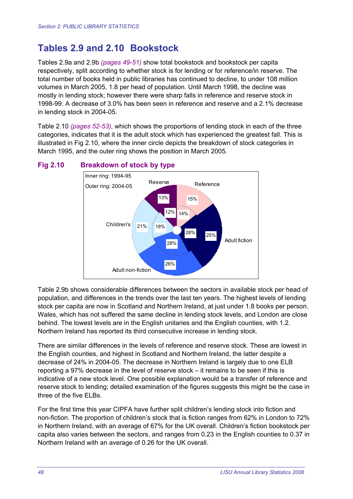## **Tables 2.9 and 2.10 Bookstock**

Tables 2.9a and 2.9b *(pages 49-51)* show total bookstock and bookstock per capita respectively, split according to whether stock is for lending or for reference/in reserve. The total number of books held in public libraries has continued to decline, to under 108 million volumes in March 2005, 1.8 per head of population. Until March 1998, the decline was mostly in lending stock; however there were sharp falls in reference and reserve stock in 1998-99. A decrease of 3.0% has been seen in reference and reserve and a 2.1% decrease in lending stock in 2004-05.

Table 2.10 *(pages 52-53)*, which shows the proportions of lending stock in each of the three categories, indicates that it is the adult stock which has experienced the greatest fall. This is illustrated in Fig 2.10, where the inner circle depicts the breakdown of stock categories in March 1995, and the outer ring shows the position in March 2005.



#### **Fig 2.10 Breakdown of stock by type**

Table 2.9b shows considerable differences between the sectors in available stock per head of population, and differences in the trends over the last ten years. The highest levels of lending stock per capita are now in Scotland and Northern Ireland, at just under 1.8 books per person. Wales, which has not suffered the same decline in lending stock levels, and London are close behind. The lowest levels are in the English unitaries and the English counties, with 1.2. Northern Ireland has reported its third consecutive increase in lending stock.

There are similar differences in the levels of reference and reserve stock. These are lowest in the English counties, and highest in Scotland and Northern Ireland, the latter despite a decrease of 24% in 2004-05. The decrease in Northern Ireland is largely due to one ELB reporting a 97% decrease in the level of reserve stock – it remains to be seen if this is indicative of a new stock level. One possible explanation would be a transfer of reference and reserve stock to lending; detailed examination of the figures suggests this might be the case in three of the five ELBs.

For the first time this year CIPFA have further split children's lending stock into fiction and non-fiction. The proportion of children's stock that is fiction ranges from 62% in London to 72% in Northern Ireland, with an average of 67% for the UK overall. Children's fiction bookstock per capita also varies between the sectors, and ranges from 0.23 in the English counties to 0.37 in Northern Ireland with an average of 0.26 for the UK overall.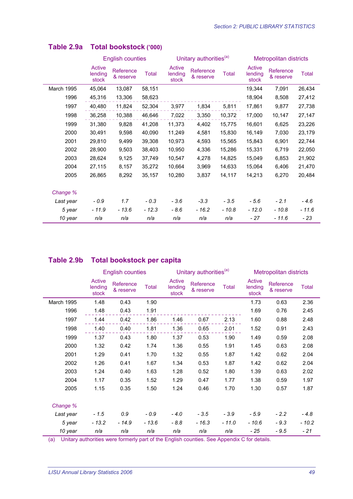|            |                            | <b>English counties</b> |              |                            | Unitary authorities <sup>(a)</sup> |        | <b>Metropolitan districts</b> |                        |              |
|------------|----------------------------|-------------------------|--------------|----------------------------|------------------------------------|--------|-------------------------------|------------------------|--------------|
|            | Active<br>lending<br>stock | Reference<br>& reserve  | <b>Total</b> | Active<br>lending<br>stock | Reference<br>& reserve             | Total  | Active<br>lending<br>stock    | Reference<br>& reserve | <b>Total</b> |
| March 1995 | 45,064                     | 13,087                  | 58,151       |                            |                                    |        | 19,344                        | 7,091                  | 26,434       |
| 1996       | 45,316                     | 13,306                  | 58,623       |                            |                                    |        | 18,904                        | 8,508                  | 27,412       |
| 1997       | 40,480                     | 11,824                  | 52,304       | 3,977                      | 1,834                              | 5,811  | 17,861                        | 9,877                  | 27,738       |
| 1998       | 36,258                     | 10,388                  | 46,646       | 7,022                      | 3,350                              | 10,372 | 17,000                        | 10,147                 | 27,147       |
| 1999       | 31,380                     | 9,828                   | 41,208       | 11,373                     | 4,402                              | 15,775 | 16,601                        | 6,625                  | 23,226       |
| 2000       | 30,491                     | 9,598                   | 40,090       | 11,249                     | 4,581                              | 15,830 | 16,149                        | 7,030                  | 23,179       |
| 2001       | 29,810                     | 9,499                   | 39,308       | 10,973                     | 4,593                              | 15,565 | 15,843                        | 6,901                  | 22,744       |
| 2002       | 28,900                     | 9,503                   | 38,403       | 10,950                     | 4,336                              | 15,286 | 15,331                        | 6,719                  | 22,050       |
| 2003       | 28,624                     | 9,125                   | 37,749       | 10,547                     | 4,278                              | 14,825 | 15,049                        | 6,853                  | 21,902       |
| 2004       | 27,115                     | 8,157                   | 35,272       | 10,664                     | 3,969                              | 14,633 | 15,064                        | 6,406                  | 21,470       |
| 2005       | 26,865                     | 8,292                   | 35,157       | 10,280                     | 3,837                              | 14,117 | 14,213                        | 6,270                  | 20,484       |
| Change %   |                            |                         |              |                            |                                    |        |                               |                        |              |
| Last year  | $-0.9$                     | 1.7                     | $-0.3$       | $-3.6$                     | $-3.3$                             | $-3.5$ | $-5.6$                        | $-2.1$                 | $-4.6$       |
| 5 year     | $-11.9$                    | - 13.6                  | $-12.3$      | - 8.6                      | $-16.2$                            | - 10.8 | - 12.0                        | $-10.8$                | - 11.6       |
| 10 year    | n/a                        | n/a                     | n/a          | n/a                        | n/a                                | n/a    | $-27$                         | $-11.6$                | $-23$        |

### **Table 2.9a Total bookstock ('000)**

## **Table 2.9b Total bookstock per capita**

|            |                            | <b>English counties</b> |              |                            | Unitary authorities <sup>(a)</sup> |              | <b>Metropolitan districts</b> |                        |              |
|------------|----------------------------|-------------------------|--------------|----------------------------|------------------------------------|--------------|-------------------------------|------------------------|--------------|
|            | Active<br>lending<br>stock | Reference<br>& reserve  | <b>Total</b> | Active<br>lending<br>stock | Reference<br>& reserve             | <b>Total</b> | Active<br>lending<br>stock    | Reference<br>& reserve | <b>Total</b> |
| March 1995 | 1.48                       | 0.43                    | 1.90         |                            |                                    |              | 1.73                          | 0.63                   | 2.36         |
| 1996       | 1.48                       | 0.43                    | 1.91         |                            |                                    |              | 1.69                          | 0.76                   | 2.45         |
| 1997       | 1.44                       | 0.42                    | 1.86         | 1.46                       | 0.67                               | 2.13         | 1.60                          | 0.88                   | 2.48         |
| 1998       | 1.40                       | 0.40                    | 1.81         | 1.36                       | 0.65                               | 2.01         | 1.52                          | 0.91                   | 2.43         |
| 1999       | 1.37                       | 0.43                    | 1.80         | 1.37                       | 0.53                               | 1.90         | 1.49                          | 0.59                   | 2.08         |
| 2000       | 1.32                       | 0.42                    | 1.74         | 1.36                       | 0.55                               | 1.91         | 1.45                          | 0.63                   | 2.08         |
| 2001       | 1.29                       | 0.41                    | 1.70         | 1.32                       | 0.55                               | 1.87         | 1.42                          | 0.62                   | 2.04         |
| 2002       | 1.26                       | 0.41                    | 1.67         | 1.34                       | 0.53                               | 1.87         | 1.42                          | 0.62                   | 2.04         |
| 2003       | 1.24                       | 0.40                    | 1.63         | 1.28                       | 0.52                               | 1.80         | 1.39                          | 0.63                   | 2.02         |
| 2004       | 1.17                       | 0.35                    | 1.52         | 1.29                       | 0.47                               | 1.77         | 1.38                          | 0.59                   | 1.97         |
| 2005       | 1.15                       | 0.35                    | 1.50         | 1.24                       | 0.46                               | 1.70         | 1.30                          | 0.57                   | 1.87         |
|            |                            |                         |              |                            |                                    |              |                               |                        |              |
| Change %   |                            |                         |              |                            |                                    |              |                               |                        |              |
| Last year  | $-1.5$                     | 0.9                     | - 0.9        | $-4.0$                     | $-3.5$                             | $-3.9$       | $-5.9$                        | $-2.2$                 | $-4.8$       |
| 5 year     | $-13.2$                    | $-14.9$                 | $-13.6$      | $-8.8$                     | $-16.3$                            | $-11.0$      | - 10.6                        | $-9.3$                 | $-10.2$      |
| 10 year    | n/a                        | n/a                     | n/a          | n/a                        | n/a                                | n/a          | - 25                          | $-9.5$                 | - 21         |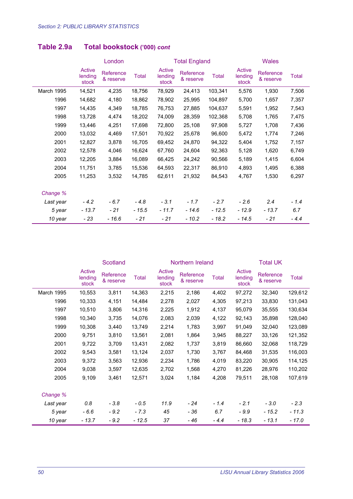|            |                            | London                 |              |                            | <b>Total England</b>   |              | <b>Wales</b>               |                        |              |
|------------|----------------------------|------------------------|--------------|----------------------------|------------------------|--------------|----------------------------|------------------------|--------------|
|            | Active<br>lending<br>stock | Reference<br>& reserve | <b>Total</b> | Active<br>lending<br>stock | Reference<br>& reserve | <b>Total</b> | Active<br>lending<br>stock | Reference<br>& reserve | <b>Total</b> |
| March 1995 | 14,521                     | 4,235                  | 18,756       | 78,929                     | 24,413                 | 103,341      | 5,576                      | 1,930                  | 7,506        |
| 1996       | 14,682                     | 4,180                  | 18,862       | 78,902                     | 25,995                 | 104,897      | 5,700                      | 1,657                  | 7,357        |
| 1997       | 14,435                     | 4,349                  | 18,785       | 76,753                     | 27,885                 | 104,637      | 5,591                      | 1,952                  | 7,543        |
| 1998       | 13,728                     | 4,474                  | 18,202       | 74,009                     | 28,359                 | 102,368      | 5,708                      | 1,765                  | 7,475        |
| 1999       | 13,446                     | 4,251                  | 17,698       | 72,800                     | 25,108                 | 97,908       | 5,727                      | 1,708                  | 7,436        |
| 2000       | 13,032                     | 4,469                  | 17,501       | 70,922                     | 25,678                 | 96,600       | 5,472                      | 1,774                  | 7,246        |
| 2001       | 12,827                     | 3,878                  | 16,705       | 69,452                     | 24,870                 | 94,322       | 5,404                      | 1,752                  | 7,157        |
| 2002       | 12,578                     | 4,046                  | 16,624       | 67,760                     | 24,604                 | 92,363       | 5,128                      | 1,620                  | 6,749        |
| 2003       | 12,205                     | 3,884                  | 16,089       | 66,425                     | 24,242                 | 90,566       | 5,189                      | 1,415                  | 6,604        |
| 2004       | 11,751                     | 3,785                  | 15,536       | 64,593                     | 22,317                 | 86,910       | 4,893                      | 1,495                  | 6,388        |
| 2005       | 11,253                     | 3,532                  | 14,785       | 62,611                     | 21,932                 | 84,543       | 4,767                      | 1,530                  | 6,297        |
| Change %   |                            |                        |              |                            |                        |              |                            |                        |              |
| Last year  | $-4.2$                     | $-6.7$                 | $-4.8$       | $-3.1$                     | $-1.7$                 | $-2.7$       | $-2.6$                     | 2.4                    | $-1.4$       |
| 5 year     | $-13.7$                    | - 21                   | $-15.5$      | $-11.7$                    | $-14.6$                | $-12.5$      | $-12.9$                    | $-13.7$                | 6.7          |
| 10 year    | $-23$                      | $-16.6$                | $-21$        | $-21$                      | $-10.2$                | $-18.2$      | $-14.5$                    | $-21$                  | $-4.4$       |

## **Table 2.9a Total bookstock ('000)** *cont*

|            |                            | Scotland               |              |                            | Northern Ireland       |              | <b>Total UK</b>            |                        |         |
|------------|----------------------------|------------------------|--------------|----------------------------|------------------------|--------------|----------------------------|------------------------|---------|
|            | Active<br>lending<br>stock | Reference<br>& reserve | <b>Total</b> | Active<br>lending<br>stock | Reference<br>& reserve | <b>Total</b> | Active<br>lending<br>stock | Reference<br>& reserve | Total   |
| March 1995 | 10,553                     | 3,811                  | 14,363       | 2,215                      | 2,186                  | 4,402        | 97,272                     | 32,340                 | 129,612 |
| 1996       | 10,333                     | 4,151                  | 14,484       | 2,278                      | 2,027                  | 4,305        | 97,213                     | 33,830                 | 131,043 |
| 1997       | 10,510                     | 3,806                  | 14,316       | 2,225                      | 1,912                  | 4,137        | 95,079                     | 35,555                 | 130,634 |
| 1998       | 10,340                     | 3,735                  | 14,076       | 2,083                      | 2,039                  | 4,122        | 92,143                     | 35,898                 | 128,040 |
| 1999       | 10,308                     | 3,440                  | 13,749       | 2,214                      | 1,783                  | 3,997        | 91,049                     | 32,040                 | 123,089 |
| 2000       | 9,751                      | 3,810                  | 13,561       | 2,081                      | 1,864                  | 3,945        | 88,227                     | 33,126                 | 121,352 |
| 2001       | 9,722                      | 3,709                  | 13,431       | 2,082                      | 1,737                  | 3,819        | 86,660                     | 32,068                 | 118,729 |
| 2002       | 9,543                      | 3,581                  | 13,124       | 2,037                      | 1,730                  | 3,767        | 84,468                     | 31,535                 | 116,003 |
| 2003       | 9,372                      | 3,563                  | 12,936       | 2,234                      | 1,786                  | 4,019        | 83,220                     | 30,905                 | 114,125 |
| 2004       | 9,038                      | 3,597                  | 12,635       | 2,702                      | 1,568                  | 4,270        | 81,226                     | 28,976                 | 110,202 |
| 2005       | 9,109                      | 3,461                  | 12,571       | 3,024                      | 1,184                  | 4,208        | 79,511                     | 28,108                 | 107,619 |
| Change %   |                            |                        |              |                            |                        |              |                            |                        |         |
| Last year  | 0.8                        | $-3.8$                 | $-0.5$       | 11.9                       | $-24$                  | $-1.4$       | $-2.1$                     | $-3.0$                 | $-2.3$  |
| 5 year     | - 6.6                      | $-9.2$                 | $-7.3$       | 45                         | - 36                   | 6.7          | $-9.9$                     | $-15.2$                | $-11.3$ |
| 10 year    | $-13.7$                    | $-9.2$                 | $-12.5$      | 37                         | $-46$                  | $-4.4$       | $-18.3$                    | $-13.1$                | $-17.0$ |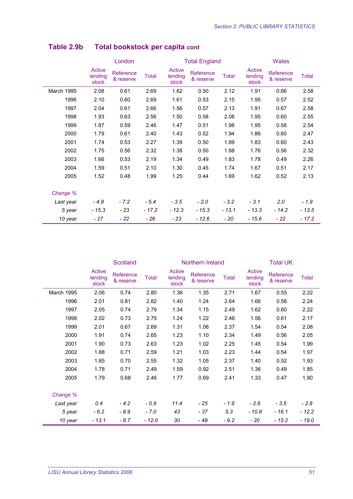|            | London                     |                        |              |                            | <b>Total England</b>   |         |                            | <b>Wales</b>           |              |  |
|------------|----------------------------|------------------------|--------------|----------------------------|------------------------|---------|----------------------------|------------------------|--------------|--|
|            | Active<br>lending<br>stock | Reference<br>& reserve | <b>Total</b> | Active<br>lending<br>stock | Reference<br>& reserve | Total   | Active<br>lending<br>stock | Reference<br>& reserve | <b>Total</b> |  |
| March 1995 | 2.08                       | 0.61                   | 2.69         | 1.62                       | 0.50                   | 2.12    | 1.91                       | 0.66                   | 2.58         |  |
| 1996       | 2.10                       | 0.60                   | 2.69         | 1.61                       | 0.53                   | 2.15    | 1.95                       | 0.57                   | 2.52         |  |
| 1997       | 2.04                       | 0.61                   | 2.66         | 1.56                       | 0.57                   | 2.13    | 1.91                       | 0.67                   | 2.58         |  |
| 1998       | 1.93                       | 0.63                   | 2.56         | 1.50                       | 0.58                   | 2.08    | 1.95                       | 0.60                   | 2.55         |  |
| 1999       | 1.87                       | 0.59                   | 2.46         | 1.47                       | 0.51                   | 1.98    | 1.95                       | 0.58                   | 2.54         |  |
| 2000       | 1.79                       | 0.61                   | 2.40         | 1.43                       | 0.52                   | 1.94    | 1.86                       | 0.60                   | 2.47         |  |
| 2001       | 1.74                       | 0.53                   | 2.27         | 1.39                       | 0.50                   | 1.89    | 1.83                       | 0.60                   | 2.43         |  |
| 2002       | 1.75                       | 0.56                   | 2.32         | 1.38                       | 0.50                   | 1.88    | 1.76                       | 0.56                   | 2.32         |  |
| 2003       | 1.66                       | 0.53                   | 2.19         | 1.34                       | 0.49                   | 1.83    | 1.78                       | 0.49                   | 2.26         |  |
| 2004       | 1.59                       | 0.51                   | 2.10         | 1.30                       | 0.45                   | 1.74    | 1.67                       | 0.51                   | 2.17         |  |
| 2005       | 1.52                       | 0.48                   | 1.99         | 1.25                       | 0.44                   | 1.69    | 1.62                       | 0.52                   | 2.13         |  |
| Change %   |                            |                        |              |                            |                        |         |                            |                        |              |  |
| Last year  | $-4.8$                     | $-7.2$                 | $-5.4$       | $-3.5$                     | $-2.0$                 | $-3.2$  | $-3.1$                     | 2.0                    | $-1.9$       |  |
| 5 year     | $-15.3$                    | - 23                   | $-17.2$      | $-12.3$                    | $-15.3$                | $-13.1$ | $-13.3$                    | $-14.2$                | $-13.5$      |  |
| 10 year    | $-27$                      | $-22$                  | - 26         | $-23$                      | $-12.6$                | - 20    | $-15.6$                    | - 22                   | - 17.2       |  |

## **Table 2.9b Total bookstock per capita** *cont*

|            |                            | Scotland               |              |                            | Northern Ireland       |              | <b>Total UK</b>            |                        |              |
|------------|----------------------------|------------------------|--------------|----------------------------|------------------------|--------------|----------------------------|------------------------|--------------|
|            | Active<br>lending<br>stock | Reference<br>& reserve | <b>Total</b> | Active<br>lending<br>stock | Reference<br>& reserve | <b>Total</b> | Active<br>lending<br>stock | Reference<br>& reserve | <b>Total</b> |
| March 1995 | 2.06                       | 0.74                   | 2.80         | 1.36                       | 1.35                   | 2.71         | 1.67                       | 0.55                   | 2.22         |
| 1996       | 2.01                       | 0.81                   | 2.82         | 1.40                       | 1.24                   | 2.64         | 1.66                       | 0.58                   | 2.24         |
| 1997       | 2.05                       | 0.74                   | 2.79         | 1.34                       | 1.15                   | 2.49         | 1.62                       | 0.60                   | 2.22         |
| 1998       | 2.02                       | 0.73                   | 2.75         | 1.24                       | 1.22                   | 2.46         | 1.56                       | 0.61                   | 2.17         |
| 1999       | 2.01                       | 0.67                   | 2.69         | 1.31                       | 1.06                   | 2.37         | 1.54                       | 0.54                   | 2.08         |
| 2000       | 1.91                       | 0.74                   | 2.65         | 1.23                       | 1.10                   | 2.34         | 1.49                       | 0.56                   | 2.05         |
| 2001       | 1.90                       | 0.73                   | 2.63         | 1.23                       | 1.02                   | 2.25         | 1.45                       | 0.54                   | 1.99         |
| 2002       | 1.88                       | 0.71                   | 2.59         | 1.21                       | 1.03                   | 2.23         | 1.44                       | 0.54                   | 1.97         |
| 2003       | 1.85                       | 0.70                   | 2.55         | 1.32                       | 1.05                   | 2.37         | 1.40                       | 0.52                   | 1.93         |
| 2004       | 1.78                       | 0.71                   | 2.49         | 1.59                       | 0.92                   | 2.51         | 1.36                       | 0.49                   | 1.85         |
| 2005       | 1.79                       | 0.68                   | 2.46         | 1.77                       | 0.69                   | 2.41         | 1.33                       | 0.47                   | 1.80         |
| Change %   |                            |                        |              |                            |                        |              |                            |                        |              |
| Last year  | 0.4                        | $-4.2$                 | $-0.9$       | 11.4                       | $-25$                  | - 1.9        | $-2.6$                     | $-3.5$                 | $-2.8$       |
| 5 year     | $-6.2$                     | - 8.9                  | $-7.0$       | 43                         | - 37                   | 5.3          | $-10.8$                    | - 16.1                 | - 12.2       |
| 10 year    | $-13.1$                    | $-8.7$                 | $-12.0$      | 30                         | - 49                   | $-9.2$       | - 20                       | $-15.2$                | $-19.0$      |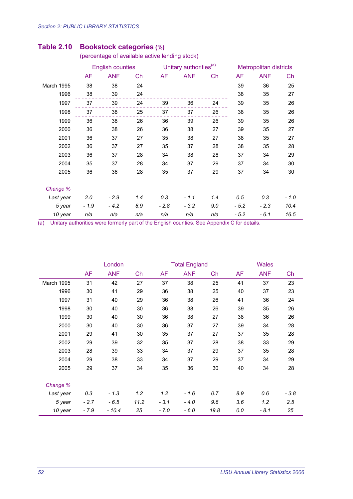|            |           | <b>English counties</b> |     |           | Unitary authorities <sup>(a)</sup> |     |           | <b>Metropolitan districts</b> |        |  |
|------------|-----------|-------------------------|-----|-----------|------------------------------------|-----|-----------|-------------------------------|--------|--|
|            | <b>AF</b> | <b>ANF</b>              | Ch  | <b>AF</b> | <b>ANF</b>                         | Ch  | <b>AF</b> | <b>ANF</b>                    | Ch     |  |
| March 1995 | 38        | 38                      | 24  |           |                                    |     | 39        | 36                            | 25     |  |
| 1996       | 38        | 39                      | 24  |           |                                    |     | 38        | 35                            | 27     |  |
| 1997       | 37        | 39                      | 24  | 39        | 36                                 | 24  | 39        | 35                            | 26     |  |
| 1998       | 37        | 38                      | 25  | 37        | 37                                 | 26  | 38        | 35                            | 26     |  |
| 1999       | 36        | 38                      | 26  | 36        | 39                                 | 26  | 39        | 35                            | 26     |  |
| 2000       | 36        | 38                      | 26  | 36        | 38                                 | 27  | 39        | 35                            | 27     |  |
| 2001       | 36        | 37                      | 27  | 35        | 38                                 | 27  | 38        | 35                            | 27     |  |
| 2002       | 36        | 37                      | 27  | 35        | 37                                 | 28  | 38        | 35                            | 28     |  |
| 2003       | 36        | 37                      | 28  | 34        | 38                                 | 28  | 37        | 34                            | 29     |  |
| 2004       | 35        | 37                      | 28  | 34        | 37                                 | 29  | 37        | 34                            | 30     |  |
| 2005       | 36        | 36                      | 28  | 35        | 37                                 | 29  | 37        | 34                            | 30     |  |
| Change %   |           |                         |     |           |                                    |     |           |                               |        |  |
| Last year  | 2.0       | $-2.9$                  | 1.4 | 0.3       | $-1.1$                             | 1.4 | 0.5       | 0.3                           | $-1.0$ |  |
| 5 year     | $-1.9$    | $-4.2$                  | 8.9 | $-2.8$    | $-3.2$                             | 9.0 | $-5.2$    | $-2.3$                        | 10.4   |  |
| 10 year    | n/a       | n/a                     | n/a | n/a       | n/a                                | n/a | $-5.2$    | $-6.1$                        | 16.5   |  |

#### **Table 2.10 Bookstock categories (%)**

(percentage of available active lending stock)

|            |        | London     |      |        | <b>Total England</b> |      | <b>Wales</b> |            |        |
|------------|--------|------------|------|--------|----------------------|------|--------------|------------|--------|
|            | AF     | <b>ANF</b> | Ch   | AF     | <b>ANF</b>           | Ch   | <b>AF</b>    | <b>ANF</b> | Ch     |
| March 1995 | 31     | 42         | 27   | 37     | 38                   | 25   | 41           | 37         | 23     |
| 1996       | 30     | 41         | 29   | 36     | 38                   | 25   | 40           | 37         | 23     |
| 1997       | 31     | 40         | 29   | 36     | 38                   | 26   | 41           | 36         | 24     |
| 1998       | 30     | 40         | 30   | 36     | 38                   | 26   | 39           | 35         | 26     |
| 1999       | 30     | 40         | 30   | 36     | 38                   | 27   | 38           | 36         | 26     |
| 2000       | 30     | 40         | 30   | 36     | 37                   | 27   | 39           | 34         | 28     |
| 2001       | 29     | 41         | 30   | 35     | 37                   | 27   | 37           | 35         | 28     |
| 2002       | 29     | 39         | 32   | 35     | 37                   | 28   | 38           | 33         | 29     |
| 2003       | 28     | 39         | 33   | 34     | 37                   | 29   | 37           | 35         | 28     |
| 2004       | 29     | 38         | 33   | 34     | 37                   | 29   | 37           | 34         | 29     |
| 2005       | 29     | 37         | 34   | 35     | 36                   | 30   | 40           | 34         | 28     |
| Change %   |        |            |      |        |                      |      |              |            |        |
| Last year  | 0.3    | $-1.3$     | 1.2  | 1.2    | $-1.6$               | 0.7  | 8.9          | 0.6        | $-3.8$ |
| 5 year     | $-2.7$ | $-6.5$     | 11.2 | $-3.1$ | $-4.0$               | 9.6  | 3.6          | 1.2        | 2.5    |
| 10 year    | $-7.9$ | $-10.4$    | 25   | $-7.0$ | $-6.0$               | 19.8 | 0.0          | $-8.1$     | 25     |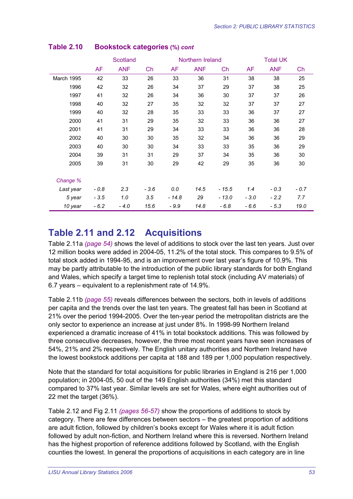|            |           | Scotland   |        |         | Northern Ireland |         | <b>Total UK</b> |            |        |
|------------|-----------|------------|--------|---------|------------------|---------|-----------------|------------|--------|
|            | <b>AF</b> | <b>ANF</b> | Ch     | AF      | <b>ANF</b>       | Ch      | AF              | <b>ANF</b> | Ch     |
| March 1995 | 42        | 33         | 26     | 33      | 36               | 31      | 38              | 38         | 25     |
| 1996       | 42        | 32         | 26     | 34      | 37               | 29      | 37              | 38         | 25     |
| 1997       | 41        | 32         | 26     | 34      | 36               | 30      | 37              | 37         | 26     |
| 1998       | 40        | 32         | 27     | 35      | 32               | 32      | 37              | 37         | 27     |
| 1999       | 40        | 32         | 28     | 35      | 33               | 33      | 36              | 37         | 27     |
| 2000       | 41        | 31         | 29     | 35      | 32               | 33      | 36              | 36         | 27     |
| 2001       | 41        | 31         | 29     | 34      | 33               | 33      | 36              | 36         | 28     |
| 2002       | 40        | 30         | 30     | 35      | 32               | 34      | 36              | 36         | 29     |
| 2003       | 40        | 30         | 30     | 34      | 33               | 33      | 35              | 36         | 29     |
| 2004       | 39        | 31         | 31     | 29      | 37               | 34      | 35              | 36         | 30     |
| 2005       | 39        | 31         | 30     | 29      | 42               | 29      | 35              | 36         | 30     |
| Change %   |           |            |        |         |                  |         |                 |            |        |
| Last year  | $-0.8$    | 2.3        | $-3.6$ | 0.0     | 14.5             | $-15.5$ | 1.4             | $-0.3$     | $-0.7$ |
| 5 year     | $-3.5$    | 1.0        | 3.5    | $-14.8$ | 29               | $-13.0$ | $-3.0$          | $-2.2$     | 7.7    |
| 10 year    | $-6.2$    | $-4.0$     | 15.6   | - 9.9   | 14.8             | $-6.8$  | $-6.6$          | $-5.3$     | 19.0   |

#### **Table 2.10 Bookstock categories (%)** *cont*

# **Table 2.11 and 2.12 Acquisitions**

Table 2.11a *(page 54)* shows the level of additions to stock over the last ten years. Just over 12 million books were added in 2004-05, 11.2% of the total stock. This compares to 9.5% of total stock added in 1994-95, and is an improvement over last year's figure of 10.9%. This may be partly attributable to the introduction of the public library standards for both England and Wales, which specify a target time to replenish total stock (including AV materials) of 6.7 years – equivalent to a replenishment rate of 14.9%.

Table 2.11b *(page 55)* reveals differences between the sectors, both in levels of additions per capita and the trends over the last ten years. The greatest fall has been in Scotland at 21% over the period 1994-2005. Over the ten-year period the metropolitan districts are the only sector to experience an increase at just under 8%. In 1998-99 Northern Ireland experienced a dramatic increase of 41% in total bookstock additions. This was followed by three consecutive decreases, however, the three most recent years have seen increases of 54%, 21% and 2% respectively. The English unitary authorities and Northern Ireland have the lowest bookstock additions per capita at 188 and 189 per 1,000 population respectively.

Note that the standard for total acquisitions for public libraries in England is 216 per 1,000 population; in 2004-05, 50 out of the 149 English authorities (34%) met this standard compared to 37% last year. Similar levels are set for Wales, where eight authorities out of 22 met the target (36%).

Table 2.12 and Fig 2.11 *(pages 56-57)* show the proportions of additions to stock by category. There are few differences between sectors – the greatest proportion of additions are adult fiction, followed by children's books except for Wales where it is adult fiction followed by adult non-fiction, and Northern Ireland where this is reversed. Northern Ireland has the highest proportion of reference additions followed by Scotland, with the English counties the lowest. In general the proportions of acquisitions in each category are in line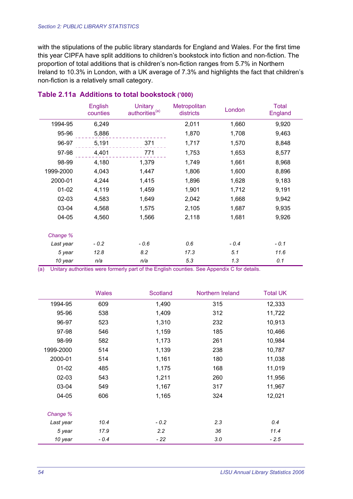with the stipulations of the public library standards for England and Wales. For the first time this year CIPFA have split additions to children's bookstock into fiction and non-fiction. The proportion of total additions that is children's non-fiction ranges from 5.7% in Northern Ireland to 10.3% in London, with a UK average of 7.3% and highlights the fact that children's non-fiction is a relatively small category.

|           | <b>English</b><br>counties | <b>Unitary</b><br>authorities <sup>(a)</sup> | Metropolitan<br>districts | London | <b>Total</b><br>England |
|-----------|----------------------------|----------------------------------------------|---------------------------|--------|-------------------------|
| 1994-95   | 6,249                      |                                              | 2,011                     | 1,660  | 9,920                   |
| 95-96     | 5,886                      |                                              | 1,870                     | 1,708  | 9,463                   |
| 96-97     | 5,191                      | 371                                          | 1,717                     | 1,570  | 8,848                   |
| 97-98     | 4,401                      | 771                                          | 1,753                     | 1,653  | 8,577                   |
| 98-99     | 4,180                      | 1,379                                        | 1,749                     | 1,661  | 8,968                   |
| 1999-2000 | 4,043                      | 1,447                                        | 1,806                     | 1,600  | 8,896                   |
| 2000-01   | 4,244                      | 1,415                                        | 1,896                     | 1,628  | 9,183                   |
| $01 - 02$ | 4,119                      | 1,459                                        | 1,901                     | 1,712  | 9,191                   |
| 02-03     | 4,583                      | 1,649                                        | 2,042                     | 1,668  | 9,942                   |
| 03-04     | 4,568                      | 1,575                                        | 2,105                     | 1,687  | 9,935                   |
| 04-05     | 4,560                      | 1,566                                        | 2,118                     | 1,681  | 9,926                   |
| Change %  |                            |                                              |                           |        |                         |
| Last year | $-0.2$                     | - 0.6                                        | 0.6                       | $-0.4$ | $-0.1$                  |
| 5 year    | 12.8                       | 8.2                                          | 17.3                      | 5.1    | 11.6                    |
| 10 year   | n/a                        | n/a                                          | 5.3                       | 1.3    | 0.1                     |

#### **Table 2.11a Additions to total bookstock ('000)**

|           | <b>Wales</b> | Scotland | Northern Ireland | <b>Total UK</b> |
|-----------|--------------|----------|------------------|-----------------|
| 1994-95   | 609          | 1,490    | 315              | 12,333          |
| 95-96     | 538          | 1,409    | 312              | 11,722          |
| 96-97     | 523          | 1,310    | 232              | 10,913          |
| 97-98     | 546          | 1,159    | 185              | 10,466          |
| 98-99     | 582          | 1,173    | 261              | 10,984          |
| 1999-2000 | 514          | 1,139    | 238              | 10,787          |
| 2000-01   | 514          | 1,161    | 180              | 11,038          |
| $01 - 02$ | 485          | 1,175    | 168              | 11,019          |
| $02 - 03$ | 543          | 1,211    | 260              | 11,956          |
| 03-04     | 549          | 1,167    | 317              | 11,967          |
| 04-05     | 606          | 1,165    | 324              | 12,021          |
| Change %  |              |          |                  |                 |
| Last year | 10.4         | $-0.2$   | 2.3              | 0.4             |
| 5 year    | 17.9         | 2.2      | 36               | 11.4            |
| 10 year   | $-0.4$       | - 22     | 3.0              | $-2.5$          |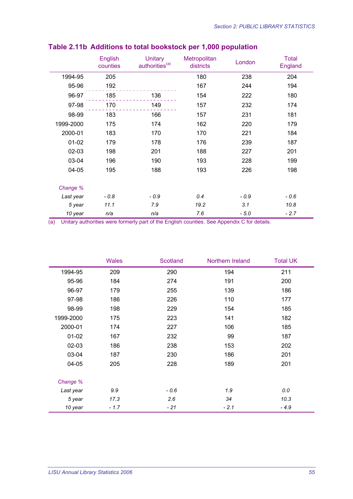|           | English<br>counties | <b>Unitary</b><br>authorities <sup>(a)</sup> | Metropolitan<br>districts | London | <b>Total</b><br>England |
|-----------|---------------------|----------------------------------------------|---------------------------|--------|-------------------------|
| 1994-95   | 205                 |                                              | 180                       | 238    | 204                     |
| 95-96     | 192                 |                                              | 167                       | 244    | 194                     |
| 96-97     | 185                 | 136                                          | 154                       | 222    | 180                     |
| 97-98     | 170                 | 149                                          | 157                       | 232    | 174                     |
| 98-99     | 183                 | 166                                          | 157                       | 231    | 181                     |
| 1999-2000 | 175                 | 174                                          | 162                       | 220    | 179                     |
| 2000-01   | 183                 | 170                                          | 170                       | 221    | 184                     |
| $01-02$   | 179                 | 178                                          | 176                       | 239    | 187                     |
| 02-03     | 198                 | 201                                          | 188                       | 227    | 201                     |
| 03-04     | 196                 | 190                                          | 193                       | 228    | 199                     |
| 04-05     | 195                 | 188                                          | 193                       | 226    | 198                     |
| Change %  |                     |                                              |                           |        |                         |
| Last year | $-0.8$              | $-0.9$                                       | 0.4                       | $-0.9$ | $-0.6$                  |
| 5 year    | 11.1                | 7.9                                          | 19.2                      | 3.1    | 10.8                    |
| 10 year   | n/a                 | n/a                                          | 7.6                       | $-5.0$ | $-2.7$                  |

## **Table 2.11b Additions to total bookstock per 1,000 population**

|           | <b>Wales</b> | Scotland | Northern Ireland | <b>Total UK</b> |
|-----------|--------------|----------|------------------|-----------------|
| 1994-95   | 209          | 290      | 194              | 211             |
| 95-96     | 184          | 274      | 191              | 200             |
| 96-97     | 179          | 255      | 139              | 186             |
| 97-98     | 186          | 226      | 110              | 177             |
| 98-99     | 198          | 229      | 154              | 185             |
| 1999-2000 | 175          | 223      | 141              | 182             |
| 2000-01   | 174          | 227      | 106              | 185             |
| $01-02$   | 167          | 232      | 99               | 187             |
| $02 - 03$ | 186          | 238      | 153              | 202             |
| 03-04     | 187          | 230      | 186              | 201             |
| 04-05     | 205          | 228      | 189              | 201             |
| Change %  |              |          |                  |                 |
| Last year | 9.9          | $-0.6$   | 1.9              | 0.0             |
| 5 year    | 17.3         | 2.6      | 34               | 10.3            |
| 10 year   | $-1.7$       | $-21$    | $-2.1$           | $-4.9$          |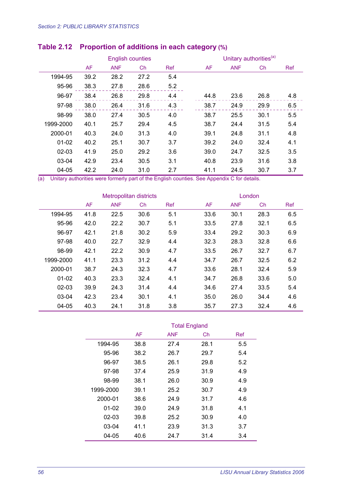|           |      | <b>English counties</b> |      |     | Unitary authorities <sup>(a)</sup> |            |      |            |  |
|-----------|------|-------------------------|------|-----|------------------------------------|------------|------|------------|--|
|           | AF   | <b>ANF</b>              | Ch   | Ref | <b>AF</b>                          | <b>ANF</b> | Ch   | <b>Ref</b> |  |
| 1994-95   | 39.2 | 28.2                    | 27.2 | 5.4 |                                    |            |      |            |  |
| 95-96     | 38.3 | 27.8                    | 28.6 | 5.2 |                                    |            |      |            |  |
| 96-97     | 38.4 | 26.8                    | 29.8 | 4.4 | 44.8                               | 23.6       | 26.8 | 4.8        |  |
| 97-98     | 38.0 | 26.4                    | 31.6 | 4.3 | 38.7                               | 24.9       | 29.9 | 6.5        |  |
| 98-99     | 38.0 | 27.4                    | 30.5 | 4.0 | 38.7                               | 25.5       | 30.1 | 5.5        |  |
| 1999-2000 | 40.1 | 25.7                    | 29.4 | 4.5 | 38.7                               | 24.4       | 31.5 | 5.4        |  |
| 2000-01   | 40.3 | 24.0                    | 31.3 | 4.0 | 39.1                               | 24.8       | 31.1 | 4.8        |  |
| $01-02$   | 40.2 | 25.1                    | 30.7 | 3.7 | 39.2                               | 24.0       | 32.4 | 4.1        |  |
| $02 - 03$ | 41.9 | 25.0                    | 29.2 | 3.6 | 39.0                               | 24.7       | 32.5 | 3.5        |  |
| 03-04     | 42.9 | 23.4                    | 30.5 | 3.1 | 40.8                               | 23.9       | 31.6 | 3.8        |  |
| 04-05     | 42.2 | 24.0                    | 31.0 | 2.7 | 41.1                               | 24.5       | 30.7 | 3.7        |  |

## **Table 2.12 Proportion of additions in each category (%)**

|           |      | <b>Metropolitan districts</b> |      |     | London |            |      |     |  |
|-----------|------|-------------------------------|------|-----|--------|------------|------|-----|--|
|           | AF   | <b>ANF</b>                    | Ch   | Ref | AF     | <b>ANF</b> | Ch   | Ref |  |
| 1994-95   | 41.8 | 22.5                          | 30.6 | 5.1 | 33.6   | 30.1       | 28.3 | 6.5 |  |
| 95-96     | 42.0 | 22.2                          | 30.7 | 5.1 | 33.5   | 27.8       | 32.1 | 6.5 |  |
| 96-97     | 42.1 | 21.8                          | 30.2 | 5.9 | 33.4   | 29.2       | 30.3 | 6.9 |  |
| 97-98     | 40.0 | 22.7                          | 32.9 | 4.4 | 32.3   | 28.3       | 32.8 | 6.6 |  |
| 98-99     | 42.1 | 22.2                          | 30.9 | 4.7 | 33.5   | 26.7       | 32.7 | 6.7 |  |
| 1999-2000 | 41.1 | 23.3                          | 31.2 | 4.4 | 34.7   | 26.7       | 32.5 | 6.2 |  |
| 2000-01   | 38.7 | 24.3                          | 32.3 | 4.7 | 33.6   | 28.1       | 32.4 | 5.9 |  |
| $01 - 02$ | 40.3 | 23.3                          | 32.4 | 4.1 | 34.7   | 26.8       | 33.6 | 5.0 |  |
| $02 - 03$ | 39.9 | 24.3                          | 31.4 | 4.4 | 34.6   | 27.4       | 33.5 | 5.4 |  |
| $03-04$   | 42.3 | 23.4                          | 30.1 | 4.1 | 35.0   | 26.0       | 34.4 | 4.6 |  |
| 04-05     | 40.3 | 24.1                          | 31.8 | 3.8 | 35.7   | 27.3       | 32.4 | 4.6 |  |

|           |      | <b>Total England</b> |      |     |
|-----------|------|----------------------|------|-----|
|           | AF   | <b>ANF</b>           | Ch   | Ref |
| 1994-95   | 38.8 | 27.4                 | 28.1 | 5.5 |
| 95-96     | 38.2 | 26.7                 | 29.7 | 5.4 |
| 96-97     | 38.5 | 26.1                 | 29.8 | 5.2 |
| 97-98     | 37.4 | 25.9                 | 31.9 | 4.9 |
| 98-99     | 38.1 | 26.0                 | 30.9 | 4.9 |
| 1999-2000 | 39.1 | 25.2                 | 30.7 | 4.9 |
| 2000-01   | 38.6 | 24.9                 | 31.7 | 4.6 |
| $01 - 02$ | 39.0 | 24.9                 | 31.8 | 4.1 |
| 02-03     | 39.8 | 25.2                 | 30.9 | 4.0 |
| $03 - 04$ | 41.1 | 23.9                 | 31.3 | 3.7 |
| 04-05     | 40.6 | 24.7                 | 31.4 | 3.4 |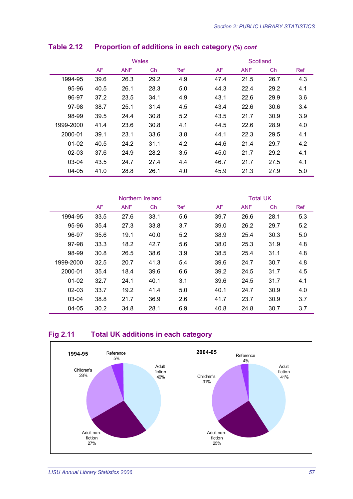|           |      | <b>Wales</b> |      |     | Scotland |            |      |     |  |
|-----------|------|--------------|------|-----|----------|------------|------|-----|--|
|           | AF   | <b>ANF</b>   | Ch   | Ref | AF       | <b>ANF</b> | Ch   | Ref |  |
| 1994-95   | 39.6 | 26.3         | 29.2 | 4.9 | 47.4     | 21.5       | 26.7 | 4.3 |  |
| 95-96     | 40.5 | 26.1         | 28.3 | 5.0 | 44.3     | 22.4       | 29.2 | 4.1 |  |
| 96-97     | 37.2 | 23.5         | 34.1 | 4.9 | 43.1     | 22.6       | 29.9 | 3.6 |  |
| 97-98     | 38.7 | 25.1         | 31.4 | 4.5 | 43.4     | 22.6       | 30.6 | 3.4 |  |
| 98-99     | 39.5 | 24.4         | 30.8 | 5.2 | 43.5     | 21.7       | 30.9 | 3.9 |  |
| 1999-2000 | 41.4 | 23.6         | 30.8 | 4.1 | 44.5     | 22.6       | 28.9 | 4.0 |  |
| 2000-01   | 39.1 | 23.1         | 33.6 | 3.8 | 44.1     | 22.3       | 29.5 | 4.1 |  |
| $01 - 02$ | 40.5 | 24.2         | 31.1 | 4.2 | 44.6     | 21.4       | 29.7 | 4.2 |  |
| $02 - 03$ | 37.6 | 24.9         | 28.2 | 3.5 | 45.0     | 21.7       | 29.2 | 4.1 |  |
| 03-04     | 43.5 | 24.7         | 27.4 | 4.4 | 46.7     | 21.7       | 27.5 | 4.1 |  |
| 04-05     | 41.0 | 28.8         | 26.1 | 4.0 | 45.9     | 21.3       | 27.9 | 5.0 |  |

## **Table 2.12 Proportion of additions in each category (%)** *cont*

|           |           | Northern Ireland |           |            | <b>Total UK</b> |            |      |            |  |
|-----------|-----------|------------------|-----------|------------|-----------------|------------|------|------------|--|
|           | <b>AF</b> | <b>ANF</b>       | <b>Ch</b> | <b>Ref</b> | AF              | <b>ANF</b> | Ch   | <b>Ref</b> |  |
| 1994-95   | 33.5      | 27.6             | 33.1      | 5.6        | 39.7            | 26.6       | 28.1 | 5.3        |  |
| 95-96     | 35.4      | 27.3             | 33.8      | 3.7        | 39.0            | 26.2       | 29.7 | 5.2        |  |
| 96-97     | 35.6      | 19.1             | 40.0      | 5.2        | 38.9            | 25.4       | 30.3 | 5.0        |  |
| 97-98     | 33.3      | 18.2             | 42.7      | 5.6        | 38.0            | 25.3       | 31.9 | 4.8        |  |
| 98-99     | 30.8      | 26.5             | 38.6      | 3.9        | 38.5            | 25.4       | 31.1 | 4.8        |  |
| 1999-2000 | 32.5      | 20.7             | 41.3      | 5.4        | 39.6            | 24.7       | 30.7 | 4.8        |  |
| 2000-01   | 35.4      | 18.4             | 39.6      | 6.6        | 39.2            | 24.5       | 31.7 | 4.5        |  |
| $01 - 02$ | 32.7      | 24.1             | 40.1      | 3.1        | 39.6            | 24.5       | 31.7 | 4.1        |  |
| $02 - 03$ | 33.7      | 19.2             | 41.4      | 5.0        | 40.1            | 24.7       | 30.9 | 4.0        |  |
| 03-04     | 38.8      | 21.7             | 36.9      | 2.6        | 41.7            | 23.7       | 30.9 | 3.7        |  |
| $04 - 05$ | 30.2      | 34.8             | 28.1      | 6.9        | 40.8            | 24.8       | 30.7 | 3.7        |  |

#### **Fig 2.11 Total UK additions in each category**

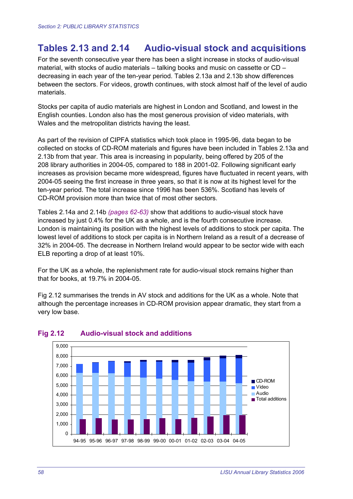# **Tables 2.13 and 2.14 Audio-visual stock and acquisitions**

For the seventh consecutive year there has been a slight increase in stocks of audio-visual material, with stocks of audio materials – talking books and music on cassette or CD – decreasing in each year of the ten-year period. Tables 2.13a and 2.13b show differences between the sectors. For videos, growth continues, with stock almost half of the level of audio materials.

Stocks per capita of audio materials are highest in London and Scotland, and lowest in the English counties. London also has the most generous provision of video materials, with Wales and the metropolitan districts having the least.

As part of the revision of CIPFA statistics which took place in 1995-96, data began to be collected on stocks of CD-ROM materials and figures have been included in Tables 2.13a and 2.13b from that year. This area is increasing in popularity, being offered by 205 of the 208 library authorities in 2004-05, compared to 188 in 2001-02. Following significant early increases as provision became more widespread, figures have fluctuated in recent years, with 2004-05 seeing the first increase in three years, so that it is now at its highest level for the ten-year period. The total increase since 1996 has been 536%. Scotland has levels of CD-ROM provision more than twice that of most other sectors.

Tables 2.14a and 2.14b *(pages 62-63)* show that additions to audio-visual stock have increased by just 0.4% for the UK as a whole, and is the fourth consecutive increase. London is maintaining its position with the highest levels of additions to stock per capita. The lowest level of additions to stock per capita is in Northern Ireland as a result of a decrease of 32% in 2004-05. The decrease in Northern Ireland would appear to be sector wide with each ELB reporting a drop of at least 10%.

For the UK as a whole, the replenishment rate for audio-visual stock remains higher than that for books, at 19.7% in 2004-05.

Fig 2.12 summarises the trends in AV stock and additions for the UK as a whole. Note that although the percentage increases in CD-ROM provision appear dramatic, they start from a very low base.



#### **Fig 2.12 Audio-visual stock and additions**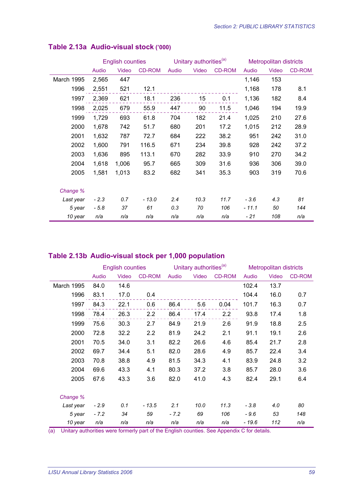|            |        | <b>English counties</b> |               |       | Unitary authorities <sup>(a)</sup> |               |        | <b>Metropolitan districts</b> |               |  |
|------------|--------|-------------------------|---------------|-------|------------------------------------|---------------|--------|-------------------------------|---------------|--|
|            | Audio  | Video                   | <b>CD-ROM</b> | Audio | Video                              | <b>CD-ROM</b> | Audio  | Video                         | <b>CD-ROM</b> |  |
| March 1995 | 2,565  | 447                     |               |       |                                    |               | 1,146  | 153                           |               |  |
| 1996       | 2,551  | 521                     | 12.1          |       |                                    |               | 1,168  | 178                           | 8.1           |  |
| 1997       | 2,369  | 621                     | 18.1          | 236   | 15                                 | 0.1           | 1,136  | 182                           | 8.4           |  |
| 1998       | 2,025  | 679                     | 55.9          | 447   | 90                                 | 11.5          | 1,046  | 194                           | 19.9          |  |
| 1999       | 1,729  | 693                     | 61.8          | 704   | 182                                | 21.4          | 1,025  | 210                           | 27.6          |  |
| 2000       | 1,678  | 742                     | 51.7          | 680   | 201                                | 17.2          | 1,015  | 212                           | 28.9          |  |
| 2001       | 1,632  | 787                     | 72.7          | 684   | 222                                | 38.2          | 951    | 242                           | 31.0          |  |
| 2002       | 1,600  | 791                     | 116.5         | 671   | 234                                | 39.8          | 928    | 242                           | 37.2          |  |
| 2003       | 1,636  | 895                     | 113.1         | 670   | 282                                | 33.9          | 910    | 270                           | 34.2          |  |
| 2004       | 1,618  | 1,006                   | 95.7          | 665   | 309                                | 31.6          | 936    | 306                           | 39.0          |  |
| 2005       | 1,581  | 1,013                   | 83.2          | 682   | 341                                | 35.3          | 903    | 319                           | 70.6          |  |
|            |        |                         |               |       |                                    |               |        |                               |               |  |
| Change %   |        |                         |               |       |                                    |               |        |                               |               |  |
| Last year  | $-2.3$ | 0.7                     | $-13.0$       | 2.4   | 10.3                               | 11.7          | $-3.6$ | 4.3                           | 81            |  |
| 5 year     | $-5.8$ | 37                      | 61            | 0.3   | 70                                 | 106           | - 11.1 | 50                            | 144           |  |
| 10 year    | n/a    | n/a                     | n/a           | n/a   | n/a                                | n/a           | - 21   | 108                           | n/a           |  |

#### **Table 2.13a Audio-visual stock ('000)**

#### **Table 2.13b Audio-visual stock per 1,000 population**

|                   |        | <b>English counties</b> |               | Unitary authorities <sup>(a)</sup> |       |               | <b>Metropolitan districts</b> |       |        |
|-------------------|--------|-------------------------|---------------|------------------------------------|-------|---------------|-------------------------------|-------|--------|
|                   | Audio  | Video                   | <b>CD-ROM</b> | Audio                              | Video | <b>CD-ROM</b> | Audio                         | Video | CD-ROM |
| <b>March 1995</b> | 84.0   | 14.6                    |               |                                    |       |               | 102.4                         | 13.7  |        |
| 1996              | 83.1   | 17.0                    | 0.4           |                                    |       |               | 104.4                         | 16.0  | 0.7    |
| 1997              | 84.3   | 22.1                    | 0.6           | 86.4                               | 5.6   | 0.04          | 101.7                         | 16.3  | 0.7    |
| 1998              | 78.4   | 26.3                    | 2.2           | 86.4                               | 17.4  | 2.2           | 93.8                          | 17.4  | 1.8    |
| 1999              | 75.6   | 30.3                    | 2.7           | 84.9                               | 21.9  | 2.6           | 91.9                          | 18.8  | 2.5    |
| 2000              | 72.8   | 32.2                    | 2.2           | 81.9                               | 24.2  | 2.1           | 91.1                          | 19.1  | 2.6    |
| 2001              | 70.5   | 34.0                    | 3.1           | 82.2                               | 26.6  | 4.6           | 85.4                          | 21.7  | 2.8    |
| 2002              | 69.7   | 34.4                    | 5.1           | 82.0                               | 28.6  | 4.9           | 85.7                          | 22.4  | 3.4    |
| 2003              | 70.8   | 38.8                    | 4.9           | 81.5                               | 34.3  | 4.1           | 83.9                          | 24.8  | 3.2    |
| 2004              | 69.6   | 43.3                    | 4.1           | 80.3                               | 37.2  | 3.8           | 85.7                          | 28.0  | 3.6    |
| 2005              | 67.6   | 43.3                    | 3.6           | 82.0                               | 41.0  | 4.3           | 82.4                          | 29.1  | 6.4    |
| Change %          |        |                         |               |                                    |       |               |                               |       |        |
| Last year         | $-2.9$ | 0.1                     | $-13.5$       | 2.1                                | 10.0  | 11.3          | $-3.8$                        | 4.0   | 80     |
| 5 year            | $-7.2$ | 34                      | 59            | $-7.2$                             | 69    | 106           | - 9.6                         | 53    | 148    |
| 10 year           | n/a    | n/a                     | n/a           | n/a                                | n/a   | n/a           | $-19.6$                       | 112   | n/a    |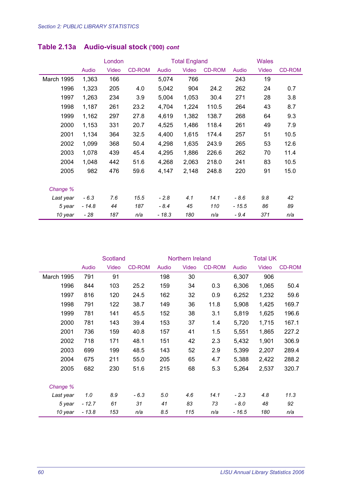|            | London  |       |               |        | <b>Total England</b> |               | <b>Wales</b> |       |        |
|------------|---------|-------|---------------|--------|----------------------|---------------|--------------|-------|--------|
|            | Audio   | Video | <b>CD-ROM</b> | Audio  | Video                | <b>CD-ROM</b> | Audio        | Video | CD-ROM |
| March 1995 | 1,363   | 166   |               | 5,074  | 766                  |               | 243          | 19    |        |
| 1996       | 1,323   | 205   | 4.0           | 5,042  | 904                  | 24.2          | 262          | 24    | 0.7    |
| 1997       | 1,263   | 234   | 3.9           | 5,004  | 1,053                | 30.4          | 271          | 28    | 3.8    |
| 1998       | 1,187   | 261   | 23.2          | 4,704  | 1,224                | 110.5         | 264          | 43    | 8.7    |
| 1999       | 1,162   | 297   | 27.8          | 4,619  | 1,382                | 138.7         | 268          | 64    | 9.3    |
| 2000       | 1,153   | 331   | 20.7          | 4,525  | 1,486                | 118.4         | 261          | 49    | 7.9    |
| 2001       | 1,134   | 364   | 32.5          | 4,400  | 1,615                | 174.4         | 257          | 51    | 10.5   |
| 2002       | 1,099   | 368   | 50.4          | 4,298  | 1,635                | 243.9         | 265          | 53    | 12.6   |
| 2003       | 1,078   | 439   | 45.4          | 4,295  | 1,886                | 226.6         | 262          | 70    | 11.4   |
| 2004       | 1,048   | 442   | 51.6          | 4,268  | 2,063                | 218.0         | 241          | 83    | 10.5   |
| 2005       | 982     | 476   | 59.6          | 4,147  | 2,148                | 248.8         | 220          | 91    | 15.0   |
| Change %   |         |       |               |        |                      |               |              |       |        |
| Last year  | $-6.3$  | 7.6   | 15.5          | $-2.8$ | 4.1                  | 14.1          | $-8.6$       | 9.8   | 42     |
| 5 year     | $-14.8$ | 44    | 187           | $-8.4$ | 45                   | 110           | $-15.5$      | 86    | 89     |
| 10 year    | - 28    | 187   | n/a           | - 18.3 | 180                  | n/a           | $-9.4$       | 371   | n/a    |

## **Table 2.13a Audio-visual stock ('000)** *cont*

|            | <b>Scotland</b> |       | Northern Ireland |       |       | <b>Total UK</b> |        |       |               |
|------------|-----------------|-------|------------------|-------|-------|-----------------|--------|-------|---------------|
|            | Audio           | Video | <b>CD-ROM</b>    | Audio | Video | <b>CD-ROM</b>   | Audio  | Video | <b>CD-ROM</b> |
| March 1995 | 791             | 91    |                  | 198   | 30    |                 | 6,307  | 906   |               |
| 1996       | 844             | 103   | 25.2             | 159   | 34    | 0.3             | 6,306  | 1,065 | 50.4          |
| 1997       | 816             | 120   | 24.5             | 162   | 32    | 0.9             | 6,252  | 1,232 | 59.6          |
| 1998       | 791             | 122   | 38.7             | 149   | 36    | 11.8            | 5,908  | 1,425 | 169.7         |
| 1999       | 781             | 141   | 45.5             | 152   | 38    | 3.1             | 5,819  | 1,625 | 196.6         |
| 2000       | 781             | 143   | 39.4             | 153   | 37    | 1.4             | 5,720  | 1,715 | 167.1         |
| 2001       | 736             | 159   | 40.8             | 157   | 41    | 1.5             | 5,551  | 1,865 | 227.2         |
| 2002       | 718             | 171   | 48.1             | 151   | 42    | 2.3             | 5,432  | 1,901 | 306.9         |
| 2003       | 699             | 199   | 48.5             | 143   | 52    | 2.9             | 5,399  | 2,207 | 289.4         |
| 2004       | 675             | 211   | 55.0             | 205   | 65    | 4.7             | 5,388  | 2,422 | 288.2         |
| 2005       | 682             | 230   | 51.6             | 215   | 68    | 5.3             | 5,264  | 2,537 | 320.7         |
|            |                 |       |                  |       |       |                 |        |       |               |
| Change %   |                 |       |                  |       |       |                 |        |       |               |
| Last year  | 1.0             | 8.9   | - 6.3            | 5.0   | 4.6   | 14.1            | $-2.3$ | 4.8   | 11.3          |
| 5 year     | - 12.7          | 61    | 31               | 41    | 83    | 73              | - 8.0  | 48    | 92            |
| 10 year    | $-13.8$         | 153   | n/a              | 8.5   | 115   | n/a             | - 16.5 | 180   | n/a           |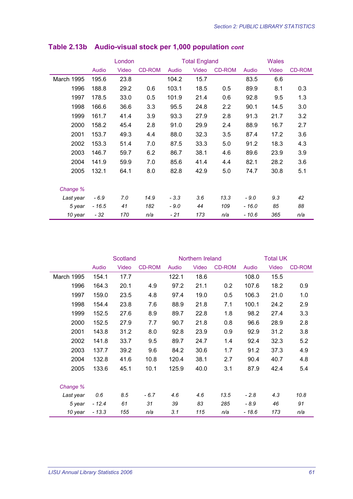|            | London  |       |               | <b>Total England</b> |       |               | <b>Wales</b> |       |               |
|------------|---------|-------|---------------|----------------------|-------|---------------|--------------|-------|---------------|
|            | Audio   | Video | <b>CD-ROM</b> | Audio                | Video | <b>CD-ROM</b> | Audio        | Video | <b>CD-ROM</b> |
| March 1995 | 195.6   | 23.8  |               | 104.2                | 15.7  |               | 83.5         | 6.6   |               |
| 1996       | 188.8   | 29.2  | 0.6           | 103.1                | 18.5  | 0.5           | 89.9         | 8.1   | 0.3           |
| 1997       | 178.5   | 33.0  | 0.5           | 101.9                | 21.4  | 0.6           | 92.8         | 9.5   | 1.3           |
| 1998       | 166.6   | 36.6  | 3.3           | 95.5                 | 24.8  | $2.2\,$       | 90.1         | 14.5  | 3.0           |
| 1999       | 161.7   | 41.4  | 3.9           | 93.3                 | 27.9  | 2.8           | 91.3         | 21.7  | 3.2           |
| 2000       | 158.2   | 45.4  | 2.8           | 91.0                 | 29.9  | 2.4           | 88.9         | 16.7  | 2.7           |
| 2001       | 153.7   | 49.3  | 4.4           | 88.0                 | 32.3  | 3.5           | 87.4         | 17.2  | 3.6           |
| 2002       | 153.3   | 51.4  | 7.0           | 87.5                 | 33.3  | 5.0           | 91.2         | 18.3  | 4.3           |
| 2003       | 146.7   | 59.7  | 6.2           | 86.7                 | 38.1  | 4.6           | 89.6         | 23.9  | 3.9           |
| 2004       | 141.9   | 59.9  | 7.0           | 85.6                 | 41.4  | 4.4           | 82.1         | 28.2  | 3.6           |
| 2005       | 132.1   | 64.1  | 8.0           | 82.8                 | 42.9  | 5.0           | 74.7         | 30.8  | 5.1           |
| Change %   |         |       |               |                      |       |               |              |       |               |
| Last year  | $-6.9$  | 7.0   | 14.9          | $-3.3$               | 3.6   | 13.3          | $-9.0$       | 9.3   | 42            |
| 5 year     | $-16.5$ | 41    | 182           | - 9.0                | 44    | 109           | $-16.0$      | 85    | 88            |
| 10 year    | $-32$   | 170   | n/a           | - 21                 | 173   | n/a           | $-10.6$      | 365   | n/a           |

## **Table 2.13b Audio-visual stock per 1,000 population** *cont*

|                   | Scotland |       | Northern Ireland |       |       | <b>Total UK</b> |         |       |               |
|-------------------|----------|-------|------------------|-------|-------|-----------------|---------|-------|---------------|
|                   | Audio    | Video | <b>CD-ROM</b>    | Audio | Video | <b>CD-ROM</b>   | Audio   | Video | <b>CD-ROM</b> |
| <b>March 1995</b> | 154.1    | 17.7  |                  | 122.1 | 18.6  |                 | 108.0   | 15.5  |               |
| 1996              | 164.3    | 20.1  | 4.9              | 97.2  | 21.1  | 0.2             | 107.6   | 18.2  | 0.9           |
| 1997              | 159.0    | 23.5  | 4.8              | 97.4  | 19.0  | 0.5             | 106.3   | 21.0  | 1.0           |
| 1998              | 154.4    | 23.8  | 7.6              | 88.9  | 21.8  | 7.1             | 100.1   | 24.2  | 2.9           |
| 1999              | 152.5    | 27.6  | 8.9              | 89.7  | 22.8  | 1.8             | 98.2    | 27.4  | 3.3           |
| 2000              | 152.5    | 27.9  | 7.7              | 90.7  | 21.8  | 0.8             | 96.6    | 28.9  | 2.8           |
| 2001              | 143.8    | 31.2  | 8.0              | 92.8  | 23.9  | 0.9             | 92.9    | 31.2  | 3.8           |
| 2002              | 141.8    | 33.7  | 9.5              | 89.7  | 24.7  | 1.4             | 92.4    | 32.3  | 5.2           |
| 2003              | 137.7    | 39.2  | 9.6              | 84.2  | 30.6  | 1.7             | 91.2    | 37.3  | 4.9           |
| 2004              | 132.8    | 41.6  | 10.8             | 120.4 | 38.1  | 2.7             | 90.4    | 40.7  | 4.8           |
| 2005              | 133.6    | 45.1  | 10.1             | 125.9 | 40.0  | 3.1             | 87.9    | 42.4  | 5.4           |
| Change %          |          |       |                  |       |       |                 |         |       |               |
| Last year         | 0.6      | 8.5   | $-6.7$           | 4.6   | 4.6   | 13.5            | $-2.8$  | 4.3   | 10.8          |
| 5 year            | $-12.4$  | 61    | 31               | 39    | 83    | 285             | - 8.9   | 46    | 91            |
| 10 year           | $-13.3$  | 155   | n/a              | 3.1   | 115   | n/a             | $-18.6$ | 173   | n/a           |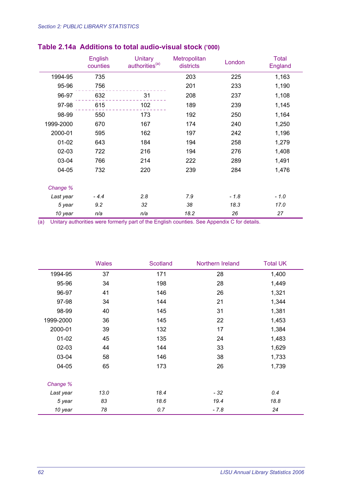|           | English<br>counties | <b>Unitary</b><br>authorities <sup>(a)</sup> | Metropolitan<br>districts | London | <b>Total</b><br>England |
|-----------|---------------------|----------------------------------------------|---------------------------|--------|-------------------------|
| 1994-95   | 735                 |                                              | 203                       | 225    | 1,163                   |
| 95-96     | 756                 |                                              | 201                       | 233    | 1,190                   |
| 96-97     | 632                 | 31                                           | 208                       | 237    | 1,108                   |
| 97-98     | 615                 | 102                                          | 189                       | 239    | 1,145                   |
| 98-99     | 550                 | 173                                          | 192                       | 250    | 1,164                   |
| 1999-2000 | 670                 | 167                                          | 174                       | 240    | 1,250                   |
| 2000-01   | 595                 | 162                                          | 197                       | 242    | 1,196                   |
| $01 - 02$ | 643                 | 184                                          | 194                       | 258    | 1,279                   |
| 02-03     | 722                 | 216                                          | 194                       | 276    | 1,408                   |
| 03-04     | 766                 | 214                                          | 222                       | 289    | 1,491                   |
| 04-05     | 732                 | 220                                          | 239                       | 284    | 1,476                   |
| Change %  |                     |                                              |                           |        |                         |
| Last year | $-4.4$              | 2.8                                          | 7.9                       | $-1.8$ | $-1.0$                  |
| 5 year    | 9.2                 | 32                                           | 38                        | 18.3   | 17.0                    |
| 10 year   | n/a                 | n/a                                          | 18.2                      | 26     | 27                      |

## **Table 2.14a Additions to total audio-visual stock ('000)**

|           | <b>Wales</b> | Scotland | Northern Ireland | <b>Total UK</b> |
|-----------|--------------|----------|------------------|-----------------|
| 1994-95   | 37           | 171      | 28               | 1,400           |
| 95-96     | 34           | 198      | 28               | 1,449           |
| 96-97     | 41           | 146      | 26               | 1,321           |
| 97-98     | 34           | 144      | 21               | 1,344           |
| 98-99     | 40           | 145      | 31               | 1,381           |
| 1999-2000 | 36           | 145      | 22               | 1,453           |
| 2000-01   | 39           | 132      | 17               | 1,384           |
| $01 - 02$ | 45           | 135      | 24               | 1,483           |
| $02 - 03$ | 44           | 144      | 33               | 1,629           |
| 03-04     | 58           | 146      | 38               | 1,733           |
| 04-05     | 65           | 173      | 26               | 1,739           |
| Change %  |              |          |                  |                 |
| Last year | 13.0         | 18.4     | - 32             | 0.4             |
| 5 year    | 83           | 18.6     | 19.4             | 18.8            |
| 10 year   | 78           | 0.7      | $-7.8$           | 24              |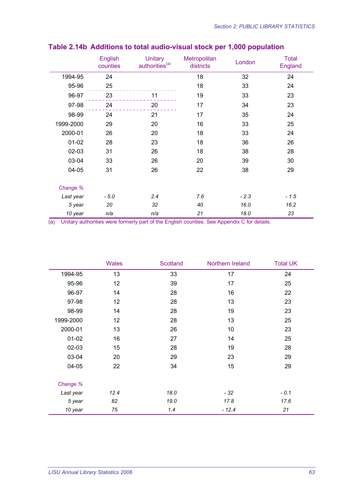|           | English<br>counties | <b>Unitary</b><br>authorities <sup>(a)</sup> | <b>Metropolitan</b><br>districts | London | <b>Total</b><br>England |
|-----------|---------------------|----------------------------------------------|----------------------------------|--------|-------------------------|
| 1994-95   | 24                  |                                              | 18                               | 32     | 24                      |
| 95-96     | 25                  |                                              | 18                               | 33     | 24                      |
| 96-97     | 23                  | 11                                           | 19                               | 33     | 23                      |
| 97-98     | 24                  | 20                                           | 17                               | 34     | 23                      |
| 98-99     | 24                  | 21                                           | 17                               | 35     | 24                      |
| 1999-2000 | 29                  | 20                                           | 16                               | 33     | 25                      |
| 2000-01   | 26                  | 20                                           | 18                               | 33     | 24                      |
| $01-02$   | 28                  | 23                                           | 18                               | 36     | 26                      |
| $02-03$   | 31                  | 26                                           | 18                               | 38     | 28                      |
| 03-04     | 33                  | 26                                           | 20                               | 39     | 30                      |
| 04-05     | 31                  | 26                                           | 22                               | 38     | 29                      |
| Change %  |                     |                                              |                                  |        |                         |
| Last year | $-5.0$              | 2.4                                          | 7.6                              | $-2.3$ | $-1.5$                  |
| 5 year    | 20                  | 32                                           | 40                               | 16.0   | 16.2                    |
| 10 year   | n/a                 | n/a                                          | 21                               | 18.0   | 23                      |

### **Table 2.14b Additions to total audio-visual stock per 1,000 population**

|           | <b>Wales</b> | Scotland | Northern Ireland | <b>Total UK</b> |
|-----------|--------------|----------|------------------|-----------------|
| 1994-95   | 13           | 33       | 17               | 24              |
| 95-96     | 12           | 39       | 17               | 25              |
| 96-97     | 14           | 28       | 16               | 22              |
| 97-98     | 12           | 28       | 13               | 23              |
| 98-99     | 14           | 28       | 19               | 23              |
| 1999-2000 | 12           | 28       | 13               | 25              |
| 2000-01   | 13           | 26       | 10               | 23              |
| $01 - 02$ | 16           | 27       | 14               | 25              |
| $02 - 03$ | 15           | 28       | 19               | 28              |
| 03-04     | 20           | 29       | 23               | 29              |
| 04-05     | 22           | 34       | 15               | 29              |
| Change %  |              |          |                  |                 |
| Last year | 12.4         | 18.0     | - 32             | $-0.1$          |
| 5 year    | 82           | 19.0     | 17.8             | 17.6            |
| 10 year   | 75           | 1.4      | $-12.4$          | 21              |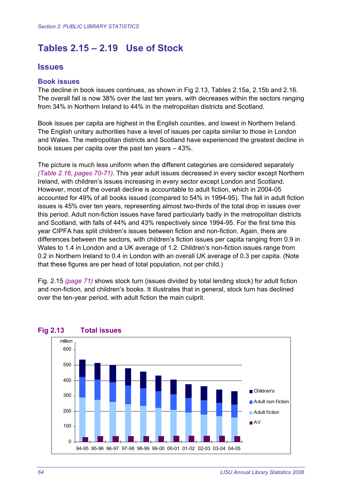# **Tables 2.15 – 2.19 Use of Stock**

#### **Issues**

#### **Book issues**

The decline in book issues continues, as shown in Fig 2.13, Tables 2.15a, 2.15b and 2.16. The overall fall is now 38% over the last ten years, with decreases within the sectors ranging from 34% in Northern Ireland to 44% in the metropolitan districts and Scotland.

Book issues per capita are highest in the English counties, and lowest in Northern Ireland. The English unitary authorities have a level of issues per capita similar to those in London and Wales. The metropolitan districts and Scotland have experienced the greatest decline in book issues per capita over the past ten years – 43%.

The picture is much less uniform when the different categories are considered separately *(Table 2.16, pages 70-71)*. This year adult issues decreased in every sector except Northern Ireland, with children's issues increasing in every sector except London and Scotland. However, most of the overall decline is accountable to adult fiction, which in 2004-05 accounted for 49% of all books issued (compared to 54% in 1994-95). The fall in adult fiction issues is 45% over ten years, representing almost two-thirds of the total drop in issues over this period. Adult non-fiction issues have fared particularly badly in the metropolitan districts and Scotland, with falls of 44% and 43% respectively since 1994-95. For the first time this year CIPFA has split children's issues between fiction and non-fiction. Again, there are differences between the sectors, with children's fiction issues per capita ranging from 0.9 in Wales to 1.4 in London and a UK average of 1.2. Children's non-fiction issues range from 0.2 in Northern Ireland to 0.4 in London with an overall UK average of 0.3 per capita. (Note that these figures are per head of total population, not per child.)

Fig. 2.15 *(page 71)* shows stock turn (issues divided by total lending stock) for adult fiction and non-fiction, and children's books. It illustrates that in general, stock turn has declined over the ten-year period, with adult fiction the main culprit.



#### **Fig 2.13 Total issues**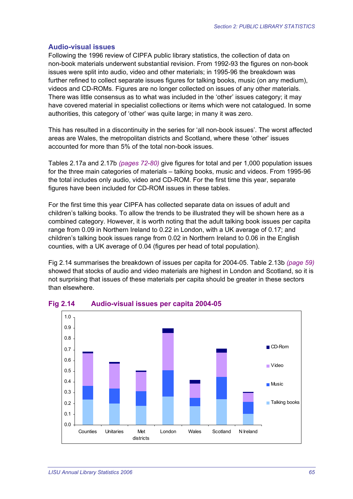#### **Audio-visual issues**

Following the 1996 review of CIPFA public library statistics, the collection of data on non-book materials underwent substantial revision. From 1992-93 the figures on non-book issues were split into audio, video and other materials; in 1995-96 the breakdown was further refined to collect separate issues figures for talking books, music (on any medium), videos and CD-ROMs. Figures are no longer collected on issues of any other materials. There was little consensus as to what was included in the 'other' issues category; it may have covered material in specialist collections or items which were not catalogued. In some authorities, this category of 'other' was quite large; in many it was zero.

This has resulted in a discontinuity in the series for 'all non-book issues'. The worst affected areas are Wales, the metropolitan districts and Scotland, where these 'other' issues accounted for more than 5% of the total non-book issues.

Tables 2.17a and 2.17b *(pages 72-80)* give figures for total and per 1,000 population issues for the three main categories of materials – talking books, music and videos. From 1995-96 the total includes only audio, video and CD-ROM. For the first time this year, separate figures have been included for CD-ROM issues in these tables.

For the first time this year CIPFA has collected separate data on issues of adult and children's talking books. To allow the trends to be illustrated they will be shown here as a combined category. However, it is worth noting that the adult talking book issues per capita range from 0.09 in Northern Ireland to 0.22 in London, with a UK average of 0.17; and children's talking book issues range from 0.02 in Northern Ireland to 0.06 in the English counties, with a UK average of 0.04 (figures per head of total population).

Fig 2.14 summarises the breakdown of issues per capita for 2004-05. Table 2.13b *(page 59)* showed that stocks of audio and video materials are highest in London and Scotland, so it is not surprising that issues of these materials per capita should be greater in these sectors than elsewhere.



#### **Fig 2.14 Audio-visual issues per capita 2004-05**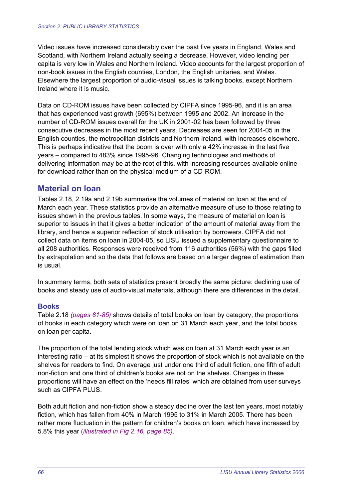Video issues have increased considerably over the past five years in England, Wales and Scotland, with Northern Ireland actually seeing a decrease. However, video lending per capita is very low in Wales and Northern Ireland. Video accounts for the largest proportion of non-book issues in the English counties, London, the English unitaries, and Wales. Elsewhere the largest proportion of audio-visual issues is talking books, except Northern Ireland where it is music.

Data on CD-ROM issues have been collected by CIPFA since 1995-96, and it is an area that has experienced vast growth (695%) between 1995 and 2002. An increase in the number of CD-ROM issues overall for the UK in 2001-02 has been followed by three consecutive decreases in the most recent years. Decreases are seen for 2004-05 in the English counties, the metropolitan districts and Northern Ireland, with increases elsewhere. This is perhaps indicative that the boom is over with only a 42% increase in the last five years – compared to 483% since 1995-96. Changing technologies and methods of delivering information may be at the root of this, with increasing resources available online for download rather than on the physical medium of a CD-ROM.

#### **Material on loan**

Tables 2.18, 2.19a and 2.19b summarise the volumes of material on loan at the end of March each year. These statistics provide an alternative measure of use to those relating to issues shown in the previous tables. In some ways, the measure of material on loan is superior to issues in that it gives a better indication of the amount of material away from the library, and hence a superior reflection of stock utilisation by borrowers. CIPFA did not collect data on items on loan in 2004-05, so LISU issued a supplementary questionnaire to all 208 authorities. Responses were received from 116 authorities (56%) with the gaps filled by extrapolation and so the data that follows are based on a larger degree of estimation than is usual.

In summary terms, both sets of statistics present broadly the same picture: declining use of books and steady use of audio-visual materials, although there are differences in the detail.

#### **Books**

Table 2.18 *(pages 81-85)* shows details of total books on loan by category, the proportions of books in each category which were on loan on 31 March each year, and the total books on loan per capita.

The proportion of the total lending stock which was on loan at 31 March each year is an interesting ratio – at its simplest it shows the proportion of stock which is not available on the shelves for readers to find. On average just under one third of adult fiction, one fifth of adult non-fiction and one third of children's books are not on the shelves. Changes in these proportions will have an effect on the 'needs fill rates' which are obtained from user surveys such as CIPFA PLUS.

Both adult fiction and non-fiction show a steady decline over the last ten years, most notably fiction, which has fallen from 40% in March 1995 to 31% in March 2005. There has been rather more fluctuation in the pattern for children's books on loan, which have increased by 5.8% this year (*illustrated in Fig 2.16, page 85).*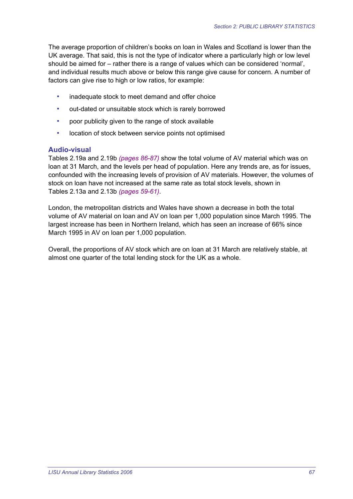The average proportion of children's books on loan in Wales and Scotland is lower than the UK average. That said, this is not the type of indicator where a particularly high or low level should be aimed for – rather there is a range of values which can be considered 'normal', and individual results much above or below this range give cause for concern. A number of factors can give rise to high or low ratios, for example:

- inadequate stock to meet demand and offer choice
- out-dated or unsuitable stock which is rarely borrowed
- poor publicity given to the range of stock available
- location of stock between service points not optimised

#### **Audio-visual**

Tables 2.19a and 2.19b *(pages 86-87)* show the total volume of AV material which was on loan at 31 March, and the levels per head of population. Here any trends are, as for issues, confounded with the increasing levels of provision of AV materials. However, the volumes of stock on loan have not increased at the same rate as total stock levels, shown in Tables 2.13a and 2.13b *(pages 59-61)*.

London, the metropolitan districts and Wales have shown a decrease in both the total volume of AV material on loan and AV on loan per 1,000 population since March 1995. The largest increase has been in Northern Ireland, which has seen an increase of 66% since March 1995 in AV on loan per 1,000 population.

Overall, the proportions of AV stock which are on loan at 31 March are relatively stable, at almost one quarter of the total lending stock for the UK as a whole.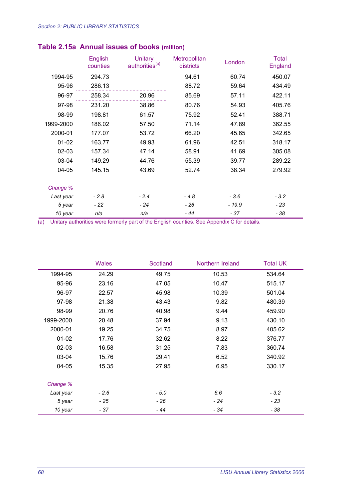|           | English<br>counties | <b>Unitary</b><br>authorities <sup>(a)</sup> | <b>Metropolitan</b><br>districts | London  | <b>Total</b><br>England |
|-----------|---------------------|----------------------------------------------|----------------------------------|---------|-------------------------|
| 1994-95   | 294.73              |                                              | 94.61                            | 60.74   | 450.07                  |
| 95-96     | 286.13              |                                              | 88.72                            | 59.64   | 434.49                  |
| 96-97     | 258.34              | 20.96                                        | 85.69                            | 57.11   | 422.11                  |
| 97-98     | 231.20              | 38.86                                        | 80.76                            | 54.93   | 405.76                  |
| 98-99     | 198.81              | 61.57                                        | 75.92                            | 52.41   | 388.71                  |
| 1999-2000 | 186.02              | 57.50                                        | 71.14                            | 47.89   | 362.55                  |
| 2000-01   | 177.07              | 53.72                                        | 66.20                            | 45.65   | 342.65                  |
| $01 - 02$ | 163.77              | 49.93                                        | 61.96                            | 42.51   | 318.17                  |
| 02-03     | 157.34              | 47.14                                        | 58.91                            | 41.69   | 305.08                  |
| 03-04     | 149.29              | 44.76                                        | 55.39                            | 39.77   | 289.22                  |
| 04-05     | 145.15              | 43.69                                        | 52.74                            | 38.34   | 279.92                  |
| Change %  |                     |                                              |                                  |         |                         |
| Last year | $-2.8$              | $-2.4$                                       | $-4.8$                           | $-3.6$  | $-3.2$                  |
| 5 year    | - 22                | - 24                                         | - 26                             | $-19.9$ | $-23$                   |
| 10 year   | n/a                 | n/a                                          | - 44                             | - 37    | - 38                    |

### **Table 2.15a Annual issues of books (million)**

|           | <b>Wales</b> | Scotland | Northern Ireland | <b>Total UK</b> |
|-----------|--------------|----------|------------------|-----------------|
| 1994-95   | 24.29        | 49.75    | 10.53            | 534.64          |
| 95-96     | 23.16        | 47.05    | 10.47            | 515.17          |
| 96-97     | 22.57        | 45.98    | 10.39            | 501.04          |
| 97-98     | 21.38        | 43.43    | 9.82             | 480.39          |
| 98-99     | 20.76        | 40.98    | 9.44             | 459.90          |
| 1999-2000 | 20.48        | 37.94    | 9.13             | 430.10          |
| 2000-01   | 19.25        | 34.75    | 8.97             | 405.62          |
| $01 - 02$ | 17.76        | 32.62    | 8.22             | 376.77          |
| $02 - 03$ | 16.58        | 31.25    | 7.83             | 360.74          |
| 03-04     | 15.76        | 29.41    | 6.52             | 340.92          |
| $04 - 05$ | 15.35        | 27.95    | 6.95             | 330.17          |
| Change %  |              |          |                  |                 |
| Last year | $-2.6$       | $-5.0$   | 6.6              | $-3.2$          |
| 5 year    | - 25         | $-26$    | $-24$            | - 23            |
| 10 year   | - 37         | - 44     | $-34$            | - 38            |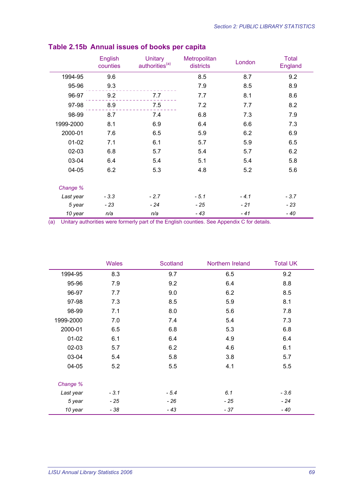|           | English<br>counties | <b>Unitary</b><br>authorities <sup>(a)</sup> | <b>Metropolitan</b><br>districts | London | <b>Total</b><br>England |
|-----------|---------------------|----------------------------------------------|----------------------------------|--------|-------------------------|
| 1994-95   | 9.6                 |                                              | 8.5                              | 8.7    | 9.2                     |
| 95-96     | 9.3                 |                                              | 7.9                              | 8.5    | 8.9                     |
| 96-97     | 9.2                 | 7.7                                          | 7.7                              | 8.1    | 8.6                     |
| 97-98     | 8.9                 | 7.5                                          | 7.2                              | 7.7    | 8.2                     |
| 98-99     | 8.7                 | 7.4                                          | 6.8                              | 7.3    | 7.9                     |
| 1999-2000 | 8.1                 | 6.9                                          | 6.4                              | 6.6    | 7.3                     |
| 2000-01   | 7.6                 | 6.5                                          | 5.9                              | 6.2    | 6.9                     |
| $01 - 02$ | 7.1                 | 6.1                                          | 5.7                              | 5.9    | 6.5                     |
| $02 - 03$ | 6.8                 | 5.7                                          | 5.4                              | 5.7    | 6.2                     |
| 03-04     | 6.4                 | 5.4                                          | 5.1                              | 5.4    | 5.8                     |
| 04-05     | 6.2                 | 5.3                                          | 4.8                              | 5.2    | 5.6                     |
| Change %  |                     |                                              |                                  |        |                         |
| Last year | $-3.3$              | $-2.7$                                       | $-5.1$                           | $-4.1$ | $-3.7$                  |
| 5 year    | $-23$               | $-24$                                        | $-25$                            | $-21$  | $-23$                   |
| 10 year   | n/a                 | n/a                                          | - 43                             | $-41$  | $-40$                   |

### **Table 2.15b Annual issues of books per capita**

|           | <b>Wales</b> | Scotland | Northern Ireland | <b>Total UK</b> |
|-----------|--------------|----------|------------------|-----------------|
| 1994-95   | 8.3          | 9.7      | 6.5              | 9.2             |
| 95-96     | 7.9          | 9.2      | 6.4              | 8.8             |
| 96-97     | 7.7          | 9.0      | 6.2              | 8.5             |
| 97-98     | 7.3          | 8.5      | 5.9              | 8.1             |
| 98-99     | 7.1          | 8.0      | 5.6              | 7.8             |
| 1999-2000 | 7.0          | 7.4      | 5.4              | 7.3             |
| 2000-01   | 6.5          | 6.8      | 5.3              | 6.8             |
| $01 - 02$ | 6.1          | 6.4      | 4.9              | 6.4             |
| $02 - 03$ | 5.7          | 6.2      | 4.6              | 6.1             |
| 03-04     | 5.4          | 5.8      | 3.8              | 5.7             |
| 04-05     | 5.2          | 5.5      | 4.1              | 5.5             |
| Change %  |              |          |                  |                 |
| Last year | $-3.1$       | $-5.4$   | 6.1              | $-3.6$          |
| 5 year    | - 25         | - 26     | $-25$            | $-24$           |
| 10 year   | $-38$        | $-43$    | $-37$            | - 40            |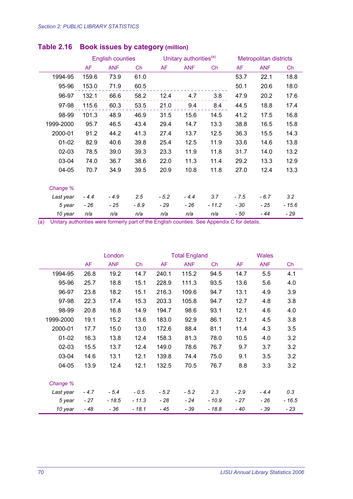|           |           | <b>English counties</b> |       | Unitary authorities <sup>(a)</sup> |            | <b>Metropolitan districts</b> |           |            |         |
|-----------|-----------|-------------------------|-------|------------------------------------|------------|-------------------------------|-----------|------------|---------|
|           | <b>AF</b> | <b>ANF</b>              | Ch    | AF                                 | <b>ANF</b> | Ch                            | <b>AF</b> | <b>ANF</b> | Ch      |
| 1994-95   | 159.6     | 73.9                    | 61.0  |                                    |            |                               | 53.7      | 22.1       | 18.8    |
| 95-96     | 153.0     | 71.9                    | 60.5  |                                    |            |                               | 50.1      | 20.6       | 18.0    |
| 96-97     | 132.1     | 66.6                    | 58.2  | 12.4                               | 4.7        | 3.8                           | 47.9      | 20.2       | 17.6    |
| 97-98     | 115.6     | 60.3                    | 53.5  | 21.0                               | 9.4        | 8.4                           | 44.5      | 18.8       | 17.4    |
| 98-99     | 101.3     | 48.9                    | 46.9  | 31.5                               | 15.6       | 14.5                          | 41.2      | 17.5       | 16.8    |
| 1999-2000 | 95.7      | 46.5                    | 43.4  | 29.4                               | 14.7       | 13.3                          | 38.8      | 16.5       | 15.8    |
| 2000-01   | 91.2      | 44.2                    | 41.3  | 27.4                               | 13.7       | 12.5                          | 36.3      | 15.5       | 14.3    |
| $01 - 02$ | 82.9      | 40.6                    | 39.8  | 25.4                               | 12.5       | 11.9                          | 33.6      | 14.6       | 13.8    |
| $02 - 03$ | 78.5      | 39.0                    | 39.3  | 23.3                               | 11.9       | 11.8                          | 31.7      | 14.0       | 13.2    |
| 03-04     | 74.0      | 36.7                    | 38.6  | 22.0                               | 11.3       | 11.4                          | 29.2      | 13.3       | 12.9    |
| 04-05     | 70.7      | 34.9                    | 39.5  | 20.9                               | 10.8       | 11.8                          | 27.0      | 12.4       | 13.3    |
| Change %  |           |                         |       |                                    |            |                               |           |            |         |
|           |           |                         |       |                                    |            |                               |           |            |         |
| Last year | $-4.4$    | $-4.9$                  | 2.5   | $-5.2$                             | $-4.4$     | 3.7                           | $-7.5$    | $-6.7$     | 3.2     |
| 5 year    | - 26      | - 25                    | - 8.9 | - 29                               | - 26       | $-11.2$                       | - 30      | - 25       | $-15.6$ |
| 10 year   | n/a       | n/a                     | n/a   | n/a                                | n/a        | n/a                           | - 50      | - 44       | - 29    |

### **Table 2.16 Book issues by category (million)**

|           |           | London<br><b>Total England</b> |         |        | <b>Wales</b> |         |        |            |         |
|-----------|-----------|--------------------------------|---------|--------|--------------|---------|--------|------------|---------|
|           | <b>AF</b> | <b>ANF</b>                     | Ch      | AF     | <b>ANF</b>   | Ch      | AF     | <b>ANF</b> | Ch      |
| 1994-95   | 26.8      | 19.2                           | 14.7    | 240.1  | 115.2        | 94.5    | 14.7   | 5.5        | 4.1     |
| 95-96     | 25.7      | 18.8                           | 15.1    | 228.9  | 111.3        | 93.5    | 13.6   | 5.6        | 4.0     |
| 96-97     | 23.8      | 18.2                           | 15.1    | 216.3  | 109.6        | 94.7    | 13.1   | 4.9        | 3.9     |
| 97-98     | 22.3      | 17.4                           | 15.3    | 203.3  | 105.8        | 94.7    | 12.7   | 4.8        | 3.8     |
| 98-99     | 20.8      | 16.8                           | 14.9    | 194.7  | 98.6         | 93.1    | 12.1   | 4.6        | 4.0     |
| 1999-2000 | 19.1      | 15.2                           | 13.6    | 183.0  | 92.9         | 86.1    | 12.1   | 4.5        | 3.8     |
| 2000-01   | 17.7      | 15.0                           | 13.0    | 172.6  | 88.4         | 81.1    | 11.4   | 4.3        | 3.5     |
| $01 - 02$ | 16.3      | 13.8                           | 12.4    | 158.3  | 81.3         | 78.0    | 10.5   | 4.0        | 3.2     |
| $02 - 03$ | 15.5      | 13.7                           | 12.4    | 149.0  | 78.6         | 76.7    | 9.7    | 3.7        | 3.2     |
| 03-04     | 14.6      | 13.1                           | 12.1    | 139.8  | 74.4         | 75.0    | 9.1    | 3.5        | 3.2     |
| 04-05     | 13.9      | 12.4                           | 12.1    | 132.5  | 70.5         | 76.7    | 8.8    | 3.3        | 3.2     |
|           |           |                                |         |        |              |         |        |            |         |
| Change %  |           |                                |         |        |              |         |        |            |         |
| Last year | $-4.7$    | $-5.4$                         | $-0.5$  | $-5.2$ | $-5.2$       | 2.3     | $-2.9$ | $-4.4$     | 0.3     |
| 5 year    | - 27      | $-18.5$                        | $-11.3$ | $-28$  | $-24$        | - 10.9  | $-27$  | - 26       | $-16.5$ |
| 10 year   | $-48$     | - 36                           | $-18.1$ | - 45   | - 39         | $-18.8$ | - 40   | - 39       | - 23    |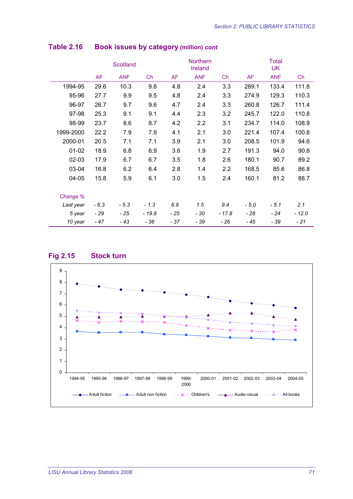|           |           | Scotland   |         | Northern<br>Ireland |            |        | <b>Total</b><br><b>UK</b> |            |         |
|-----------|-----------|------------|---------|---------------------|------------|--------|---------------------------|------------|---------|
|           | <b>AF</b> | <b>ANF</b> | Ch      | AF                  | <b>ANF</b> | Ch     | AF                        | <b>ANF</b> | Ch      |
| 1994-95   | 29.6      | 10.3       | 9.8     | 4.8                 | 2.4        | 3.3    | 289.1                     | 133.4      | 111.8   |
| 95-96     | 27.7      | 9.9        | 9.5     | 4.8                 | 2.4        | 3.3    | 274.9                     | 129.3      | 110.3   |
| 96-97     | 26.7      | 9.7        | 9.6     | 4.7                 | 2.4        | 3.3    | 260.8                     | 126.7      | 111.4   |
| 97-98     | 25.3      | 9.1        | 9.1     | 4.4                 | 2.3        | 3.2    | 245.7                     | 122.0      | 110.8   |
| 98-99     | 23.7      | 8.6        | 8.7     | 4.2                 | 2.2        | 3.1    | 234.7                     | 114.0      | 108.9   |
| 1999-2000 | 22.2      | 7.9        | 7.9     | 4.1                 | 2.1        | 3.0    | 221.4                     | 107.4      | 100.8   |
| 2000-01   | 20.5      | 7.1        | 7.1     | 3.9                 | 2.1        | 3.0    | 208.5                     | 101.9      | 94.6    |
| $01 - 02$ | 18.9      | 6.8        | 6.9     | 3.6                 | 1.9        | 2.7    | 191.3                     | 94.0       | 90.8    |
| 02-03     | 17.9      | 6.7        | 6.7     | 3.5                 | 1.8        | 2.6    | 180.1                     | 90.7       | 89.2    |
| 03-04     | 16.8      | 6.2        | 6.4     | 2.8                 | 1.4        | 2.2    | 168.5                     | 85.6       | 86.8    |
| 04-05     | 15.8      | 5.9        | 6.1     | 3.0                 | 1.5        | 2.4    | 160.1                     | 81.2       | 88.7    |
|           |           |            |         |                     |            |        |                           |            |         |
| Change %  |           |            |         |                     |            |        |                           |            |         |
| Last year | $-6.3$    | $-5.3$     | $-1.3$  | 6.9                 | 1.5        | 9.4    | - 5.0                     | $-5.1$     | 2.1     |
| 5 year    | $-29$     | - 25       | $-19.8$ | - 25                | - 30       | - 17.8 | - 28                      | - 24       | $-12.0$ |
| 10 year   | $-47$     | - 43       | - 36    | - 37                | - 39       | $-26$  | - 45                      | - 39       | - 21    |

#### **Table 2.16 Book issues by category (million)** *cont*



#### **Fig 2.15 Stock turn**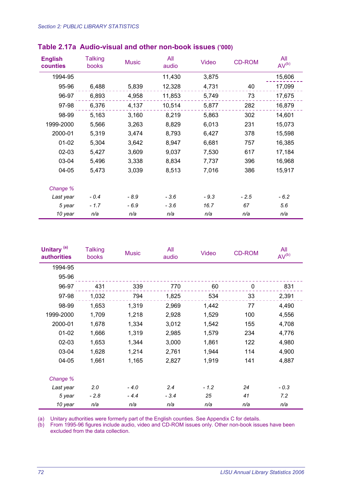#### *Section 2: PUBLIC LIBRARY STATISTICS*

| <b>English</b><br>counties | <b>Talking</b><br>books | <b>Music</b> | All<br>audio | Video  | <b>CD-ROM</b> | All<br>AV <sup>(b)</sup> |
|----------------------------|-------------------------|--------------|--------------|--------|---------------|--------------------------|
| 1994-95                    |                         |              | 11,430       | 3,875  |               | 15,606                   |
| 95-96                      | 6,488                   | 5,839        | 12,328       | 4,731  | 40            | 17,099                   |
| 96-97                      | 6,893                   | 4,958        | 11,853       | 5,749  | 73            | 17,675                   |
| 97-98                      | 6,376                   | 4,137        | 10,514       | 5,877  | 282           | 16,879                   |
| 98-99                      | 5,163                   | 3,160        | 8,219        | 5,863  | 302           | 14,601                   |
| 1999-2000                  | 5,566                   | 3,263        | 8,829        | 6,013  | 231           | 15,073                   |
| 2000-01                    | 5,319                   | 3,474        | 8,793        | 6,427  | 378           | 15,598                   |
| $01 - 02$                  | 5,304                   | 3,642        | 8,947        | 6,681  | 757           | 16,385                   |
| $02 - 03$                  | 5,427                   | 3,609        | 9,037        | 7,530  | 617           | 17,184                   |
| 03-04                      | 5,496                   | 3,338        | 8,834        | 7,737  | 396           | 16,968                   |
| 04-05                      | 5,473                   | 3,039        | 8,513        | 7,016  | 386           | 15,917                   |
| Change %                   |                         |              |              |        |               |                          |
| Last year                  | $-0.4$                  | - 8.9        | $-3.6$       | $-9.3$ | $-2.5$        | $-6.2$                   |
| 5 year                     | $-1.7$                  | $-6.9$       | $-3.6$       | 16.7   | 67            | 5.6                      |
| 10 year                    | n/a                     | n/a          | n/a          | n/a    | n/a           | n/a                      |

#### **Table 2.17a Audio-visual and other non-book issues ('000)**

| Unitary <sup>(a)</sup><br><b>authorities</b> | <b>Talking</b><br>books | <b>Music</b> | All<br>audio | Video  | <b>CD-ROM</b> | All<br>AV <sup>(b)</sup> |
|----------------------------------------------|-------------------------|--------------|--------------|--------|---------------|--------------------------|
| 1994-95                                      |                         |              |              |        |               |                          |
| 95-96                                        |                         |              |              |        |               |                          |
| 96-97                                        | 431                     | 339          | 770          | 60     | 0             | 831                      |
| 97-98                                        | 1,032                   | 794          | 1,825        | 534    | 33            | 2,391                    |
| 98-99                                        | 1,653                   | 1,319        | 2,969        | 1,442  | 77            | 4,490                    |
| 1999-2000                                    | 1,709                   | 1,218        | 2,928        | 1,529  | 100           | 4,556                    |
| 2000-01                                      | 1,678                   | 1,334        | 3,012        | 1,542  | 155           | 4,708                    |
| $01 - 02$                                    | 1,666                   | 1,319        | 2,985        | 1,579  | 234           | 4,776                    |
| $02 - 03$                                    | 1,653                   | 1,344        | 3,000        | 1,861  | 122           | 4,980                    |
| 03-04                                        | 1,628                   | 1,214        | 2,761        | 1,944  | 114           | 4,900                    |
| 04-05                                        | 1,661                   | 1,165        | 2,827        | 1,919  | 141           | 4,887                    |
| Change %                                     |                         |              |              |        |               |                          |
| Last year                                    | 2.0                     | $-4.0$       | 2.4          | $-1.2$ | 24            | $-0.3$                   |
| 5 year                                       | $-2.8$                  | $-4.4$       | $-3.4$       | 25     | 41            | 7.2                      |
| 10 year                                      | n/a                     | n/a          | n/a          | n/a    | n/a           | n/a                      |

(a) Unitary authorities were formerly part of the English counties. See Appendix C for details.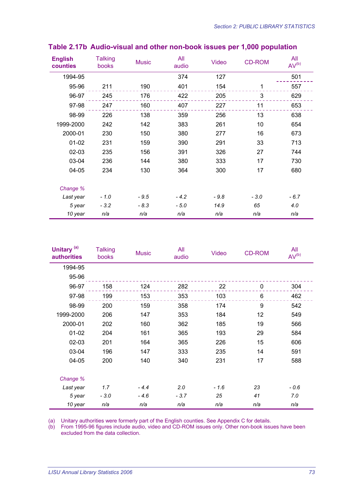| <b>English</b><br>counties | <b>Talking</b><br>books | <b>Music</b> | All<br>audio | <b>Video</b> | <b>CD-ROM</b> | All<br>AV <sup>(b)</sup> |
|----------------------------|-------------------------|--------------|--------------|--------------|---------------|--------------------------|
| 1994-95                    |                         |              | 374          | 127          |               | 501                      |
| 95-96                      | 211                     | 190          | 401          | 154          | 1             | 557                      |
| 96-97                      | 245                     | 176          | 422          | 205          | 3             | 629                      |
| 97-98                      | 247                     | 160          | 407          | 227          | 11            | 653                      |
| 98-99                      | 226                     | 138          | 359          | 256          | 13            | 638                      |
| 1999-2000                  | 242                     | 142          | 383          | 261          | 10            | 654                      |
| 2000-01                    | 230                     | 150          | 380          | 277          | 16            | 673                      |
| $01 - 02$                  | 231                     | 159          | 390          | 291          | 33            | 713                      |
| 02-03                      | 235                     | 156          | 391          | 326          | 27            | 744                      |
| 03-04                      | 236                     | 144          | 380          | 333          | 17            | 730                      |
| 04-05                      | 234                     | 130          | 364          | 300          | 17            | 680                      |
| Change %                   |                         |              |              |              |               |                          |
| Last year                  | $-1.0$                  | $-9.5$       | $-4.2$       | $-9.8$       | $-3.0$        | $-6.7$                   |
| 5 year                     | $-3.2$                  | $-8.3$       | $-5.0$       | 14.9         | 65            | 4.0                      |
| 10 year                    | n/a                     | n/a          | n/a          | n/a          | n/a           | n/a                      |

#### **Table 2.17b Audio-visual and other non-book issues per 1,000 population**

| Unitary <sup>(a)</sup><br><b>authorities</b> | <b>Talking</b><br>books | <b>Music</b> | All<br>audio | <b>Video</b> | <b>CD-ROM</b> | All<br>AV <sup>(b)</sup> |
|----------------------------------------------|-------------------------|--------------|--------------|--------------|---------------|--------------------------|
| 1994-95                                      |                         |              |              |              |               |                          |
| 95-96                                        |                         |              |              |              |               |                          |
| 96-97                                        | 158                     | 124          | 282          | 22           | 0             | 304                      |
| 97-98                                        | 199                     | 153          | 353          | 103          | 6             | 462                      |
| 98-99                                        | 200                     | 159          | 358          | 174          | 9             | 542                      |
| 1999-2000                                    | 206                     | 147          | 353          | 184          | 12            | 549                      |
| 2000-01                                      | 202                     | 160          | 362          | 185          | 19            | 566                      |
| $01 - 02$                                    | 204                     | 161          | 365          | 193          | 29            | 584                      |
| $02 - 03$                                    | 201                     | 164          | 365          | 226          | 15            | 606                      |
| 03-04                                        | 196                     | 147          | 333          | 235          | 14            | 591                      |
| 04-05                                        | 200                     | 140          | 340          | 231          | 17            | 588                      |
| Change %                                     |                         |              |              |              |               |                          |
| Last year                                    | 1.7                     | $-4.4$       | 2.0          | $-1.6$       | 23            | $-0.6$                   |
| 5 year                                       | $-3.0$                  | $-4.6$       | $-3.7$       | 25           | 41            | 7.0                      |
| 10 year                                      | n/a                     | n/a          | n/a          | n/a          | n/a           | n/a                      |

(a) Unitary authorities were formerly part of the English counties. See Appendix C for details.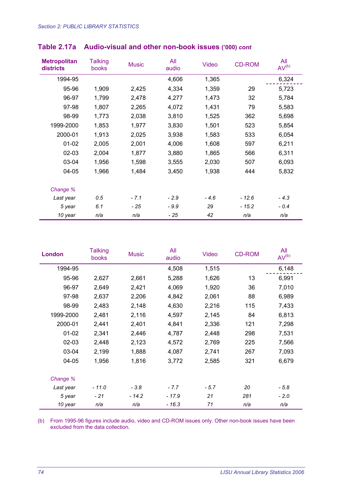| <b>Metropolitan</b><br>districts | <b>Talking</b><br>books | <b>Music</b> | All<br>audio | <b>Video</b> | <b>CD-ROM</b> | All<br>AV <sup>(b)</sup> |
|----------------------------------|-------------------------|--------------|--------------|--------------|---------------|--------------------------|
| 1994-95                          |                         |              | 4,606        | 1,365        |               | 6,324                    |
| 95-96                            | 1,909                   | 2,425        | 4,334        | 1,359        | 29            | 5,723                    |
| 96-97                            | 1,799                   | 2,478        | 4,277        | 1,473        | 32            | 5,784                    |
| 97-98                            | 1,807                   | 2,265        | 4,072        | 1,431        | 79            | 5,583                    |
| 98-99                            | 1,773                   | 2,038        | 3,810        | 1,525        | 362           | 5,698                    |
| 1999-2000                        | 1,853                   | 1,977        | 3,830        | 1,501        | 523           | 5,854                    |
| 2000-01                          | 1,913                   | 2,025        | 3,938        | 1,583        | 533           | 6,054                    |
| $01 - 02$                        | 2,005                   | 2,001        | 4,006        | 1,608        | 597           | 6,211                    |
| $02 - 03$                        | 2,004                   | 1,877        | 3,880        | 1,865        | 566           | 6,311                    |
| 03-04                            | 1,956                   | 1,598        | 3,555        | 2,030        | 507           | 6,093                    |
| $04 - 05$                        | 1,966                   | 1,484        | 3,450        | 1,938        | 444           | 5,832                    |
| Change %                         |                         |              |              |              |               |                          |
| Last year                        | 0.5                     | $-7.1$       | $-2.9$       | $-4.6$       | $-12.6$       | $-4.3$                   |
| 5 year                           | 6.1                     | - 25         | $-9.9$       | 29           | $-15.2$       | $-0.4$                   |
| 10 year                          | n/a                     | n/a          | - 25         | 42           | n/a           | n/a                      |

## **Table 2.17a Audio-visual and other non-book issues ('000)** *cont*

| London    | Talking<br>books | <b>Music</b> | All<br>audio | Video  | <b>CD-ROM</b> | All<br>AV <sup>(b)</sup> |
|-----------|------------------|--------------|--------------|--------|---------------|--------------------------|
| 1994-95   |                  |              | 4,508        | 1,515  |               | 6,148                    |
| 95-96     | 2,627            | 2,661        | 5,288        | 1,626  | 13            | 6,991                    |
| 96-97     | 2,649            | 2,421        | 4,069        | 1,920  | 36            | 7,010                    |
| 97-98     | 2,637            | 2,206        | 4,842        | 2,061  | 88            | 6,989                    |
| 98-99     | 2,483            | 2,148        | 4,630        | 2,216  | 115           | 7,433                    |
| 1999-2000 | 2,481            | 2,116        | 4,597        | 2,145  | 84            | 6,813                    |
| 2000-01   | 2,441            | 2,401        | 4,841        | 2,336  | 121           | 7,298                    |
| $01 - 02$ | 2,341            | 2,446        | 4,787        | 2,448  | 298           | 7,531                    |
| $02 - 03$ | 2,448            | 2,123        | 4,572        | 2,769  | 225           | 7,566                    |
| 03-04     | 2,199            | 1,888        | 4,087        | 2,741  | 267           | 7,093                    |
| 04-05     | 1,956            | 1,816        | 3,772        | 2,585  | 321           | 6,679                    |
| Change %  |                  |              |              |        |               |                          |
| Last year | $-11.0$          | $-3.8$       | $-7.7$       | $-5.7$ | 20            | $-5.8$                   |
| 5 year    | $-21$            | $-14.2$      | $-17.9$      | 21     | 281           | $-2.0$                   |
| 10 year   | n/a              | n/a          | $-16.3$      | 71     | n/a           | n/a                      |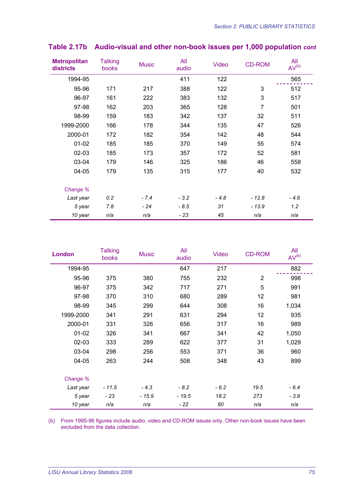| <b>Metropolitan</b><br>districts | <b>Talking</b><br>books | <b>Music</b> | All<br>audio | Video  | <b>CD-ROM</b>  | All<br>AV <sup>(b)</sup> |
|----------------------------------|-------------------------|--------------|--------------|--------|----------------|--------------------------|
| 1994-95                          |                         |              | 411          | 122    |                | 565                      |
| 95-96                            | 171                     | 217          | 388          | 122    | 3              | 512                      |
| 96-97                            | 161                     | 222          | 383          | 132    | 3              | 517                      |
| 97-98                            | 162                     | 203          | 365          | 128    | $\overline{7}$ | 501                      |
| 98-99                            | 159                     | 183          | 342          | 137    | 32             | 511                      |
| 1999-2000                        | 166                     | 178          | 344          | 135    | 47             | 526                      |
| 2000-01                          | 172                     | 182          | 354          | 142    | 48             | 544                      |
| $01 - 02$                        | 185                     | 185          | 370          | 149    | 55             | 574                      |
| $02 - 03$                        | 185                     | 173          | 357          | 172    | 52             | 581                      |
| 03-04                            | 179                     | 146          | 325          | 186    | 46             | 558                      |
| 04-05                            | 179                     | 135          | 315          | 177    | 40             | 532                      |
| Change %                         |                         |              |              |        |                |                          |
| Last year                        | 0.2                     | $-7.4$       | $-3.2$       | $-4.8$ | $-12.8$        | $-4.6$                   |
| 5 year                           | 7.8                     | $-24$        | $-8.5$       | 31     | $-13.9$        | 1.2                      |
| 10 year                          | n/a                     | n/a          | - 23         | 45     | n/a            | n/a                      |

### **Table 2.17b Audio-visual and other non-book issues per 1,000 population** *cont*

| <b>London</b> | <b>Talking</b><br>books | <b>Music</b> | All<br>audio | <b>Video</b> | <b>CD-ROM</b>  | All<br>AV <sup>(b)</sup> |
|---------------|-------------------------|--------------|--------------|--------------|----------------|--------------------------|
| 1994-95       |                         |              | 647          | 217          |                | 882                      |
| 95-96         | 375                     | 380          | 755          | 232          | $\overline{2}$ | 998                      |
| 96-97         | 375                     | 342          | 717          | 271          | 5              | 991                      |
| 97-98         | 370                     | 310          | 680          | 289          | 12             | 981                      |
| 98-99         | 345                     | 299          | 644          | 308          | 16             | 1,034                    |
| 1999-2000     | 341                     | 291          | 631          | 294          | 12             | 935                      |
| 2000-01       | 331                     | 326          | 656          | 317          | 16             | 989                      |
| $01 - 02$     | 326                     | 341          | 667          | 341          | 42             | 1,050                    |
| $02 - 03$     | 333                     | 289          | 622          | 377          | 31             | 1,029                    |
| 03-04         | 298                     | 256          | 553          | 371          | 36             | 960                      |
| 04-05         | 263                     | 244          | 508          | 348          | 43             | 899                      |
| Change %      |                         |              |              |              |                |                          |
| Last year     | $-11.5$                 | $-4.3$       | $-8.2$       | $-6.2$       | 19.5           | $-6.4$                   |
| 5 year        | $-23$                   | $-15.9$      | $-19.5$      | 18.2         | 273            | $-3.9$                   |
| 10 year       | n/a                     | n/a          | - 22         | 60           | n/a            | n/a                      |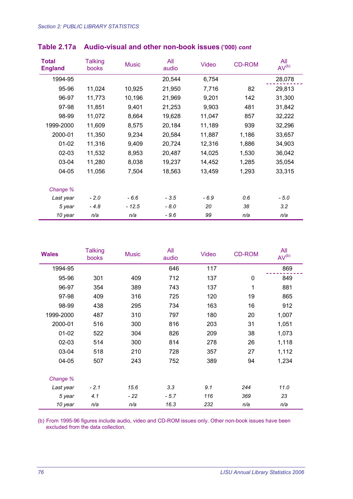| <b>Total</b><br><b>England</b> | <b>Talking</b><br>books | <b>Music</b> | All<br>audio | Video  | <b>CD-ROM</b> | All<br>AV <sup>(b)</sup> |
|--------------------------------|-------------------------|--------------|--------------|--------|---------------|--------------------------|
| 1994-95                        |                         |              | 20,544       | 6,754  |               | 28,078                   |
| 95-96                          | 11,024                  | 10,925       | 21,950       | 7,716  | 82            | 29,813                   |
| 96-97                          | 11,773                  | 10,196       | 21,969       | 9,201  | 142           | 31,300                   |
| 97-98                          | 11,851                  | 9,401        | 21,253       | 9,903  | 481           | 31,842                   |
| 98-99                          | 11,072                  | 8,664        | 19,628       | 11,047 | 857           | 32,222                   |
| 1999-2000                      | 11,609                  | 8,575        | 20,184       | 11,189 | 939           | 32,296                   |
| 2000-01                        | 11,350                  | 9,234        | 20,584       | 11,887 | 1,186         | 33,657                   |
| $01 - 02$                      | 11,316                  | 9,409        | 20,724       | 12,316 | 1,886         | 34,903                   |
| $02 - 03$                      | 11,532                  | 8,953        | 20,487       | 14,025 | 1,530         | 36,042                   |
| 03-04                          | 11,280                  | 8,038        | 19,237       | 14,452 | 1,285         | 35,054                   |
| $04 - 05$                      | 11,056                  | 7,504        | 18,563       | 13,459 | 1,293         | 33,315                   |
| Change %                       |                         |              |              |        |               |                          |
| Last year                      | $-2.0$                  | $-6.6$       | $-3.5$       | - 6.9  | 0.6           | - 5.0                    |
| 5 year                         | $-4.8$                  | - 12.5       | - 8.0        | 20     | 38            | 3.2                      |
| 10 year                        | n/a                     | n/a          | $-9.6$       | 99     | n/a           | n/a                      |

## **Table 2.17a Audio-visual and other non-book issues ('000)** *cont*

| <b>Wales</b> | <b>Talking</b><br>books | <b>Music</b> | All<br>audio | <b>Video</b> | <b>CD-ROM</b> | All<br>$AV^{(b)}$ |
|--------------|-------------------------|--------------|--------------|--------------|---------------|-------------------|
| 1994-95      |                         |              | 646          | 117          |               | 869               |
| 95-96        | 301                     | 409          | 712          | 137          | $\mathbf 0$   | 849               |
| 96-97        | 354                     | 389          | 743          | 137          | $\mathbf 1$   | 881               |
| 97-98        | 409                     | 316          | 725          | 120          | 19            | 865               |
| 98-99        | 438                     | 295          | 734          | 163          | 16            | 912               |
| 1999-2000    | 487                     | 310          | 797          | 180          | 20            | 1,007             |
| 2000-01      | 516                     | 300          | 816          | 203          | 31            | 1,051             |
| $01 - 02$    | 522                     | 304          | 826          | 209          | 38            | 1,073             |
| $02 - 03$    | 514                     | 300          | 814          | 278          | 26            | 1,118             |
| 03-04        | 518                     | 210          | 728          | 357          | 27            | 1,112             |
| 04-05        | 507                     | 243          | 752          | 389          | 94            | 1,234             |
| Change %     |                         |              |              |              |               |                   |
| Last year    | $-2.1$                  | 15.6         | 3.3          | 9.1          | 244           | 11.0              |
| 5 year       | 4.1                     | $-22$        | $-5.7$       | 116          | 369           | 23                |
| 10 year      | n/a                     | n/a          | 16.3         | 232          | n/a           | n/a               |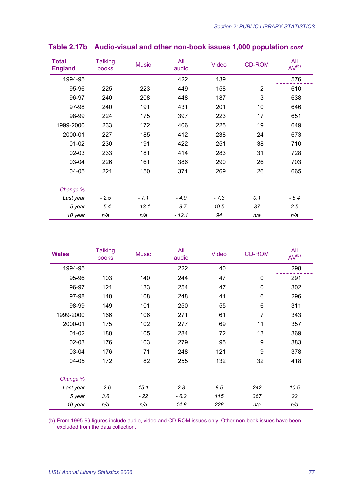| <b>Total</b><br><b>England</b> | <b>Talking</b><br>books | <b>Music</b> | All<br>audio | Video  | <b>CD-ROM</b>  | All<br>AV <sup>(b)</sup> |
|--------------------------------|-------------------------|--------------|--------------|--------|----------------|--------------------------|
| 1994-95                        |                         |              | 422          | 139    |                | 576                      |
| 95-96                          | 225                     | 223          | 449          | 158    | $\overline{2}$ | 610                      |
| 96-97                          | 240                     | 208          | 448          | 187    | 3              | 638                      |
| 97-98                          | 240                     | 191          | 431          | 201    | 10             | 646                      |
| 98-99                          | 224                     | 175          | 397          | 223    | 17             | 651                      |
| 1999-2000                      | 233                     | 172          | 406          | 225    | 19             | 649                      |
| 2000-01                        | 227                     | 185          | 412          | 238    | 24             | 673                      |
| $01 - 02$                      | 230                     | 191          | 422          | 251    | 38             | 710                      |
| 02-03                          | 233                     | 181          | 414          | 283    | 31             | 728                      |
| 03-04                          | 226                     | 161          | 386          | 290    | 26             | 703                      |
| 04-05                          | 221                     | 150          | 371          | 269    | 26             | 665                      |
| Change %                       |                         |              |              |        |                |                          |
| Last year                      | $-2.5$                  | $-7.1$       | $-4.0$       | $-7.3$ | 0.1            | $-5.4$                   |
| 5 year                         | $-5.4$                  | $-13.1$      | $-8.7$       | 19.5   | 37             | 2.5                      |
| 10 year                        | n/a                     | n/a          | $-12.1$      | 94     | n/a            | n/a                      |

### **Table 2.17b Audio-visual and other non-book issues 1,000 population** *cont*

| <b>Wales</b> | <b>Talking</b><br>books | <b>Music</b> | All<br>audio | <b>Video</b> | <b>CD-ROM</b>  | All<br>AV <sup>(b)</sup> |
|--------------|-------------------------|--------------|--------------|--------------|----------------|--------------------------|
| 1994-95      |                         |              | 222          | 40           |                | 298                      |
| 95-96        | 103                     | 140          | 244          | 47           | 0              | 291                      |
| 96-97        | 121                     | 133          | 254          | 47           | 0              | 302                      |
| 97-98        | 140                     | 108          | 248          | 41           | 6              | 296                      |
| 98-99        | 149                     | 101          | 250          | 55           | 6              | 311                      |
| 1999-2000    | 166                     | 106          | 271          | 61           | $\overline{7}$ | 343                      |
| 2000-01      | 175                     | 102          | 277          | 69           | 11             | 357                      |
| $01 - 02$    | 180                     | 105          | 284          | 72           | 13             | 369                      |
| $02 - 03$    | 176                     | 103          | 279          | 95           | 9              | 383                      |
| 03-04        | 176                     | 71           | 248          | 121          | 9              | 378                      |
| 04-05        | 172                     | 82           | 255          | 132          | 32             | 418                      |
| Change %     |                         |              |              |              |                |                          |
| Last year    | $-2.6$                  | 15.1         | 2.8          | 8.5          | 242            | 10.5                     |
| 5 year       | 3.6                     | - 22         | $-6.2$       | 115          | 367            | 22                       |
| 10 year      | n/a                     | n/a          | 14.8         | 228          | n/a            | n/a                      |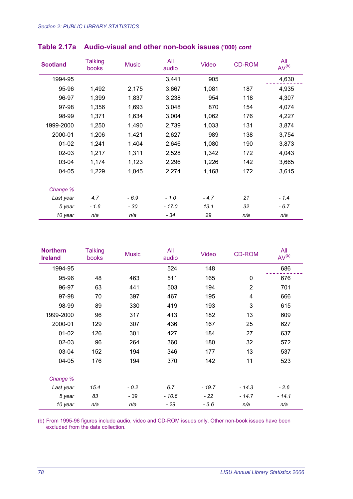| <b>Scotland</b> | <b>Talking</b><br>books | <b>Music</b> | All<br>audio | <b>Video</b> | <b>CD-ROM</b> | All<br>AV <sup>(b)</sup> |
|-----------------|-------------------------|--------------|--------------|--------------|---------------|--------------------------|
| 1994-95         |                         |              | 3,441        | 905          |               | 4,630                    |
| 95-96           | 1,492                   | 2,175        | 3,667        | 1,081        | 187           | 4,935                    |
| 96-97           | 1,399                   | 1,837        | 3,238        | 954          | 118           | 4,307                    |
| 97-98           | 1,356                   | 1,693        | 3,048        | 870          | 154           | 4,074                    |
| 98-99           | 1,371                   | 1,634        | 3,004        | 1,062        | 176           | 4,227                    |
| 1999-2000       | 1,250                   | 1,490        | 2,739        | 1,033        | 131           | 3,874                    |
| 2000-01         | 1,206                   | 1,421        | 2,627        | 989          | 138           | 3,754                    |
| $01 - 02$       | 1,241                   | 1,404        | 2,646        | 1,080        | 190           | 3,873                    |
| $02 - 03$       | 1,217                   | 1,311        | 2,528        | 1,342        | 172           | 4,043                    |
| 03-04           | 1,174                   | 1,123        | 2,296        | 1,226        | 142           | 3,665                    |
| 04-05           | 1,229                   | 1,045        | 2,274        | 1,168        | 172           | 3,615                    |
| Change %        |                         |              |              |              |               |                          |
| Last year       | 4.7                     | $-6.9$       | $-1.0$       | $-4.7$       | 21            | $-1.4$                   |
| 5 year          | $-1.6$                  | - 30         | $-17.0$      | 13.1         | 32            | $-6.7$                   |
| 10 year         | n/a                     | n/a          | $-34$        | 29           | n/a           | n/a                      |

## **Table 2.17a Audio-visual and other non-book issues ('000)** *cont*

| <b>Northern</b><br><b>Ireland</b> | <b>Talking</b><br>books | <b>Music</b> | All<br>audio | <b>Video</b> | <b>CD-ROM</b>  | All<br>AV <sup>(b)</sup> |
|-----------------------------------|-------------------------|--------------|--------------|--------------|----------------|--------------------------|
| 1994-95                           |                         |              | 524          | 148          |                | 686                      |
| 95-96                             | 48                      | 463          | 511          | 165          | 0              | 676                      |
| 96-97                             | 63                      | 441          | 503          | 194          | $\overline{2}$ | 701                      |
| 97-98                             | 70                      | 397          | 467          | 195          | 4              | 666                      |
| 98-99                             | 89                      | 330          | 419          | 193          | 3              | 615                      |
| 1999-2000                         | 96                      | 317          | 413          | 182          | 13             | 609                      |
| 2000-01                           | 129                     | 307          | 436          | 167          | 25             | 627                      |
| $01 - 02$                         | 126                     | 301          | 427          | 184          | 27             | 637                      |
| $02 - 03$                         | 96                      | 264          | 360          | 180          | 32             | 572                      |
| 03-04                             | 152                     | 194          | 346          | 177          | 13             | 537                      |
| $04 - 05$                         | 176                     | 194          | 370          | 142          | 11             | 523                      |
| Change %                          |                         |              |              |              |                |                          |
| Last year                         | 15.4                    | $-0.2$       | 6.7          | $-19.7$      | $-14.3$        | $-2.6$                   |
| 5 year                            | 83                      | - 39         | $-10.6$      | $-22$        | $-14.7$        | $-14.1$                  |
| 10 year                           | n/a                     | n/a          | $-29$        | $-3.6$       | n/a            | n/a                      |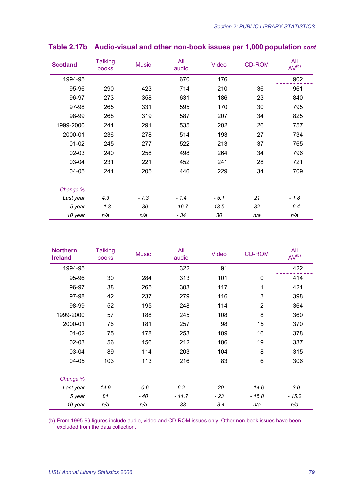| <b>Scotland</b> | <b>Talking</b><br>books | <b>Music</b> | All<br>audio | <b>Video</b> | <b>CD-ROM</b> | All<br>$AV^{(b)}$ |
|-----------------|-------------------------|--------------|--------------|--------------|---------------|-------------------|
| 1994-95         |                         |              | 670          | 176          |               | 902               |
| 95-96           | 290                     | 423          | 714          | 210          | 36            | 961               |
| 96-97           | 273                     | 358          | 631          | 186          | 23            | 840               |
| 97-98           | 265                     | 331          | 595          | 170          | 30            | 795               |
| 98-99           | 268                     | 319          | 587          | 207          | 34            | 825               |
| 1999-2000       | 244                     | 291          | 535          | 202          | 26            | 757               |
| 2000-01         | 236                     | 278          | 514          | 193          | 27            | 734               |
| $01 - 02$       | 245                     | 277          | 522          | 213          | 37            | 765               |
| $02 - 03$       | 240                     | 258          | 498          | 264          | 34            | 796               |
| 03-04           | 231                     | 221          | 452          | 241          | 28            | 721               |
| 04-05           | 241                     | 205          | 446          | 229          | 34            | 709               |
| Change %        |                         |              |              |              |               |                   |
| Last year       | 4.3                     | $-7.3$       | $-1.4$       | $-5.1$       | 21            | $-1.8$            |
| 5 year          | $-1.3$                  | $-30$        | $-16.7$      | 13.5         | 32            | $-6.4$            |
| 10 year         | n/a                     | n/a          | $-34$        | 30           | n/a           | n/a               |

### **Table 2.17b Audio-visual and other non-book issues per 1,000 population** *cont*

| <b>Northern</b><br><b>Ireland</b> | <b>Talking</b><br>books | <b>Music</b> | All<br>audio | <b>Video</b> | <b>CD-ROM</b>  | All<br>AV <sup>(b)</sup> |
|-----------------------------------|-------------------------|--------------|--------------|--------------|----------------|--------------------------|
| 1994-95                           |                         |              | 322          | 91           |                | 422                      |
| 95-96                             | 30                      | 284          | 313          | 101          | $\mathbf 0$    | 414                      |
| 96-97                             | 38                      | 265          | 303          | 117          | $\mathbf 1$    | 421                      |
| 97-98                             | 42                      | 237          | 279          | 116          | $\mathbf{3}$   | 398                      |
| 98-99                             | 52                      | 195          | 248          | 114          | $\overline{2}$ | 364                      |
| 1999-2000                         | 57                      | 188          | 245          | 108          | 8              | 360                      |
| 2000-01                           | 76                      | 181          | 257          | 98           | 15             | 370                      |
| $01 - 02$                         | 75                      | 178          | 253          | 109          | 16             | 378                      |
| 02-03                             | 56                      | 156          | 212          | 106          | 19             | 337                      |
| 03-04                             | 89                      | 114          | 203          | 104          | 8              | 315                      |
| 04-05                             | 103                     | 113          | 216          | 83           | 6              | 306                      |
| Change %                          |                         |              |              |              |                |                          |
| Last year                         | 14.9                    | $-0.6$       | 6.2          | - 20         | $-14.6$        | $-3.0$                   |
| 5 year                            | 81                      | - 40         | $-11.7$      | $-23$        | $-15.8$        | - 15.2                   |
| 10 year                           | n/a                     | n/a          | - 33         | $-8.4$       | n/a            | n/a                      |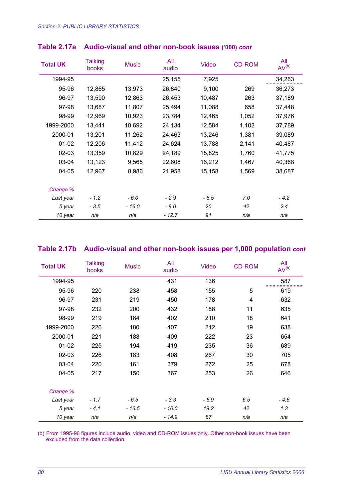| <b>Total UK</b> | <b>Talking</b><br>books | <b>Music</b> | All<br>audio | Video  | <b>CD-ROM</b> | All<br>AV <sup>(b)</sup> |
|-----------------|-------------------------|--------------|--------------|--------|---------------|--------------------------|
| 1994-95         |                         |              | 25,155       | 7,925  |               | 34,263                   |
| 95-96           | 12,865                  | 13,973       | 26,840       | 9,100  | 269           | 36,273                   |
| 96-97           | 13,590                  | 12,863       | 26,453       | 10,487 | 263           | 37,189                   |
| 97-98           | 13,687                  | 11,807       | 25,494       | 11,088 | 658           | 37,448                   |
| 98-99           | 12,969                  | 10,923       | 23,784       | 12,465 | 1,052         | 37,976                   |
| 1999-2000       | 13,441                  | 10,692       | 24,134       | 12,584 | 1,102         | 37,789                   |
| 2000-01         | 13,201                  | 11,262       | 24,463       | 13,246 | 1,381         | 39,089                   |
| $01 - 02$       | 12,206                  | 11,412       | 24,624       | 13,788 | 2,141         | 40,487                   |
| $02 - 03$       | 13,359                  | 10,829       | 24,189       | 15,825 | 1,760         | 41,775                   |
| 03-04           | 13,123                  | 9,565        | 22,608       | 16,212 | 1,467         | 40,368                   |
| $04 - 05$       | 12,967                  | 8,986        | 21,958       | 15,158 | 1,569         | 38,687                   |
| Change %        |                         |              |              |        |               |                          |
| Last year       | $-1.2$                  | - 6.0        | $-2.9$       | $-6.5$ | 7.0           | $-4.2$                   |
| 5 year          | $-3.5$                  | $-16.0$      | $-9.0$       | 20     | 42            | 2.4                      |
| 10 year         | n/a                     | n/a          | $-12.7$      | 91     | n/a           | n/a                      |

#### **Table 2.17a Audio-visual and other non-book issues ('000)** *cont*

#### **Table 2.17b Audio-visual and other non-book issues per 1,000 population** *cont*

| <b>Total UK</b> | <b>Talking</b><br>books | <b>Music</b> | All<br>audio | <b>Video</b> | <b>CD-ROM</b> | All<br>AV <sup>(b)</sup> |
|-----------------|-------------------------|--------------|--------------|--------------|---------------|--------------------------|
| 1994-95         |                         |              | 431          | 136          |               | 587                      |
| 95-96           | 220                     | 238          | 458          | 155          | 5             | 619                      |
| 96-97           | 231                     | 219          | 450          | 178          | 4             | 632                      |
| 97-98           | 232                     | 200          | 432          | 188          | 11            | 635                      |
| 98-99           | 219                     | 184          | 402          | 210          | 18            | 641                      |
| 1999-2000       | 226                     | 180          | 407          | 212          | 19            | 638                      |
| 2000-01         | 221                     | 188          | 409          | 222          | 23            | 654                      |
| $01 - 02$       | 225                     | 194          | 419          | 235          | 36            | 689                      |
| $02 - 03$       | 226                     | 183          | 408          | 267          | 30            | 705                      |
| 03-04           | 220                     | 161          | 379          | 272          | 25            | 678                      |
| $04 - 05$       | 217                     | 150          | 367          | 253          | 26            | 646                      |
| Change %        |                         |              |              |              |               |                          |
| Last year       | $-1.7$                  | $-6.5$       | $-3.3$       | $-6.9$       | 6.5           | $-4.6$                   |
| 5 year          | $-4.1$                  | $-16.5$      | $-10.0$      | 19.2         | 42            | 1.3                      |
| 10 year         | n/a                     | n/a          | $-14.9$      | 87           | n/a           | n/a                      |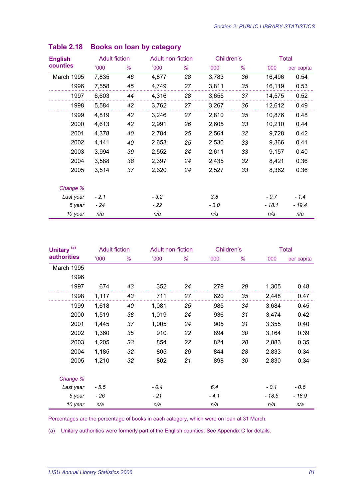| <b>English</b> | <b>Adult fiction</b> |    |        | Adult non-fiction |        | Children's |        | <b>Total</b> |  |
|----------------|----------------------|----|--------|-------------------|--------|------------|--------|--------------|--|
| counties       | <b>'000</b>          | %  | 000'   | ℅                 | 000'   | %          | 000'   | per capita   |  |
| March 1995     | 7,835                | 46 | 4,877  | 28                | 3,783  | 36         | 16,496 | 0.54         |  |
| 1996           | 7,558                | 45 | 4,749  | 27                | 3,811  | 35         | 16,119 | 0.53         |  |
| 1997           | 6,603                | 44 | 4,316  | 28                | 3,655  | 37         | 14,575 | 0.52         |  |
| 1998           | 5,584                | 42 | 3,762  | 27                | 3,267  | 36         | 12,612 | 0.49         |  |
| 1999           | 4,819                | 42 | 3,246  | 27                | 2,810  | 35         | 10,876 | 0.48         |  |
| 2000           | 4,613                | 42 | 2,991  | 26                | 2,605  | 33         | 10,210 | 0.44         |  |
| 2001           | 4,378                | 40 | 2,784  | 25                | 2,564  | 32         | 9,728  | 0.42         |  |
| 2002           | 4,141                | 40 | 2,653  | 25                | 2,530  | 33         | 9,366  | 0.41         |  |
| 2003           | 3,994                | 39 | 2,552  | 24                | 2,611  | 33         | 9,157  | 0.40         |  |
| 2004           | 3,588                | 38 | 2,397  | 24                | 2,435  | 32         | 8,421  | 0.36         |  |
| 2005           | 3,514                | 37 | 2,320  | 24                | 2,527  | 33         | 8,362  | 0.36         |  |
| Change %       |                      |    |        |                   |        |            |        |              |  |
| Last year      | $-2.1$               |    | $-3.2$ |                   | 3.8    |            | $-0.7$ | $-1.4$       |  |
| 5 year         | - 24                 |    | - 22   |                   | $-3.0$ |            | - 18.1 | - 19.4       |  |
| 10 year        | n/a                  |    | n/a    |                   | n/a    |            | n/a    | n/a          |  |

| Unitary <sup>(a)</sup> | <b>Adult fiction</b> |    |        | Adult non-fiction |        | Children's |        | <b>Total</b> |  |
|------------------------|----------------------|----|--------|-------------------|--------|------------|--------|--------------|--|
| <b>authorities</b>     | 000'                 | %  | 000'   | %                 | 000    | %          | 000    | per capita   |  |
| March 1995             |                      |    |        |                   |        |            |        |              |  |
| 1996                   |                      |    |        |                   |        |            |        |              |  |
| 1997                   | 674                  | 43 | 352    | 24                | 279    | 29         | 1,305  | 0.48         |  |
| 1998                   | 1,117                | 43 | 711    | 27                | 620    | 35         | 2,448  | 0.47         |  |
| 1999                   | 1,618                | 40 | 1,081  | 25                | 985    | 34         | 3,684  | 0.45         |  |
| 2000                   | 1,519                | 38 | 1,019  | 24                | 936    | 31         | 3,474  | 0.42         |  |
| 2001                   | 1,445                | 37 | 1,005  | 24                | 905    | 31         | 3,355  | 0.40         |  |
| 2002                   | 1,360                | 35 | 910    | 22                | 894    | 30         | 3,164  | 0.39         |  |
| 2003                   | 1,205                | 33 | 854    | 22                | 824    | 28         | 2,883  | 0.35         |  |
| 2004                   | 1,185                | 32 | 805    | 20                | 844    | 28         | 2,833  | 0.34         |  |
| 2005                   | 1,210                | 32 | 802    | 21                | 898    | 30         | 2,830  | 0.34         |  |
| Change %               |                      |    |        |                   |        |            |        |              |  |
| Last year              | $-5.5$               |    | $-0.4$ |                   | 6.4    |            | $-0.1$ | $-0.6$       |  |
| 5 year                 | - 26                 |    | $-21$  |                   | $-4.1$ |            | - 18.5 | - 18.9       |  |
| 10 year                | n/a                  |    | n/a    |                   | n/a    |            | n/a    | n/a          |  |

Percentages are the percentage of books in each category, which were on loan at 31 March.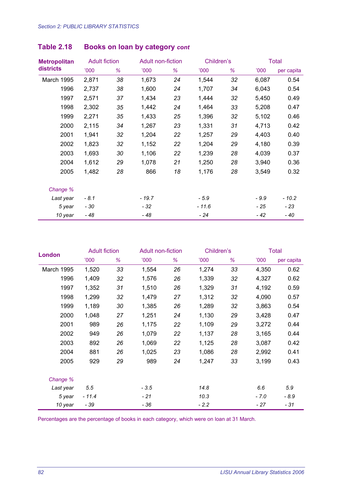| <b>Metropolitan</b> | <b>Adult fiction</b> |    |         | Adult non-fiction |         | Children's | <b>Total</b> |            |
|---------------------|----------------------|----|---------|-------------------|---------|------------|--------------|------------|
| districts           | <b>'000</b>          | ℅  | 000'    | ℅                 | 000'    | %          | 000'         | per capita |
| March 1995          | 2,871                | 38 | 1,673   | 24                | 1,544   | 32         | 6,087        | 0.54       |
| 1996                | 2,737                | 38 | 1,600   | 24                | 1,707   | 34         | 6,043        | 0.54       |
| 1997                | 2,571                | 37 | 1,434   | 23                | 1,444   | 32         | 5,450        | 0.49       |
| 1998                | 2,302                | 35 | 1,442   | 24                | 1,464   | 33         | 5,208        | 0.47       |
| 1999                | 2,271                | 35 | 1,433   | 25                | 1,396   | 32         | 5,102        | 0.46       |
| 2000                | 2,115                | 34 | 1,267   | 23                | 1,331   | 31         | 4,713        | 0.42       |
| 2001                | 1,941                | 32 | 1,204   | 22                | 1,257   | 29         | 4,403        | 0.40       |
| 2002                | 1,823                | 32 | 1,152   | 22                | 1,204   | 29         | 4,180        | 0.39       |
| 2003                | 1,693                | 30 | 1,106   | 22                | 1,239   | 28         | 4,039        | 0.37       |
| 2004                | 1,612                | 29 | 1,078   | 21                | 1,250   | 28         | 3,940        | 0.36       |
| 2005                | 1,482                | 28 | 866     | 18                | 1,176   | 28         | 3,549        | 0.32       |
| Change %            |                      |    |         |                   |         |            |              |            |
| Last year           | $-8.1$               |    | $-19.7$ |                   | $-5.9$  |            | $-9.9$       | $-10.2$    |
| 5 year              | - 30                 |    | $-32$   |                   | $-11.6$ |            | - 25         | - 23       |
| 10 year             | $-48$                |    | $-48$   |                   | - 24    |            | - 42         | - 40       |

| <b>London</b>     | <b>Adult fiction</b> |    |        | Adult non-fiction |        | Children's | Total  |            |
|-------------------|----------------------|----|--------|-------------------|--------|------------|--------|------------|
|                   | <b>'000</b>          | %  | 000'   | %                 | 000    | %          | 000'   | per capita |
| <b>March 1995</b> | 1,520                | 33 | 1,554  | 26                | 1,274  | 33         | 4,350  | 0.62       |
| 1996              | 1,409                | 32 | 1,576  | 26                | 1,339  | 32         | 4,327  | 0.62       |
| 1997              | 1,352                | 31 | 1,510  | 26                | 1,329  | 31         | 4,192  | 0.59       |
| 1998              | 1,299                | 32 | 1,479  | 27                | 1,312  | 32         | 4,090  | 0.57       |
| 1999              | 1,189                | 30 | 1,385  | 26                | 1,289  | 32         | 3,863  | 0.54       |
| 2000              | 1,048                | 27 | 1,251  | 24                | 1,130  | 29         | 3,428  | 0.47       |
| 2001              | 989                  | 26 | 1,175  | 22                | 1,109  | 29         | 3,272  | 0.44       |
| 2002              | 949                  | 26 | 1,079  | 22                | 1,137  | 28         | 3,165  | 0.44       |
| 2003              | 892                  | 26 | 1,069  | 22                | 1,125  | 28         | 3,087  | 0.42       |
| 2004              | 881                  | 26 | 1,025  | 23                | 1,086  | 28         | 2,992  | 0.41       |
| 2005              | 929                  | 29 | 989    | 24                | 1,247  | 33         | 3,199  | 0.43       |
| Change %          |                      |    |        |                   |        |            |        |            |
| Last year         | 5.5                  |    | $-3.5$ |                   | 14.8   |            | 6.6    | 5.9        |
| 5 year            | $-11.4$              |    | $-21$  |                   | 10.3   |            | $-7.0$ | $-8.9$     |
| 10 year           | $-39$                |    | - 36   |                   | $-2.2$ |            | - 27   | $-31$      |

Percentages are the percentage of books in each category, which were on loan at 31 March.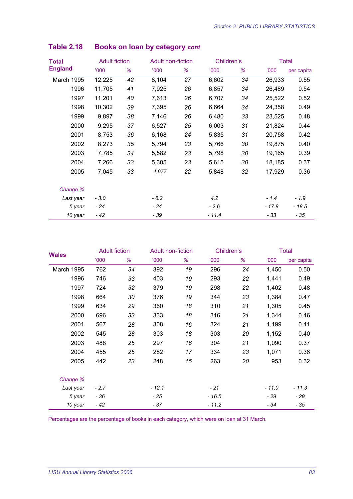| Total          | <b>Adult fiction</b> |    |        | Adult non-fiction |        | Children's |         | <b>Total</b> |
|----------------|----------------------|----|--------|-------------------|--------|------------|---------|--------------|
| <b>England</b> | 000                  | ℅  | 000'   | ℅                 | 000    | %          | 000'    | per capita   |
| March 1995     | 12,225               | 42 | 8,104  | 27                | 6,602  | 34         | 26,933  | 0.55         |
| 1996           | 11,705               | 41 | 7,925  | 26                | 6,857  | 34         | 26,489  | 0.54         |
| 1997           | 11,201               | 40 | 7,613  | 26                | 6,707  | 34         | 25,522  | 0.52         |
| 1998           | 10,302               | 39 | 7,395  | 26                | 6,664  | 34         | 24,358  | 0.49         |
| 1999           | 9,897                | 38 | 7,146  | 26                | 6,480  | 33         | 23,525  | 0.48         |
| 2000           | 9,295                | 37 | 6,527  | 25                | 6,003  | 31         | 21,824  | 0.44         |
| 2001           | 8,753                | 36 | 6,168  | 24                | 5,835  | 31         | 20,758  | 0.42         |
| 2002           | 8,273                | 35 | 5,794  | 23                | 5,766  | 30         | 19,875  | 0.40         |
| 2003           | 7,785                | 34 | 5,582  | 23                | 5,798  | 30         | 19,165  | 0.39         |
| 2004           | 7,266                | 33 | 5,305  | 23                | 5,615  | 30         | 18,185  | 0.37         |
| 2005           | 7,045                | 33 | 4,977  | 22                | 5,848  | 32         | 17,929  | 0.36         |
| Change %       |                      |    |        |                   |        |            |         |              |
| Last year      | $-3.0$               |    | $-6.2$ |                   | 4.2    |            | $-1.4$  | $-1.9$       |
| 5 year         | - 24                 |    | - 24   |                   | $-2.6$ |            | $-17.8$ | $-18.5$      |
| 10 year        | - 42                 |    | - 39   |                   | - 11.4 |            | - 33    | - 35         |

| <b>Wales</b> | <b>Adult fiction</b> |    | Adult non-fiction |    | Children's  |    |         | <b>Total</b> |
|--------------|----------------------|----|-------------------|----|-------------|----|---------|--------------|
|              | <b>'000</b>          | ℅  | 000'              | ℅  | <b>'000</b> | %  | 000     | per capita   |
| March 1995   | 762                  | 34 | 392               | 19 | 296         | 24 | 1,450   | 0.50         |
| 1996         | 746                  | 33 | 403               | 19 | 293         | 22 | 1,441   | 0.49         |
| 1997         | 724                  | 32 | 379               | 19 | 298         | 22 | 1,402   | 0.48         |
| 1998         | 664                  | 30 | 376               | 19 | 344         | 23 | 1,384   | 0.47         |
| 1999         | 634                  | 29 | 360               | 18 | 310         | 21 | 1,305   | 0.45         |
| 2000         | 696                  | 33 | 333               | 18 | 316         | 21 | 1,344   | 0.46         |
| 2001         | 567                  | 28 | 308               | 16 | 324         | 21 | 1,199   | 0.41         |
| 2002         | 545                  | 28 | 303               | 18 | 303         | 20 | 1,152   | 0.40         |
| 2003         | 488                  | 25 | 297               | 16 | 304         | 21 | 1,090   | 0.37         |
| 2004         | 455                  | 25 | 282               | 17 | 334         | 23 | 1,071   | 0.36         |
| 2005         | 442                  | 23 | 248               | 15 | 263         | 20 | 953     | 0.32         |
| Change %     |                      |    |                   |    |             |    |         |              |
| Last year    | $-2.7$               |    | $-12.1$           |    | $-21$       |    | $-11.0$ | $-11.3$      |
| 5 year       | - 36                 |    | - 25              |    | $-16.5$     |    | - 29    | - 29         |
| 10 year      | $-42$                |    | - 37              |    | $-11.2$     |    | - 34    | - 35         |

Percentages are the percentage of books in each category, which were on loan at 31 March.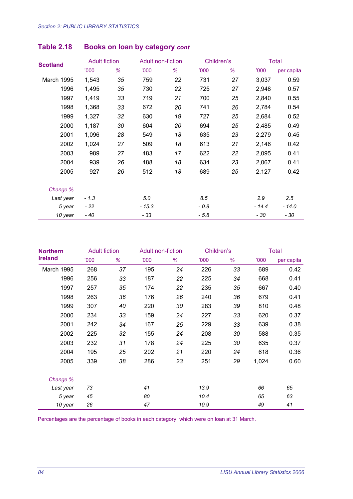| <b>Scotland</b><br><b>March 1995</b><br>1996<br>1997<br>1998<br>1999<br>2000<br>2001<br>2002<br>2003<br>2004<br>2005 | <b>Adult fiction</b> |    |         | Adult non-fiction |        | Children's |         | <b>Total</b> |  |
|----------------------------------------------------------------------------------------------------------------------|----------------------|----|---------|-------------------|--------|------------|---------|--------------|--|
|                                                                                                                      | <b>'000</b>          | %  | 000'    | ℅                 | 000'   | %          | 000'    | per capita   |  |
|                                                                                                                      | 1,543                | 35 | 759     | 22                | 731    | 27         | 3,037   | 0.59         |  |
|                                                                                                                      | 1,495                | 35 | 730     | 22                | 725    | 27         | 2,948   | 0.57         |  |
|                                                                                                                      | 1,419                | 33 | 719     | 21                | 700    | 25         | 2,840   | 0.55         |  |
|                                                                                                                      | 1,368                | 33 | 672     | 20                | 741    | 26         | 2,784   | 0.54         |  |
|                                                                                                                      | 1,327                | 32 | 630     | 19                | 727    | 25         | 2,684   | 0.52         |  |
|                                                                                                                      | 1,187                | 30 | 604     | 20                | 694    | 25         | 2,485   | 0.49         |  |
|                                                                                                                      | 1,096                | 28 | 549     | 18                | 635    | 23         | 2,279   | 0.45         |  |
|                                                                                                                      | 1,024                | 27 | 509     | 18                | 613    | 21         | 2,146   | 0.42         |  |
|                                                                                                                      | 989                  | 27 | 483     | 17                | 622    | 22         | 2,095   | 0.41         |  |
|                                                                                                                      | 939                  | 26 | 488     | 18                | 634    | 23         | 2,067   | 0.41         |  |
|                                                                                                                      | 927                  | 26 | 512     | 18                | 689    | 25         | 2,127   | 0.42         |  |
| Change %                                                                                                             |                      |    |         |                   |        |            |         |              |  |
| Last year                                                                                                            | $-1.3$               |    | 5.0     |                   | 8.5    |            | 2.9     | 2.5          |  |
| 5 year                                                                                                               | - 22                 |    | $-15.3$ |                   | $-0.8$ |            | $-14.4$ | $-14.0$      |  |
| 10 year                                                                                                              | $-40$                |    | - 33    |                   | $-5.8$ |            | - 30    | - 30         |  |

| <b>Northern</b> | <b>Adult fiction</b> |    |      | Adult non-fiction |      | Children's | <b>Total</b> |            |
|-----------------|----------------------|----|------|-------------------|------|------------|--------------|------------|
| <b>Ireland</b>  | 000'                 | %  | 000' | %                 | 000' | %          | 000'         | per capita |
| March 1995      | 268                  | 37 | 195  | 24                | 226  | 33         | 689          | 0.42       |
| 1996            | 256                  | 33 | 187  | 22                | 225  | 34         | 668          | 0.41       |
| 1997            | 257                  | 35 | 174  | 22                | 235  | 35         | 667          | 0.40       |
| 1998            | 263                  | 36 | 176  | 26                | 240  | 36         | 679          | 0.41       |
| 1999            | 307                  | 40 | 220  | 30                | 283  | 39         | 810          | 0.48       |
| 2000            | 234                  | 33 | 159  | 24                | 227  | 33         | 620          | 0.37       |
| 2001            | 242                  | 34 | 167  | 25                | 229  | 33         | 639          | 0.38       |
| 2002            | 225                  | 32 | 155  | 24                | 208  | 30         | 588          | 0.35       |
| 2003            | 232                  | 31 | 178  | 24                | 225  | 30         | 635          | 0.37       |
| 2004            | 195                  | 25 | 202  | 21                | 220  | 24         | 618          | 0.36       |
| 2005            | 339                  | 38 | 286  | 23                | 251  | 29         | 1,024        | 0.60       |
| Change %        |                      |    |      |                   |      |            |              |            |
| Last year       | 73                   |    | 41   |                   | 13.9 |            | 66           | 65         |
| 5 year          | 45                   |    | 80   |                   | 10.4 |            | 65           | 63         |
| 10 year         | 26                   |    | 47   |                   | 10.9 |            | 49           | 41         |

Percentages are the percentage of books in each category, which were on loan at 31 March.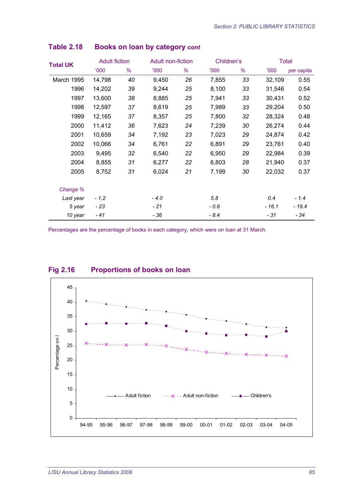| <b>Total UK</b><br>March 1995<br>1996<br>1997<br>1998<br>1999<br>2000<br>2001<br>2002<br>2003<br>2004<br>2005<br>Change % | <b>Adult fiction</b> |    |        | Adult non-fiction |             | Children's | <b>Total</b> |            |
|---------------------------------------------------------------------------------------------------------------------------|----------------------|----|--------|-------------------|-------------|------------|--------------|------------|
|                                                                                                                           | '000                 | %  | 000'   | %                 | <b>'000</b> | %          | 000'         | per capita |
|                                                                                                                           | 14,798               | 40 | 9,450  | 26                | 7,855       | 33         | 32,109       | 0.55       |
|                                                                                                                           | 14,202               | 39 | 9,244  | 25                | 8,100       | 33         | 31,546       | 0.54       |
|                                                                                                                           | 13,600               | 38 | 8,885  | 25                | 7,941       | 33         | 30,431       | 0.52       |
|                                                                                                                           | 12,597               | 37 | 8,619  | 25                | 7,989       | 33         | 29,204       | 0.50       |
|                                                                                                                           | 12,165               | 37 | 8,357  | 25                | 7,800       | 32         | 28,324       | 0.48       |
|                                                                                                                           | 11,412               | 36 | 7,623  | 24                | 7,239       | 30         | 26,274       | 0.44       |
|                                                                                                                           | 10,659               | 34 | 7,192  | 23                | 7,023       | 29         | 24,874       | 0.42       |
|                                                                                                                           | 10,066               | 34 | 6,761  | 22                | 6,891       | 29         | 23,761       | 0.40       |
|                                                                                                                           | 9,495                | 32 | 6,540  | 22                | 6,950       | 29         | 22,984       | 0.39       |
|                                                                                                                           | 8,855                | 31 | 6,277  | 22                | 6,803       | 28         | 21,940       | 0.37       |
|                                                                                                                           | 8,752                | 31 | 6,024  | 21                | 7,199       | 30         | 22,032       | 0.37       |
|                                                                                                                           |                      |    |        |                   |             |            |              |            |
| Last year                                                                                                                 | $-1.2$               |    | $-4.0$ |                   | 5.8         |            | 0.4          | $-1.4$     |
| 5 year                                                                                                                    | $-23$                |    | $-21$  |                   | $-0.6$      |            | $-16.1$      | $-19.4$    |
| 10 year                                                                                                                   | - 41                 |    | - 36   |                   | $-8.4$      |            | - 31         | - 34       |

Percentages are the percentage of books in each category, which were on loan at 31 March.



#### **Fig 2.16 Proportions of books on loan**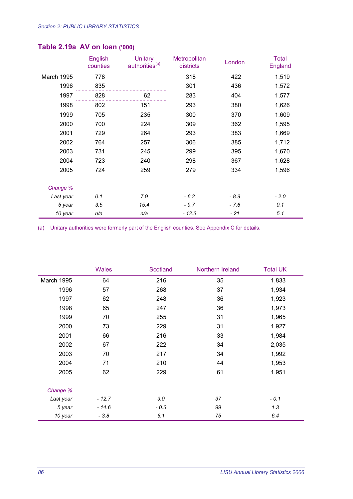|            | English<br>counties | <b>Unitary</b><br>authorities <sup>(a)</sup> | Metropolitan<br>districts | London | <b>Total</b><br>England |
|------------|---------------------|----------------------------------------------|---------------------------|--------|-------------------------|
| March 1995 | 778                 |                                              | 318                       | 422    | 1,519                   |
| 1996       | 835                 |                                              | 301                       | 436    | 1,572                   |
| 1997       | 828                 | 62                                           | 283                       | 404    | 1,577                   |
| 1998       | 802                 | 151                                          | 293                       | 380    | 1,626                   |
| 1999       | 705                 | 235                                          | 300                       | 370    | 1,609                   |
| 2000       | 700                 | 224                                          | 309                       | 362    | 1,595                   |
| 2001       | 729                 | 264                                          | 293                       | 383    | 1,669                   |
| 2002       | 764                 | 257                                          | 306                       | 385    | 1,712                   |
| 2003       | 731                 | 245                                          | 299                       | 395    | 1,670                   |
| 2004       | 723                 | 240                                          | 298                       | 367    | 1,628                   |
| 2005       | 724                 | 259                                          | 279                       | 334    | 1,596                   |
| Change %   |                     |                                              |                           |        |                         |
| Last year  | 0.1                 | 7.9                                          | $-6.2$                    | $-8.9$ | $-2.0$                  |
| 5 year     | 3.5                 | 15.4                                         | $-9.7$                    | $-7.6$ | 0.1                     |
| 10 year    | n/a                 | n/a                                          | $-12.3$                   | - 21   | 5.1                     |

#### **Table 2.19a AV on loan ('000)**

|            | <b>Wales</b> | <b>Scotland</b> | Northern Ireland | <b>Total UK</b> |
|------------|--------------|-----------------|------------------|-----------------|
| March 1995 | 64           | 216             | 35               | 1,833           |
| 1996       | 57           | 268             | 37               | 1,934           |
| 1997       | 62           | 248             | 36               | 1,923           |
| 1998       | 65           | 247             | 36               | 1,973           |
| 1999       | 70           | 255             | 31               | 1,965           |
| 2000       | 73           | 229             | 31               | 1,927           |
| 2001       | 66           | 216             | 33               | 1,984           |
| 2002       | 67           | 222             | 34               | 2,035           |
| 2003       | 70           | 217             | 34               | 1,992           |
| 2004       | 71           | 210             | 44               | 1,953           |
| 2005       | 62           | 229             | 61               | 1,951           |
| Change %   |              |                 |                  |                 |
| Last year  | $-12.7$      | 9.0             | 37               | $-0.1$          |
| 5 year     | $-14.6$      | $-0.3$          | 99               | 1.3             |
| 10 year    | $-3.8$       | 6.1             | 75               | 6.4             |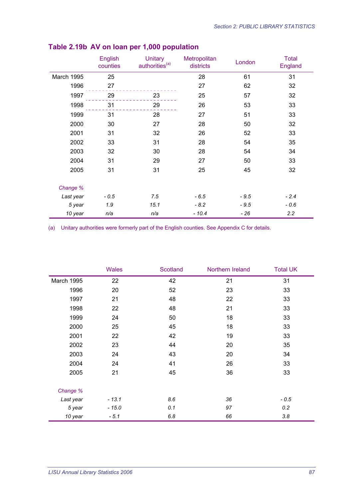|            | English<br>counties | <b>Unitary</b><br>authorities <sup>(a)</sup> | Metropolitan<br>districts | London | <b>Total</b><br>England |
|------------|---------------------|----------------------------------------------|---------------------------|--------|-------------------------|
| March 1995 | 25                  |                                              | 28                        | 61     | 31                      |
| 1996       | 27                  |                                              | 27                        | 62     | 32                      |
| 1997       | 29                  | 23                                           | 25                        | 57     | 32                      |
| 1998       | 31                  | 29                                           | 26                        | 53     | 33                      |
| 1999       | 31                  | 28                                           | 27                        | 51     | 33                      |
| 2000       | 30                  | 27                                           | 28                        | 50     | 32                      |
| 2001       | 31                  | 32                                           | 26                        | 52     | 33                      |
| 2002       | 33                  | 31                                           | 28                        | 54     | 35                      |
| 2003       | 32                  | 30                                           | 28                        | 54     | 34                      |
| 2004       | 31                  | 29                                           | 27                        | 50     | 33                      |
| 2005       | 31                  | 31                                           | 25                        | 45     | 32                      |
| Change %   |                     |                                              |                           |        |                         |
| Last year  | $-0.5$              | 7.5                                          | $-6.5$                    | $-9.5$ | $-2.4$                  |
| 5 year     | 1.9                 | 15.1                                         | $-8.2$                    | $-9.5$ | $-0.6$                  |
| 10 year    | n/a                 | n/a                                          | $-10.4$                   | $-26$  | 2.2                     |

### **Table 2.19b AV on loan per 1,000 population**

|            | <b>Wales</b> | Scotland | Northern Ireland | <b>Total UK</b> |
|------------|--------------|----------|------------------|-----------------|
| March 1995 | 22           | 42       | 21               | 31              |
| 1996       | 20           | 52       | 23               | 33              |
| 1997       | 21           | 48       | 22               | 33              |
| 1998       | 22           | 48       | 21               | 33              |
| 1999       | 24           | 50       | 18               | 33              |
| 2000       | 25           | 45       | 18               | 33              |
| 2001       | 22           | 42       | 19               | 33              |
| 2002       | 23           | 44       | 20               | 35              |
| 2003       | 24           | 43       | 20               | 34              |
| 2004       | 24           | 41       | 26               | 33              |
| 2005       | 21           | 45       | 36               | 33              |
| Change %   |              |          |                  |                 |
| Last year  | $-13.1$      | 8.6      | 36               | $-0.5$          |
| 5 year     | $-15.0$      | 0.1      | 97               | 0.2             |
| 10 year    | $-5.1$       | 6.8      | 66               | 3.8             |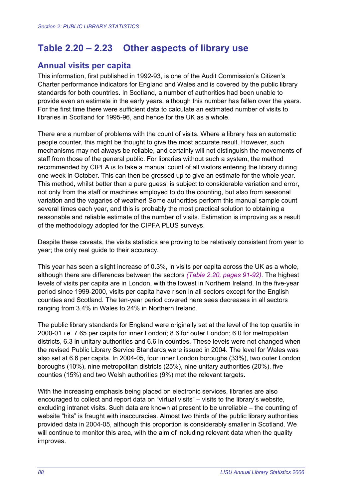## **Table 2.20 – 2.23 Other aspects of library use**

### **Annual visits per capita**

This information, first published in 1992-93, is one of the Audit Commission's Citizen's Charter performance indicators for England and Wales and is covered by the public library standards for both countries. In Scotland, a number of authorities had been unable to provide even an estimate in the early years, although this number has fallen over the years. For the first time there were sufficient data to calculate an estimated number of visits to libraries in Scotland for 1995-96, and hence for the UK as a whole.

There are a number of problems with the count of visits. Where a library has an automatic people counter, this might be thought to give the most accurate result. However, such mechanisms may not always be reliable, and certainly will not distinguish the movements of staff from those of the general public. For libraries without such a system, the method recommended by CIPFA is to take a manual count of all visitors entering the library during one week in October. This can then be grossed up to give an estimate for the whole year. This method, whilst better than a pure guess, is subject to considerable variation and error, not only from the staff or machines employed to do the counting, but also from seasonal variation and the vagaries of weather! Some authorities perform this manual sample count several times each year, and this is probably the most practical solution to obtaining a reasonable and reliable estimate of the number of visits. Estimation is improving as a result of the methodology adopted for the CIPFA PLUS surveys.

Despite these caveats, the visits statistics are proving to be relatively consistent from year to year; the only real guide to their accuracy.

This year has seen a slight increase of 0.3%, in visits per capita across the UK as a whole, although there are differences between the sectors *(Table 2.20, pages 91-92).* The highest levels of visits per capita are in London, with the lowest in Northern Ireland. In the five-year period since 1999-2000, visits per capita have risen in all sectors except for the English counties and Scotland. The ten-year period covered here sees decreases in all sectors ranging from 3.4% in Wales to 24% in Northern Ireland.

The public library standards for England were originally set at the level of the top quartile in 2000-01 i.e. 7.65 per capita for inner London; 8.6 for outer London; 6.0 for metropolitan districts, 6.3 in unitary authorities and 6.6 in counties. These levels were not changed when the revised Public Library Service Standards were issued in 2004. The level for Wales was also set at 6.6 per capita. In 2004-05, four inner London boroughs (33%), two outer London boroughs (10%), nine metropolitan districts (25%), nine unitary authorities (20%), five counties (15%) and two Welsh authorities (9%) met the relevant targets.

With the increasing emphasis being placed on electronic services, libraries are also encouraged to collect and report data on "virtual visits" – visits to the library's website, excluding intranet visits. Such data are known at present to be unreliable – the counting of website "hits" is fraught with inaccuracies. Almost two thirds of the public library authorities provided data in 2004-05, although this proportion is considerably smaller in Scotland. We will continue to monitor this area, with the aim of including relevant data when the quality improves.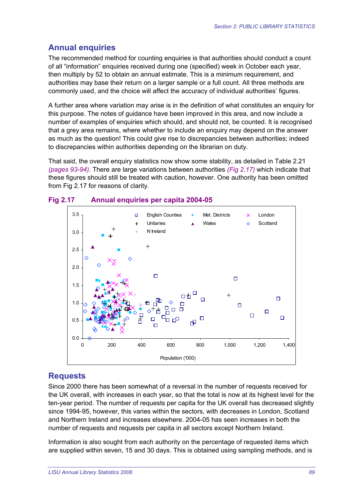## **Annual enquiries**

The recommended method for counting enquiries is that authorities should conduct a count of all "information" enquiries received during one (specified) week in October each year, then multiply by 52 to obtain an annual estimate. This is a minimum requirement, and authorities may base their return on a larger sample or a full count. All three methods are commonly used, and the choice will affect the accuracy of individual authorities' figures.

A further area where variation may arise is in the definition of what constitutes an enquiry for this purpose. The notes of guidance have been improved in this area, and now include a number of examples of enquiries which should, and should not, be counted. It is recognised that a grey area remains, where whether to include an enquiry may depend on the answer as much as the question! This could give rise to discrepancies between authorities; indeed to discrepancies within authorities depending on the librarian on duty.

That said, the overall enquiry statistics now show some stability, as detailed in Table 2.21 *(pages 93-94)*. There are large variations between authorities *(Fig 2.17)* which indicate that these figures should still be treated with caution, however. One authority has been omitted from Fig 2.17 for reasons of clarity.



#### **Fig 2.17 Annual enquiries per capita 2004-05**

### **Requests**

Since 2000 there has been somewhat of a reversal in the number of requests received for the UK overall, with increases in each year, so that the total is now at its highest level for the ten-year period. The number of requests per capita for the UK overall has decreased slightly since 1994-95, however, this varies within the sectors, with decreases in London, Scotland and Northern Ireland and increases elsewhere. 2004-05 has seen increases in both the number of requests and requests per capita in all sectors except Northern Ireland.

Information is also sought from each authority on the percentage of requested items which are supplied within seven, 15 and 30 days. This is obtained using sampling methods, and is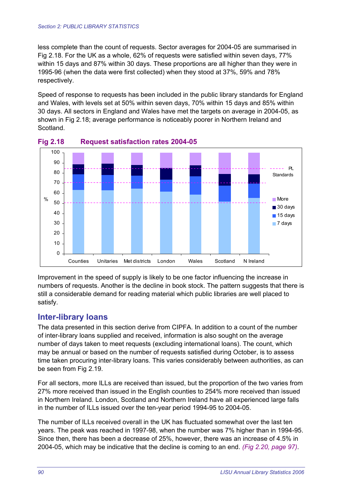less complete than the count of requests. Sector averages for 2004-05 are summarised in Fig 2.18. For the UK as a whole, 62% of requests were satisfied within seven days, 77% within 15 days and 87% within 30 days. These proportions are all higher than they were in 1995-96 (when the data were first collected) when they stood at 37%, 59% and 78% respectively.

Speed of response to requests has been included in the public library standards for England and Wales, with levels set at 50% within seven days, 70% within 15 days and 85% within 30 days. All sectors in England and Wales have met the targets on average in 2004-05, as shown in Fig 2.18; average performance is noticeably poorer in Northern Ireland and Scotland.





Improvement in the speed of supply is likely to be one factor influencing the increase in numbers of requests. Another is the decline in book stock. The pattern suggests that there is still a considerable demand for reading material which public libraries are well placed to satisfy.

#### **Inter-library loans**

The data presented in this section derive from CIPFA. In addition to a count of the number of inter-library loans supplied and received, information is also sought on the average number of days taken to meet requests (excluding international loans). The count, which may be annual or based on the number of requests satisfied during October, is to assess time taken procuring inter-library loans. This varies considerably between authorities, as can be seen from Fig 2.19.

For all sectors, more ILLs are received than issued, but the proportion of the two varies from 27% more received than issued in the English counties to 254% more received than issued in Northern Ireland. London, Scotland and Northern Ireland have all experienced large falls in the number of ILLs issued over the ten-year period 1994-95 to 2004-05.

The number of ILLs received overall in the UK has fluctuated somewhat over the last ten years. The peak was reached in 1997-98, when the number was 7% higher than in 1994-95. Since then, there has been a decrease of 25%, however, there was an increase of 4.5% in 2004-05, which may be indicative that the decline is coming to an end. *(Fig 2.20, page 97)*.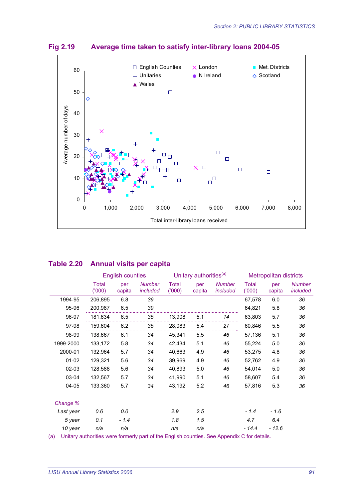



#### **Table 2.20 Annual visits per capita**

|           | <b>English counties</b> |               | Unitary authorities <sup>(a)</sup> |                |               | <b>Metropolitan districts</b> |                       |               |                           |
|-----------|-------------------------|---------------|------------------------------------|----------------|---------------|-------------------------------|-----------------------|---------------|---------------------------|
|           | Total<br>(000)          | per<br>capita | <b>Number</b><br>included          | Total<br>(000) | per<br>capita | <b>Number</b><br>included     | <b>Total</b><br>(000) | per<br>capita | <b>Number</b><br>included |
| 1994-95   | 206,895                 | 6.8           | 39                                 |                |               |                               | 67,578                | 6.0           | 36                        |
| 95-96     | 200,987                 | 6.5           | 39                                 |                |               |                               | 64,821                | 5.8           | 36                        |
| 96-97     | 181,634                 | 6.5           | 35                                 | 13,908         | 5.1           | 14                            | 63,803                | 5.7           | 36                        |
| 97-98     | 159,604                 | 6.2           | 35                                 | 28,083         | 5.4           | 27                            | 60,846                | 5.5           | 36                        |
| 98-99     | 138,667                 | 6.1           | 34                                 | 45,341         | 5.5           | 46                            | 57,136                | 5.1           | 36                        |
| 1999-2000 | 133,172                 | 5.8           | 34                                 | 42,434         | 5.1           | 46                            | 55,224                | 5.0           | 36                        |
| 2000-01   | 132,964                 | 5.7           | 34                                 | 40,663         | 4.9           | 46                            | 53,275                | 4.8           | 36                        |
| $01 - 02$ | 129,321                 | 5.6           | 34                                 | 39,969         | 4.9           | 46                            | 52,762                | 4.9           | 36                        |
| 02-03     | 128,588                 | 5.6           | 34                                 | 40,893         | 5.0           | 46                            | 54,014                | 5.0           | 36                        |
| 03-04     | 132,567                 | 5.7           | 34                                 | 41,990         | 5.1           | 46                            | 58,607                | 5.4           | 36                        |
| 04-05     | 133,360                 | 5.7           | 34                                 | 43,192         | 5.2           | 46                            | 57,816                | 5.3           | 36                        |
| Change %  |                         |               |                                    |                |               |                               |                       |               |                           |
| Last year | 0.6                     | 0.0           |                                    | 2.9            | 2.5           |                               | $-1.4$                | $-1.6$        |                           |
| 5 year    | 0.1                     | $-1.4$        |                                    | 1.8            | 1.5           |                               | 4.7                   | 6.4           |                           |
| 10 year   | n/a                     | n/a           |                                    | n/a            | n/a           |                               | $-14.4$               | $-12.6$       |                           |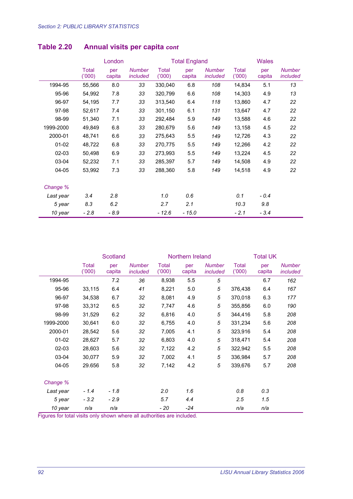|           |                       | London        |                           |                       | <b>Total England</b> |                           |                       | <b>Wales</b>  |                           |  |
|-----------|-----------------------|---------------|---------------------------|-----------------------|----------------------|---------------------------|-----------------------|---------------|---------------------------|--|
|           | <b>Total</b><br>(000) | per<br>capita | <b>Number</b><br>included | <b>Total</b><br>(000) | per<br>capita        | <b>Number</b><br>included | <b>Total</b><br>(000) | per<br>capita | <b>Number</b><br>included |  |
| 1994-95   | 55,566                | 8.0           | 33                        | 330,040               | 6.8                  | 108                       | 14,834                | 5.1           | 13                        |  |
| 95-96     | 54,992                | 7.8           | 33                        | 320,799               | 6.6                  | 108                       | 14,303                | 4.9           | 13                        |  |
| 96-97     | 54,195                | 7.7           | 33                        | 313,540               | 6.4                  | 118                       | 13,860                | 4.7           | 22                        |  |
| 97-98     | 52,617                | 7.4           | 33                        | 301,150               | 6.1                  | 131                       | 13,647                | 4.7           | 22                        |  |
| 98-99     | 51,340                | 7.1           | 33                        | 292,484               | 5.9                  | 149                       | 13,588                | 4.6           | 22                        |  |
| 1999-2000 | 49,849                | 6.8           | 33                        | 280,679               | 5.6                  | 149                       | 13,158                | 4.5           | 22                        |  |
| 2000-01   | 48,741                | 6.6           | 33                        | 275,643               | 5.5                  | 149                       | 12,726                | 4.3           | 22                        |  |
| $01 - 02$ | 48,722                | 6.8           | 33                        | 270,775               | 5.5                  | 149                       | 12,266                | 4.2           | 22                        |  |
| 02-03     | 50,498                | 6.9           | 33                        | 273,993               | 5.5                  | 149                       | 13,224                | 4.5           | 22                        |  |
| 03-04     | 52,232                | 7.1           | 33                        | 285,397               | 5.7                  | 149                       | 14,508                | 4.9           | 22                        |  |
| 04-05     | 53,992                | 7.3           | 33                        | 288,360               | 5.8                  | 149                       | 14,518                | 4.9           | 22                        |  |
| Change %  |                       |               |                           |                       |                      |                           |                       |               |                           |  |
| Last year | 3.4                   | 2.8           |                           | 1.0                   | 0.6                  |                           | 0.1                   | $-0.4$        |                           |  |
| 5 year    | 8.3                   | 6.2           |                           | 2.7                   | 2.1                  |                           | 10.3                  | 9.8           |                           |  |
| 10 year   | $-2.8$                | $-8.9$        |                           | $-12.6$               | $-15.0$              |                           | $-2.1$                | $-3.4$        |                           |  |

### **Table 2.20 Annual visits per capita** *cont*

|           |                       | Scotland      |                           |                       | Northern Ireland |                           | <b>Total UK</b>       |               |                           |
|-----------|-----------------------|---------------|---------------------------|-----------------------|------------------|---------------------------|-----------------------|---------------|---------------------------|
|           | <b>Total</b><br>(000) | per<br>capita | <b>Number</b><br>included | <b>Total</b><br>(000) | per<br>capita    | <b>Number</b><br>included | <b>Total</b><br>(000) | per<br>capita | <b>Number</b><br>included |
| 1994-95   |                       | 7.2           | 36                        | 8,938                 | 5.5              | 5                         |                       | 6.7           | 162                       |
| 95-96     | 33,115                | 6.4           | 41                        | 8,221                 | 5.0              | 5                         | 376,438               | 6.4           | 167                       |
| 96-97     | 34,538                | 6.7           | 32                        | 8,081                 | 4.9              | 5                         | 370,018               | 6.3           | 177                       |
| 97-98     | 33,312                | 6.5           | 32                        | 7,747                 | 4.6              | 5                         | 355,856               | 6.0           | 190                       |
| 98-99     | 31,529                | 6.2           | 32                        | 6,816                 | 4.0              | 5                         | 344,416               | 5.8           | 208                       |
| 1999-2000 | 30,641                | 6.0           | 32                        | 6,755                 | 4.0              | 5                         | 331,234               | 5.6           | 208                       |
| 2000-01   | 28,542                | 5.6           | 32                        | 7,005                 | 4.1              | 5                         | 323,916               | 5.4           | 208                       |
| $01-02$   | 28,627                | 5.7           | 32                        | 6,803                 | 4.0              | 5                         | 318,471               | 5.4           | 208                       |
| $02 - 03$ | 28,603                | 5.6           | 32                        | 7,122                 | 4.2              | 5                         | 322,942               | 5.5           | 208                       |
| 03-04     | 30,077                | 5.9           | 32                        | 7,002                 | 4.1              | 5                         | 336,984               | 5.7           | 208                       |
| 04-05     | 29.656                | 5.8           | 32                        | 7,142                 | 4.2              | 5                         | 339,676               | 5.7           | 208                       |
| Change %  |                       |               |                           |                       |                  |                           |                       |               |                           |
| Last year | $-1.4$                | $-1.8$        |                           | 2.0                   | 1.6              |                           | 0.8                   | 0.3           |                           |
| 5 year    | $-3.2$                | $-2.9$        |                           | 5.7                   | 4.4              |                           | $2.5\,$               | 1.5           |                           |
| 10 year   | n/a                   | n/a           |                           | - 20                  | -24              |                           | n/a                   | n/a           |                           |

Figures for total visits only shown where all authorities are included.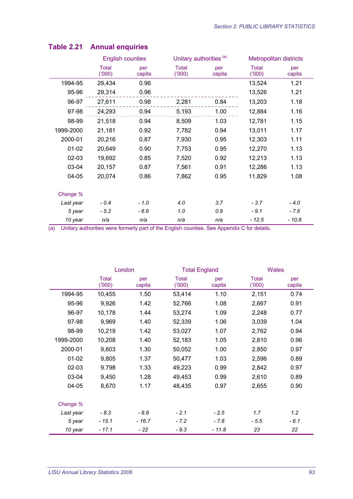|           | <b>English counties</b> |               | Unitary authorities <sup>(a)</sup> |               | Metropolitan districts |               |
|-----------|-------------------------|---------------|------------------------------------|---------------|------------------------|---------------|
|           | Total<br>(000)          | per<br>capita | Total<br>(000)                     | per<br>capita | <b>Total</b><br>(000)  | per<br>capita |
| 1994-95   | 29,434                  | 0.96          |                                    |               | 13,524                 | 1.21          |
| 95-96     | 29,314                  | 0.96          |                                    |               | 13,526                 | 1.21          |
| 96-97     | 27,611                  | 0.98          | 2,281                              | 0.84          | 13,203                 | 1.18          |
| 97-98     | 24,293                  | 0.94          | 5,193                              | 1.00          | 12,884                 | 1.16          |
| 98-99     | 21,518                  | 0.94          | 8,509                              | 1.03          | 12,781                 | 1.15          |
| 1999-2000 | 21,181                  | 0.92          | 7,782                              | 0.94          | 13,011                 | 1.17          |
| 2000-01   | 20,216                  | 0.87          | 7,930                              | 0.95          | 12,303                 | 1.11          |
| $01 - 02$ | 20,649                  | 0.90          | 7,753                              | 0.95          | 12,270                 | 1.13          |
| 02-03     | 19,692                  | 0.85          | 7,520                              | 0.92          | 12,213                 | 1.13          |
| 03-04     | 20,157                  | 0.87          | 7,561                              | 0.91          | 12,286                 | 1.13          |
| 04-05     | 20,074                  | 0.86          | 7,862                              | 0.95          | 11,829                 | 1.08          |
|           |                         |               |                                    |               |                        |               |
| Change %  |                         |               |                                    |               |                        |               |
| Last year | $-0.4$                  | $-1.0$        | 4.0                                | 3.7           | $-3.7$                 | $-4.0$        |
| 5 year    | $-5.2$                  | $-6.6$        | 1.0                                | 0.9           | $-9.1$                 | $-7.6$        |
| 10 year   | n/a                     | n/a           | n/a                                | n/a           | $-12.5$                | $-10.6$       |

### **Table 2.21 Annual enquiries**

|           | London                |               | <b>Total England</b> |               | <b>Wales</b>          |               |
|-----------|-----------------------|---------------|----------------------|---------------|-----------------------|---------------|
|           | <b>Total</b><br>(000) | per<br>capita | Total<br>(000)       | per<br>capita | <b>Total</b><br>(000) | per<br>capita |
| 1994-95   | 10,455                | 1.50          | 53,414               | 1.10          | 2,151                 | 0.74          |
| 95-96     | 9,926                 | 1.42          | 52,766               | 1.08          | 2,667                 | 0.91          |
| 96-97     | 10,178                | 1.44          | 53,274               | 1.09          | 2,248                 | 0.77          |
| 97-98     | 9,969                 | 1.40          | 52,339               | 1.06          | 3,039                 | 1.04          |
| 98-99     | 10,219                | 1.42          | 53,027               | 1.07          | 2,762                 | 0.94          |
| 1999-2000 | 10,208                | 1.40          | 52,183               | 1.05          | 2,810                 | 0.96          |
| 2000-01   | 9,603                 | 1.30          | 50,052               | 1.00          | 2,850                 | 0.97          |
| $01 - 02$ | 9,805                 | 1.37          | 50,477               | 1.03          | 2,596                 | 0.89          |
| $02 - 03$ | 9.798                 | 1.33          | 49,223               | 0.99          | 2,842                 | 0.97          |
| 03-04     | 9,450                 | 1.28          | 49,453               | 0.99          | 2,610                 | 0.89          |
| 04-05     | 8,670                 | 1.17          | 48,435               | 0.97          | 2,655                 | 0.90          |
| Change %  |                       |               |                      |               |                       |               |
| Last year | $-8.3$                | $-8.8$        | $-2.1$               | $-2.5$        | 1.7                   | 1.2           |
| 5 year    | $-15.1$               | $-16.7$       | $-7.2$               | $-7.8$        | $-5.5$                | $-6.1$        |
| 10 year   | - 17.1                | - 22          | $-9.3$               | $-11.8$       | 23                    | 22            |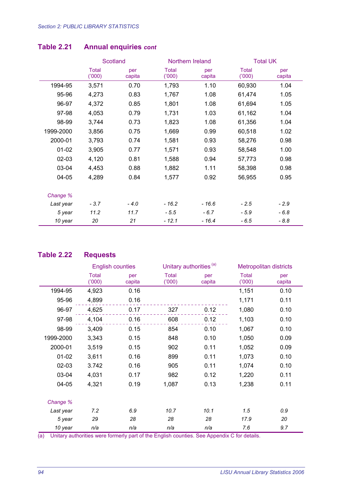|           |                       | <b>Scotland</b> |                | Northern Ireland | <b>Total UK</b>       |               |
|-----------|-----------------------|-----------------|----------------|------------------|-----------------------|---------------|
|           | <b>Total</b><br>(000) | per<br>capita   | Total<br>(000) | per<br>capita    | <b>Total</b><br>(000) | per<br>capita |
| 1994-95   | 3,571                 | 0.70            | 1,793          | 1.10             | 60,930                | 1.04          |
| 95-96     | 4,273                 | 0.83            | 1,767          | 1.08             | 61,474                | 1.05          |
| 96-97     | 4,372                 | 0.85            | 1,801          | 1.08             | 61,694                | 1.05          |
| 97-98     | 4,053                 | 0.79            | 1,731          | 1.03             | 61,162                | 1.04          |
| 98-99     | 3,744                 | 0.73            | 1,823          | 1.08             | 61,356                | 1.04          |
| 1999-2000 | 3,856                 | 0.75            | 1,669          | 0.99             | 60,518                | 1.02          |
| 2000-01   | 3,793                 | 0.74            | 1,581          | 0.93             | 58,276                | 0.98          |
| $01 - 02$ | 3,905                 | 0.77            | 1,571          | 0.93             | 58,548                | 1.00          |
| $02 - 03$ | 4,120                 | 0.81            | 1,588          | 0.94             | 57,773                | 0.98          |
| 03-04     | 4,453                 | 0.88            | 1,882          | 1.11             | 58,398                | 0.98          |
| 04-05     | 4,289                 | 0.84            | 1,577          | 0.92             | 56,955                | 0.95          |
| Change %  |                       |                 |                |                  |                       |               |
| Last year | $-3.7$                | $-4.0$          | $-16.2$        | $-16.6$          | $-2.5$                | $-2.9$        |
| 5 year    | 11.2                  | 11.7            | $-5.5$         | $-6.7$           | $-5.9$                | $-6.8$        |
| 10 year   | 20                    | 21              | $-12.1$        | $-16.4$          | $-6.5$                | $-8.8$        |

### **Table 2.21 Annual enquiries** *cont*

#### **Table 2.22 Requests**

|           | <b>English counties</b> |               | Unitary authorities <sup>(a)</sup> |               |                | <b>Metropolitan districts</b> |
|-----------|-------------------------|---------------|------------------------------------|---------------|----------------|-------------------------------|
|           | Total<br>(000)          | per<br>capita | <b>Total</b><br>(000)              | per<br>capita | Total<br>(000) | per<br>capita                 |
| 1994-95   | 4,923                   | 0.16          |                                    |               | 1,151          | 0.10                          |
| 95-96     | 4,899                   | 0.16          |                                    |               | 1,171          | 0.11                          |
| 96-97     | 4,625                   | 0.17          | 327                                | 0.12          | 1,080          | 0.10                          |
| 97-98     | 4,104                   | 0.16          | 608                                | 0.12          | 1,103          | 0.10                          |
| 98-99     | 3,409                   | 0.15          | 854                                | 0.10          | 1,067          | 0.10                          |
| 1999-2000 | 3,343                   | 0.15          | 848                                | 0.10          | 1,050          | 0.09                          |
| 2000-01   | 3,519                   | 0.15          | 902                                | 0.11          | 1,052          | 0.09                          |
| $01 - 02$ | 3,611                   | 0.16          | 899                                | 0.11          | 1,073          | 0.10                          |
| $02 - 03$ | 3.742                   | 0.16          | 905                                | 0.11          | 1,074          | 0.10                          |
| 03-04     | 4,031                   | 0.17          | 982                                | 0.12          | 1,220          | 0.11                          |
| 04-05     | 4,321                   | 0.19          | 1,087                              | 0.13          | 1,238          | 0.11                          |
|           |                         |               |                                    |               |                |                               |
| Change %  |                         |               |                                    |               |                |                               |
| Last year | 7.2                     | 6.9           | 10.7                               | 10.1          | 1.5            | 0.9                           |
| 5 year    | 29                      | 28            | 28                                 | 28            | 17.9           | 20                            |
| 10 year   | n/a                     | n/a           | n/a                                | n/a           | 7.6            | 9.7                           |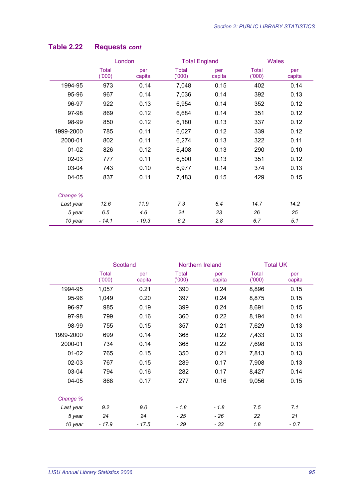|           | London                |               | <b>Total England</b>  |               | <b>Wales</b>   |               |
|-----------|-----------------------|---------------|-----------------------|---------------|----------------|---------------|
|           | <b>Total</b><br>(000) | per<br>capita | <b>Total</b><br>(000) | per<br>capita | Total<br>(000) | per<br>capita |
| 1994-95   | 973                   | 0.14          | 7,048                 | 0.15          | 402            | 0.14          |
| 95-96     | 967                   | 0.14          | 7,036                 | 0.14          | 392            | 0.13          |
| 96-97     | 922                   | 0.13          | 6,954                 | 0.14          | 352            | 0.12          |
| 97-98     | 869                   | 0.12          | 6,684                 | 0.14          | 351            | 0.12          |
| 98-99     | 850                   | 0.12          | 6,180                 | 0.13          | 337            | 0.12          |
| 1999-2000 | 785                   | 0.11          | 6,027                 | 0.12          | 339            | 0.12          |
| 2000-01   | 802                   | 0.11          | 6,274                 | 0.13          | 322            | 0.11          |
| $01 - 02$ | 826                   | 0.12          | 6,408                 | 0.13          | 290            | 0.10          |
| $02 - 03$ | 777                   | 0.11          | 6,500                 | 0.13          | 351            | 0.12          |
| 03-04     | 743                   | 0.10          | 6,977                 | 0.14          | 374            | 0.13          |
| $04 - 05$ | 837                   | 0.11          | 7,483                 | 0.15          | 429            | 0.15          |
| Change %  |                       |               |                       |               |                |               |
| Last year | 12.6                  | 11.9          | 7.3                   | 6.4           | 14.7           | 14.2          |
| 5 year    | 6.5                   | 4.6           | 24                    | 23            | 26             | 25            |
| 10 year   | $-14.1$               | $-19.3$       | 6.2                   | 2.8           | 6.7            | 5.1           |

### **Table 2.22 Requests** *cont*

|           | <b>Scotland</b> |               | Northern Ireland      |               | <b>Total UK</b>       |               |
|-----------|-----------------|---------------|-----------------------|---------------|-----------------------|---------------|
|           | Total<br>(000)  | per<br>capita | <b>Total</b><br>(000) | per<br>capita | <b>Total</b><br>(000) | per<br>capita |
| 1994-95   | 1,057           | 0.21          | 390                   | 0.24          | 8,896                 | 0.15          |
| 95-96     | 1,049           | 0.20          | 397                   | 0.24          | 8,875                 | 0.15          |
| 96-97     | 985             | 0.19          | 399                   | 0.24          | 8,691                 | 0.15          |
| 97-98     | 799             | 0.16          | 360                   | 0.22          | 8,194                 | 0.14          |
| 98-99     | 755             | 0.15          | 357                   | 0.21          | 7,629                 | 0.13          |
| 1999-2000 | 699             | 0.14          | 368                   | 0.22          | 7,433                 | 0.13          |
| 2000-01   | 734             | 0.14          | 368                   | 0.22          | 7,698                 | 0.13          |
| $01 - 02$ | 765             | 0.15          | 350                   | 0.21          | 7,813                 | 0.13          |
| $02 - 03$ | 767             | 0.15          | 289                   | 0.17          | 7,908                 | 0.13          |
| 03-04     | 794             | 0.16          | 282                   | 0.17          | 8,427                 | 0.14          |
| 04-05     | 868             | 0.17          | 277                   | 0.16          | 9,056                 | 0.15          |
| Change %  |                 |               |                       |               |                       |               |
| Last year | 9.2             | 9.0           | $-1.8$                | $-1.8$        | 7.5                   | 7.1           |
| 5 year    | 24              | 24            | - 25                  | $-26$         | 22                    | 21            |
| 10 year   | $-17.9$         | $-17.5$       | - 29                  | $-33$         | 1.8                   | $-0.7$        |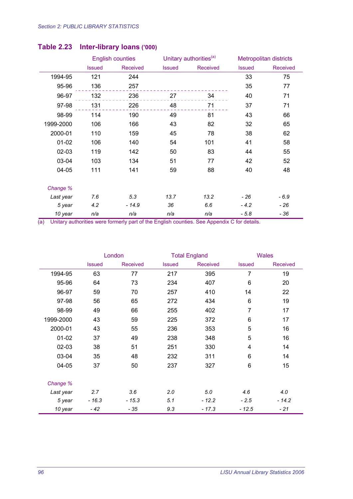|           | <b>English counties</b> |                 | Unitary authorities <sup>(a)</sup> |          | Metropolitan districts |                 |
|-----------|-------------------------|-----------------|------------------------------------|----------|------------------------|-----------------|
|           | <b>Issued</b>           | <b>Received</b> | <b>Issued</b>                      | Received | <b>Issued</b>          | <b>Received</b> |
| 1994-95   | 121                     | 244             |                                    |          | 33                     | 75              |
| 95-96     | 136                     | 257             |                                    |          | 35                     | 77              |
| 96-97     | 132                     | 236             | 27                                 | 34       | 40                     | 71              |
| 97-98     | 131                     | 226             | 48                                 | 71       | 37                     | 71              |
| 98-99     | 114                     | 190             | 49                                 | 81       | 43                     | 66              |
| 1999-2000 | 106                     | 166             | 43                                 | 82       | 32                     | 65              |
| 2000-01   | 110                     | 159             | 45                                 | 78       | 38                     | 62              |
| $01 - 02$ | 106                     | 140             | 54                                 | 101      | 41                     | 58              |
| $02 - 03$ | 119                     | 142             | 50                                 | 83       | 44                     | 55              |
| 03-04     | 103                     | 134             | 51                                 | 77       | 42                     | 52              |
| 04-05     | 111                     | 141             | 59                                 | 88       | 40                     | 48              |
| Change %  |                         |                 |                                    |          |                        |                 |
| Last year | 7.6                     | 5.3             | 13.7                               | 13.2     | $-26$                  | $-6.9$          |
| 5 year    | 4.2                     | $-14.9$         | 36                                 | 6.6      | $-4.2$                 | - 26            |
| 10 year   | n/a                     | n/a             | n/a                                | n/a      | $-5.8$                 | $-36$           |

### **Table 2.23 Inter-library loans ('000)**

|           | London        |                 | <b>Total England</b> |          | <b>Wales</b>   |                 |
|-----------|---------------|-----------------|----------------------|----------|----------------|-----------------|
|           | <b>Issued</b> | <b>Received</b> | <b>Issued</b>        | Received | <b>Issued</b>  | <b>Received</b> |
| 1994-95   | 63            | 77              | 217                  | 395      | $\overline{7}$ | 19              |
| 95-96     | 64            | 73              | 234                  | 407      | 6              | 20              |
| 96-97     | 59            | 70              | 257                  | 410      | 14             | 22              |
| 97-98     | 56            | 65              | 272                  | 434      | 6              | 19              |
| 98-99     | 49            | 66              | 255                  | 402      | $\overline{7}$ | 17              |
| 1999-2000 | 43            | 59              | 225                  | 372      | 6              | 17              |
| 2000-01   | 43            | 55              | 236                  | 353      | 5              | 16              |
| $01-02$   | 37            | 49              | 238                  | 348      | 5              | 16              |
| $02 - 03$ | 38            | 51              | 251                  | 330      | 4              | 14              |
| 03-04     | 35            | 48              | 232                  | 311      | 6              | 14              |
| 04-05     | 37            | 50              | 237                  | 327      | 6              | 15              |
| Change %  |               |                 |                      |          |                |                 |
| Last year | 2.7           | 3.6             | 2.0                  | 5.0      | 4.6            | 4.0             |
| 5 year    | $-16.3$       | $-15.3$         | 5.1                  | $-12.2$  | $-2.5$         | $-14.2$         |
| 10 year   | $-42$         | $-35$           | 9.3                  | $-17.3$  | $-12.5$        | $-21$           |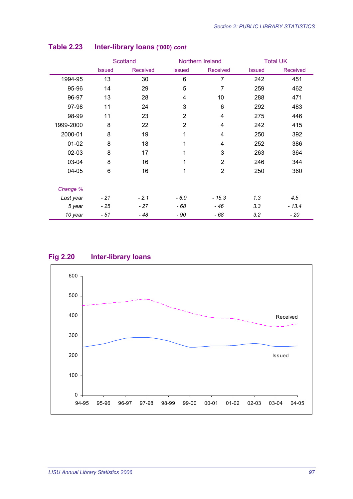|           | <b>Scotland</b> |                 | Northern Ireland |                | <b>Total UK</b> |                 |
|-----------|-----------------|-----------------|------------------|----------------|-----------------|-----------------|
|           | <b>Issued</b>   | <b>Received</b> | <b>Issued</b>    | Received       | <b>Issued</b>   | <b>Received</b> |
| 1994-95   | 13              | 30              | 6                | $\overline{7}$ | 242             | 451             |
| 95-96     | 14              | 29              | 5                | 7              | 259             | 462             |
| 96-97     | 13              | 28              | 4                | 10             | 288             | 471             |
| 97-98     | 11              | 24              | 3                | 6              | 292             | 483             |
| 98-99     | 11              | 23              | $\overline{2}$   | 4              | 275             | 446             |
| 1999-2000 | 8               | 22              | $\overline{2}$   | 4              | 242             | 415             |
| 2000-01   | 8               | 19              | 1                | 4              | 250             | 392             |
| $01 - 02$ | 8               | 18              | 1                | 4              | 252             | 386             |
| 02-03     | 8               | 17              | 1                | 3              | 263             | 364             |
| 03-04     | 8               | 16              | 1                | $\overline{2}$ | 246             | 344             |
| 04-05     | 6               | 16              | 1                | $\overline{2}$ | 250             | 360             |
| Change %  |                 |                 |                  |                |                 |                 |
| Last year | $-21$           | $-2.1$          | $-6.0$           | $-15.3$        | 1.3             | 4.5             |
| 5 year    | $-25$           | $-27$           | - 68             | - 46           | 3.3             | $-13.4$         |
| 10 year   | - 51            | - 48            | - 90             | - 68           | 3.2             | - 20            |

#### **Table 2.23 Inter-library loans ('000)** *cont*

#### **Fig 2.20 Inter-library loans**

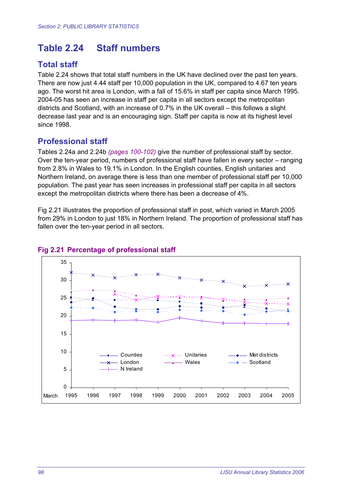# **Table 2.24 Staff numbers**

## **Total staff**

Table 2.24 shows that total staff numbers in the UK have declined over the past ten years. There are now just 4.44 staff per 10,000 population in the UK, compared to 4.67 ten years ago. The worst hit area is London, with a fall of 15.6% in staff per capita since March 1995. 2004-05 has seen an increase in staff per capita in all sectors except the metropolitan districts and Scotland, with an increase of 0.7% in the UK overall – this follows a slight decrease last year and is an encouraging sign. Staff per capita is now at its highest level since 1998.

### **Professional staff**

Tables 2.24a and 2.24b *(pages 100-102)* give the number of professional staff by sector. Over the ten-year period, numbers of professional staff have fallen in every sector – ranging from 2.8% in Wales to 19.1% in London. In the English counties, English unitaries and Northern Ireland, on average there is less than one member of professional staff per 10,000 population. The past year has seen increases in professional staff per capita in all sectors except the metropolitan districts where there has been a decrease of 4%.

Fig 2.21 illustrates the proportion of professional staff in post, which varied in March 2005 from 29% in London to just 18% in Northern Ireland. The proportion of professional staff has fallen over the ten-year period in all sectors.



#### **Fig 2.21 Percentage of professional staff**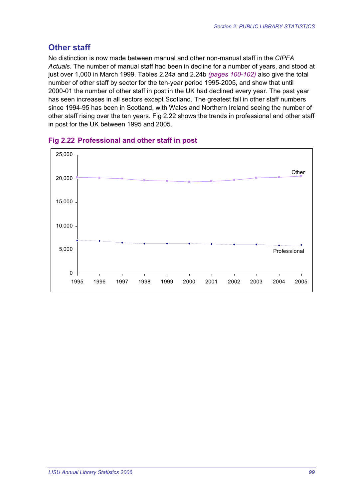## **Other staff**

No distinction is now made between manual and other non-manual staff in the *CIPFA Actuals*. The number of manual staff had been in decline for a number of years, and stood at just over 1,000 in March 1999. Tables 2.24a and 2.24b *(pages 100-102)* also give the total number of other staff by sector for the ten-year period 1995-2005, and show that until 2000-01 the number of other staff in post in the UK had declined every year. The past year has seen increases in all sectors except Scotland. The greatest fall in other staff numbers since 1994-95 has been in Scotland, with Wales and Northern Ireland seeing the number of other staff rising over the ten years. Fig 2.22 shows the trends in professional and other staff in post for the UK between 1995 and 2005.



#### **Fig 2.22 Professional and other staff in post**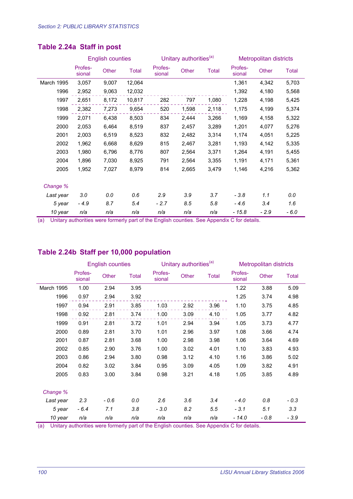|            |                   | <b>English counties</b> |              |                   | Unitary authorities <sup>(a)</sup> |              | <b>Metropolitan districts</b> |        |              |
|------------|-------------------|-------------------------|--------------|-------------------|------------------------------------|--------------|-------------------------------|--------|--------------|
|            | Profes-<br>sional | Other                   | <b>Total</b> | Profes-<br>sional | Other                              | <b>Total</b> | Profes-<br>sional             | Other  | <b>Total</b> |
| March 1995 | 3,057             | 9,007                   | 12,064       |                   |                                    |              | 1,361                         | 4,342  | 5,703        |
| 1996       | 2,952             | 9,063                   | 12,032       |                   |                                    |              | 1,392                         | 4,180  | 5,568        |
| 1997       | 2,651             | 8,172                   | 10,817       | 282               | 797                                | 1,080        | 1,228                         | 4,198  | 5,425        |
| 1998       | 2,382             | 7,273                   | 9,654        | 520               | 1,598                              | 2,118        | 1,175                         | 4,199  | 5,374        |
| 1999       | 2,071             | 6,438                   | 8,503        | 834               | 2,444                              | 3,266        | 1,169                         | 4,158  | 5,322        |
| 2000       | 2,053             | 6,464                   | 8,519        | 837               | 2,457                              | 3,289        | 1,201                         | 4,077  | 5,276        |
| 2001       | 2,003             | 6,519                   | 8,523        | 832               | 2,482                              | 3,314        | 1,174                         | 4,051  | 5,225        |
| 2002       | 1,962             | 6,668                   | 8,629        | 815               | 2,467                              | 3,281        | 1,193                         | 4,142  | 5,335        |
| 2003       | 1,980             | 6,796                   | 8,776        | 807               | 2,564                              | 3,371        | 1,264                         | 4,191  | 5,455        |
| 2004       | 1,896             | 7,030                   | 8,925        | 791               | 2,564                              | 3,355        | 1,191                         | 4,171  | 5,361        |
| 2005       | 1,952             | 7,027                   | 8,979        | 814               | 2,665                              | 3,479        | 1,146                         | 4,216  | 5,362        |
| Change %   |                   |                         |              |                   |                                    |              |                               |        |              |
| Last year  | 3.0               | 0.0                     | 0.6          | 2.9               | 3.9                                | 3.7          | $-3.8$                        | 1.1    | 0.0          |
| 5 year     | $-4.9$            | 8.7                     | 5.4          | $-2.7$            | 8.5                                | 5.8          | $-4.6$                        | 3.4    | 1.6          |
| 10 year    | n/a               | n/a                     | n/a          | n/a               | n/a                                | n/a          | - 15.8                        | $-2.9$ | - 6.0        |

## **Table 2.24a Staff in post**

(a) Unitary authorities were formerly part of the English counties. See Appendix C for details.

#### **Table 2.24b Staff per 10,000 population**

|            |                   | <b>English counties</b> |       |                   | Unitary authorities <sup>(a)</sup> |              | <b>Metropolitan districts</b> |        |        |
|------------|-------------------|-------------------------|-------|-------------------|------------------------------------|--------------|-------------------------------|--------|--------|
|            | Profes-<br>sional | Other                   | Total | Profes-<br>sional | Other                              | <b>Total</b> | Profes-<br>sional             | Other  | Total  |
| March 1995 | 1.00              | 2.94                    | 3.95  |                   |                                    |              | 1.22                          | 3.88   | 5.09   |
| 1996       | 0.97              | 2.94                    | 3.92  |                   |                                    |              | 1.25                          | 3.74   | 4.98   |
| 1997       | 0.94              | 2.91                    | 3.85  | 1.03              | 2.92                               | 3.96         | 1.10                          | 3.75   | 4.85   |
| 1998       | 0.92              | 2.81                    | 3.74  | 1.00              | 3.09                               | 4.10         | 1.05                          | 3.77   | 4.82   |
| 1999       | 0.91              | 2.81                    | 3.72  | 1.01              | 2.94                               | 3.94         | 1.05                          | 3.73   | 4.77   |
| 2000       | 0.89              | 2.81                    | 3.70  | 1.01              | 2.96                               | 3.97         | 1.08                          | 3.66   | 4.74   |
| 2001       | 0.87              | 2.81                    | 3.68  | 1.00              | 2.98                               | 3.98         | 1.06                          | 3.64   | 4.69   |
| 2002       | 0.85              | 2.90                    | 3.76  | 1.00              | 3.02                               | 4.01         | 1.10                          | 3.83   | 4.93   |
| 2003       | 0.86              | 2.94                    | 3.80  | 0.98              | 3.12                               | 4.10         | 1.16                          | 3.86   | 5.02   |
| 2004       | 0.82              | 3.02                    | 3.84  | 0.95              | 3.09                               | 4.05         | 1.09                          | 3.82   | 4.91   |
| 2005       | 0.83              | 3.00                    | 3.84  | 0.98              | 3.21                               | 4.18         | 1.05                          | 3.85   | 4.89   |
| Change %   |                   |                         |       |                   |                                    |              |                               |        |        |
| Last year  | 2.3               | - 0.6                   | 0.0   | 2.6               | 3.6                                | 3.4          | $-4.0$                        | 0.8    | $-0.3$ |
| 5 year     | $-6.4$            | 7.1                     | 3.8   | $-3.0$            | 8.2                                | 5.5          | $-3.1$                        | 5.1    | 3.3    |
| 10 year    | n/a               | n/a                     | n/a   | n/a               | n/a                                | n/a          | $-14.0$                       | $-0.8$ | $-3.9$ |

(a) Unitary authorities were formerly part of the English counties. See Appendix C for details.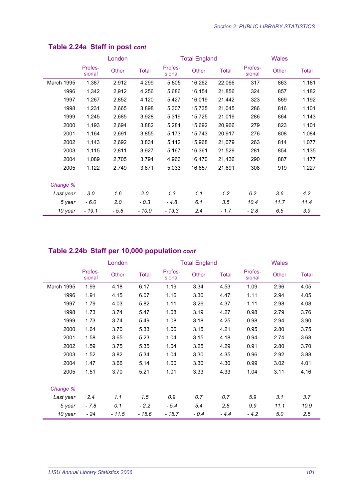|            |                   | London |              |                   | <b>Total England</b> |        | <b>Wales</b>      |       |       |
|------------|-------------------|--------|--------------|-------------------|----------------------|--------|-------------------|-------|-------|
|            | Profes-<br>sional | Other  | <b>Total</b> | Profes-<br>sional | Other                | Total  | Profes-<br>sional | Other | Total |
| March 1995 | 1,387             | 2,912  | 4,299        | 5,805             | 16,262               | 22,066 | 317               | 863   | 1,181 |
| 1996       | 1,342             | 2,912  | 4,256        | 5,686             | 16,154               | 21,856 | 324               | 857   | 1,182 |
| 1997       | 1,267             | 2,852  | 4,120        | 5,427             | 16,019               | 21,442 | 323               | 869   | 1,192 |
| 1998       | 1,231             | 2,665  | 3,898        | 5,307             | 15,735               | 21,045 | 286               | 816   | 1,101 |
| 1999       | 1,245             | 2,685  | 3,928        | 5,319             | 15,725               | 21,019 | 286               | 864   | 1,143 |
| 2000       | 1,193             | 2,694  | 3,882        | 5,284             | 15,692               | 20,966 | 279               | 823   | 1,101 |
| 2001       | 1,164             | 2,691  | 3,855        | 5,173             | 15,743               | 20,917 | 276               | 808   | 1,084 |
| 2002       | 1,143             | 2,692  | 3,834        | 5,112             | 15,968               | 21,079 | 263               | 814   | 1,077 |
| 2003       | 1,115             | 2,811  | 3,927        | 5,167             | 16,361               | 21,529 | 281               | 854   | 1,135 |
| 2004       | 1,089             | 2,705  | 3,794        | 4,966             | 16,470               | 21,436 | 290               | 887   | 1,177 |
| 2005       | 1,122             | 2,749  | 3,871        | 5,033             | 16.657               | 21,691 | 308               | 919   | 1,227 |
| Change %   |                   |        |              |                   |                      |        |                   |       |       |
| Last year  | 3.0               | 1.6    | 2.0          | 1.3               | 1.1                  | 1.2    | 6.2               | 3.6   | 4.2   |
| 5 year     | $-6.0$            | 2.0    | $-0.3$       | $-4.8$            | 6.1                  | 3.5    | 10.4              | 11.7  | 11.4  |
| 10 year    | - 19.1            | - 5.6  | $-10.0$      | $-13.3$           | 2.4                  | - 1.7  | $-2.8$            | 6.5   | 3.9   |

## **Table 2.24a Staff in post** *cont*

## **Table 2.24b Staff per 10,000 population** *cont*

|            |                   | London  |              |                   | <b>Total England</b> |              | <b>Wales</b>      |       |       |
|------------|-------------------|---------|--------------|-------------------|----------------------|--------------|-------------------|-------|-------|
|            | Profes-<br>sional | Other   | <b>Total</b> | Profes-<br>sional | Other                | <b>Total</b> | Profes-<br>sional | Other | Total |
| March 1995 | 1.99              | 4.18    | 6.17         | 1.19              | 3.34                 | 4.53         | 1.09              | 2.96  | 4.05  |
| 1996       | 1.91              | 4.15    | 6.07         | 1.16              | 3.30                 | 4.47         | 1.11              | 2.94  | 4.05  |
| 1997       | 1.79              | 4.03    | 5.82         | 1.11              | 3.26                 | 4.37         | 1.11              | 2.98  | 4.08  |
| 1998       | 1.73              | 3.74    | 5.47         | 1.08              | 3.19                 | 4.27         | 0.98              | 2.79  | 3.76  |
| 1999       | 1.73              | 3.74    | 5.49         | 1.08              | 3.18                 | 4.25         | 0.98              | 2.94  | 3.90  |
| 2000       | 1.64              | 3.70    | 5.33         | 1.06              | 3.15                 | 4.21         | 0.95              | 2.80  | 3.75  |
| 2001       | 1.58              | 3.65    | 5.23         | 1.04              | 3.15                 | 4.18         | 0.94              | 2.74  | 3.68  |
| 2002       | 1.59              | 3.75    | 5.35         | 1.04              | 3.25                 | 4.29         | 0.91              | 2.80  | 3.70  |
| 2003       | 1.52              | 3.82    | 5.34         | 1.04              | 3.30                 | 4.35         | 0.96              | 2.92  | 3.88  |
| 2004       | 1.47              | 3.66    | 5.14         | 1.00              | 3.30                 | 4.30         | 0.99              | 3.02  | 4.01  |
| 2005       | 1.51              | 3.70    | 5.21         | 1.01              | 3.33                 | 4.33         | 1.04              | 3.11  | 4.16  |
| Change %   |                   |         |              |                   |                      |              |                   |       |       |
| Last year  | 2.4               | 1.1     | 1.5          | 0.9               | 0.7                  | 0.7          | 5.9               | 3.1   | 3.7   |
| 5 year     | $-7.8$            | 0.1     | $-2.2$       | $-5.4$            | 5.4                  | 2.8          | 9.9               | 11.1  | 10.9  |
| 10 year    | $-24$             | $-11.5$ | $-15.6$      | $-15.7$           | $-0.4$               | $-4.4$       | $-4.2$            | 5.0   | 2.5   |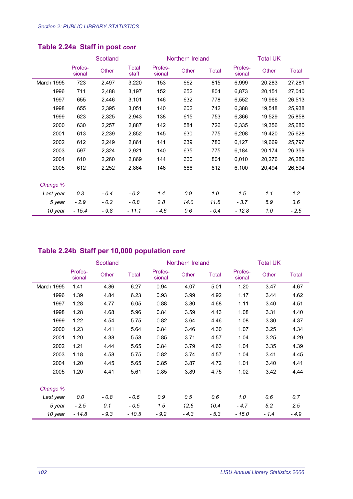|            |                   | Scotland |                       |                   | Northern Ireland |              | <b>Total UK</b>   |        |              |  |
|------------|-------------------|----------|-----------------------|-------------------|------------------|--------------|-------------------|--------|--------------|--|
|            | Profes-<br>sional | Other    | <b>Total</b><br>staff | Profes-<br>sional | Other            | <b>Total</b> | Profes-<br>sional | Other  | <b>Total</b> |  |
| March 1995 | 723               | 2,497    | 3,220                 | 153               | 662              | 815          | 6,999             | 20,283 | 27,281       |  |
| 1996       | 711               | 2,488    | 3,197                 | 152               | 652              | 804          | 6,873             | 20,151 | 27,040       |  |
| 1997       | 655               | 2,446    | 3,101                 | 146               | 632              | 778          | 6,552             | 19,966 | 26,513       |  |
| 1998       | 655               | 2,395    | 3,051                 | 140               | 602              | 742          | 6,388             | 19,548 | 25,938       |  |
| 1999       | 623               | 2,325    | 2,943                 | 138               | 615              | 753          | 6,366             | 19,529 | 25,858       |  |
| 2000       | 630               | 2,257    | 2,887                 | 142               | 584              | 726          | 6,335             | 19,356 | 25,680       |  |
| 2001       | 613               | 2,239    | 2,852                 | 145               | 630              | 775          | 6,208             | 19,420 | 25,628       |  |
| 2002       | 612               | 2,249    | 2,861                 | 141               | 639              | 780          | 6,127             | 19,669 | 25,797       |  |
| 2003       | 597               | 2,324    | 2,921                 | 140               | 635              | 775          | 6,184             | 20,174 | 26,359       |  |
| 2004       | 610               | 2,260    | 2,869                 | 144               | 660              | 804          | 6,010             | 20,276 | 26,286       |  |
| 2005       | 612               | 2,252    | 2,864                 | 146               | 666              | 812          | 6,100             | 20,494 | 26,594       |  |
| Change %   |                   |          |                       |                   |                  |              |                   |        |              |  |
| Last year  | 0.3               | $-0.4$   | $-0.2$                | 1.4               | 0.9              | 1.0          | 1.5               | 1.1    | 1.2          |  |
| 5 year     | $-2.9$            | $-0.2$   | $-0.8$                | 2.8               | 14.0             | 11.8         | $-3.7$            | 5.9    | 3.6          |  |
| 10 year    | $-15.4$           | $-9.8$   | - 11.1                | $-4.6$            | 0.6              | - 0.4        | $-12.8$           | 1.0    | $-2.5$       |  |

## **Table 2.24a Staff in post** *cont*

## **Table 2.24b Staff per 10,000 population** *cont*

|            |                   | Scotland |         |                   | Northern Ireland |        | <b>Total UK</b>   |        |              |
|------------|-------------------|----------|---------|-------------------|------------------|--------|-------------------|--------|--------------|
|            | Profes-<br>sional | Other    | Total   | Profes-<br>sional | Other            | Total  | Profes-<br>sional | Other  | <b>Total</b> |
| March 1995 | 1.41              | 4.86     | 6.27    | 0.94              | 4.07             | 5.01   | 1.20              | 3.47   | 4.67         |
| 1996       | 1.39              | 4.84     | 6.23    | 0.93              | 3.99             | 4.92   | 1.17              | 3.44   | 4.62         |
| 1997       | 1.28              | 4.77     | 6.05    | 0.88              | 3.80             | 4.68   | 1.11              | 3.40   | 4.51         |
| 1998       | 1.28              | 4.68     | 5.96    | 0.84              | 3.59             | 4.43   | 1.08              | 3.31   | 4.40         |
| 1999       | 1.22              | 4.54     | 5.75    | 0.82              | 3.64             | 4.46   | 1.08              | 3.30   | 4.37         |
| 2000       | 1.23              | 4.41     | 5.64    | 0.84              | 3.46             | 4.30   | 1.07              | 3.25   | 4.34         |
| 2001       | 1.20              | 4.38     | 5.58    | 0.85              | 3.71             | 4.57   | 1.04              | 3.25   | 4.29         |
| 2002       | 1.21              | 4.44     | 5.65    | 0.84              | 3.79             | 4.63   | 1.04              | 3.35   | 4.39         |
| 2003       | 1.18              | 4.58     | 5.75    | 0.82              | 3.74             | 4.57   | 1.04              | 3.41   | 4.45         |
| 2004       | 1.20              | 4.45     | 5.65    | 0.85              | 3.87             | 4.72   | 1.01              | 3.40   | 4.41         |
| 2005       | 1.20              | 4.41     | 5.61    | 0.85              | 3.89             | 4.75   | 1.02              | 3.42   | 4.44         |
| Change %   |                   |          |         |                   |                  |        |                   |        |              |
| Last year  | 0.0               | $-0.8$   | $-0.6$  | 0.9               | 0.5              | 0.6    | 1.0               | 0.6    | 0.7          |
| 5 year     | $-2.5$            | 0.1      | $-0.5$  | 1.5               | 12.6             | 10.4   | $-4.7$            | 5.2    | 2.5          |
| 10 year    | $-14.8$           | $-9.3$   | $-10.5$ | $-9.2$            | $-4.3$           | $-5.3$ | - 15.0            | $-1.4$ | - 4.9        |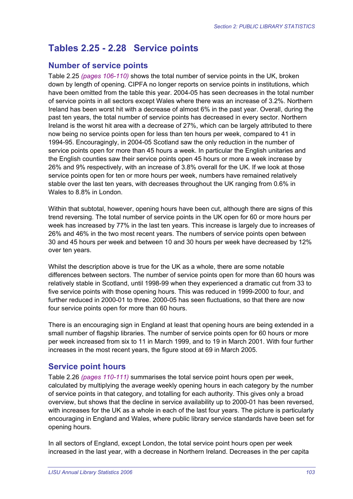# **Tables 2.25 - 2.28 Service points**

#### **Number of service points**

Table 2.25 *(pages 106-110)* shows the total number of service points in the UK, broken down by length of opening. CIPFA no longer reports on service points in institutions, which have been omitted from the table this year. 2004-05 has seen decreases in the total number of service points in all sectors except Wales where there was an increase of 3.2%. Northern Ireland has been worst hit with a decrease of almost 6% in the past year. Overall, during the past ten years, the total number of service points has decreased in every sector. Northern Ireland is the worst hit area with a decrease of 27%, which can be largely attributed to there now being no service points open for less than ten hours per week, compared to 41 in 1994-95. Encouragingly, in 2004-05 Scotland saw the only reduction in the number of service points open for more than 45 hours a week. In particular the English unitaries and the English counties saw their service points open 45 hours or more a week increase by 26% and 9% respectively, with an increase of 3.8% overall for the UK. If we look at those service points open for ten or more hours per week, numbers have remained relatively stable over the last ten years, with decreases throughout the UK ranging from 0.6% in Wales to 8.8% in London.

Within that subtotal, however, opening hours have been cut, although there are signs of this trend reversing. The total number of service points in the UK open for 60 or more hours per week has increased by 77% in the last ten years. This increase is largely due to increases of 26% and 46% in the two most recent years. The numbers of service points open between 30 and 45 hours per week and between 10 and 30 hours per week have decreased by 12% over ten years.

Whilst the description above is true for the UK as a whole, there are some notable differences between sectors. The number of service points open for more than 60 hours was relatively stable in Scotland, until 1998-99 when they experienced a dramatic cut from 33 to five service points with those opening hours. This was reduced in 1999-2000 to four, and further reduced in 2000-01 to three. 2000-05 has seen fluctuations, so that there are now four service points open for more than 60 hours.

There is an encouraging sign in England at least that opening hours are being extended in a small number of flagship libraries. The number of service points open for 60 hours or more per week increased from six to 11 in March 1999, and to 19 in March 2001. With four further increases in the most recent years, the figure stood at 69 in March 2005.

## **Service point hours**

Table 2.26 *(pages 110-111)* summarises the total service point hours open per week, calculated by multiplying the average weekly opening hours in each category by the number of service points in that category, and totalling for each authority. This gives only a broad overview, but shows that the decline in service availability up to 2000-01 has been reversed, with increases for the UK as a whole in each of the last four years. The picture is particularly encouraging in England and Wales, where public library service standards have been set for opening hours.

In all sectors of England, except London, the total service point hours open per week increased in the last year, with a decrease in Northern Ireland. Decreases in the per capita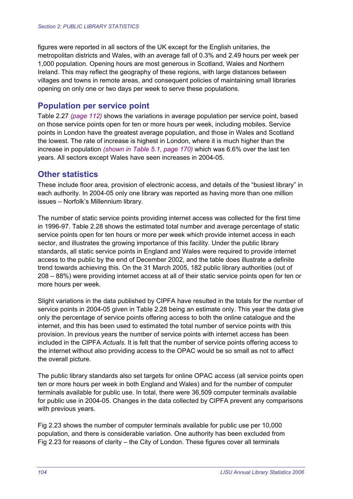figures were reported in all sectors of the UK except for the English unitaries, the metropolitan districts and Wales, with an average fall of 0.3% and 2.49 hours per week per 1,000 population. Opening hours are most generous in Scotland, Wales and Northern Ireland. This may reflect the geography of these regions, with large distances between villages and towns in remote areas, and consequent policies of maintaining small libraries opening on only one or two days per week to serve these populations.

## **Population per service point**

Table 2.27 *(page 112)* shows the variations in average population per service point, based on those service points open for ten or more hours per week, including mobiles. Service points in London have the greatest average population, and those in Wales and Scotland the lowest. The rate of increase is highest in London, where it is much higher than the increase in population *(shown in Table 5.1, page 170)* which was 6.6% over the last ten years. All sectors except Wales have seen increases in 2004-05.

## **Other statistics**

These include floor area, provision of electronic access, and details of the "busiest library" in each authority. In 2004-05 only one library was reported as having more than one million issues – Norfolk's Millennium library.

The number of static service points providing internet access was collected for the first time in 1996-97. Table 2.28 shows the estimated total number and average percentage of static service points open for ten hours or more per week which provide internet access in each sector, and illustrates the growing importance of this facility. Under the public library standards, all static service points in England and Wales were required to provide internet access to the public by the end of December 2002, and the table does illustrate a definite trend towards achieving this. On the 31 March 2005, 182 public library authorities (out of 208 – 88%) were providing internet access at all of their static service points open for ten or more hours per week.

Slight variations in the data published by CIPFA have resulted in the totals for the number of service points in 2004-05 given in Table 2.28 being an estimate only. This year the data give only the percentage of service points offering access to both the online catalogue and the internet, and this has been used to estimated the total number of service points with this provision. In previous years the number of service points with internet access has been included in the CIPFA *Actuals*. It is felt that the number of service points offering access to the internet without also providing access to the OPAC would be so small as not to affect the overall picture.

The public library standards also set targets for online OPAC access (all service points open ten or more hours per week in both England and Wales) and for the number of computer terminals available for public use. In total, there were 36,509 computer terminals available for public use in 2004-05. Changes in the data collected by CIPFA prevent any comparisons with previous years.

Fig 2.23 shows the number of computer terminals available for public use per 10,000 population, and there is considerable variation. One authority has been excluded from Fig 2.23 for reasons of clarity – the City of London. These figures cover all terminals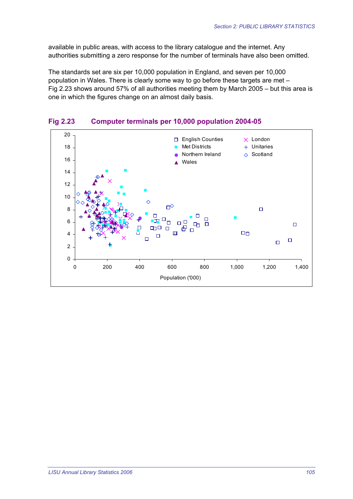available in public areas, with access to the library catalogue and the internet. Any authorities submitting a zero response for the number of terminals have also been omitted.

The standards set are six per 10,000 population in England, and seven per 10,000 population in Wales. There is clearly some way to go before these targets are met – Fig 2.23 shows around 57% of all authorities meeting them by March 2005 – but this area is one in which the figures change on an almost daily basis.



**Fig 2.23 Computer terminals per 10,000 population 2004-05**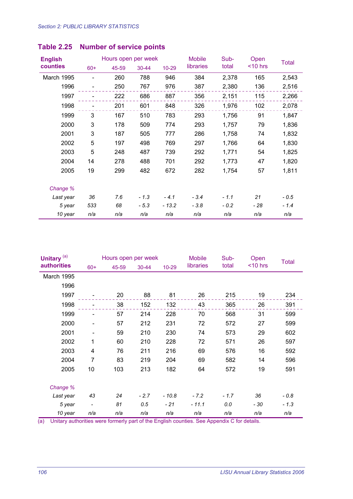| <b>English</b> |       | Hours open per week |        |           | <b>Mobile</b> | Sub-   | Open       | <b>Total</b> |
|----------------|-------|---------------------|--------|-----------|---------------|--------|------------|--------------|
| counties       | $60+$ | 45-59               | 30-44  | $10 - 29$ | libraries     | total  | $<$ 10 hrs |              |
| March 1995     |       | 260                 | 788    | 946       | 384           | 2,378  | 165        | 2,543        |
| 1996           |       | 250                 | 767    | 976       | 387           | 2,380  | 136        | 2,516        |
| 1997           |       | 222                 | 686    | 887       | 356           | 2,151  | 115        | 2,266        |
| 1998           |       | 201                 | 601    | 848       | 326           | 1,976  | 102        | 2,078        |
| 1999           | 3     | 167                 | 510    | 783       | 293           | 1,756  | 91         | 1,847        |
| 2000           | 3     | 178                 | 509    | 774       | 293           | 1,757  | 79         | 1,836        |
| 2001           | 3     | 187                 | 505    | 777       | 286           | 1,758  | 74         | 1,832        |
| 2002           | 5     | 197                 | 498    | 769       | 297           | 1,766  | 64         | 1,830        |
| 2003           | 5     | 248                 | 487    | 739       | 292           | 1,771  | 54         | 1,825        |
| 2004           | 14    | 278                 | 488    | 701       | 292           | 1,773  | 47         | 1,820        |
| 2005           | 19    | 299                 | 482    | 672       | 282           | 1,754  | 57         | 1,811        |
| Change %       |       |                     |        |           |               |        |            |              |
| Last year      | 36    | 7.6                 | $-1.3$ | $-4.1$    | $-3.4$        | $-1.1$ | 21         | $-0.5$       |
| 5 year         | 533   | 68                  | $-5.3$ | $-13.2$   | $-3.8$        | $-0.2$ | $-28$      | $-1.4$       |
| 10 year        | n/a   | n/a                 | n/a    | n/a       | n/a           | n/a    | n/a        | n/a          |

| Unitary <sup>(a)</sup> |                          | Hours open per week |           |         | <b>Mobile</b> | Sub-   | Open       | <b>Total</b> |
|------------------------|--------------------------|---------------------|-----------|---------|---------------|--------|------------|--------------|
| <b>authorities</b>     | $60+$                    | 45-59               | $30 - 44$ | $10-29$ | libraries     | total  | $<$ 10 hrs |              |
| March 1995             |                          |                     |           |         |               |        |            |              |
| 1996                   |                          |                     |           |         |               |        |            |              |
| 1997                   |                          | 20                  | 88        | 81      | 26            | 215    | 19         | 234          |
| 1998                   |                          | 38                  | 152       | 132     | 43            | 365    | 26         | 391          |
| 1999                   |                          | 57                  | 214       | 228     | 70            | 568    | 31         | 599          |
| 2000                   |                          | 57                  | 212       | 231     | 72            | 572    | 27         | 599          |
| 2001                   | $\overline{\phantom{a}}$ | 59                  | 210       | 230     | 74            | 573    | 29         | 602          |
| 2002                   | 1                        | 60                  | 210       | 228     | 72            | 571    | 26         | 597          |
| 2003                   | 4                        | 76                  | 211       | 216     | 69            | 576    | 16         | 592          |
| 2004                   | $\overline{7}$           | 83                  | 219       | 204     | 69            | 582    | 14         | 596          |
| 2005                   | 10                       | 103                 | 213       | 182     | 64            | 572    | 19         | 591          |
| Change %               |                          |                     |           |         |               |        |            |              |
| Last year              | 43                       | 24                  | $-2.7$    | $-10.8$ | $-7.2$        | $-1.7$ | 36         | $-0.8$       |
| 5 year                 | $\overline{\phantom{0}}$ | 81                  | 0.5       | $-21$   | $-11.1$       | 0.0    | - 30       | $-1.3$       |
| 10 year                | n/a                      | n/a                 | n/a       | n/a     | n/a           | n/a    | n/a        | n/a          |

(a) Unitary authorities were formerly part of the English counties. See Appendix C for details.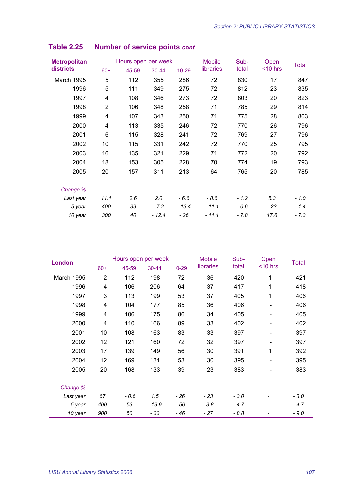| <b>Metropolitan</b> |                | Hours open per week |           |         | <b>Mobile</b> | Sub-   | Open       | <b>Total</b> |
|---------------------|----------------|---------------------|-----------|---------|---------------|--------|------------|--------------|
| districts           | $60+$          | 45-59               | $30 - 44$ | 10-29   | libraries     | total  | $<$ 10 hrs |              |
| <b>March 1995</b>   | 5              | 112                 | 355       | 286     | 72            | 830    | 17         | 847          |
| 1996                | 5              | 111                 | 349       | 275     | 72            | 812    | 23         | 835          |
| 1997                | 4              | 108                 | 346       | 273     | 72            | 803    | 20         | 823          |
| 1998                | $\overline{2}$ | 106                 | 348       | 258     | 71            | 785    | 29         | 814          |
| 1999                | 4              | 107                 | 343       | 250     | 71            | 775    | 28         | 803          |
| 2000                | 4              | 113                 | 335       | 246     | 72            | 770    | 26         | 796          |
| 2001                | 6              | 115                 | 328       | 241     | 72            | 769    | 27         | 796          |
| 2002                | 10             | 115                 | 331       | 242     | 72            | 770    | 25         | 795          |
| 2003                | 16             | 135                 | 321       | 229     | 71            | 772    | 20         | 792          |
| 2004                | 18             | 153                 | 305       | 228     | 70            | 774    | 19         | 793          |
| 2005                | 20             | 157                 | 311       | 213     | 64            | 765    | 20         | 785          |
|                     |                |                     |           |         |               |        |            |              |
| Change %            |                |                     |           |         |               |        |            |              |
| Last year           | 11.1           | 2.6                 | 2.0       | $-6.6$  | $-8.6$        | $-1.2$ | 5.3        | $-1.0$       |
| 5 year              | 400            | 39                  | $-7.2$    | $-13.4$ | $-11.1$       | $-0.6$ | - 23       | $-1.4$       |
| 10 year             | 300            | 40                  | $-12.4$   | $-26$   | $-11.1$       | - 7.8  | 17.6       | $-7.3$       |

| <b>London</b> |                | Hours open per week |        |           | <b>Mobile</b> | Sub-   | Open                     | <b>Total</b> |
|---------------|----------------|---------------------|--------|-----------|---------------|--------|--------------------------|--------------|
|               | $60+$          | 45-59               | 30-44  | $10 - 29$ | libraries     | total  | $<$ 10 hrs               |              |
| March 1995    | $\overline{2}$ | 112                 | 198    | 72        | 36            | 420    | 1                        | 421          |
| 1996          | 4              | 106                 | 206    | 64        | 37            | 417    | 1                        | 418          |
| 1997          | 3              | 113                 | 199    | 53        | 37            | 405    | 1                        | 406          |
| 1998          | 4              | 104                 | 177    | 85        | 36            | 406    | $\qquad \qquad$          | 406          |
| 1999          | 4              | 106                 | 175    | 86        | 34            | 405    |                          | 405          |
| 2000          | 4              | 110                 | 166    | 89        | 33            | 402    | $\qquad \qquad$          | 402          |
| 2001          | 10             | 108                 | 163    | 83        | 33            | 397    | $\overline{\phantom{0}}$ | 397          |
| 2002          | 12             | 121                 | 160    | 72        | 32            | 397    |                          | 397          |
| 2003          | 17             | 139                 | 149    | 56        | 30            | 391    | 1                        | 392          |
| 2004          | 12             | 169                 | 131    | 53        | 30            | 395    |                          | 395          |
| 2005          | 20             | 168                 | 133    | 39        | 23            | 383    | $\overline{\phantom{a}}$ | 383          |
| Change %      |                |                     |        |           |               |        |                          |              |
| Last year     | 67             | $-0.6$              | 1.5    | - 26      | - 23          | $-3.0$ |                          | $-3.0$       |
| 5 year        | 400            | 53                  | - 19.9 | - 56      | $-3.8$        | $-4.7$ |                          | $-4.7$       |
| 10 year       | 900            | 50                  | - 33   | - 46      | - 27          | $-8.8$ |                          | $-9.0$       |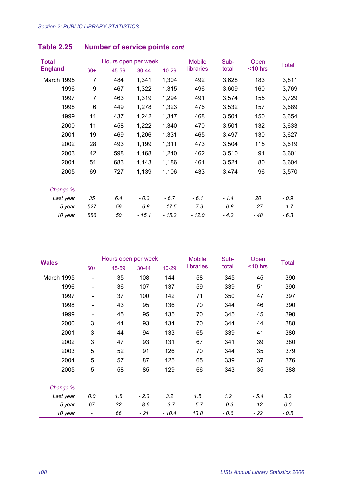| <b>Total</b>   |                | Hours open per week |           |           | <b>Mobile</b> | Sub-   | Open       | <b>Total</b> |
|----------------|----------------|---------------------|-----------|-----------|---------------|--------|------------|--------------|
| <b>England</b> | $60+$          | 45-59               | $30 - 44$ | $10 - 29$ | libraries     | total  | $<$ 10 hrs |              |
| March 1995     | 7              | 484                 | 1,341     | 1,304     | 492           | 3,628  | 183        | 3,811        |
| 1996           | 9              | 467                 | 1,322     | 1,315     | 496           | 3,609  | 160        | 3,769        |
| 1997           | $\overline{7}$ | 463                 | 1,319     | 1,294     | 491           | 3,574  | 155        | 3,729        |
| 1998           | 6              | 449                 | 1,278     | 1,323     | 476           | 3,532  | 157        | 3,689        |
| 1999           | 11             | 437                 | 1,242     | 1,347     | 468           | 3,504  | 150        | 3,654        |
| 2000           | 11             | 458                 | 1,222     | 1,340     | 470           | 3,501  | 132        | 3,633        |
| 2001           | 19             | 469                 | 1,206     | 1,331     | 465           | 3,497  | 130        | 3,627        |
| 2002           | 28             | 493                 | 1,199     | 1,311     | 473           | 3,504  | 115        | 3,619        |
| 2003           | 42             | 598                 | 1,168     | 1,240     | 462           | 3,510  | 91         | 3,601        |
| 2004           | 51             | 683                 | 1,143     | 1,186     | 461           | 3,524  | 80         | 3,604        |
| 2005           | 69             | 727                 | 1,139     | 1,106     | 433           | 3,474  | 96         | 3,570        |
| Change %       |                |                     |           |           |               |        |            |              |
| Last year      | 35             | 6.4                 | $-0.3$    | $-6.7$    | $-6.1$        | $-1.4$ | 20         | $-0.9$       |
| 5 year         | 527            | 59                  | $-6.8$    | $-17.5$   | $-7.9$        | $-0.8$ | - 27       | $-1.7$       |
| 10 year        | 886            | 50                  | - 15.1    | $-15.2$   | - 12.0        | $-4.2$ | - 48       | $-6.3$       |

| <b>Wales</b> |                          | Hours open per week |           |           | <b>Mobile</b> | Sub-   | Open       | <b>Total</b> |
|--------------|--------------------------|---------------------|-----------|-----------|---------------|--------|------------|--------------|
|              | $60+$                    | 45-59               | $30 - 44$ | $10 - 29$ | libraries     | total  | $<$ 10 hrs |              |
| March 1995   |                          | 35                  | 108       | 144       | 58            | 345    | 45         | 390          |
| 1996         | $\overline{\phantom{a}}$ | 36                  | 107       | 137       | 59            | 339    | 51         | 390          |
| 1997         | $\overline{\phantom{a}}$ | 37                  | 100       | 142       | 71            | 350    | 47         | 397          |
| 1998         | $\overline{\phantom{a}}$ | 43                  | 95        | 136       | 70            | 344    | 46         | 390          |
| 1999         |                          | 45                  | 95        | 135       | 70            | 345    | 45         | 390          |
| 2000         | 3                        | 44                  | 93        | 134       | 70            | 344    | 44         | 388          |
| 2001         | 3                        | 44                  | 94        | 133       | 65            | 339    | 41         | 380          |
| 2002         | 3                        | 47                  | 93        | 131       | 67            | 341    | 39         | 380          |
| 2003         | 5                        | 52                  | 91        | 126       | 70            | 344    | 35         | 379          |
| 2004         | 5                        | 57                  | 87        | 125       | 65            | 339    | 37         | 376          |
| 2005         | 5                        | 58                  | 85        | 129       | 66            | 343    | 35         | 388          |
| Change %     |                          |                     |           |           |               |        |            |              |
| Last year    | 0.0                      | 1.8                 | $-2.3$    | 3.2       | 1.5           | 1.2    | $-5.4$     | 3.2          |
| 5 year       | 67                       | 32                  | $-8.6$    | $-3.7$    | $-5.7$        | $-0.3$ | $-12$      | 0.0          |
| 10 year      |                          | 66                  | - 21      | $-10.4$   | 13.8          | $-0.6$ | - 22       | $-0.5$       |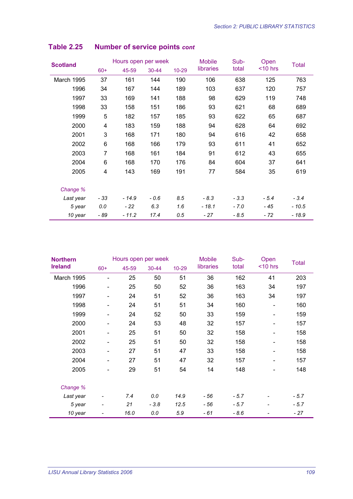| <b>Scotland</b> |       | Hours open per week |           |           | <b>Mobile</b> | Sub-   | Open       | Total   |
|-----------------|-------|---------------------|-----------|-----------|---------------|--------|------------|---------|
|                 | $60+$ | 45-59               | $30 - 44$ | $10 - 29$ | libraries     | total  | $<$ 10 hrs |         |
| March 1995      | 37    | 161                 | 144       | 190       | 106           | 638    | 125        | 763     |
| 1996            | 34    | 167                 | 144       | 189       | 103           | 637    | 120        | 757     |
| 1997            | 33    | 169                 | 141       | 188       | 98            | 629    | 119        | 748     |
| 1998            | 33    | 158                 | 151       | 186       | 93            | 621    | 68         | 689     |
| 1999            | 5     | 182                 | 157       | 185       | 93            | 622    | 65         | 687     |
| 2000            | 4     | 183                 | 159       | 188       | 94            | 628    | 64         | 692     |
| 2001            | 3     | 168                 | 171       | 180       | 94            | 616    | 42         | 658     |
| 2002            | 6     | 168                 | 166       | 179       | 93            | 611    | 41         | 652     |
| 2003            | 7     | 168                 | 161       | 184       | 91            | 612    | 43         | 655     |
| 2004            | 6     | 168                 | 170       | 176       | 84            | 604    | 37         | 641     |
| 2005            | 4     | 143                 | 169       | 191       | 77            | 584    | 35         | 619     |
| Change %        |       |                     |           |           |               |        |            |         |
| Last year       | $-33$ | $-14.9$             | $-0.6$    | 8.5       | $-8.3$        | $-3.3$ | $-5.4$     | $-3.4$  |
| 5 year          | 0.0   | - 22                | 6.3       | 1.6       | - 18.1        | $-7.0$ | - 45       | $-10.5$ |
| 10 year         | - 89  | $-11.2$             | 17.4      | 0.5       | - 27          | - 8.5  | - 72       | $-18.9$ |

| <b>Northern</b> |       | Hours open per week |           |           | <b>Mobile</b> | Sub-   | Open                         | <b>Total</b> |
|-----------------|-------|---------------------|-----------|-----------|---------------|--------|------------------------------|--------------|
| <b>Ireland</b>  | $60+$ | 45-59               | $30 - 44$ | $10 - 29$ | libraries     | total  | $<$ 10 hrs                   |              |
| March 1995      |       | 25                  | 50        | 51        | 36            | 162    | 41                           | 203          |
| 1996            |       | 25                  | 50        | 52        | 36            | 163    | 34                           | 197          |
| 1997            |       | 24                  | 51        | 52        | 36            | 163    | 34                           | 197          |
| 1998            |       | 24                  | 51        | 51        | 34            | 160    |                              | 160          |
| 1999            |       | 24                  | 52        | 50        | 33            | 159    | $\overline{\phantom{a}}$     | 159          |
| 2000            |       | 24                  | 53        | 48        | 32            | 157    | $\qquad \qquad \blacksquare$ | 157          |
| 2001            |       | 25                  | 51        | 50        | 32            | 158    | $\overline{\phantom{0}}$     | 158          |
| 2002            |       | 25                  | 51        | 50        | 32            | 158    | $\qquad \qquad \blacksquare$ | 158          |
| 2003            |       | 27                  | 51        | 47        | 33            | 158    | $\overline{\phantom{a}}$     | 158          |
| 2004            | -     | 27                  | 51        | 47        | 32            | 157    | $\overline{\phantom{a}}$     | 157          |
| 2005            |       | 29                  | 51        | 54        | 14            | 148    | $\qquad \qquad \blacksquare$ | 148          |
| Change %        |       |                     |           |           |               |        |                              |              |
| Last year       | -     | 7.4                 | 0.0       | 14.9      | - 56          | $-5.7$ |                              | $-5.7$       |
| 5 year          | ۰     | 21                  | $-3.8$    | 12.5      | - 56          | $-5.7$ |                              | $-5.7$       |
| 10 year         | -     | 16.0                | 0.0       | 5.9       | - 61          | $-8.6$ |                              | - 27         |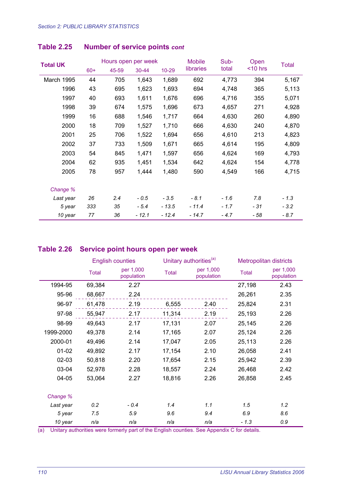| <b>Total UK</b> |       | Hours open per week |           |           | <b>Mobile</b> | Sub-   | Open       | Total  |
|-----------------|-------|---------------------|-----------|-----------|---------------|--------|------------|--------|
|                 | $60+$ | 45-59               | $30 - 44$ | $10 - 29$ | libraries     | total  | $<$ 10 hrs |        |
| March 1995      | 44    | 705                 | 1,643     | 1,689     | 692           | 4,773  | 394        | 5,167  |
| 1996            | 43    | 695                 | 1,623     | 1,693     | 694           | 4,748  | 365        | 5,113  |
| 1997            | 40    | 693                 | 1,611     | 1,676     | 696           | 4,716  | 355        | 5,071  |
| 1998            | 39    | 674                 | 1,575     | 1,696     | 673           | 4,657  | 271        | 4,928  |
| 1999            | 16    | 688                 | 1,546     | 1,717     | 664           | 4,630  | 260        | 4,890  |
| 2000            | 18    | 709                 | 1,527     | 1,710     | 666           | 4,630  | 240        | 4,870  |
| 2001            | 25    | 706                 | 1,522     | 1,694     | 656           | 4,610  | 213        | 4,823  |
| 2002            | 37    | 733                 | 1,509     | 1,671     | 665           | 4,614  | 195        | 4,809  |
| 2003            | 54    | 845                 | 1,471     | 1,597     | 656           | 4,624  | 169        | 4,793  |
| 2004            | 62    | 935                 | 1,451     | 1,534     | 642           | 4,624  | 154        | 4,778  |
| 2005            | 78    | 957                 | 1,444     | 1,480     | 590           | 4,549  | 166        | 4,715  |
| Change %        |       |                     |           |           |               |        |            |        |
| Last year       | 26    | 2.4                 | $-0.5$    | $-3.5$    | $-8.1$        | $-1.6$ | 7.8        | $-1.3$ |
| 5 year          | 333   | 35                  | $-5.4$    | $-13.5$   | $-11.4$       | $-1.7$ | - 31       | $-3.2$ |
| 10 year         | 77    | 36                  | $-12.1$   | $-12.4$   | - 14.7        | $-4.7$ | - 58       | $-8.7$ |

#### **Table 2.26 Service point hours open per week**

|           |              | <b>English counties</b> |              | Unitary authorities <sup>(a)</sup> | Metropolitan districts |                         |
|-----------|--------------|-------------------------|--------------|------------------------------------|------------------------|-------------------------|
|           | <b>Total</b> | per 1,000<br>population | <b>Total</b> | per 1,000<br>population            | <b>Total</b>           | per 1,000<br>population |
| 1994-95   | 69,384       | 2.27                    |              |                                    | 27,198                 | 2.43                    |
| 95-96     | 68,667       | 2.24                    |              |                                    | 26,261                 | 2.35                    |
| 96-97     | 61,478       | 2.19                    | 6,555        | 2.40                               | 25,824                 | 2.31                    |
| 97-98     | 55,947       | 2.17                    | 11,314       | 2.19                               | 25,193                 | 2.26                    |
| 98-99     | 49,643       | 2.17                    | 17,131       | 2.07                               | 25,145                 | 2.26                    |
| 1999-2000 | 49,378       | 2.14                    | 17,165       | 2.07                               | 25,124                 | 2.26                    |
| 2000-01   | 49,496       | 2.14                    | 17,047       | 2.05                               | 25,113                 | 2.26                    |
| $01 - 02$ | 49,892       | 2.17                    | 17,154       | 2.10                               | 26,058                 | 2.41                    |
| $02 - 03$ | 50,818       | 2.20                    | 17,654       | 2.15                               | 25,942                 | 2.39                    |
| 03-04     | 52,978       | 2.28                    | 18,557       | 2.24                               | 26,468                 | 2.42                    |
| 04-05     | 53,064       | 2.27                    | 18,816       | 2.26                               | 26,858                 | 2.45                    |
|           |              |                         |              |                                    |                        |                         |
| Change %  |              |                         |              |                                    |                        |                         |
| Last year | 0.2          | $-0.4$                  | 1.4          | 1.1                                | 1.5                    | 1.2                     |
| 5 year    | 7.5          | 5.9                     | 9.6          | 9.4                                | 6.9                    | 8.6                     |
| 10 year   | n/a          | n/a                     | n/a          | n/a                                | $-1.3$                 | 0.9                     |

(a) Unitary authorities were formerly part of the English counties. See Appendix C for details.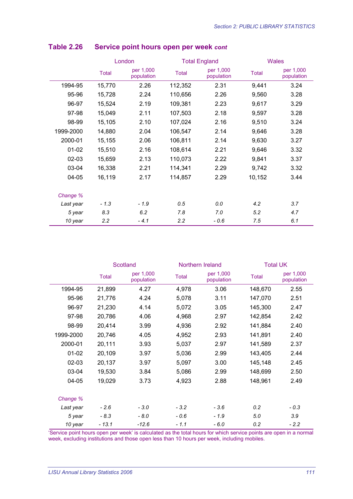|           |        | London                  |              | <b>Total England</b><br><b>Wales</b> |        |                         |
|-----------|--------|-------------------------|--------------|--------------------------------------|--------|-------------------------|
|           | Total  | per 1,000<br>population | <b>Total</b> | per 1,000<br>population              | Total  | per 1,000<br>population |
| 1994-95   | 15,770 | 2.26                    | 112,352      | 2.31                                 | 9,441  | 3.24                    |
| 95-96     | 15,728 | 2.24                    | 110,656      | 2.26                                 | 9,560  | 3.28                    |
| 96-97     | 15,524 | 2.19                    | 109,381      | 2.23                                 | 9,617  | 3.29                    |
| 97-98     | 15,049 | 2.11                    | 107,503      | 2.18                                 | 9,597  | 3.28                    |
| 98-99     | 15,105 | 2.10                    | 107,024      | 2.16                                 | 9,510  | 3.24                    |
| 1999-2000 | 14,880 | 2.04                    | 106,547      | 2.14                                 | 9,646  | 3.28                    |
| 2000-01   | 15,155 | 2.06                    | 106,811      | 2.14                                 | 9,630  | 3.27                    |
| $01 - 02$ | 15,510 | 2.16                    | 108,614      | 2.21                                 | 9,646  | 3.32                    |
| $02 - 03$ | 15,659 | 2.13                    | 110,073      | 2.22                                 | 9,841  | 3.37                    |
| 03-04     | 16,338 | 2.21                    | 114,341      | 2.29                                 | 9,742  | 3.32                    |
| 04-05     | 16,119 | 2.17                    | 114,857      | 2.29                                 | 10,152 | 3.44                    |
| Change %  |        |                         |              |                                      |        |                         |
| Last year | $-1.3$ | $-1.9$                  | 0.5          | 0.0                                  | 4.2    | 3.7                     |
| 5 year    | 8.3    | 6.2                     | 7.8          | 7.0                                  | 5.2    | 4.7                     |
| 10 year   | 2.2    | $-4.1$                  | 2.2          | $-0.6$                               | 7.5    | 6.1                     |

#### **Table 2.26 Service point hours open per week** *cont*

|           |              | <b>Scotland</b>         |              | Northern Ireland        |              | <b>Total UK</b>         |  |  |
|-----------|--------------|-------------------------|--------------|-------------------------|--------------|-------------------------|--|--|
|           | <b>Total</b> | per 1,000<br>population | <b>Total</b> | per 1,000<br>population | <b>Total</b> | per 1,000<br>population |  |  |
| 1994-95   | 21,899       | 4.27                    | 4,978        | 3.06                    | 148,670      | 2.55                    |  |  |
| 95-96     | 21,776       | 4.24                    | 5,078        | 3.11                    | 147,070      | 2.51                    |  |  |
| 96-97     | 21,230       | 4.14                    | 5,072        | 3.05                    | 145,300      | 2.47                    |  |  |
| 97-98     | 20,786       | 4.06                    | 4,968        | 2.97                    | 142,854      | 2.42                    |  |  |
| 98-99     | 20,414       | 3.99                    | 4,936        | 2.92                    | 141,884      | 2.40                    |  |  |
| 1999-2000 | 20,746       | 4.05                    | 4,952        | 2.93                    | 141,891      | 2.40                    |  |  |
| 2000-01   | 20,111       | 3.93                    | 5,037        | 2.97                    | 141,589      | 2.37                    |  |  |
| $01 - 02$ | 20,109       | 3.97                    | 5,036        | 2.99                    | 143,405      | 2.44                    |  |  |
| $02 - 03$ | 20,137       | 3.97                    | 5,097        | 3.00                    | 145,148      | 2.45                    |  |  |
| 03-04     | 19,530       | 3.84                    | 5,086        | 2.99                    | 148,699      | 2.50                    |  |  |
| 04-05     | 19,029       | 3.73                    | 4,923        | 2.88                    | 148,961      | 2.49                    |  |  |
| Change %  |              |                         |              |                         |              |                         |  |  |
| Last year | $-2.6$       | $-3.0$                  | $-3.2$       | $-3.6$                  | 0.2          | $-0.3$                  |  |  |
| 5 year    | $-8.3$       | $-8.0$                  | - 0.6        | $-1.9$                  | 5.0          | 3.9                     |  |  |
| 10 year   | $-13.1$      | $-12.6$                 | $-1.1$       | $-6.0$                  | 0.2          | $-2.2$                  |  |  |

'Service point hours open per week' is calculated as the total hours for which service points are open in a normal week, excluding institutions and those open less than 10 hours per week, including mobiles.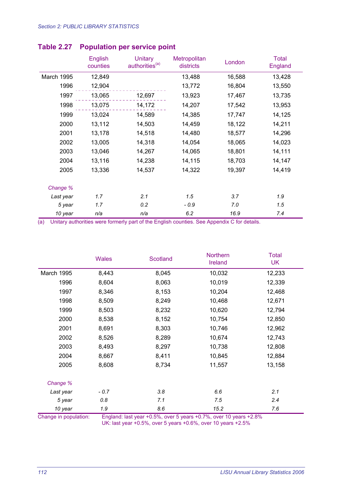|            | English<br>counties | <b>Unitary</b><br>authorities <sup>(a)</sup> | Metropolitan<br>districts | London | <b>Total</b><br>England |
|------------|---------------------|----------------------------------------------|---------------------------|--------|-------------------------|
| March 1995 | 12,849              |                                              | 13,488                    | 16,588 | 13,428                  |
| 1996       | 12,904              |                                              | 13,772                    | 16,804 | 13,550                  |
| 1997       | 13,065              | 12,697                                       | 13,923                    | 17,467 | 13,735                  |
| 1998       | 13,075              | 14,172                                       | 14,207                    | 17,542 | 13,953                  |
| 1999       | 13,024              | 14,589                                       | 14,385                    | 17,747 | 14,125                  |
| 2000       | 13,112              | 14,503                                       | 14,459                    | 18,122 | 14,211                  |
| 2001       | 13,178              | 14,518                                       | 14,480                    | 18,577 | 14,296                  |
| 2002       | 13,005              | 14,318                                       | 14,054                    | 18,065 | 14,023                  |
| 2003       | 13,046              | 14,267                                       | 14,065                    | 18,801 | 14,111                  |
| 2004       | 13,116              | 14,238                                       | 14,115                    | 18,703 | 14,147                  |
| 2005       | 13,336              | 14,537                                       | 14,322                    | 19,397 | 14,419                  |
| Change %   |                     |                                              |                           |        |                         |
| Last year  | 1.7                 | 2.1                                          | 1.5                       | 3.7    | 1.9                     |
| 5 year     | 1.7                 | 0.2                                          | - 0.9                     | 7.0    | 1.5                     |
| 10 year    | n/a                 | n/a                                          | 6.2                       | 16.9   | 7.4                     |

#### **Table 2.27 Population per service point**

(a) Unitary authorities were formerly part of the English counties. See Appendix C for details.

|                   | <b>Wales</b> | Scotland | <b>Northern</b><br>Ireland | Total<br><b>UK</b> |
|-------------------|--------------|----------|----------------------------|--------------------|
| <b>March 1995</b> | 8,443        | 8,045    | 10,032                     | 12,233             |
| 1996              | 8,604        | 8,063    | 10,019                     | 12,339             |
| 1997              | 8,346        | 8,153    | 10,204                     | 12,468             |
| 1998              | 8,509        | 8,249    | 10,468                     | 12,671             |
| 1999              | 8,503        | 8,232    | 10,620                     | 12,794             |
| 2000              | 8,538        | 8,152    | 10,754                     | 12,850             |
| 2001              | 8,691        | 8,303    | 10,746                     | 12,962             |
| 2002              | 8,526        | 8,289    | 10,674                     | 12,743             |
| 2003              | 8,493        | 8,297    | 10,738                     | 12,808             |
| 2004              | 8,667        | 8,411    | 10,845                     | 12,884             |
| 2005              | 8,608        | 8,734    | 11,557                     | 13,158             |
| Change %          |              |          |                            |                    |
| Last year         | $-0.7$       | 3.8      | 6.6                        | 2.1                |
| 5 year            | 0.8          | 7.1      | 7.5                        | 2.4                |
| 10 year           | 1.9          | 8.6      | 15.2                       | 7.6                |

Change in population: England: last year +0.5%, over 5 years +0.7%, over 10 years +2.8% UK: last year +0.5%, over 5 years +0.6%, over 10 years +2.5%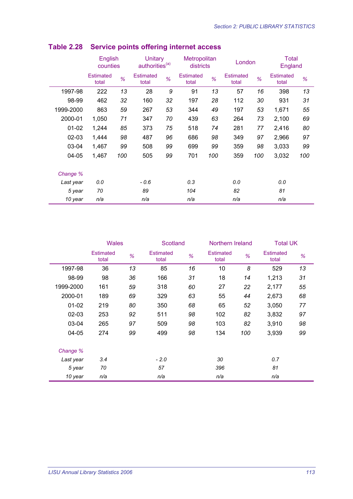|           | English<br>Unitary<br>authorities <sup>(a)</sup><br>counties |     |                           | Metropolitan<br>districts |                           | London |                           | <b>Total</b><br>England |                           |     |
|-----------|--------------------------------------------------------------|-----|---------------------------|---------------------------|---------------------------|--------|---------------------------|-------------------------|---------------------------|-----|
|           | <b>Estimated</b><br>total                                    | %   | <b>Estimated</b><br>total | %                         | <b>Estimated</b><br>total | %      | <b>Estimated</b><br>total | %                       | <b>Estimated</b><br>total | %   |
| 1997-98   | 222                                                          | 13  | 28                        | 9                         | 91                        | 13     | 57                        | 16                      | 398                       | 13  |
| 98-99     | 462                                                          | 32  | 160                       | 32                        | 197                       | 28     | 112                       | 30                      | 931                       | 31  |
| 1999-2000 | 863                                                          | 59  | 267                       | 53                        | 344                       | 49     | 197                       | 53                      | 1,671                     | 55  |
| 2000-01   | 1,050                                                        | 71  | 347                       | 70                        | 439                       | 63     | 264                       | 73                      | 2,100                     | 69  |
| $01 - 02$ | 1,244                                                        | 85  | 373                       | 75                        | 518                       | 74     | 281                       | 77                      | 2,416                     | 80  |
| $02 - 03$ | 1,444                                                        | 98  | 487                       | 96                        | 686                       | 98     | 349                       | 97                      | 2,966                     | 97  |
| 03-04     | 1,467                                                        | 99  | 508                       | 99                        | 699                       | 99     | 359                       | 98                      | 3,033                     | 99  |
| 04-05     | 1,467                                                        | 100 | 505                       | 99                        | 701                       | 100    | 359                       | 100                     | 3,032                     | 100 |
| Change %  |                                                              |     |                           |                           |                           |        |                           |                         |                           |     |
| Last year | 0.0                                                          |     | $-0.6$                    |                           | 0.3                       |        | 0.0                       |                         | 0.0                       |     |
| 5 year    | 70                                                           |     | 89                        |                           | 104                       |        | 82                        |                         | 81                        |     |
| 10 year   | n/a                                                          |     | n/a                       |                           | n/a                       |        | n/a                       |                         | n/a                       |     |

## **Table 2.28 Service points offering internet access**

|           |                           | <b>Wales</b><br>Scotland |                           | Northern Ireland |                           |     | <b>Total UK</b>           |    |
|-----------|---------------------------|--------------------------|---------------------------|------------------|---------------------------|-----|---------------------------|----|
|           | <b>Estimated</b><br>total | %                        | <b>Estimated</b><br>total | %                | <b>Estimated</b><br>total | %   | <b>Estimated</b><br>total | %  |
| 1997-98   | 36                        | 13                       | 85                        | 16               | 10                        | 8   | 529                       | 13 |
| 98-99     | 98                        | 36                       | 166                       | 31               | 18                        | 14  | 1,213                     | 31 |
| 1999-2000 | 161                       | 59                       | 318                       | 60               | 27                        | 22  | 2,177                     | 55 |
| 2000-01   | 189                       | 69                       | 329                       | 63               | 55                        | 44  | 2,673                     | 68 |
| $01 - 02$ | 219                       | 80                       | 350                       | 68               | 65                        | 52  | 3,050                     | 77 |
| $02 - 03$ | 253                       | 92                       | 511                       | 98               | 102                       | 82  | 3,832                     | 97 |
| 03-04     | 265                       | 97                       | 509                       | 98               | 103                       | 82  | 3,910                     | 98 |
| 04-05     | 274                       | 99                       | 499                       | 98               | 134                       | 100 | 3,939                     | 99 |
| Change %  |                           |                          |                           |                  |                           |     |                           |    |
| Last year | 3.4                       |                          | $-2.0$                    |                  | 30                        |     | 0.7                       |    |
| 5 year    | 70                        |                          | 57                        |                  | 396                       |     | 81                        |    |
| 10 year   | n/a                       |                          | n/a                       |                  | n/a                       |     | n/a                       |    |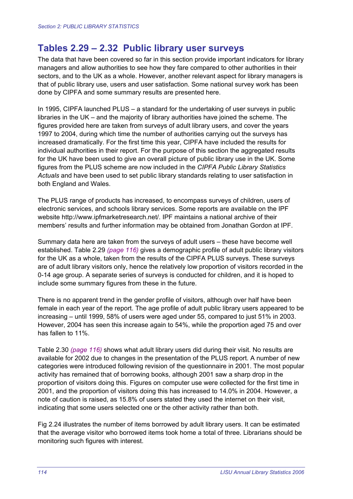# **Tables 2.29 – 2.32 Public library user surveys**

The data that have been covered so far in this section provide important indicators for library managers and allow authorities to see how they fare compared to other authorities in their sectors, and to the UK as a whole. However, another relevant aspect for library managers is that of public library use, users and user satisfaction. Some national survey work has been done by CIPFA and some summary results are presented here.

In 1995, CIPFA launched PLUS – a standard for the undertaking of user surveys in public libraries in the UK – and the majority of library authorities have joined the scheme. The figures provided here are taken from surveys of adult library users, and cover the years 1997 to 2004, during which time the number of authorities carrying out the surveys has increased dramatically. For the first time this year, CIPFA have included the results for individual authorities in their report. For the purpose of this section the aggregated results for the UK have been used to give an overall picture of public library use in the UK. Some figures from the PLUS scheme are now included in the *CIPFA Public Library Statistics Actuals* and have been used to set public library standards relating to user satisfaction in both England and Wales.

The PLUS range of products has increased, to encompass surveys of children, users of electronic services, and schools library services. Some reports are available on the IPF website http://www.ipfmarketresearch.net/. IPF maintains a national archive of their members' results and further information may be obtained from Jonathan Gordon at IPF.

Summary data here are taken from the surveys of adult users – these have become well established. Table 2.29 *(page 116)* gives a demographic profile of adult public library visitors for the UK as a whole, taken from the results of the CIPFA PLUS surveys. These surveys are of adult library visitors only, hence the relatively low proportion of visitors recorded in the 0-14 age group. A separate series of surveys is conducted for children, and it is hoped to include some summary figures from these in the future.

There is no apparent trend in the gender profile of visitors, although over half have been female in each year of the report. The age profile of adult public library users appeared to be increasing – until 1999, 58% of users were aged under 55, compared to just 51% in 2003. However, 2004 has seen this increase again to 54%, while the proportion aged 75 and over has fallen to 11%.

Table 2.30 *(page 116)* shows what adult library users did during their visit. No results are available for 2002 due to changes in the presentation of the PLUS report. A number of new categories were introduced following revision of the questionnaire in 2001. The most popular activity has remained that of borrowing books, although 2001 saw a sharp drop in the proportion of visitors doing this. Figures on computer use were collected for the first time in 2001, and the proportion of visitors doing this has increased to 14.0% in 2004. However, a note of caution is raised, as 15.8% of users stated they used the internet on their visit, indicating that some users selected one or the other activity rather than both.

Fig 2.24 illustrates the number of items borrowed by adult library users. It can be estimated that the average visitor who borrowed items took home a total of three. Librarians should be monitoring such figures with interest.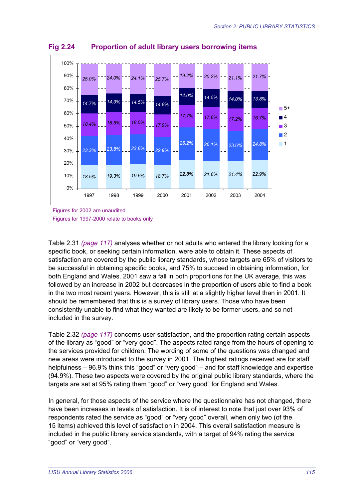

**Fig 2.24 Proportion of adult library users borrowing items** 

Figures for 2002 are unaudited Figures for 1997-2000 relate to books only

Table 2.31 *(page 117)* analyses whether or not adults who entered the library looking for a specific book, or seeking certain information, were able to obtain it. These aspects of satisfaction are covered by the public library standards, whose targets are 65% of visitors to be successful in obtaining specific books, and 75% to succeed in obtaining information, for both England and Wales. 2001 saw a fall in both proportions for the UK average, this was followed by an increase in 2002 but decreases in the proportion of users able to find a book in the two most recent years. However, this is still at a slightly higher level than in 2001. It should be remembered that this is a survey of library users. Those who have been consistently unable to find what they wanted are likely to be former users, and so not included in the survey.

Table 2.32 *(page 117)* concerns user satisfaction, and the proportion rating certain aspects of the library as "good" or "very good". The aspects rated range from the hours of opening to the services provided for children. The wording of some of the questions was changed and new areas were introduced to the survey in 2001. The highest ratings received are for staff helpfulness – 96.9% think this "good" or "very good" – and for staff knowledge and expertise (94.9%). These two aspects were covered by the original public library standards, where the targets are set at 95% rating them "good" or "very good" for England and Wales.

In general, for those aspects of the service where the questionnaire has not changed, there have been increases in levels of satisfaction. It is of interest to note that just over 93% of respondents rated the service as "good" or "very good" overall, when only two (of the 15 items) achieved this level of satisfaction in 2004. This overall satisfaction measure is included in the public library service standards, with a target of 94% rating the service "good" or "very good".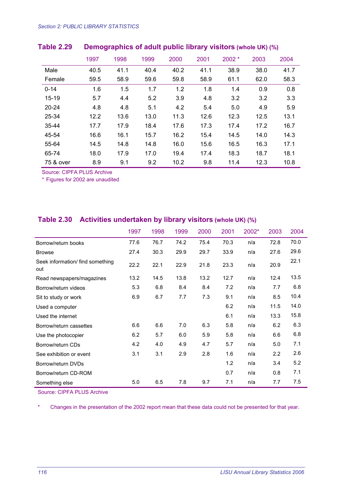|           | 1997 | 1998 | 1999 | 2000 | 2001 | $2002 *$ | 2003 | 2004 |
|-----------|------|------|------|------|------|----------|------|------|
| Male      | 40.5 | 41.1 | 40.4 | 40.2 | 41.1 | 38.9     | 38.0 | 41.7 |
| Female    | 59.5 | 58.9 | 59.6 | 59.8 | 58.9 | 61.1     | 62.0 | 58.3 |
| $0 - 14$  | 1.6  | 1.5  | 1.7  | 1.2  | 1.8  | 1.4      | 0.9  | 0.8  |
| $15 - 19$ | 5.7  | 4.4  | 5.2  | 3.9  | 4.8  | 3.2      | 3.2  | 3.3  |
| $20 - 24$ | 4.8  | 4.8  | 5.1  | 4.2  | 5.4  | 5.0      | 4.9  | 5.9  |
| 25-34     | 12.2 | 13.6 | 13.0 | 11.3 | 12.6 | 12.3     | 12.5 | 13.1 |
| 35-44     | 17.7 | 17.9 | 18.4 | 17.6 | 17.3 | 17.4     | 17.2 | 16.7 |
| 45-54     | 16.6 | 16.1 | 15.7 | 16.2 | 15.4 | 14.5     | 14.0 | 14.3 |
| 55-64     | 14.5 | 14.8 | 14.8 | 16.0 | 15.6 | 16.5     | 16.3 | 17.1 |
| 65-74     | 18.0 | 17.9 | 17.0 | 19.4 | 17.4 | 18.3     | 18.7 | 18.1 |
| 75 & over | 8.9  | 9.1  | 9.2  | 10.2 | 9.8  | 11.4     | 12.3 | 10.8 |

#### **Table 2.29 Demographics of adult public library visitors (whole UK) (%)**

Source: CIPFA PLUS Archive

\* Figures for 2002 are unaudited

#### **Table 2.30 Activities undertaken by library visitors (whole UK) (%)**

|                                         | 1997 | 1998 | 1999 | 2000 | 2001 | 2002* | 2003 | 2004 |
|-----------------------------------------|------|------|------|------|------|-------|------|------|
| Borrow/return books                     | 77.6 | 76.7 | 74.2 | 75.4 | 70.3 | n/a   | 72.8 | 70.0 |
| <b>Browse</b>                           | 27.4 | 30.3 | 29.9 | 29.7 | 33.9 | n/a   | 27.6 | 29.6 |
| Seek information/ find something<br>out | 22.2 | 22.1 | 22.9 | 21.8 | 23.3 | n/a   | 20.9 | 22.1 |
| Read newspapers/magazines               | 13.2 | 14.5 | 13.8 | 13.2 | 12.7 | n/a   | 12.4 | 13.5 |
| Borrow/return videos                    | 5.3  | 6.8  | 8.4  | 8.4  | 7.2  | n/a   | 7.7  | 6.8  |
| Sit to study or work                    | 6.9  | 6.7  | 7.7  | 7.3  | 9.1  | n/a   | 8.5  | 10.4 |
| Used a computer                         |      |      |      |      | 6.2  | n/a   | 11.5 | 14.0 |
| Used the internet                       |      |      |      |      | 6.1  | n/a   | 13.3 | 15.8 |
| Borrow/return cassettes                 | 6.6  | 6.6  | 7.0  | 6.3  | 5.8  | n/a   | 6.2  | 6.3  |
| Use the photocopier                     | 6.2  | 5.7  | 6.0  | 5.9  | 5.8  | n/a   | 6.6  | 6.8  |
| Borrow/return CDs                       | 4.2  | 4.0  | 4.9  | 4.7  | 5.7  | n/a   | 5.0  | 7.1  |
| See exhibition or event                 | 3.1  | 3.1  | 2.9  | 2.8  | 1.6  | n/a   | 2.2  | 2.6  |
| Borrow/return DVDs                      |      |      |      |      | 1.2  | n/a   | 3.4  | 5.2  |
| Borrow/return CD-ROM                    |      |      |      |      | 0.7  | n/a   | 0.8  | 7.1  |
| Something else                          | 5.0  | 6.5  | 7.8  | 9.7  | 7.1  | n/a   | 7.7  | 7.5  |

Source: CIPFA PLUS Archive

\* Changes in the presentation of the 2002 report mean that these data could not be presented for that year.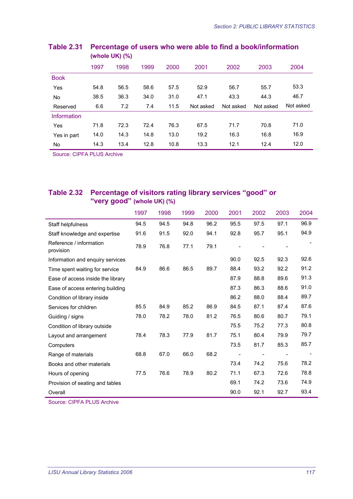|                    |      | .    |      |      |           |           |           |           |  |  |  |  |  |  |
|--------------------|------|------|------|------|-----------|-----------|-----------|-----------|--|--|--|--|--|--|
|                    | 1997 | 1998 | 1999 | 2000 | 2001      | 2002      | 2003      | 2004      |  |  |  |  |  |  |
| <b>Book</b>        |      |      |      |      |           |           |           |           |  |  |  |  |  |  |
| Yes                | 54.8 | 56.5 | 58.6 | 57.5 | 52.9      | 56.7      | 55.7      | 53.3      |  |  |  |  |  |  |
| No                 | 38.5 | 36.3 | 34.0 | 31.0 | 47.1      | 43.3      | 44.3      | 46.7      |  |  |  |  |  |  |
| Reserved           | 6.6  | 7.2  | 7.4  | 11.5 | Not asked | Not asked | Not asked | Not asked |  |  |  |  |  |  |
| <b>Information</b> |      |      |      |      |           |           |           |           |  |  |  |  |  |  |
| Yes                | 71.8 | 72.3 | 72.4 | 76.3 | 67.5      | 71.7      | 70.8      | 71.0      |  |  |  |  |  |  |
| Yes in part        | 14.0 | 14.3 | 14.8 | 13.0 | 19.2      | 16.3      | 16.8      | 16.9      |  |  |  |  |  |  |
| No                 | 14.3 | 13.4 | 12.8 | 10.8 | 13.3      | 12.1      | 12.4      | 12.0      |  |  |  |  |  |  |

#### **Table 2.31 Percentage of users who were able to find a book/information (whole UK) (%)**

Source: CIPFA PLUS Archive

#### **Table 2.32 Percentage of visitors rating library services "good" or "very good" (whole UK) (%)**

|                                      | 1997 | 1998 | 1999 | 2000 | 2001                     | 2002 | 2003 | 2004 |
|--------------------------------------|------|------|------|------|--------------------------|------|------|------|
| Staff helpfulness                    | 94.5 | 94.5 | 94.8 | 96.2 | 95.5                     | 97.5 | 97.1 | 96.9 |
| Staff knowledge and expertise        | 91.6 | 91.5 | 92.0 | 94.1 | 92.8                     | 95.7 | 95.1 | 94.9 |
| Reference / information<br>provision | 78.9 | 76.8 | 77.1 | 79.1 |                          |      |      |      |
| Information and enquiry services     |      |      |      |      | 90.0                     | 92.5 | 92.3 | 92.6 |
| Time spent waiting for service       | 84.9 | 86.6 | 86.5 | 89.7 | 88.4                     | 93.2 | 92.2 | 91.2 |
| Ease of access inside the library    |      |      |      |      | 87.9                     | 88.8 | 89.6 | 91.3 |
| Ease of access entering building     |      |      |      |      | 87.3                     | 86.3 | 88.6 | 91.0 |
| Condition of library inside          |      |      |      |      | 86.2                     | 88.0 | 88.4 | 89.7 |
| Services for children                | 85.5 | 84.9 | 85.2 | 86.9 | 84.5                     | 87.1 | 87.4 | 87.6 |
| Guiding / signs                      | 78.0 | 78.2 | 78.0 | 81.2 | 76.5                     | 80.6 | 80.7 | 79.1 |
| Condition of library outside         |      |      |      |      | 75.5                     | 75.2 | 77.3 | 80.8 |
| Layout and arrangement               | 78.4 | 78.3 | 77.9 | 81.7 | 75.1                     | 80.4 | 79.9 | 79.7 |
| Computers                            |      |      |      |      | 73.5                     | 81.7 | 85.3 | 85.7 |
| Range of materials                   | 68.8 | 67.0 | 66.0 | 68.2 | $\overline{\phantom{a}}$ |      |      |      |
| Books and other materials            |      |      |      |      | 73.4                     | 74.2 | 75.6 | 78.2 |
| Hours of opening                     | 77.5 | 76.6 | 78.9 | 80.2 | 71.1                     | 67.3 | 72.6 | 78.8 |
| Provision of seating and tables      |      |      |      |      | 69.1                     | 74.2 | 73.6 | 74.9 |
| Overall                              |      |      |      |      | 90.0                     | 92.1 | 92.7 | 93.4 |

Source: CIPFA PLUS Archive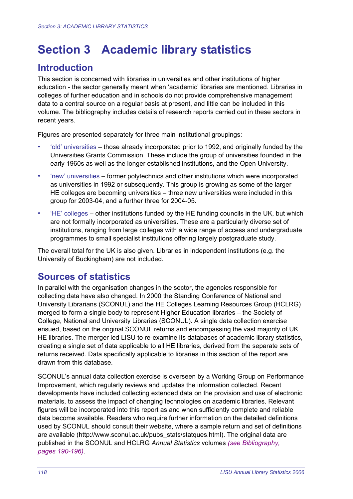# **Section 3 Academic library statistics**

# **Introduction**

This section is concerned with libraries in universities and other institutions of higher education - the sector generally meant when 'academic' libraries are mentioned. Libraries in colleges of further education and in schools do not provide comprehensive management data to a central source on a regular basis at present, and little can be included in this volume. The bibliography includes details of research reports carried out in these sectors in recent years.

Figures are presented separately for three main institutional groupings:

- 'old' universities those already incorporated prior to 1992, and originally funded by the Universities Grants Commission. These include the group of universities founded in the early 1960s as well as the longer established institutions, and the Open University.
- 'new' universities former polytechnics and other institutions which were incorporated as universities in 1992 or subsequently. This group is growing as some of the larger HE colleges are becoming universities – three new universities were included in this group for 2003-04, and a further three for 2004-05.
- 'HE' colleges other institutions funded by the HE funding councils in the UK, but which are not formally incorporated as universities. These are a particularly diverse set of institutions, ranging from large colleges with a wide range of access and undergraduate programmes to small specialist institutions offering largely postgraduate study.

The overall total for the UK is also given. Libraries in independent institutions (e.g. the University of Buckingham) are not included.

# **Sources of statistics**

In parallel with the organisation changes in the sector, the agencies responsible for collecting data have also changed. In 2000 the Standing Conference of National and University Librarians (SCONUL) and the HE Colleges Learning Resources Group (HCLRG) merged to form a single body to represent Higher Education libraries – the Society of College, National and University Libraries (SCONUL). A single data collection exercise ensued, based on the original SCONUL returns and encompassing the vast majority of UK HE libraries. The merger led LISU to re-examine its databases of academic library statistics, creating a single set of data applicable to all HE libraries, derived from the separate sets of returns received. Data specifically applicable to libraries in this section of the report are drawn from this database.

SCONUL's annual data collection exercise is overseen by a Working Group on Performance Improvement, which regularly reviews and updates the information collected. Recent developments have included collecting extended data on the provision and use of electronic materials, to assess the impact of changing technologies on academic libraries. Relevant figures will be incorporated into this report as and when sufficiently complete and reliable data become available. Readers who require further information on the detailed definitions used by SCONUL should consult their website, where a sample return and set of definitions are available (http://www.sconul.ac.uk/pubs\_stats/statques.html). The original data are published in the SCONUL and HCLRG *Annual Statistics* volumes *(see Bibliography, pages 190-196)*.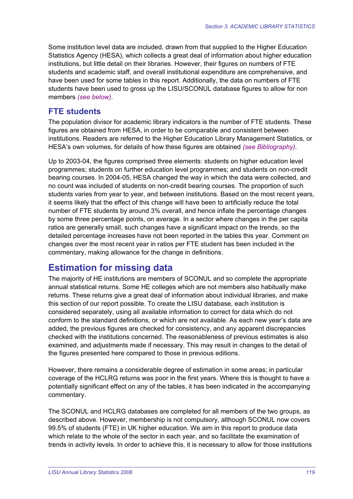Some institution level data are included, drawn from that supplied to the Higher Education Statistics Agency (HESA), which collects a great deal of information about higher education institutions, but little detail on their libraries. However, their figures on numbers of FTE students and academic staff, and overall institutional expenditure are comprehensive, and have been used for some tables in this report. Additionally, the data on numbers of FTE students have been used to gross up the LISU/SCONUL database figures to allow for non members *(see below)*.

#### **FTE students**

The population divisor for academic library indicators is the number of FTE students. These figures are obtained from HESA, in order to be comparable and consistent between institutions. Readers are referred to the Higher Education Library Management Statistics, or HESA's own volumes, for details of how these figures are obtained *(see Bibliography)*.

Up to 2003-04, the figures comprised three elements: students on higher education level programmes; students on further education level programmes; and students on non-credit bearing courses. In 2004-05, HESA changed the way in which the data were collected, and no count was included of students on non-credit bearing courses. The proportion of such students varies from year to year, and between institutions. Based on the most recent years, it seems likely that the effect of this change will have been to artificially reduce the total number of FTE students by around 3% overall, and hence inflate the percentage changes by some three percentage points, on average. In a sector where changes in the per capita ratios are generally small, such changes have a significant impact on the trends, so the detailed percentage increases have not been reported in the tables this year. Comment on changes over the most recent year in ratios per FTE student has been included in the commentary, making allowance for the change in definitions.

## **Estimation for missing data**

The majority of HE institutions are members of SCONUL and so complete the appropriate annual statistical returns. Some HE colleges which are not members also habitually make returns. These returns give a great deal of information about individual libraries, and make this section of our report possible. To create the LISU database, each institution is considered separately, using all available information to correct for data which do not conform to the standard definitions, or which are not available. As each new year's data are added, the previous figures are checked for consistency, and any apparent discrepancies checked with the institutions concerned. The reasonableness of previous estimates is also examined, and adjustments made if necessary. This may result in changes to the detail of the figures presented here compared to those in previous editions.

However, there remains a considerable degree of estimation in some areas; in particular coverage of the HCLRG returns was poor in the first years. Where this is thought to have a potentially significant effect on any of the tables, it has been indicated in the accompanying commentary.

The SCONUL and HCLRG databases are completed for all members of the two groups, as described above. However, membership is not compulsory, although SCONUL now covers 99.5% of students (FTE) in UK higher education. We aim in this report to produce data which relate to the whole of the sector in each year, and so facilitate the examination of trends in activity levels. In order to achieve this, it is necessary to allow for those institutions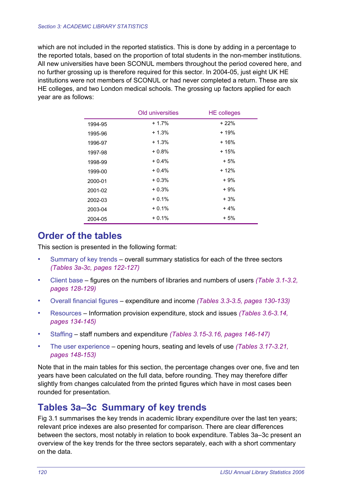which are not included in the reported statistics. This is done by adding in a percentage to the reported totals, based on the proportion of total students in the non-member institutions. All new universities have been SCONUL members throughout the period covered here, and no further grossing up is therefore required for this sector. In 2004-05, just eight UK HE institutions were not members of SCONUL or had never completed a return. These are six HE colleges, and two London medical schools. The grossing up factors applied for each year are as follows:

|         | Old universities | <b>HE</b> colleges |
|---------|------------------|--------------------|
| 1994-95 | $+1.7%$          | $+22%$             |
| 1995-96 | $+1.3%$          | + 19%              |
| 1996-97 | $+1.3%$          | $+16%$             |
| 1997-98 | $+0.8%$          | + 15%              |
| 1998-99 | $+0.4%$          | $+5%$              |
| 1999-00 | $+0.4%$          | $+12%$             |
| 2000-01 | $+0.3%$          | + 9%               |
| 2001-02 | $+0.3%$          | + 9%               |
| 2002-03 | $+0.1%$          | + 3%               |
| 2003-04 | $+0.1%$          | $+4%$              |
| 2004-05 | $+0.1%$          | + 5%               |

# **Order of the tables**

This section is presented in the following format:

- Summary of key trends overall summary statistics for each of the three sectors *(Tables 3a-3c, pages 122-127)*
- Client base figures on the numbers of libraries and numbers of users *(Table 3.1-3.2, pages 128-129)*
- Overall financial figures expenditure and income *(Tables 3.3-3.5, pages 130-133)*
- Resources Information provision expenditure, stock and issues *(Tables 3.6-3.14, pages 134-145)*
- Staffing staff numbers and expenditure *(Tables 3.15-3.16, pages 146-147)*
- The user experience opening hours, seating and levels of use *(Tables 3.17-3.21, pages 148-153)*

Note that in the main tables for this section, the percentage changes over one, five and ten years have been calculated on the full data, before rounding. They may therefore differ slightly from changes calculated from the printed figures which have in most cases been rounded for presentation.

# **Tables 3a–3c Summary of key trends**

Fig 3.1 summarises the key trends in academic library expenditure over the last ten years; relevant price indexes are also presented for comparison. There are clear differences between the sectors, most notably in relation to book expenditure. Tables 3a–3c present an overview of the key trends for the three sectors separately, each with a short commentary on the data.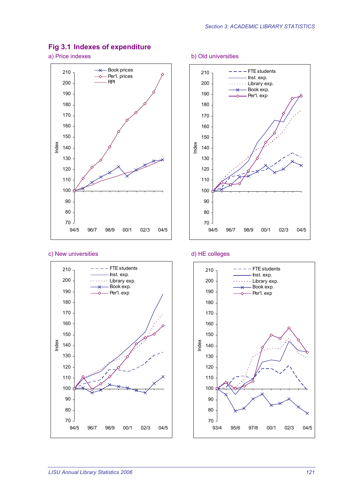#### **Fig 3.1 Indexes of expenditure**

a) Price indexes b) Old universities



#### c) New universities d) HE colleges







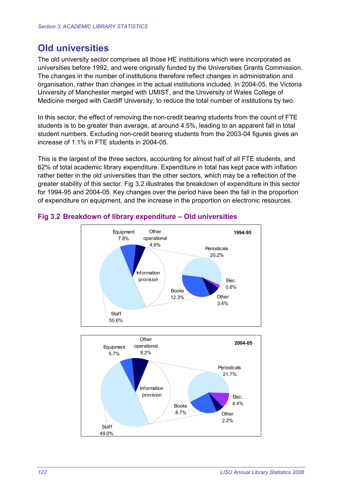# **Old universities**

The old university sector comprises all those HE institutions which were incorporated as universities before 1992, and were originally funded by the Universities Grants Commission. The changes in the number of institutions therefore reflect changes in administration and organisation, rather than changes in the actual institutions included. In 2004-05, the Victoria University of Manchester merged with UMIST, and the University of Wales College of Medicine merged with Cardiff University, to reduce the total number of institutions by two.

In this sector, the effect of removing the non-credit bearing students from the count of FTE students is to be greater than average, at around 4.5%, leading to an apparent fall in total student numbers. Excluding non-credit bearing students from the 2003-04 figures gives an increase of 1.1% in FTE students in 2004-05.

This is the largest of the three sectors, accounting for almost half of all FTE students, and 62% of total academic library expenditure. Expenditure in total has kept pace with inflation rather better in the old universities than the other sectors, which may be a reflection of the greater stability of this sector. Fig 3.2 illustrates the breakdown of expenditure in this sector for 1994-95 and 2004-05. Key changes over the period have been the fall in the proportion of expenditure on equipment, and the increase in the proportion on electronic resources.



#### **Fig 3.2 Breakdown of library expenditure – Old universities**

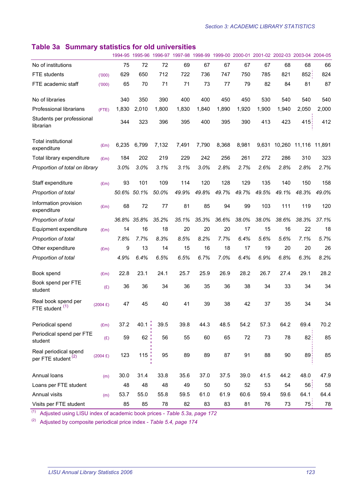## **Table 3a Summary statistics for old universities**

|                                                         |                    |       |             |       |       |       |       |       |       |        | 1994-95 1995-96 1996-97 1997-98 1998-99 1999-00 2000-01 2001-02 2002-03 2003-04 2004-05 |       |
|---------------------------------------------------------|--------------------|-------|-------------|-------|-------|-------|-------|-------|-------|--------|-----------------------------------------------------------------------------------------|-------|
| No of institutions                                      |                    | 75    | 72          | 72    | 69    | 67    | 67    | 67    | 67    | 68     | 68                                                                                      | 66    |
| <b>FTE</b> students                                     | (000)              | 629   | 650         | 712   | 722   | 736   | 747   | 750   | 785   | 821    | 852:                                                                                    | 824   |
| FTE academic staff                                      | (000)              | 65    | 70          | 71    | 71    | 73    | 77    | 79    | 82    | 84     | 81                                                                                      | 87    |
| No of libraries                                         |                    | 340   | 350         | 390   | 400   | 400   | 450   | 450   | 530   | 540    | 540                                                                                     | 540   |
| Professional librarians                                 | (FTE)              | 1,830 | 2,010       | 1,800 | 1,830 | 1,840 | 1,890 | 1,920 | 1,900 | 1,940  | 2,050                                                                                   | 2,000 |
| Students per professional<br>librarian                  |                    | 344   | 323         | 396   | 395   | 400   | 395   | 390   | 413   | 423    | 415                                                                                     | 412   |
| <b>Total institutional</b><br>expenditure               | (Em)               | 6,235 | 6,799       | 7,132 | 7,491 | 7,790 | 8,368 | 8,981 | 9,631 |        | 10,260 11,116 11,891                                                                    |       |
| Total library expenditure                               | (Em)               | 184   | 202         | 219   | 229   | 242   | 256   | 261   | 272   | 286    | 310                                                                                     | 323   |
| Proportion of total on library                          |                    | 3.0%  | 3.0%        | 3.1%  | 3.1%  | 3.0%  | 2.8%  | 2.7%  | 2.6%  | 2.8%   | 2.8%                                                                                    | 2.7%  |
| Staff expenditure                                       | E(m)               | 93    | 101         | 109   | 114   | 120   | 128   | 129   | 135   | 140    | 150                                                                                     | 158   |
| Proportion of total                                     |                    | 50.6% | 50.1%       | 50.0% | 49.9% | 49.8% | 49.7% | 49.7% | 49.5% | 49.1%  | 48.3%                                                                                   | 49.0% |
| Information provision<br>expenditure                    | (Em)               | 68    | 72          | 77    | 81    | 85    | 94    | 99    | 103   | 111    | 119                                                                                     | 120   |
| Proportion of total                                     |                    | 36.8% | 35.8%       | 35.2% | 35.1% | 35.3% | 36.6% | 38.0% | 38.0% | 38.6%  | 38.3%                                                                                   | 37.1% |
| Equipment expenditure                                   | E(m)               | 14    | 16          | 18    | 20    | 20    | 20    | 17    | 15    | 16     | 22                                                                                      | 18    |
| Proportion of total                                     |                    | 7.8%  | 7.7%        | 8.3%  | 8.5%  | 8.2%  | 7.7%  | 6.4%  | 5.6%  | 5.6%   | 7.1%                                                                                    | 5.7%  |
| Other expenditure                                       | (Em)               | 9     | 13          | 14    | 15    | 16    | 18    | 17    | 19    | 20     | 20                                                                                      | 26    |
| Proportion of total                                     |                    | 4.9%  | 6.4%        | 6.5%  | 6.5%  | 6.7%  | 7.0%  | 6.4%  | 6.9%  | 6.8%   | 6.3%                                                                                    | 8.2%  |
| Book spend                                              | (Em)               | 22.8  | 23.1        | 24.1  | 25.7  | 25.9  | 26.9  | 28.2  | 26.7  | 27.4   | 29.1                                                                                    | 28.2  |
| Book spend per FTE<br>student                           | (E)                | 36    | 36          | 34    | 36    | 35    | 36    | 38    | 34    | 33     | 34                                                                                      | 34    |
| Real book spend per<br>FTE student                      | $(2004 \text{ E})$ | 47    | 45          | 40    | 41    | 39    | 38    | 42    | 37    | 35     | 34                                                                                      | 34    |
| Periodical spend                                        | (Em)               | 37.2  | $40.1 \div$ | 39.5  | 39.8  | 44.3  | 48.5  | 54.2  | 57.3  | 64.2   | 69.4                                                                                    | 70.2  |
| Periodical spend per FTE<br>student                     | (E)                | 59    | 62          | 56    | 55    | 60    | 65    | 72    | 73    | 78     | 82:                                                                                     | 85    |
| Real periodical spend<br>per FTE student <sup>(2)</sup> | $(2004 \text{ E})$ | 123   | 115:        | 95    | 89    | 89    | 87    | 91    | 88    | $90\,$ | 89:                                                                                     | 85    |
| Annual loans                                            | (m)                | 30.0  | 31.4        | 33.8  | 35.6  | 37.0  | 37.5  | 39.0  | 41.5  | 44.2   | 48.0                                                                                    | 47.9  |
| Loans per FTE student                                   |                    | 48    | 48          | 48    | 49    | 50    | 50    | 52    | 53    | 54     | 56 <sup>1</sup>                                                                         | 58    |
| Annual visits                                           | (m)                | 53.7  | 55.0        | 55.8  | 59.5  | 61.0  | 61.9  | 60.6  | 59.4  | 59.6   | 64.1                                                                                    | 64.4  |
| Visits per FTE student                                  |                    | 85    | 85          | 78    | 82    | 83    | 83    | 81    | 76    | 73     | 75 <sub>i</sub>                                                                         | 78    |

(1) Adjusted using LISU index of academic book prices - *Table 5.3a, page 172*

(2) Adjusted by composite periodical price index - *Table 5.4, page 174*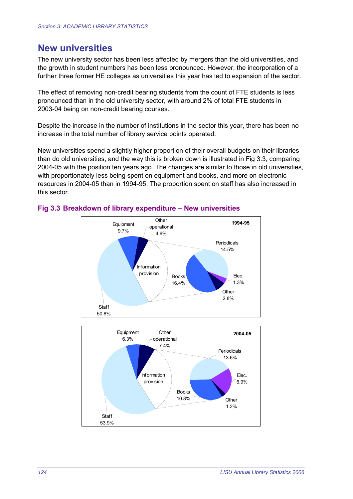## **New universities**

The new university sector has been less affected by mergers than the old universities, and the growth in student numbers has been less pronounced. However, the incorporation of a further three former HE colleges as universities this year has led to expansion of the sector.

The effect of removing non-credit bearing students from the count of FTE students is less pronounced than in the old university sector, with around 2% of total FTE students in 2003-04 being on non-credit bearing courses.

Despite the increase in the number of institutions in the sector this year, there has been no increase in the total number of library service points operated.

New universities spend a slightly higher proportion of their overall budgets on their libraries than do old universities, and the way this is broken down is illustrated in Fig 3.3, comparing 2004-05 with the position ten years ago. The changes are similar to those in old universities, with proportionately less being spent on equipment and books, and more on electronic resources in 2004-05 than in 1994-95. The proportion spent on staff has also increased in this sector.



#### **Fig 3.3 Breakdown of library expenditure – New universities**

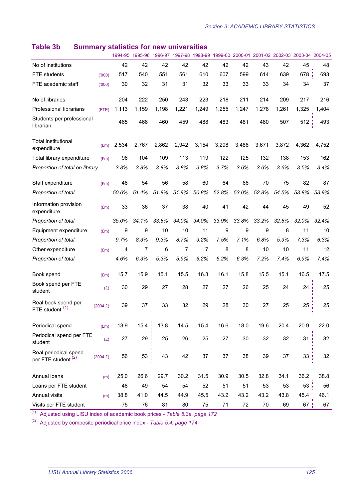|                                                         |                    | 1994-95 | 1995-96  | 1996-97 | 1997-98 |       |       |       | 1998-99 1999-00 2000-01 2001-02 2002-03 2003-04 2004-05 |       |                 |       |
|---------------------------------------------------------|--------------------|---------|----------|---------|---------|-------|-------|-------|---------------------------------------------------------|-------|-----------------|-------|
| No of institutions                                      |                    | 42      | 42       | 42      | 42      | 42    | 42    | 42    | 43                                                      | 42    | 45              | 48    |
| <b>FTE</b> students                                     | (000)              | 517     | 540      | 551     | 561     | 610   | 607   | 599   | 614                                                     | 639   | 678;            | 693   |
| FTE academic staff                                      | (000)              | 30      | 32       | 31      | 31      | 32    | 33    | 33    | 33                                                      | 34    | 34              | 37    |
| No of libraries                                         |                    | 204     | 222      | 250     | 243     | 223   | 218   | 211   | 214                                                     | 209   | 217             | 216   |
| Professional librarians                                 | (FTE)              | 1,113   | 1,159    | 1,198   | 1,221   | 1,249 | 1,255 | 1,247 | 1,278                                                   | 1,261 | 1,325           | 1,404 |
| Students per professional<br>librarian                  |                    | 465     | 466      | 460     | 459     | 488   | 483   | 481   | 480                                                     | 507   | 512             | 493   |
| <b>Total institutional</b><br>expenditure               | (Em)               | 2,534   | 2,767    | 2,862   | 2,942   | 3,154 | 3,298 | 3,486 | 3,671                                                   | 3,872 | 4,362           | 4,752 |
| Total library expenditure                               | (Em)               | 96      | 104      | 109     | 113     | 119   | 122   | 125   | 132                                                     | 138   | 153             | 162   |
| Proportion of total on library                          |                    | 3.8%    | 3.8%     | 3.8%    | 3.8%    | 3.8%  | 3.7%  | 3.6%  | 3.6%                                                    | 3.6%  | 3.5%            | 3.4%  |
| Staff expenditure                                       | E(m)               | 48      | 54       | 56      | 58      | 60    | 64    | 66    | 70                                                      | 75    | 82              | 87    |
| Proportion of total                                     |                    | 50.6%   | 51.4%    | 51.8%   | 51.9%   | 50.8% | 52.8% | 53.0% | 52.8%                                                   | 54.5% | 53.8%           | 53.9% |
| Information provision<br>expenditure                    | (Em)               | 33      | 36       | 37      | 38      | 40    | 41    | 42    | 44                                                      | 45    | 49              | 52    |
| Proportion of total                                     |                    | 35.0%   | 34.1%    | 33.8%   | 34.0%   | 34.0% | 33.9% | 33.8% | 33.2%                                                   | 32.6% | 32.0%           | 32.4% |
| Equipment expenditure                                   | E(m)               | 9       | 9        | 10      | 10      | 11    | 9     | 9     | 9                                                       | 8     | 11              | 10    |
| Proportion of total                                     |                    | 9.7%    | 8.3%     | 9.3%    | 8.7%    | 9.2%  | 7.5%  | 7.1%  | 6.8%                                                    | 5.9%  | 7.3%            | 6.3%  |
| Other expenditure                                       | (Em)               | 4       | 7        | 6       | 7       | 7     | 8     | 8     | 10                                                      | 10    | 11              | 12    |
| Proportion of total                                     |                    | 4.6%    | 6.3%     | 5.3%    | 5.9%    | 6.2%  | 6.2%  | 6.3%  | 7.2%                                                    | 7.4%  | 6.9%            | 7.4%  |
| Book spend                                              | (Em)               | 15.7    | 15.9     | 15.1    | 15.5    | 16.3  | 16.1  | 15.8  | 15.5                                                    | 15.1  | 16.5            | 17.5  |
| Book spend per FTE<br>student                           | (E)                | 30      | 29       | 27      | 28      | 27    | 27    | 26    | 25                                                      | 24    | 24              | 25    |
| Real book spend per<br>FTE student (1)                  | $(2004 \text{ E})$ | 39      | 37       | 33      | 32      | 29    | 28    | 30    | 27                                                      | 25    | $25$ !          | 25    |
| Periodical spend                                        | (Em)               | 13.9    | $15.4$ ! | 13.8    | 14.5    | 15.4  | 16.6  | 18.0  | 19.6                                                    | 20.4  | 20.9            | 22.0  |
| Periodical spend per FTE<br>student                     | (E)                | 27      | 29       | 25      | 26      | 25    | 27    | 30    | 32                                                      | 32    | 31 <sup>1</sup> | 32    |
| Real periodical spend<br>per FTE student <sup>(2)</sup> | $(2004 \text{ E})$ | 56      | 53       | 43      | 42      | 37    | 37    | 38    | 39                                                      | 37    | 33:             | 32    |
| Annual loans                                            | (m)                | 25.0    | 26.6     | 29.7    | 30.2    | 31.5  | 30.9  | 30.5  | 32.8                                                    | 34.1  | 36.2            | 38.8  |
| Loans per FTE student                                   |                    | 48      | 49       | 54      | 54      | 52    | 51    | 51    | 53                                                      | 53    | 53:             | 56    |
| Annual visits                                           | (m)                | 38.8    | 41.0     | 44.5    | 44.9    | 45.5  | 43.2  | 43.2  | 43.2                                                    | 43.8  | 45.4            | 46.1  |
| Visits per FTE student                                  |                    | 75      | 76       | 81      | 80      | 75    | 71    | 72    | 70                                                      | 69    | $67$ :          | 67    |
|                                                         |                    |         |          |         |         |       |       |       |                                                         |       |                 |       |

## **Table 3b Summary statistics for new universities**

(1) Adjusted using LISU index of academic book prices - *Table 5.3a, page 172*

(2) Adjusted by composite periodical price index - *Table 5.4, page 174*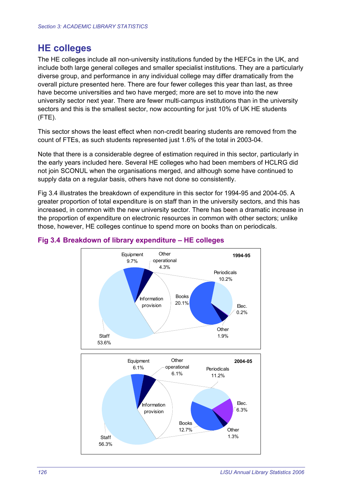## **HE colleges**

The HE colleges include all non-university institutions funded by the HEFCs in the UK, and include both large general colleges and smaller specialist institutions. They are a particularly diverse group, and performance in any individual college may differ dramatically from the overall picture presented here. There are four fewer colleges this year than last, as three have become universities and two have merged; more are set to move into the new university sector next year. There are fewer multi-campus institutions than in the university sectors and this is the smallest sector, now accounting for just 10% of UK HE students (FTE).

This sector shows the least effect when non-credit bearing students are removed from the count of FTEs, as such students represented just 1.6% of the total in 2003-04.

Note that there is a considerable degree of estimation required in this sector, particularly in the early years included here. Several HE colleges who had been members of HCLRG did not join SCONUL when the organisations merged, and although some have continued to supply data on a regular basis, others have not done so consistently.

Fig 3.4 illustrates the breakdown of expenditure in this sector for 1994-95 and 2004-05. A greater proportion of total expenditure is on staff than in the university sectors, and this has increased, in common with the new university sector. There has been a dramatic increase in the proportion of expenditure on electronic resources in common with other sectors; unlike those, however, HE colleges continue to spend more on books than on periodicals.



#### **Fig 3.4 Breakdown of library expenditure – HE colleges**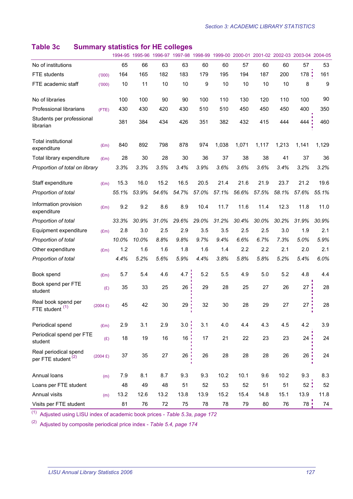## **Table 3c Summary statistics for HE colleges**

|                                                         |                    |       |       |       |                  |       |       |       |       |       | 1994-95 1995-96 1996-97 1997-98 1998-99 1999-00 2000-01 2001-02 2002-03 2003-04 2004-05 |       |
|---------------------------------------------------------|--------------------|-------|-------|-------|------------------|-------|-------|-------|-------|-------|-----------------------------------------------------------------------------------------|-------|
| No of institutions                                      |                    | 65    | 66    | 63    | 63               | 60    | 60    | 57    | 60    | 60    | 57                                                                                      | 53    |
| <b>FTE</b> students                                     | (000)              | 164   | 165   | 182   | 183              | 179   | 195   | 194   | 187   | 200   | 178;                                                                                    | 161   |
| FTE academic staff                                      | (000)              | 10    | 11    | 10    | 10               | 9     | 10    | 10    | 10    | 10    | 8                                                                                       | 9     |
| No of libraries                                         |                    | 100   | 100   | 90    | 90               | 100   | 110   | 130   | 120   | 110   | 100                                                                                     | 90    |
| Professional librarians                                 | (FTE)              | 430   | 430   | 420   | 430              | 510   | 510   | 450   | 450   | 450   | 400                                                                                     | 350   |
| Students per professional<br>librarian                  |                    | 381   | 384   | 434   | 426              | 351   | 382   | 432   | 415   | 444   | 444                                                                                     | 460   |
| <b>Total institutional</b><br>expenditure               | (Em)               | 840   | 892   | 798   | 878              | 974   | 1,038 | 1,071 | 1,117 | 1,213 | 1,141                                                                                   | 1,129 |
| Total library expenditure                               | $(\text{Em})$      | 28    | 30    | 28    | 30               | 36    | 37    | 38    | 38    | 41    | 37                                                                                      | 36    |
| Proportion of total on library                          |                    | 3.3%  | 3.3%  | 3.5%  | 3.4%             | 3.9%  | 3.6%  | 3.6%  | 3.6%  | 3.4%  | 3.2%                                                                                    | 3.2%  |
| Staff expenditure                                       | E(m)               | 15.3  | 16.0  | 15.2  | 16.5             | 20.5  | 21.4  | 21.6  | 21.9  | 23.7  | 21.2                                                                                    | 19.6  |
| Proportion of total                                     |                    | 55.1% | 53.9% | 54.6% | 54.7%            | 57.0% | 57.1% | 56.6% | 57.5% | 58.1% | 57.6%                                                                                   | 55.1% |
| Information provision<br>expenditure                    | E(m)               | 9.2   | 9.2   | 8.6   | 8.9              | 10.4  | 11.7  | 11.6  | 11.4  | 12.3  | 11.8                                                                                    | 11.0  |
| Proportion of total                                     |                    | 33.3% | 30.9% | 31.0% | 29.6%            | 29.0% | 31.2% | 30.4% | 30.0% | 30.2% | 31.9%                                                                                   | 30.9% |
| Equipment expenditure                                   | (Em)               | 2.8   | 3.0   | 2.5   | 2.9              | 3.5   | 3.5   | 2.5   | 2.5   | 3.0   | 1.9                                                                                     | 2.1   |
| Proportion of total                                     |                    | 10.0% | 10.0% | 8.8%  | 9.8%             | 9.7%  | 9.4%  | 6.6%  | 6.7%  | 7.3%  | 5.0%                                                                                    | 5.9%  |
| Other expenditure                                       | E(m)               | 1.2   | 1.6   | 1.6   | 1.8              | 1.6   | 1.4   | 2.2   | 2.2   | 2.1   | 2.0                                                                                     | 2.1   |
| Proportion of total                                     |                    | 4.4%  | 5.2%  | 5.6%  | 5.9%             | 4.4%  | 3.8%  | 5.8%  | 5.8%  | 5.2%  | 5.4%                                                                                    | 6.0%  |
| Book spend                                              | E(m)               | 5.7   | 5.4   | 4.6   | 4.7:             | 5.2   | 5.5   | 4.9   | 5.0   | 5.2   | 4.8                                                                                     | 4.4   |
| Book spend per FTE<br>student                           | (E)                | 35    | 33    | 25    | 26               | 29    | 28    | 25    | 27    | 26    | 27                                                                                      | 28    |
| Real book spend per<br>FTE student <sup>(1)</sup>       | $(2004 \text{ E})$ | 45    | 42    | 30    | 29               | 32    | 30    | 28    | 29    | 27    | 27                                                                                      | 28    |
| Periodical spend                                        | $(\text{Em})$      | 2.9   | 3.1   | 2.9   | 3.0 <sub>1</sub> | 3.1   | 4.0   | 4.4   | 4.3   | 4.5   | 4.2                                                                                     | 3.9   |
| Periodical spend per FTE<br>student                     | (E)                | 18    | 19    | 16    | 16               | 17    | 21    | 22    | 23    | 23    | 24                                                                                      | 24    |
| Real periodical spend<br>per FTE student <sup>(2)</sup> | $(2004 \text{ E})$ | 37    | 35    | 27    | 26               | 26    | 28    | 28    | 28    | 26    | 26                                                                                      | 24    |
| Annual loans                                            | (m)                | 7.9   | 8.1   | 8.7   | 9.3              | 9.3   | 10.2  | 10.1  | 9.6   | 10.2  | 9.3                                                                                     | 8.3   |
| Loans per FTE student                                   |                    | 48    | 49    | 48    | 51               | 52    | 53    | 52    | 51    | 51    | 52                                                                                      | 52    |
| Annual visits                                           | (m)                | 13.2  | 12.6  | 13.2  | 13.8             | 13.9  | 15.2  | 15.4  | 14.8  | 15.1  | 13.9                                                                                    | 11.8  |
| Visits per FTE student                                  |                    | 81    | 76    | 72    | 75               | 78    | 78    | 79    | 80    | 76    | 78 !                                                                                    | 74    |

(1) Adjusted using LISU index of academic book prices - *Table 5.3a, page 172* 

(2) Adjusted by composite periodical price index - *Table 5.4, page 174*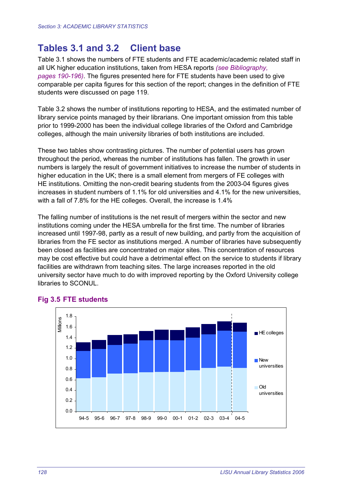# **Tables 3.1 and 3.2 Client base**

Table 3.1 shows the numbers of FTE students and FTE academic/academic related staff in all UK higher education institutions, taken from HESA reports *(see Bibliography, pages 190-196)*. The figures presented here for FTE students have been used to give comparable per capita figures for this section of the report; changes in the definition of FTE students were discussed on page 119.

Table 3.2 shows the number of institutions reporting to HESA, and the estimated number of library service points managed by their librarians. One important omission from this table prior to 1999-2000 has been the individual college libraries of the Oxford and Cambridge colleges, although the main university libraries of both institutions are included.

These two tables show contrasting pictures. The number of potential users has grown throughout the period, whereas the number of institutions has fallen. The growth in user numbers is largely the result of government initiatives to increase the number of students in higher education in the UK; there is a small element from mergers of FE colleges with HE institutions. Omitting the non-credit bearing students from the 2003-04 figures gives increases in student numbers of 1.1% for old universities and 4.1% for the new universities, with a fall of 7.8% for the HE colleges. Overall, the increase is 1.4%

The falling number of institutions is the net result of mergers within the sector and new institutions coming under the HESA umbrella for the first time. The number of libraries increased until 1997-98, partly as a result of new building, and partly from the acquisition of libraries from the FE sector as institutions merged. A number of libraries have subsequently been closed as facilities are concentrated on major sites. This concentration of resources may be cost effective but could have a detrimental effect on the service to students if library facilities are withdrawn from teaching sites. The large increases reported in the old university sector have much to do with improved reporting by the Oxford University college libraries to SCONUL.



#### **Fig 3.5 FTE students**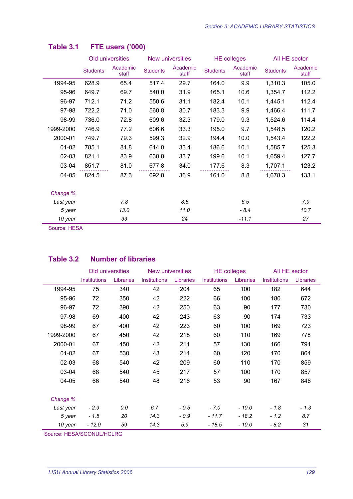|           |                 | Old universities  |                 | New universities  |                 | <b>HE colleges</b> | All HE sector   |                   |
|-----------|-----------------|-------------------|-----------------|-------------------|-----------------|--------------------|-----------------|-------------------|
|           | <b>Students</b> | Academic<br>staff | <b>Students</b> | Academic<br>staff | <b>Students</b> | Academic<br>staff  | <b>Students</b> | Academic<br>staff |
| 1994-95   | 628.9           | 65.4              | 517.4           | 29.7              | 164.0           | 9.9                | 1,310.3         | 105.0             |
| 95-96     | 649.7           | 69.7              | 540.0           | 31.9              | 165.1           | 10.6               | 1,354.7         | 112.2             |
| 96-97     | 712.1           | 71.2              | 550.6           | 31.1              | 182.4           | 10.1               | 1,445.1         | 112.4             |
| 97-98     | 722.2           | 71.0              | 560.8           | 30.7              | 183.3           | 9.9                | 1,466.4         | 111.7             |
| 98-99     | 736.0           | 72.8              | 609.6           | 32.3              | 179.0           | 9.3                | 1,524.6         | 114.4             |
| 1999-2000 | 746.9           | 77.2              | 606.6           | 33.3              | 195.0           | 9.7                | 1,548.5         | 120.2             |
| 2000-01   | 749.7           | 79.3              | 599.3           | 32.9              | 194.4           | 10.0               | 1,543.4         | 122.2             |
| $01 - 02$ | 785.1           | 81.8              | 614.0           | 33.4              | 186.6           | 10.1               | 1,585.7         | 125.3             |
| $02-03$   | 821.1           | 83.9              | 638.8           | 33.7              | 199.6           | 10.1               | 1,659.4         | 127.7             |
| 03-04     | 851.7           | 81.0              | 677.8           | 34.0              | 177.6           | 8.3                | 1,707.1         | 123.2             |
| 04-05     | 824.5           | 87.3              | 692.8           | 36.9              | 161.0           | 8.8                | 1,678.3         | 133.1             |
| Change %  |                 |                   |                 |                   |                 |                    |                 |                   |
| Last year |                 | 7.8               |                 | 8.6               |                 | 6.5                |                 | 7.9               |
| 5 year    |                 | 13.0              |                 | 11.0              |                 | $-8.4$             |                 | 10.7              |
| 10 year   |                 | 33                |                 | 24                |                 | $-11.1$            |                 | 27                |

## **Table 3.1 FTE users ('000)**

Source: HESA

#### **Table 3.2 Number of libraries**

|           | Old universities    |           | New universities    |           | <b>HE colleges</b> |           | All HE sector       |           |
|-----------|---------------------|-----------|---------------------|-----------|--------------------|-----------|---------------------|-----------|
|           | <b>Institutions</b> | Libraries | <b>Institutions</b> | Libraries | Institutions       | Libraries | <b>Institutions</b> | Libraries |
| 1994-95   | 75                  | 340       | 42                  | 204       | 65                 | 100       | 182                 | 644       |
| 95-96     | 72                  | 350       | 42                  | 222       | 66                 | 100       | 180                 | 672       |
| 96-97     | 72                  | 390       | 42                  | 250       | 63                 | 90        | 177                 | 730       |
| 97-98     | 69                  | 400       | 42                  | 243       | 63                 | 90        | 174                 | 733       |
| 98-99     | 67                  | 400       | 42                  | 223       | 60                 | 100       | 169                 | 723       |
| 1999-2000 | 67                  | 450       | 42                  | 218       | 60                 | 110       | 169                 | 778       |
| 2000-01   | 67                  | 450       | 42                  | 211       | 57                 | 130       | 166                 | 791       |
| $01 - 02$ | 67                  | 530       | 43                  | 214       | 60                 | 120       | 170                 | 864       |
| $02 - 03$ | 68                  | 540       | 42                  | 209       | 60                 | 110       | 170                 | 859       |
| 03-04     | 68                  | 540       | 45                  | 217       | 57                 | 100       | 170                 | 857       |
| 04-05     | 66                  | 540       | 48                  | 216       | 53                 | 90        | 167                 | 846       |
| Change %  |                     |           |                     |           |                    |           |                     |           |
| Last year | $-2.9$              | 0.0       | 6.7                 | $-0.5$    | $-7.0$             | $-10.0$   | $-1.8$              | $-1.3$    |
| 5 year    | $-1.5$              | 20        | 14.3                | $-0.9$    | $-11.7$            | $-18.2$   | $-1.2$              | 8.7       |
| 10 year   | $-12.0$             | 59        | 14.3                | 5.9       | $-18.5$            | $-10.0$   | $-8.2$              | 31        |

Source: HESA/SCONUL/HCLRG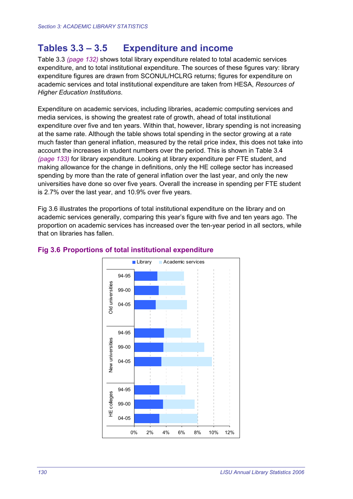# **Tables 3.3 – 3.5 Expenditure and income**

Table 3.3 *(page 132)* shows total library expenditure related to total academic services expenditure, and to total institutional expenditure. The sources of these figures vary: library expenditure figures are drawn from SCONUL/HCLRG returns; figures for expenditure on academic services and total institutional expenditure are taken from HESA, *Resources of Higher Education Institutions*.

Expenditure on academic services, including libraries, academic computing services and media services, is showing the greatest rate of growth, ahead of total institutional expenditure over five and ten years. Within that, however, library spending is not increasing at the same rate. Although the table shows total spending in the sector growing at a rate much faster than general inflation, measured by the retail price index, this does not take into account the increases in student numbers over the period. This is shown in Table 3.4 *(page 133)* for library expenditure. Looking at library expenditure per FTE student, and making allowance for the change in definitions, only the HE college sector has increased spending by more than the rate of general inflation over the last year, and only the new universities have done so over five years. Overall the increase in spending per FTE student is 2.7% over the last year, and 10.9% over five years.

Fig 3.6 illustrates the proportions of total institutional expenditure on the library and on academic services generally, comparing this year's figure with five and ten years ago. The proportion on academic services has increased over the ten-year period in all sectors, while that on libraries has fallen.



#### **Fig 3.6 Proportions of total institutional expenditure**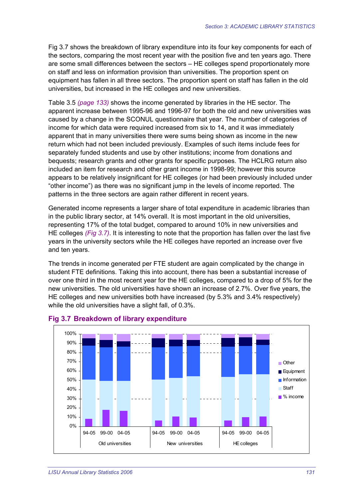Fig 3.7 shows the breakdown of library expenditure into its four key components for each of the sectors, comparing the most recent year with the position five and ten years ago. There are some small differences between the sectors – HE colleges spend proportionately more on staff and less on information provision than universities. The proportion spent on equipment has fallen in all three sectors. The proportion spent on staff has fallen in the old universities, but increased in the HE colleges and new universities.

Table 3.5 *(page 133)* shows the income generated by libraries in the HE sector. The apparent increase between 1995-96 and 1996-97 for both the old and new universities was caused by a change in the SCONUL questionnaire that year. The number of categories of income for which data were required increased from six to 14, and it was immediately apparent that in many universities there were sums being shown as income in the new return which had not been included previously. Examples of such items include fees for separately funded students and use by other institutions; income from donations and bequests; research grants and other grants for specific purposes. The HCLRG return also included an item for research and other grant income in 1998-99; however this source appears to be relatively insignificant for HE colleges (or had been previously included under "other income") as there was no significant jump in the levels of income reported. The patterns in the three sectors are again rather different in recent years.

Generated income represents a larger share of total expenditure in academic libraries than in the public library sector, at 14% overall. It is most important in the old universities, representing 17% of the total budget, compared to around 10% in new universities and HE colleges *(Fig 3.7)*. It is interesting to note that the proportion has fallen over the last five years in the university sectors while the HE colleges have reported an increase over five and ten years.

The trends in income generated per FTE student are again complicated by the change in student FTE definitions. Taking this into account, there has been a substantial increase of over one third in the most recent year for the HE colleges, compared to a drop of 5% for the new universities. The old universities have shown an increase of 2.7%. Over five years, the HE colleges and new universities both have increased (by 5.3% and 3.4% respectively) while the old universities have a slight fall, of 0.3%.



#### **Fig 3.7 Breakdown of library expenditure**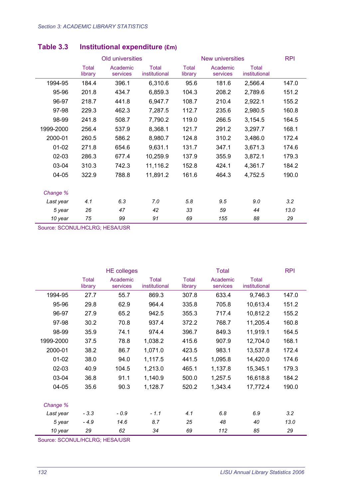|           |                  | Old universities     |                        |                  | New universities     | <b>RPI</b>                    |       |
|-----------|------------------|----------------------|------------------------|------------------|----------------------|-------------------------------|-------|
|           | Total<br>library | Academic<br>services | Total<br>institutional | Total<br>library | Academic<br>services | <b>Total</b><br>institutional |       |
| 1994-95   | 184.4            | 396.1                | 6,310.6                | 95.6             | 181.6                | 2,566.4                       | 147.0 |
| 95-96     | 201.8            | 434.7                | 6,859.3                | 104.3            | 208.2                | 2,789.6                       | 151.2 |
| 96-97     | 218.7            | 441.8                | 6,947.7                | 108.7            | 210.4                | 2,922.1                       | 155.2 |
| 97-98     | 229.3            | 462.3                | 7,287.5                | 112.7            | 235.6                | 2,980.5                       | 160.8 |
| 98-99     | 241.8            | 508.7                | 7,790.2                | 119.0            | 266.5                | 3,154.5                       | 164.5 |
| 1999-2000 | 256.4            | 537.9                | 8,368.1                | 121.7            | 291.2                | 3,297.7                       | 168.1 |
| 2000-01   | 260.5            | 586.2                | 8,980.7                | 124.8            | 310.2                | 3,486.0                       | 172.4 |
| $01 - 02$ | 271.8            | 654.6                | 9,631.1                | 131.7            | 347.1                | 3,671.3                       | 174.6 |
| $02 - 03$ | 286.3            | 677.4                | 10,259.9               | 137.9            | 355.9                | 3,872.1                       | 179.3 |
| 03-04     | 310.3            | 742.3                | 11,116.2               | 152.8            | 424.1                | 4,361.7                       | 184.2 |
| 04-05     | 322.9            | 788.8                | 11,891.2               | 161.6            | 464.3                | 4,752.5                       | 190.0 |
| Change %  |                  |                      |                        |                  |                      |                               |       |
| Last year | 4.1              | 6.3                  | 7.0                    | 5.8              | 9.5                  | 9.0                           | 3.2   |
| 5 year    | 26               | 47                   | 42                     | 33               | 59                   | 44                            | 13.0  |
| 10 year   | 75               | 99                   | 91                     | 69               | 155                  | 88                            | 29    |

## **Table 3.3 Institutional expenditure (£m)**

Source: SCONUL/HCLRG; HESA/USR

|           |                  | <b>HE colleges</b>   |                               |                  | <b>Total</b>         |                               | <b>RPI</b> |
|-----------|------------------|----------------------|-------------------------------|------------------|----------------------|-------------------------------|------------|
|           | Total<br>library | Academic<br>services | <b>Total</b><br>institutional | Total<br>library | Academic<br>services | <b>Total</b><br>institutional |            |
| 1994-95   | 27.7             | 55.7                 | 869.3                         | 307.8            | 633.4                | 9,746.3                       | 147.0      |
| 95-96     | 29.8             | 62.9                 | 964.4                         | 335.8            | 705.8                | 10,613.4                      | 151.2      |
| 96-97     | 27.9             | 65.2                 | 942.5                         | 355.3            | 717.4                | 10,812.2                      | 155.2      |
| 97-98     | 30.2             | 70.8                 | 937.4                         | 372.2            | 768.7                | 11,205.4                      | 160.8      |
| 98-99     | 35.9             | 74.1                 | 974.4                         | 396.7            | 849.3                | 11,919.1                      | 164.5      |
| 1999-2000 | 37.5             | 78.8                 | 1,038.2                       | 415.6            | 907.9                | 12,704.0                      | 168.1      |
| 2000-01   | 38.2             | 86.7                 | 1,071.0                       | 423.5            | 983.1                | 13,537.8                      | 172.4      |
| $01 - 02$ | 38.0             | 94.0                 | 1,117.5                       | 441.5            | 1,095.8              | 14,420.0                      | 174.6      |
| $02 - 03$ | 40.9             | 104.5                | 1,213.0                       | 465.1            | 1,137.8              | 15,345.1                      | 179.3      |
| 03-04     | 36.8             | 91.1                 | 1,140.9                       | 500.0            | 1,257.5              | 16,618.8                      | 184.2      |
| 04-05     | 35.6             | 90.3                 | 1,128.7                       | 520.2            | 1,343.4              | 17,772.4                      | 190.0      |
|           |                  |                      |                               |                  |                      |                               |            |
| Change %  |                  |                      |                               |                  |                      |                               |            |
| Last year | $-3.3$           | $-0.9$               | $-1.1$                        | 4.1              | 6.8                  | 6.9                           | 3.2        |
| 5 year    | $-4.9$           | 14.6                 | 8.7                           | 25               | 48                   | 40                            | 13.0       |
| 10 year   | 29               | 62                   | 34                            | 69               | 112                  | 85                            | 29         |

Source: SCONUL/HCLRG; HESA/USR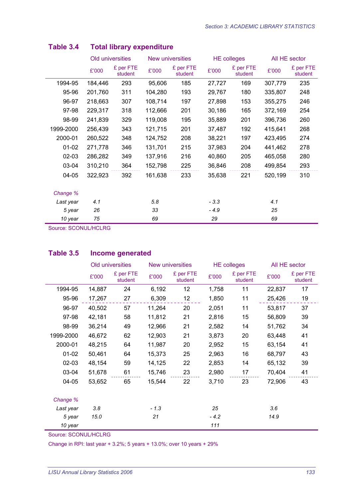|           |         | Old universities     |         | New universities     |        | <b>HE colleges</b>   | All HE sector |                      |
|-----------|---------|----------------------|---------|----------------------|--------|----------------------|---------------|----------------------|
|           | £'000   | £ per FTE<br>student | £'000   | £ per FTE<br>student | £'000  | £ per FTE<br>student | £'000         | £ per FTE<br>student |
| 1994-95   | 184,446 | 293                  | 95,606  | 185                  | 27,727 | 169                  | 307,779       | 235                  |
| 95-96     | 201,760 | 311                  | 104,280 | 193                  | 29,767 | 180                  | 335,807       | 248                  |
| 96-97     | 218,663 | 307                  | 108,714 | 197                  | 27,898 | 153                  | 355,275       | 246                  |
| 97-98     | 229,317 | 318                  | 112,666 | 201                  | 30,186 | 165                  | 372,169       | 254                  |
| 98-99     | 241,839 | 329                  | 119,008 | 195                  | 35,889 | 201                  | 396,736       | 260                  |
| 1999-2000 | 256,439 | 343                  | 121,715 | 201                  | 37,487 | 192                  | 415,641       | 268                  |
| 2000-01   | 260,522 | 348                  | 124,752 | 208                  | 38,221 | 197                  | 423,495       | 274                  |
| $01 - 02$ | 271,778 | 346                  | 131,701 | 215                  | 37,983 | 204                  | 441,462       | 278                  |
| $02 - 03$ | 286,282 | 349                  | 137,916 | 216                  | 40,860 | 205                  | 465,058       | 280                  |
| 03-04     | 310,210 | 364                  | 152,798 | 225                  | 36,846 | 208                  | 499,854       | 293                  |
| 04-05     | 322,923 | 392                  | 161,638 | 233                  | 35,638 | 221                  | 520,199       | 310                  |
|           |         |                      |         |                      |        |                      |               |                      |
| Change %  |         |                      |         |                      |        |                      |               |                      |
| Last year | 4.1     |                      | 5.8     |                      | $-3.3$ |                      | 4.1           |                      |
| 5 year    | 26      |                      | 33      |                      | $-4.9$ |                      | 25            |                      |
| 10 year   | 75      |                      | 69      |                      | 29     |                      | 69            |                      |

## **Table 3.4 Total library expenditure**

Source: SCONUL/HCLRG

#### **Table 3.5 Income generated**

|           |        | Old universities     |        | <b>New universities</b> |        | <b>HE</b> colleges   | All HE sector |                      |  |
|-----------|--------|----------------------|--------|-------------------------|--------|----------------------|---------------|----------------------|--|
|           | £'000  | £ per FTE<br>student | £'000  | £ per FTE<br>student    | £'000  | £ per FTE<br>student | £'000         | £ per FTE<br>student |  |
| 1994-95   | 14,887 | 24                   | 6,192  | 12                      | 1,758  | 11                   | 22,837        | 17                   |  |
| 95-96     | 17,267 | 27                   | 6,309  | 12                      | 1,850  | 11                   | 25,426        | 19                   |  |
| 96-97     | 40,502 | 57                   | 11,264 | 20                      | 2,051  | 11                   | 53,817        | 37                   |  |
| 97-98     | 42,181 | 58                   | 11,812 | 21                      | 2,816  | 15                   | 56,809        | 39                   |  |
| 98-99     | 36,214 | 49                   | 12,966 | 21                      | 2,582  | 14                   | 51,762        | 34                   |  |
| 1999-2000 | 46,672 | 62                   | 12,903 | 21                      | 3,873  | 20                   | 63,448        | 41                   |  |
| 2000-01   | 48,215 | 64                   | 11,987 | 20                      | 2,952  | 15                   | 63,154        | 41                   |  |
| $01-02$   | 50,461 | 64                   | 15,373 | 25                      | 2,963  | 16                   | 68,797        | 43                   |  |
| $02-03$   | 48,154 | 59                   | 14,125 | 22                      | 2,853  | 14                   | 65,132        | 39                   |  |
| 03-04     | 51,678 | 61                   | 15,746 | 23                      | 2,980  | 17                   | 70,404        | 41                   |  |
| 04-05     | 53,652 | 65                   | 15,544 | 22                      | 3,710  | 23                   | 72,906        | 43                   |  |
| Change %  |        |                      |        |                         |        |                      |               |                      |  |
| Last year | 3.8    |                      | $-1.3$ |                         | 25     |                      | 3.6           |                      |  |
| 5 year    | 15.0   |                      | 21     |                         | $-4.2$ |                      | 14.9          |                      |  |
| 10 year   |        |                      |        |                         | 111    |                      |               |                      |  |

Source: SCONUL/HCLRG

Change in RPI: last year + 3.2%; 5 years + 13.0%; over 10 years + 29%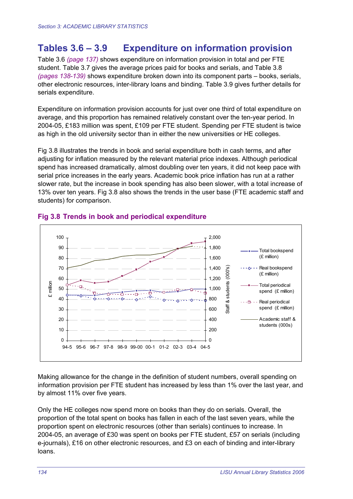# **Tables 3.6 – 3.9 Expenditure on information provision**

Table 3.6 *(page 137)* shows expenditure on information provision in total and per FTE student. Table 3.7 gives the average prices paid for books and serials, and Table 3.8 *(pages 138-139)* shows expenditure broken down into its component parts – books, serials, other electronic resources, inter-library loans and binding. Table 3.9 gives further details for serials expenditure.

Expenditure on information provision accounts for just over one third of total expenditure on average, and this proportion has remained relatively constant over the ten-year period. In 2004-05, £183 million was spent, £109 per FTE student. Spending per FTE student is twice as high in the old university sector than in either the new universities or HE colleges.

Fig 3.8 illustrates the trends in book and serial expenditure both in cash terms, and after adjusting for inflation measured by the relevant material price indexes. Although periodical spend has increased dramatically, almost doubling over ten years, it did not keep pace with serial price increases in the early years. Academic book price inflation has run at a rather slower rate, but the increase in book spending has also been slower, with a total increase of 13% over ten years. Fig 3.8 also shows the trends in the user base (FTE academic staff and students) for comparison.



#### **Fig 3.8 Trends in book and periodical expenditure**

Making allowance for the change in the definition of student numbers, overall spending on information provision per FTE student has increased by less than 1% over the last year, and by almost 11% over five years.

Only the HE colleges now spend more on books than they do on serials. Overall, the proportion of the total spent on books has fallen in each of the last seven years, while the proportion spent on electronic resources (other than serials) continues to increase. In 2004-05, an average of £30 was spent on books per FTE student, £57 on serials (including e-journals), £16 on other electronic resources, and £3 on each of binding and inter-library loans.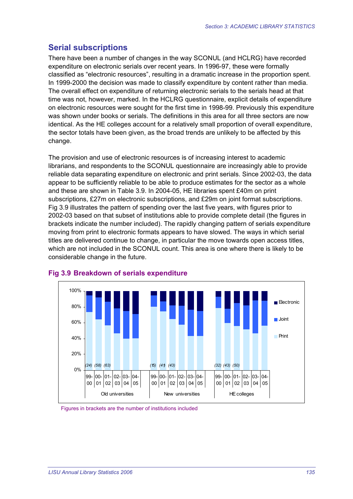# **Serial subscriptions**

There have been a number of changes in the way SCONUL (and HCLRG) have recorded expenditure on electronic serials over recent years. In 1996-97, these were formally classified as "electronic resources", resulting in a dramatic increase in the proportion spent. In 1999-2000 the decision was made to classify expenditure by content rather than media. The overall effect on expenditure of returning electronic serials to the serials head at that time was not, however, marked. In the HCLRG questionnaire, explicit details of expenditure on electronic resources were sought for the first time in 1998-99. Previously this expenditure was shown under books or serials. The definitions in this area for all three sectors are now identical. As the HE colleges account for a relatively small proportion of overall expenditure, the sector totals have been given, as the broad trends are unlikely to be affected by this change.

The provision and use of electronic resources is of increasing interest to academic librarians, and respondents to the SCONUL questionnaire are increasingly able to provide reliable data separating expenditure on electronic and print serials. Since 2002-03, the data appear to be sufficiently reliable to be able to produce estimates for the sector as a whole and these are shown in Table 3.9. In 2004-05, HE libraries spent £40m on print subscriptions, £27m on electronic subscriptions, and £29m on joint format subscriptions. Fig 3.9 illustrates the pattern of spending over the last five years, with figures prior to 2002-03 based on that subset of institutions able to provide complete detail (the figures in brackets indicate the number included). The rapidly changing pattern of serials expenditure moving from print to electronic formats appears to have slowed. The ways in which serial titles are delivered continue to change, in particular the move towards open access titles, which are not included in the SCONUL count. This area is one where there is likely to be considerable change in the future.



#### **Fig 3.9 Breakdown of serials expenditure**

Figures in brackets are the number of institutions included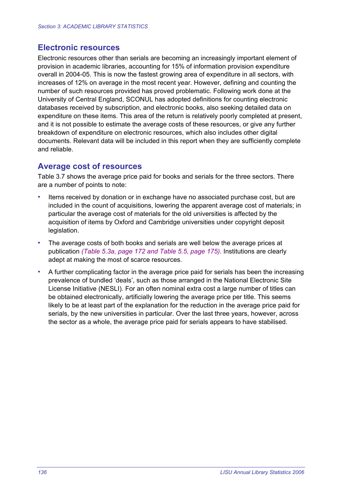#### **Electronic resources**

Electronic resources other than serials are becoming an increasingly important element of provision in academic libraries, accounting for 15% of information provision expenditure overall in 2004-05. This is now the fastest growing area of expenditure in all sectors, with increases of 12% on average in the most recent year. However, defining and counting the number of such resources provided has proved problematic. Following work done at the University of Central England, SCONUL has adopted definitions for counting electronic databases received by subscription, and electronic books, also seeking detailed data on expenditure on these items. This area of the return is relatively poorly completed at present, and it is not possible to estimate the average costs of these resources, or give any further breakdown of expenditure on electronic resources, which also includes other digital documents. Relevant data will be included in this report when they are sufficiently complete and reliable.

#### **Average cost of resources**

Table 3.7 shows the average price paid for books and serials for the three sectors. There are a number of points to note:

- Items received by donation or in exchange have no associated purchase cost, but are included in the count of acquisitions, lowering the apparent average cost of materials; in particular the average cost of materials for the old universities is affected by the acquisition of items by Oxford and Cambridge universities under copyright deposit legislation.
- The average costs of both books and serials are well below the average prices at publication *(Table 5.3a, page 172 and Table 5.5, page 175).* Institutions are clearly adept at making the most of scarce resources.
- A further complicating factor in the average price paid for serials has been the increasing prevalence of bundled 'deals', such as those arranged in the National Electronic Site License Initiative (NESLI). For an often nominal extra cost a large number of titles can be obtained electronically, artificially lowering the average price per title. This seems likely to be at least part of the explanation for the reduction in the average price paid for serials, by the new universities in particular. Over the last three years, however, across the sector as a whole, the average price paid for serials appears to have stabilised.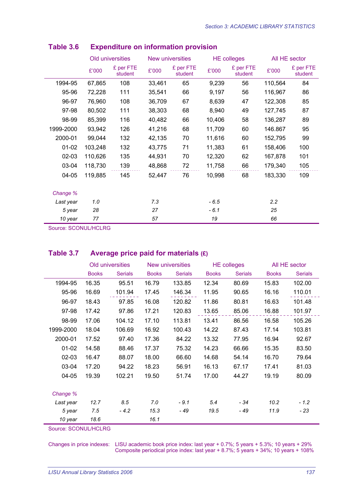|           |         | Old universities     |        | New universities     |        | <b>HE colleges</b>   |         | All HE sector        |
|-----------|---------|----------------------|--------|----------------------|--------|----------------------|---------|----------------------|
|           | £'000   | £ per FTE<br>student | £'000  | £ per FTE<br>student | £'000  | £ per FTE<br>student | £'000   | £ per FTE<br>student |
| 1994-95   | 67,865  | 108                  | 33,461 | 65                   | 9,239  | 56                   | 110,564 | 84                   |
| 95-96     | 72,228  | 111                  | 35,541 | 66                   | 9,197  | 56                   | 116,967 | 86                   |
| 96-97     | 76,960  | 108                  | 36,709 | 67                   | 8,639  | 47                   | 122,308 | 85                   |
| 97-98     | 80,502  | 111                  | 38,303 | 68                   | 8,940  | 49                   | 127,745 | 87                   |
| 98-99     | 85,399  | 116                  | 40,482 | 66                   | 10,406 | 58                   | 136,287 | 89                   |
| 1999-2000 | 93,942  | 126                  | 41,216 | 68                   | 11,709 | 60                   | 146.867 | 95                   |
| 2000-01   | 99,044  | 132                  | 42,135 | 70                   | 11,616 | 60                   | 152,795 | 99                   |
| $01-02$   | 103,248 | 132                  | 43,775 | 71                   | 11,383 | 61                   | 158,406 | 100                  |
| 02-03     | 110,626 | 135                  | 44,931 | 70                   | 12,320 | 62                   | 167,878 | 101                  |
| 03-04     | 118,730 | 139                  | 48,868 | 72                   | 11,758 | 66                   | 179,340 | 105                  |
| 04-05     | 119,885 | 145                  | 52,447 | 76                   | 10,998 | 68                   | 183,330 | 109                  |
| Change %  |         |                      |        |                      |        |                      |         |                      |
| Last year | 1.0     |                      | 7.3    |                      | $-6.5$ |                      | 2.2     |                      |
| 5 year    | 28      |                      | 27     |                      | $-6.1$ |                      | 25      |                      |
| 10 year   | 77      |                      | 57     |                      | 19     |                      | 66      |                      |

#### **Table 3.6 Expenditure on information provision**

Source: SCONUL/HCLRG

#### **Table 3.7 Average price paid for materials (£)**

|           |              | Old universities |              | New universities |              | <b>HE colleges</b> |              | All HE sector  |
|-----------|--------------|------------------|--------------|------------------|--------------|--------------------|--------------|----------------|
|           | <b>Books</b> | <b>Serials</b>   | <b>Books</b> | <b>Serials</b>   | <b>Books</b> | <b>Serials</b>     | <b>Books</b> | <b>Serials</b> |
| 1994-95   | 16.35        | 95.51            | 16.79        | 133.85           | 12.34        | 80.69              | 15.83        | 102.00         |
| 95-96     | 16.69        | 101.94           | 17.45        | 146.34           | 11.95        | 90.65              | 16.16        | 110.01         |
| 96-97     | 18.43        | 97.85            | 16.08        | 120.82           | 11.86        | 80.81              | 16.63        | 101.48         |
| 97-98     | 17.42        | 97.86            | 17.21        | 120.83           | 13.65        | 85.06              | 16.88        | 101.97         |
| 98-99     | 17.06        | 104.12           | 17.10        | 113.81           | 13.41        | 86.56              | 16.58        | 105.26         |
| 1999-2000 | 18.04        | 106.69           | 16.92        | 100.43           | 14.22        | 87.43              | 17.14        | 103.81         |
| 2000-01   | 17.52        | 97.40            | 17.36        | 84.22            | 13.32        | 77.95              | 16.94        | 92.67          |
| $01 - 02$ | 14.58        | 88.46            | 17.37        | 75.32            | 14.23        | 66.66              | 15.35        | 83.50          |
| $02 - 03$ | 16.47        | 88.07            | 18.00        | 66.60            | 14.68        | 54.14              | 16.70        | 79.64          |
| 03-04     | 17.20        | 94.22            | 18.23        | 56.91            | 16.13        | 67.17              | 17.41        | 81.03          |
| $04 - 05$ | 19.39        | 102.21           | 19.50        | 51.74            | 17.00        | 44.27              | 19.19        | 80.09          |
|           |              |                  |              |                  |              |                    |              |                |
| Change %  |              |                  |              |                  |              |                    |              |                |
| Last year | 12.7         | 8.5              | 7.0          | $-9.1$           | 5.4          | $-34$              | 10.2         | $-1.2$         |
| 5 year    | 7.5          | $-4.2$           | 15.3         | - 49             | 19.5         | - 49               | 11.9         | - 23           |
| 10 year   | 18.6         |                  | 16.1         |                  |              |                    |              |                |

Source: SCONUL/HCLRG

Changes in price indexes: LISU academic book price index: last year + 0.7%; 5 years + 5.3%; 10 years + 29% Composite periodical price index: last year + 8.7%; 5 years + 34%; 10 years + 108%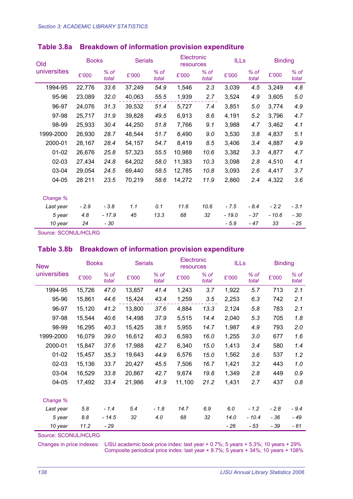| Old          |        | <b>Books</b>  |        | <b>Serials</b>  |        | Electronic<br>resources |         | <b>ILLs</b>   | <b>Binding</b> |                 |
|--------------|--------|---------------|--------|-----------------|--------|-------------------------|---------|---------------|----------------|-----------------|
| universities | £'000  | % of<br>total | £'000  | $%$ of<br>total | £'000  | % of<br>total           | £'000   | % of<br>total | £'000          | $%$ of<br>total |
| 1994-95      | 22,776 | 33.6          | 37,249 | 54.9            | 1,546  | 2.3                     | 3,039   | 4.5           | 3,249          | 4.8             |
| 95-96        | 23,089 | 32.0          | 40,063 | 55.5            | 1,939  | 2.7                     | 3,524   | 4.9           | 3,605          | 5.0             |
| 96-97        | 24,076 | 31.3          | 39,532 | 51.4            | 5,727  | 7.4                     | 3,851   | 5.0           | 3,774          | 4.9             |
| 97-98        | 25,717 | 31.9          | 39,828 | 49.5            | 6,913  | 8.6                     | 4,191   | 5.2           | 3,796          | 4.7             |
| 98-99        | 25,933 | 30.4          | 44,250 | 51.8            | 7,766  | 9.1                     | 3,988   | 4.7           | 3,462          | 4.1             |
| 1999-2000    | 26,930 | 28.7          | 48,544 | 51.7            | 8,490  | 9.0                     | 3,530   | 3.8           | 4,837          | 5.1             |
| 2000-01      | 28,167 | 28.4          | 54,157 | 54.7            | 8,419  | 8.5                     | 3,406   | 3.4           | 4,887          | 4.9             |
| 01-02        | 26,676 | 25.8          | 57,323 | 55.5            | 10,988 | 10.6                    | 3,382   | 3.3           | 4,877          | 4.7             |
| $02-03$      | 27,434 | 24.8          | 64,202 | 58.0            | 11,383 | 10.3                    | 3,098   | 2.8           | 4,510          | 4.1             |
| 03-04        | 29,054 | 24.5          | 69,440 | 58.5            | 12,785 | 10.8                    | 3,093   | 2.6           | 4,417          | 3.7             |
| 04-05        | 28 211 | 23.5          | 70,219 | 58.6            | 14,272 | 11.9                    | 2,860   | 2.4           | 4,322          | 3.6             |
| Change %     |        |               |        |                 |        |                         |         |               |                |                 |
| Last year    | $-2.9$ | $-3.8$        | 1.1    | 0.1             | 11.6   | 10.6                    | $-7.5$  | $-8.4$        | $-2.2$         | $-3.1$          |
| 5 year       | 4.8    | $-17.9$       | 45     | 13.3            | 68     | 32                      | $-19.0$ | $-37$         | $-10.6$        | - 30            |
| 10 year      | 24     | - 30          |        |                 |        |                         | $-5.9$  | - 47          | 33             | - 25            |

#### **Table 3.8a Breakdown of information provision expenditure**

Source: SCONUL/HCLRG

#### **Table 3.8b Breakdown of information provision expenditure**

| <b>New</b>   | <b>Books</b> |                 | <b>Serials</b> |                 | Electronic<br>resources |                 | <b>ILLs</b> |               | <b>Binding</b> |                 |
|--------------|--------------|-----------------|----------------|-----------------|-------------------------|-----------------|-------------|---------------|----------------|-----------------|
| universities | £'000        | $%$ of<br>total | £'000          | $%$ of<br>total | £'000                   | $%$ of<br>total | £'000       | % of<br>total | £'000          | $%$ of<br>total |
| 1994-95      | 15,726       | 47.0            | 13,857         | 41.4            | 1,243                   | 3.7             | 1,922       | 5.7           | 713            | 2.1             |
| 95-96        | 15,861       | 44.6            | 15,424         | 43.4            | 1,259                   | 3.5             | 2,253       | 6.3           | 742            | 2.1             |
| 96-97        | 15,120       | 41.2            | 13,800         | 37.6            | 4,884                   | 13.3            | 2,124       | 5.8           | 783            | 2.1             |
| 97-98        | 15,544       | 40.6            | 14,498         | 37.9            | 5,515                   | 14.4            | 2,040       | 5.3           | 705            | 1.8             |
| 98-99        | 16,295       | 40.3            | 15,425         | 38.1            | 5,955                   | 14.7            | 1,987       | 4.9           | 793            | 2.0             |
| 1999-2000    | 16,079       | 39.0            | 16,612         | 40.3            | 6,593                   | 16.0            | 1,255       | 3.0           | 677            | 1.6             |
| 2000-01      | 15,847       | 37.6            | 17,988         | 42.7            | 6,340                   | 15.0            | 1,413       | 3.4           | 580            | 1.4             |
| $01 - 02$    | 15,457       | 35.3            | 19,643         | 44.9            | 6,576                   | 15.0            | 1,562       | 3.6           | 537            | 1.2             |
| 02-03        | 15,136       | 33.7            | 20,427         | 45.5            | 7,506                   | 16.7            | 1,421       | 3.2           | 443            | 1.0             |
| 03-04        | 16,529       | 33.8            | 20,867         | 42.7            | 9,674                   | 19.8            | 1,349       | 2.8           | 449            | 0.9             |
| 04-05        | 17,492       | 33.4            | 21,986         | 41.9            | 11,100                  | 21.2            | 1,431       | 2.7           | 437            | 0.8             |
| Change %     |              |                 |                |                 |                         |                 |             |               |                |                 |
| Last year    | 5.8          | $-1.4$          | 5.4            | $-1.8$          | 14.7                    | 6.9             | 6.0         | $-1.2$        | $-2.8$         | $-9.4$          |
| 5 year       | 8.8          | $-14.5$         | 32             | 4.0             | 68                      | 32              | 14.0        | $-10.4$       | - 36           | - 49            |
| 10 year      | 11.2         | - 29            |                |                 |                         |                 | $-26$       | - 53          | - 39           | - 61            |

Source: SCONUL/HCLRG

Changes in price indexes: LISU academic book price index: last year + 0.7%; 5 years + 5.3%; 10 years + 29% Composite periodical price index: last year + 8.7%; 5 years + 34%; 10 years + 108%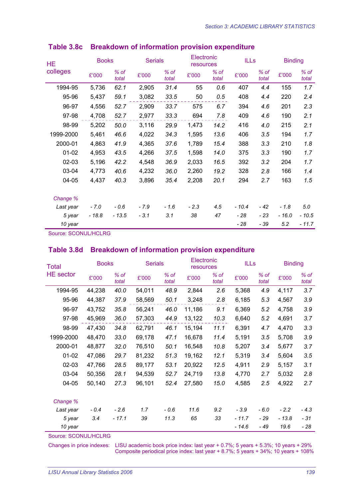| <b>HE</b> | <b>Books</b> |                 | <b>Serials</b> |                 | Electronic<br>resources |               | <b>ILLs</b> |                 | <b>Binding</b> |                 |
|-----------|--------------|-----------------|----------------|-----------------|-------------------------|---------------|-------------|-----------------|----------------|-----------------|
| colleges  | £'000        | $%$ of<br>total | £'000          | $%$ of<br>total | £'000                   | % of<br>total | £'000       | $%$ of<br>total | £'000          | $%$ of<br>total |
| 1994-95   | 5,736        | 62.1            | 2,905          | 31.4            | 55                      | 0.6           | 407         | 4.4             | 155            | 1.7             |
| 95-96     | 5,437        | 59.1            | 3,082          | 33.5            | 50                      | 0.5           | 408         | 4.4             | 220            | 2.4             |
| 96-97     | 4,556        | 52.7            | 2,909          | 33.7            | 575                     | 6.7           | 394         | 4.6             | 201            | 2.3             |
| 97-98     | 4,708        | 52.7            | 2,977          | 33.3            | 694                     | 7.8           | 409         | 4.6             | 190            | 2.1             |
| 98-99     | 5,202        | 50.0            | 3,116          | 29.9            | 1,473                   | 14.2          | 416         | 4.0             | 215            | 2.1             |
| 1999-2000 | 5,461        | 46.6            | 4,022          | 34.3            | 1,595                   | 13.6          | 406         | 3.5             | 194            | 1.7             |
| 2000-01   | 4,863        | 41.9            | 4,365          | 37.6            | 1,789                   | 15.4          | 388         | 3.3             | 210            | 1.8             |
| $01 - 02$ | 4,953        | 43.5            | 4,266          | 37.5            | 1,598                   | 14.0          | 375         | 3.3             | 190            | 1.7             |
| $02 - 03$ | 5,196        | 42.2            | 4,548          | 36.9            | 2,033                   | 16.5          | 392         | 3.2             | 204            | 1.7             |
| 03-04     | 4,773        | 40.6            | 4,232          | 36.0            | 2,260                   | 19.2          | 328         | 2.8             | 166            | 1.4             |
| 04-05     | 4,437        | 40.3            | 3,896          | 35.4            | 2,208                   | 20.1          | 294         | 2.7             | 163            | 1.5             |
| Change %  |              |                 |                |                 |                         |               |             |                 |                |                 |
| Last year | $-7.0$       | $-0.6$          | $-7.9$         | $-1.6$          | $-2.3$                  | 4.5           | $-10.4$     | $-42$           | $-1.8$         | $5.0\,$         |
| 5 year    | $-18.8$      | $-13.5$         | $-3.1$         | 3.1             | 38                      | 47            | - 28        | - 23            | $-16.0$        | $-10.5$         |
| 10 year   |              |                 |                |                 |                         |               | - 28        | - 39            | 5.2            | $-11.7$         |

### **Table 3.8c Breakdown of information provision expenditure**

Source: SCONUL/HCLRG

#### **Table 3.8d Breakdown of information provision expenditure**

| Total            | <b>Books</b> |                 | <b>Serials</b> |               | Electronic<br>resources |               | <b>ILLs</b> |                 | <b>Binding</b> |                 |
|------------------|--------------|-----------------|----------------|---------------|-------------------------|---------------|-------------|-----------------|----------------|-----------------|
| <b>HE</b> sector | £'000        | $%$ of<br>total | £'000          | % of<br>total | £'000                   | % of<br>total | £'000       | $%$ of<br>total | £'000          | $%$ of<br>total |
| 1994-95          | 44,238       | 40.0            | 54,011         | 48.9          | 2,844                   | 2.6           | 5,368       | 4.9             | 4,117          | 3.7             |
| 95-96            | 44,387       | 37.9            | 58,569         | 50.1          | 3,248                   | 2.8           | 6,185       | 5.3             | 4,567          | 3.9             |
| 96-97            | 43,752       | 35.8            | 56,241         | 46.0          | 11,186                  | 9.1           | 6,369       | 5.2             | 4,758          | 3.9             |
| 97-98            | 45,969       | 36.0            | 57,303         | 44.9          | 13,122                  | 10.3          | 6,640       | 5.2             | 4,691          | 3.7             |
| 98-99            | 47,430       | 34.8            | 62,791         | 46.1          | 15,194                  | 11.1          | 6,391       | 4.7             | 4,470          | 3.3             |
| 1999-2000        | 48,470       | 33.0            | 69,178         | 47.1          | 16,678                  | 11.4          | 5,191       | 3.5             | 5,708          | 3.9             |
| 2000-01          | 48,877       | 32.0            | 76,510         | 50.1          | 16,548                  | 10.8          | 5,207       | 3.4             | 5,677          | 3.7             |
| $01-02$          | 47,086       | 29.7            | 81,232         | 51.3          | 19,162                  | 12.1          | 5,319       | 3.4             | 5,604          | 3.5             |
| 02-03            | 47,766       | 28.5            | 89,177         | 53.1          | 20,922                  | 12.5          | 4,911       | 2.9             | 5,157          | 3.1             |
| 03-04            | 50,356       | 28.1            | 94,539         | 52.7          | 24,719                  | 13.8          | 4,770       | 2.7             | 5,032          | 2.8             |
| 04-05            | 50,140       | 27.3            | 96,101         | 52.4          | 27,580                  | 15.0          | 4,585       | 2.5             | 4,922          | 2.7             |
| Change %         |              |                 |                |               |                         |               |             |                 |                |                 |
| Last year        | $-0.4$       | $-2.6$          | 1.7            | $-0.6$        | 11.6                    | 9.2           | $-3.9$      | $-6.0$          | $-2.2$         | $-4.3$          |
| 5 year           | 3.4          | $-17.1$         | 39             | 11.3          | 65                      | 33            | $-11.7$     | - 29            | - 13.8         | - 31            |
| 10 year          |              |                 |                |               |                         |               | $-14.6$     | - 49            | 19.6           | - 28            |

Source: SCONUL/HCLRG

Changes in price indexes: LISU academic book price index: last year + 0.7%; 5 years + 5.3%; 10 years + 29% Composite periodical price index: last year + 8.7%; 5 years + 34%; 10 years + 108%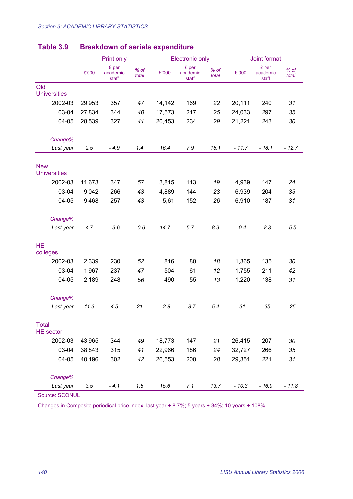|                                   |        | Print only                 |                 |        | <b>Electronic only</b>     |                 | Joint format |                            |                 |
|-----------------------------------|--------|----------------------------|-----------------|--------|----------------------------|-----------------|--------------|----------------------------|-----------------|
|                                   | £'000  | £ per<br>academic<br>staff | $%$ of<br>total | £'000  | £ per<br>academic<br>staff | $%$ of<br>total | £'000        | £ per<br>academic<br>staff | $%$ of<br>total |
| Old<br><b>Universities</b>        |        |                            |                 |        |                            |                 |              |                            |                 |
| 2002-03                           | 29,953 | 357                        | 47              | 14,142 | 169                        | 22              | 20,111       | 240                        | 31              |
| 03-04                             | 27,834 | 344                        | 40              | 17,573 | 217                        | 25              | 24,033       | 297                        | 35              |
| 04-05                             | 28,539 | 327                        | 41              | 20,453 | 234                        | 29              | 21,221       | 243                        | 30              |
| Change%                           |        |                            |                 |        |                            |                 |              |                            |                 |
| Last year                         | 2.5    | $-4.9$                     | 1.4             | 16.4   | 7.9                        | 15.1            | $-11.7$      | $-18.1$                    | $-12.7$         |
| <b>New</b><br><b>Universities</b> |        |                            |                 |        |                            |                 |              |                            |                 |
| 2002-03                           | 11,673 | 347                        | 57              | 3,815  | 113                        | 19              | 4,939        | 147                        | 24              |
| 03-04                             | 9,042  | 266                        | 43              | 4,889  | 144                        | 23              | 6,939        | 204                        | 33              |
| 04-05                             | 9,468  | 257                        | 43              | 5,61   | 152                        | 26              | 6,910        | 187                        | 31              |
| Change%                           |        |                            |                 |        |                            |                 |              |                            |                 |
| Last year                         | 4.7    | $-3.6$                     | $-0.6$          | 14.7   | 5.7                        | 8.9             | $-0.4$       | $-8.3$                     | $-5.5$          |
| <b>HE</b><br>colleges             |        |                            |                 |        |                            |                 |              |                            |                 |
| 2002-03                           | 2,339  | 230                        | 52              | 816    | 80                         | 18              | 1,365        | 135                        | 30              |
| 03-04                             | 1,967  | 237                        | 47              | 504    | 61                         | 12              | 1,755        | 211                        | 42              |
| 04-05                             | 2,189  | 248                        | 56              | 490    | 55                         | 13              | 1,220        | 138                        | 31              |
| Change%                           |        |                            |                 |        |                            |                 |              |                            |                 |
| Last year                         | 11.3   | 4.5                        | 21              | $-2.8$ | $-8.7$                     | 5.4             | $-31$        | - 35                       | $-25$           |
| <b>Total</b><br><b>HE</b> sector  |        |                            |                 |        |                            |                 |              |                            |                 |
| 2002-03                           | 43,965 | 344                        | 49              | 18,773 | 147                        | 21              | 26,415       | 207                        | 30              |
| 03-04                             | 38,843 | 315                        | 41              | 22,966 | 186                        | 24              | 32,727       | 266                        | 35              |
| 04-05                             | 40,196 | 302                        | 42              | 26,553 | 200                        | 28              | 29,351       | 221                        | 31              |
| Change%                           |        |                            |                 |        |                            |                 |              |                            |                 |
| Last year                         | 3.5    | $-4.1$                     | 1.8             | 15.6   | 7.1                        | 13.7            | $-10.3$      | $-16.9$                    | $-11.8$         |

# **Table 3.9 Breakdown of serials expenditure**

Source: SCONUL

Changes in Composite periodical price index: last year + 8.7%; 5 years + 34%; 10 years + 108%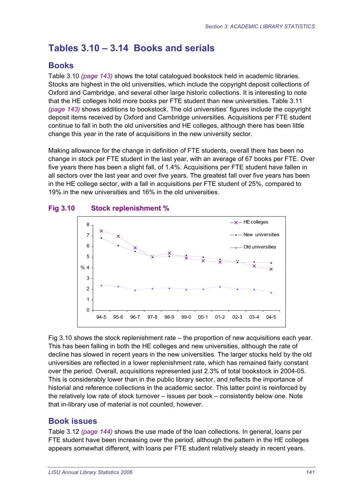# **Tables 3.10 – 3.14 Books and serials**

# **Books**

Table 3.10 *(page 143)* shows the total catalogued bookstock held in academic libraries. Stocks are highest in the old universities, which include the copyright deposit collections of Oxford and Cambridge, and several other large historic collections. It is interesting to note that the HE colleges hold more books per FTE student than new universities. Table 3.11 *(page 143)* shows additions to bookstock. The old universities' figures include the copyright deposit items received by Oxford and Cambridge universities. Acquisitions per FTE student continue to fall in both the old universities and HE colleges, although there has been little change this year in the rate of acquisitions in the new university sector.

Making allowance for the change in definition of FTE students, overall there has been no change in stock per FTE student in the last year, with an average of 67 books per FTE. Over five years there has been a slight fall, of 1.4%. Acquisitions per FTE student have fallen in all sectors over the last year and over five years. The greatest fall over five years has been in the HE college sector, with a fall in acquisitions per FTE student of 25%, compared to 19% in the new universities and 16% in the old universities.





Fig 3.10 shows the stock replenishment rate – the proportion of new acquisitions each year. This has been falling in both the HE colleges and new universities, although the rate of decline has slowed in recent years in the new universities. The larger stocks held by the old universities are reflected in a lower replenishment rate, which has remained fairly constant over the period. Overall, acquisitions represented just 2.3% of total bookstock in 2004-05. This is considerably lower than in the public library sector, and reflects the importance of historial and reference collections in the academic sector. This latter point is reinforced by the relatively low rate of stock turnover – issues per book – consistently below one. Note that in-library use of material is not counted, however.

# **Book issues**

Table 3.12 *(page 144)* shows the use made of the loan collections. In general, loans per FTE student have been increasing over the period, although the pattern in the HE colleges appears somewhat different, with loans per FTE student relatively steady in recent years.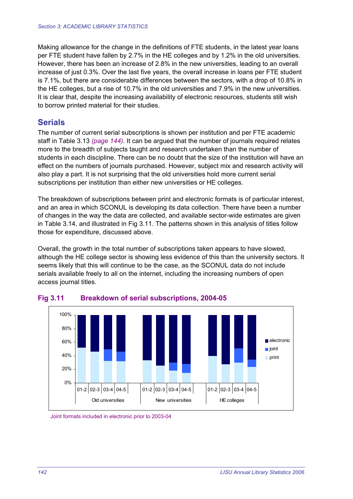Making allowance for the change in the definitions of FTE students, in the latest year loans per FTE student have fallen by 2.7% in the HE colleges and by 1.2% in the old universities. However, there has been an increase of 2.8% in the new universities, leading to an overall increase of just 0.3%. Over the last five years, the overall increase in loans per FTE student is 7.1%, but there are considerable differences between the sectors, with a drop of 10.8% in the HE colleges, but a rise of 10.7% in the old universities and 7.9% in the new universities. It is clear that, despite the increasing availability of electronic resources, students still wish to borrow printed material for their studies.

# **Serials**

The number of current serial subscriptions is shown per institution and per FTE academic staff in Table 3.13 *(page 144)*. It can be argued that the number of journals required relates more to the breadth of subjects taught and research undertaken than the number of students in each discipline. There can be no doubt that the size of the institution will have an effect on the numbers of journals purchased. However, subject mix and research activity will also play a part. It is not surprising that the old universities hold more current serial subscriptions per institution than either new universities or HE colleges.

The breakdown of subscriptions between print and electronic formats is of particular interest, and an area in which SCONUL is developing its data collection. There have been a number of changes in the way the data are collected, and available sector-wide estimates are given in Table 3.14, and illustrated in Fig 3.11. The patterns shown in this analysis of titles follow those for expenditure, discussed above.

Overall, the growth in the total number of subscriptions taken appears to have slowed, although the HE college sector is showing less evidence of this than the university sectors. It seems likely that this will continue to be the case, as the SCONUL data do not include serials available freely to all on the internet, including the increasing numbers of open access journal titles.



#### **Fig 3.11 Breakdown of serial subscriptions, 2004-05**

Joint formats included in electronic prior to 2003-04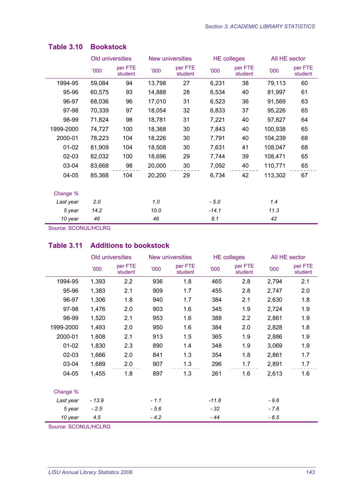|           | Old universities |                    |        | New universities   | <b>HE</b> colleges |                    | All HE sector |                    |
|-----------|------------------|--------------------|--------|--------------------|--------------------|--------------------|---------------|--------------------|
|           | '000             | per FTE<br>student | '000   | per FTE<br>student | 000'               | per FTE<br>student | '000          | per FTE<br>student |
| 1994-95   | 59,084           | 94                 | 13,798 | 27                 | 6,231              | 38                 | 79,113        | 60                 |
| 95-96     | 60,575           | 93                 | 14,888 | 28                 | 6,534              | 40                 | 81,997        | 61                 |
| 96-97     | 68,036           | 96                 | 17,010 | 31                 | 6,523              | 36                 | 91,569        | 63                 |
| 97-98     | 70,339           | 97                 | 18,054 | 32                 | 6,833              | 37                 | 95,226        | 65                 |
| 98-99     | 71,824           | 98                 | 18,781 | 31                 | 7,221              | 40                 | 97,827        | 64                 |
| 1999-2000 | 74,727           | 100                | 18,368 | 30                 | 7,843              | 40                 | 100,938       | 65                 |
| 2000-01   | 78,223           | 104                | 18,226 | 30                 | 7,791              | 40                 | 104,239       | 68                 |
| $01 - 02$ | 81,909           | 104                | 18,508 | 30                 | 7,631              | 41                 | 108,047       | 68                 |
| $02 - 03$ | 82,032           | 100                | 18,696 | 29                 | 7,744              | 39                 | 108,471       | 65                 |
| 03-04     | 83,668           | 98                 | 20,000 | 30                 | 7,092              | 40                 | 110,771       | 65                 |
| 04-05     | 85,368           | 104                | 20,200 | 29                 | 6,734              | 42                 | 113,302       | 67                 |
| Change %  |                  |                    |        |                    |                    |                    |               |                    |
| Last year | 2.0              |                    | 1.0    |                    | $-5.0$             |                    | 1.4           |                    |
| 5 year    | 14.2             |                    | 10.0   |                    | $-14.1$            |                    | 11.3          |                    |
| 10 year   | 46               |                    | 46     |                    | 8.1                |                    | 42            |                    |

#### **Table 3.10 Bookstock**

Source: SCONUL/HCLRG

#### **Table 3.11 Additions to bookstock**

|           |         | Old universities   |        | New universities   |         | <b>HE</b> colleges |        | All HE sector      |
|-----------|---------|--------------------|--------|--------------------|---------|--------------------|--------|--------------------|
|           | 000'    | per FTE<br>student | '000   | per FTE<br>student | '000    | per FTE<br>student | '000   | per FTE<br>student |
| 1994-95   | 1,393   | 2.2                | 936    | 1.8                | 465     | 2.8                | 2,794  | 2.1                |
| 95-96     | 1,383   | 2.1                | 909    | 1.7                | 455     | 2.8                | 2,747  | 2.0                |
| 96-97     | 1,306   | 1.8                | 940    | 1.7                | 384     | 2.1                | 2,630  | 1.8                |
| 97-98     | 1,476   | 2.0                | 903    | 1.6                | 345     | 1.9                | 2,724  | 1.9                |
| 98-99     | 1,520   | 2.1                | 953    | 1.6                | 388     | 2.2                | 2,861  | 1.9                |
| 1999-2000 | 1,493   | 2.0                | 950    | 1.6                | 384     | 2.0                | 2,828  | 1.8                |
| 2000-01   | 1,608   | 2.1                | 913    | 1.5                | 365     | 1.9                | 2,886  | 1.9                |
| $01 - 02$ | 1,830   | 2.3                | 890    | 1.4                | 348     | 1.9                | 3,069  | 1.9                |
| $02 - 03$ | 1,666   | 2.0                | 841    | 1.3                | 354     | 1.8                | 2,861  | 1.7                |
| 03-04     | 1,689   | 2.0                | 907    | 1.3                | 296     | 1.7                | 2,891  | 1.7                |
| $04 - 05$ | 1,455   | 1.8                | 897    | 1.3                | 261     | 1.6                | 2,613  | 1.6                |
| Change %  |         |                    |        |                    |         |                    |        |                    |
| Last year | $-13.9$ |                    | $-1.1$ |                    | $-11.8$ |                    | $-9.6$ |                    |
| 5 year    | $-2.5$  |                    | $-5.6$ |                    | - 32    |                    | $-7.6$ |                    |
| 10 year   | 4.5     |                    | $-4.2$ |                    | - 44    |                    | $-6.5$ |                    |

Source: SCONUL/HCLRG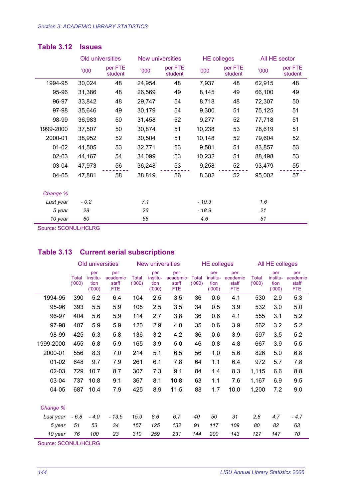|           |        | Old universities   | New universities |                    | <b>HE colleges</b> |                    | All HE sector |                    |
|-----------|--------|--------------------|------------------|--------------------|--------------------|--------------------|---------------|--------------------|
|           | '000   | per FTE<br>student | '000             | per FTE<br>student | <b>'000</b>        | per FTE<br>student | '000          | per FTE<br>student |
| 1994-95   | 30,024 | 48                 | 24,954           | 48                 | 7,937              | 48                 | 62,915        | 48                 |
| 95-96     | 31,386 | 48                 | 26,569           | 49                 | 8,145              | 49                 | 66,100        | 49                 |
| 96-97     | 33,842 | 48                 | 29,747           | 54                 | 8,718              | 48                 | 72,307        | 50                 |
| 97-98     | 35,646 | 49                 | 30,179           | 54                 | 9,300              | 51                 | 75,125        | 51                 |
| 98-99     | 36,983 | 50                 | 31,458           | 52                 | 9,277              | 52                 | 77,718        | 51                 |
| 1999-2000 | 37,507 | 50                 | 30,874           | 51                 | 10,238             | 53                 | 78,619        | 51                 |
| 2000-01   | 38,952 | 52                 | 30,504           | 51                 | 10,148             | 52                 | 79,604        | 52                 |
| $01 - 02$ | 41,505 | 53                 | 32,771           | 53                 | 9,581              | 51                 | 83,857        | 53                 |
| $02 - 03$ | 44,167 | 54                 | 34,099           | 53                 | 10,232             | 51                 | 88,498        | 53                 |
| 03-04     | 47,973 | 56                 | 36,248           | 53                 | 9,258              | 52                 | 93,479        | 55                 |
| 04-05     | 47,881 | 58                 | 38,819           | 56                 | 8,302              | 52                 | 95,002        | 57                 |
| Change %  |        |                    |                  |                    |                    |                    |               |                    |
| Last year | $-0.2$ |                    | 7.1              |                    | $-10.3$            |                    | 1.6           |                    |
| 5 year    | 28     |                    | 26               |                    | $-18.9$            |                    | 21            |                    |
| 10 year   | 60     |                    | 56               |                    | 4.6                |                    | 51            |                    |

#### **Table 3.12 Issues**

Source: SCONUL/HCLRG

# **Table 3.13 Current serial subscriptions**

|           |                       | Old universities                 |                                        |                       | New universities                 |                                        |                       |                                  | <b>HE colleges</b>                     |                       |                                  | All HE colleges                        |  |  |
|-----------|-----------------------|----------------------------------|----------------------------------------|-----------------------|----------------------------------|----------------------------------------|-----------------------|----------------------------------|----------------------------------------|-----------------------|----------------------------------|----------------------------------------|--|--|
|           | <b>Total</b><br>(000) | per<br>institu-<br>tion<br>(000) | per<br>academic<br>staff<br><b>FTE</b> | <b>Total</b><br>(000) | per<br>institu-<br>tion<br>(000) | per<br>academic<br>staff<br><b>FTE</b> | <b>Total</b><br>(000) | per<br>institu-<br>tion<br>(000) | per<br>academic<br>staff<br><b>FTE</b> | <b>Total</b><br>(000) | per<br>institu-<br>tion<br>(000) | per<br>academic<br>staff<br><b>FTE</b> |  |  |
| 1994-95   | 390                   | 5.2                              | 6.4                                    | 104                   | 2.5                              | 3.5                                    | 36                    | 0.6                              | 4.1                                    | 530                   | 2.9                              | 5.3                                    |  |  |
| 95-96     | 393                   | 5.5                              | 5.9                                    | 105                   | 2.5                              | 3.5                                    | 34                    | 0.5                              | 3.9                                    | 532                   | 3.0                              | 5.0                                    |  |  |
| 96-97     | 404                   | 5.6                              | 5.9                                    | 114                   | 2.7                              | 3.8                                    | 36                    | 0.6                              | 4.1                                    | 555                   | 3.1                              | 5.2                                    |  |  |
| 97-98     | 407                   | 5.9                              | 5.9                                    | 120                   | 2.9                              | 4.0                                    | 35                    | 0.6                              | 3.9                                    | 562                   | 3.2                              | 5.2                                    |  |  |
| 98-99     | 425                   | 6.3                              | 5.8                                    | 136                   | 3.2                              | 4.2                                    | 36                    | 0.6                              | 3.9                                    | 597                   | 3.5                              | 5.2                                    |  |  |
| 1999-2000 | 455                   | 6.8                              | 5.9                                    | 165                   | 3.9                              | 5.0                                    | 46                    | 0.8                              | 4.8                                    | 667                   | 3.9                              | 5.5                                    |  |  |
| 2000-01   | 556                   | 8.3                              | 7.0                                    | 214                   | 5.1                              | 6.5                                    | 56                    | 1.0                              | 5.6                                    | 826                   | 5.0                              | 6.8                                    |  |  |
| $01 - 02$ | 648                   | 9.7                              | 7.9                                    | 261                   | 6.1                              | 7.8                                    | 64                    | 1.1                              | 6.4                                    | 972                   | 5.7                              | 7.8                                    |  |  |
| $02 - 03$ | 729                   | 10.7                             | 8.7                                    | 307                   | 7.3                              | 9.1                                    | 84                    | 1.4                              | 8.3                                    | 1,115                 | 6.6                              | 8.8                                    |  |  |
| 03-04     | 737                   | 10.8                             | 9.1                                    | 367                   | 8.1                              | 10.8                                   | 63                    | 1.1                              | 7.6                                    | 1,167                 | 6.9                              | 9.5                                    |  |  |
| $04 - 05$ | 687                   | 10.4                             | 7.9                                    | 425                   | 8.9                              | 11.5                                   | 88                    | 1.7                              | 10.0                                   | 1,200                 | 7.2                              | 9.0                                    |  |  |
| Change %  |                       |                                  |                                        |                       |                                  |                                        |                       |                                  |                                        |                       |                                  |                                        |  |  |
| Last year | $-6.8$                | $-4.0$                           | $-13.5$                                | 15.9                  | 8.6                              | 6.7                                    | 40                    | 50                               | 31                                     | 2.8                   | 4.7                              | - 4.7                                  |  |  |
| 5 year    | 51                    | 53                               | 34                                     | 157                   | 125                              | 132                                    | 91                    | 117                              | 109                                    | 80                    | 82                               | 63                                     |  |  |
| 10 year   | 76                    | 100                              | 23                                     | 310                   | 259                              | 231                                    | 144                   | 200                              | 143                                    | 127                   | 147                              | 70                                     |  |  |

Source: SCONUL/HCLRG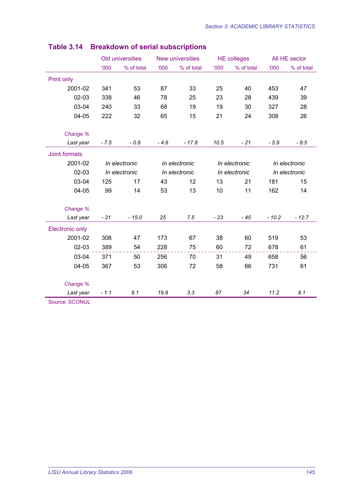|                        |        | Old universities |               | New universities |               | <b>HE colleges</b> |               | All HE sector |
|------------------------|--------|------------------|---------------|------------------|---------------|--------------------|---------------|---------------|
|                        | 000'   | % of total       | 000'          | % of total       | <b>'000</b>   | % of total         | $000^{\circ}$ | % of total    |
| Print only             |        |                  |               |                  |               |                    |               |               |
| 2001-02                | 341    | 53               | 87            | 33               | 25            | 40                 | 453           | 47            |
| $02 - 03$              | 338    | 46               | 78            | 25               | 23            | 28                 | 439           | 39            |
| 03-04                  | 240    | 33               | 68            | 19               | 19            | 30                 | 327           | 28            |
| 04-05                  | 222    | 32               | 65            | 15               | 21            | 24                 | 308           | 26            |
| Change %               |        |                  |               |                  |               |                    |               |               |
| Last year              | $-7.5$ | $-0.8$           | $-4.8$        | $-17.8$          | 10.5          | $-21$              | $-5.9$        | $-8.5$        |
| Joint formats          |        |                  |               |                  |               |                    |               |               |
| 2001-02                |        | In electronic    |               | In electronic    |               | In electronic      |               | In electronic |
| $02 - 03$              |        | In electronic    | In electronic |                  | In electronic |                    | In electronic |               |
| 03-04                  | 125    | 17               | 43            | 12               | 13            | 21                 | 181           | 15            |
| 04-05                  | 99     | 14               | 53            | 13               | 10            | 11                 | 162           | 14            |
| Change %               |        |                  |               |                  |               |                    |               |               |
| Last year              | $-21$  | $-15.0$          | 25            | 7.5              | $-23$         | - 45               | $-10.2$       | $-12.7$       |
| <b>Electronic only</b> |        |                  |               |                  |               |                    |               |               |
| 2001-02                | 308    | 47               | 173           | 67               | 38            | 60                 | 519           | 53            |
| 02-03                  | 389    | 54               | 228           | 75               | 60            | 72                 | 678           | 61            |
| 03-04                  | 371    | 50               | 256           | 70               | 31            | 49                 | 658           | 56            |
| 04-05                  | 367    | 53               | 306           | 72               | 58            | 66                 | 731           | 61            |
| Change %               |        |                  |               |                  |               |                    |               |               |
| Last year              | $-1.1$ | 6.1              | 19.8          | 3.3              | 87            | 34                 | 11.2          | 8.1           |
| <b>Source: SCONUL</b>  |        |                  |               |                  |               |                    |               |               |

# **Table 3.14 Breakdown of serial subscriptions**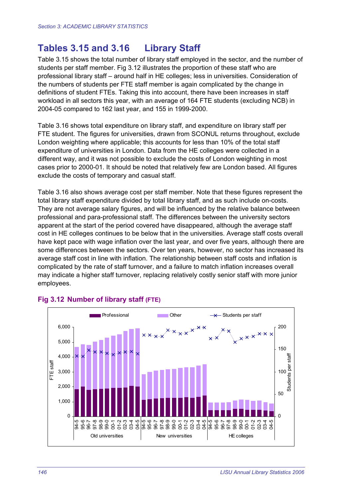# **Tables 3.15 and 3.16 Library Staff**

Table 3.15 shows the total number of library staff employed in the sector, and the number of students per staff member. Fig 3.12 illustrates the proportion of these staff who are professional library staff – around half in HE colleges; less in universities. Consideration of the numbers of students per FTE staff member is again complicated by the change in definitions of student FTEs. Taking this into account, there have been increases in staff workload in all sectors this year, with an average of 164 FTE students (excluding NCB) in 2004-05 compared to 162 last year, and 155 in 1999-2000.

Table 3.16 shows total expenditure on library staff, and expenditure on library staff per FTE student. The figures for universities, drawn from SCONUL returns throughout, exclude London weighting where applicable; this accounts for less than 10% of the total staff expenditure of universities in London. Data from the HE colleges were collected in a different way, and it was not possible to exclude the costs of London weighting in most cases prior to 2000-01. It should be noted that relatively few are London based. All figures exclude the costs of temporary and casual staff.

Table 3.16 also shows average cost per staff member. Note that these figures represent the total library staff expenditure divided by total library staff, and as such include on-costs. They are not average salary figures, and will be influenced by the relative balance between professional and para-professional staff. The differences between the university sectors apparent at the start of the period covered have disappeared, although the average staff cost in HE colleges continues to be below that in the universities. Average staff costs overall have kept pace with wage inflation over the last year, and over five years, although there are some differences between the sectors. Over ten years, however, no sector has increased its average staff cost in line with inflation. The relationship between staff costs and inflation is complicated by the rate of staff turnover, and a failure to match inflation increases overall may indicate a higher staff turnover, replacing relatively costly senior staff with more junior employees.



#### **Fig 3.12 Number of library staff (FTE)**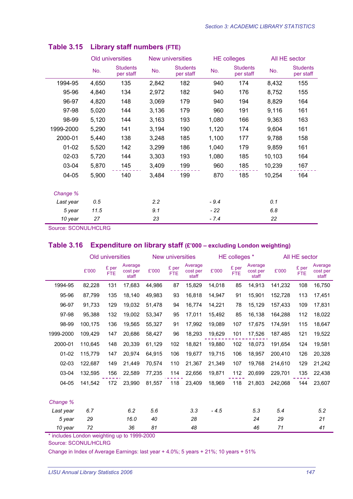|           |       | Old universities             |                                     | New universities |        | <b>HE colleges</b>           | All HE sector |                              |  |
|-----------|-------|------------------------------|-------------------------------------|------------------|--------|------------------------------|---------------|------------------------------|--|
|           | No.   | <b>Students</b><br>per staff | <b>Students</b><br>No.<br>per staff |                  | No.    | <b>Students</b><br>per staff | No.           | <b>Students</b><br>per staff |  |
| 1994-95   | 4,650 | 135                          | 2,842                               | 182              | 940    | 174                          | 8,432         | 155                          |  |
| 95-96     | 4,840 | 134                          | 2,972                               | 182              | 940    | 176                          | 8,752         | 155                          |  |
| 96-97     | 4,820 | 148                          | 3,069                               | 179              | 940    | 194                          | 8,829         | 164                          |  |
| 97-98     | 5,020 | 144                          | 3,136                               | 179              | 960    | 191                          | 9,116         | 161                          |  |
| 98-99     | 5,120 | 144                          | 3,163                               | 193              | 1,080  | 166                          | 9,363         | 163                          |  |
| 1999-2000 | 5,290 | 141                          | 3,194                               | 190              | 1,120  | 174                          | 9,604         | 161                          |  |
| 2000-01   | 5,440 | 138                          | 3,248                               | 185              | 1,100  | 177                          | 9,788         | 158                          |  |
| $01 - 02$ | 5,520 | 142                          | 3,299                               | 186              | 1,040  | 179                          | 9,859         | 161                          |  |
| $02 - 03$ | 5,720 | 144                          | 3,303                               | 193              | 1,080  | 185                          | 10,103        | 164                          |  |
| 03-04     | 5,870 | 145                          | 3,409                               | 199              | 960    | 185                          | 10,239        | 167                          |  |
| 04-05     | 5,900 | 140                          | 3,484                               | 199              | 870    | 185                          | 10,254        | 164                          |  |
| Change %  |       |                              |                                     |                  |        |                              |               |                              |  |
| Last year | 0.5   |                              | 2.2                                 |                  | $-9.4$ |                              | 0.1           |                              |  |
| 5 year    | 11.5  |                              | 9.1                                 |                  | $-22$  |                              | 6.8           |                              |  |
| 10 year   | 27    |                              | 23                                  |                  | $-7.4$ |                              | 22            |                              |  |

#### **Table 3.15 Library staff numbers (FTE)**

Source: SCONUL/HCLRG

#### **Table 3.16 Expenditure on library staff (£'000 – excluding London weighting)**

|                                                                   |         | Old universities    |                              |        | New universities    |                              |        | HE colleges *       |                              | All HE sector |                     |                              |  |
|-------------------------------------------------------------------|---------|---------------------|------------------------------|--------|---------------------|------------------------------|--------|---------------------|------------------------------|---------------|---------------------|------------------------------|--|
|                                                                   | £'000   | £ per<br><b>FTE</b> | Average<br>cost per<br>staff | £'000  | £ per<br><b>FTE</b> | Average<br>cost per<br>staff | £'000  | £ per<br><b>FTE</b> | Average<br>cost per<br>staff | £'000         | £ per<br><b>FTE</b> | Average<br>cost per<br>staff |  |
| 1994-95                                                           | 82,228  | 131                 | 17,683                       | 44,986 | 87                  | 15,829                       | 14,018 | 85                  | 14,913                       | 141,232       | 108                 | 16,750                       |  |
| 95-96                                                             | 87,799  | 135                 | 18,140                       | 49,983 | 93                  | 16,818                       | 14,947 | 91                  | 15,901                       | 152,728       | 113                 | 17,451                       |  |
| 96-97                                                             | 91,733  | 129                 | 19,032                       | 51,478 | 94                  | 16,774                       | 14,221 | 78                  | 15,129                       | 157,433       | 109                 | 17,831                       |  |
| 97-98                                                             | 95,388  | 132                 | 19,002                       | 53,347 | 95                  | 17,011                       | 15,492 | 85                  | 16,138                       | 164,288       | 112                 | 18,022                       |  |
| 98-99                                                             | 100,175 | 136                 | 19,565                       | 55,327 | 91                  | 17,992                       | 19,089 | 107                 | 17,675                       | 174,591       | 115                 | 18,647                       |  |
| 1999-2000                                                         | 109,429 | 147                 | 20,686                       | 58,427 | 96                  | 18,293                       | 19,629 | 101                 | 17,526                       | 187.485       | 121                 | 19,522                       |  |
| 2000-01                                                           | 110,645 | 148                 | 20,339                       | 61,129 | 102                 | 18,821                       | 19,880 | 102                 | 18,073                       | 191,654       | 124                 | 19,581                       |  |
| $01 - 02$                                                         | 115,779 | 147                 | 20,974                       | 64,915 | 106                 | 19,677                       | 19,715 | 106                 | 18,957                       | 200,410       | 126                 | 20,328                       |  |
| 02-03                                                             | 122,687 | 149                 | 21,449                       | 70,574 | 110                 | 21,367                       | 21,349 | 107                 | 19,768                       | 214,610       | 129                 | 21,242                       |  |
| 03-04                                                             | 132,595 | 156                 | 22,589                       | 77,235 | 114                 | 22,656                       | 19,871 | 112                 | 20,699                       | 229,701       | 135                 | 22,438                       |  |
| 04-05                                                             | 141,542 | 172                 | 23,990                       | 81,557 | 118                 | 23,409                       | 18,969 | 118                 | 21,803                       | 242,068       | 144                 | 23,607                       |  |
| Change %                                                          |         |                     |                              |        |                     |                              |        |                     |                              |               |                     |                              |  |
| Last year                                                         | 6.7     |                     | 6.2                          | 5.6    |                     | 3.3                          | $-4.5$ |                     | 5.3                          | 5.4           |                     | 5.2                          |  |
| 5 year                                                            | 29      |                     | 16.0                         | 40     |                     | 28                           |        |                     | 24                           | 29            |                     | 21                           |  |
| 10 year<br>de des antiquations de la constitución de la factación | 72      |                     | 36<br>$-1 - 40000000$        | 81     |                     | 48                           |        |                     | 46                           | 71            |                     | 41                           |  |

includes London weighting up to 1999-2000

Source: SCONUL/HCLRG

Change in Index of Average Earnings: last year + 4.0%; 5 years + 21%; 10 years + 51%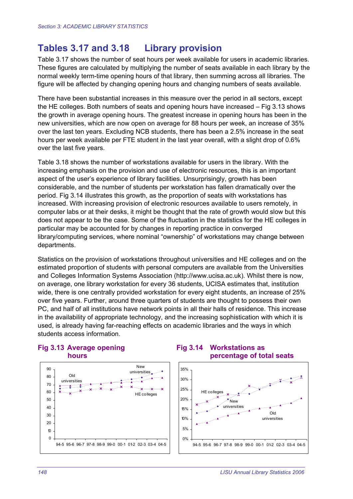# **Tables 3.17 and 3.18 Library provision**

Table 3.17 shows the number of seat hours per week available for users in academic libraries. These figures are calculated by multiplying the number of seats available in each library by the normal weekly term-time opening hours of that library, then summing across all libraries. The figure will be affected by changing opening hours and changing numbers of seats available.

There have been substantial increases in this measure over the period in all sectors, except the HE colleges. Both numbers of seats and opening hours have increased – Fig 3.13 shows the growth in average opening hours. The greatest increase in opening hours has been in the new universities, which are now open on average for 88 hours per week, an increase of 35% over the last ten years. Excluding NCB students, there has been a 2.5% increase in the seat hours per week available per FTE student in the last year overall, with a slight drop of 0.6% over the last five years.

Table 3.18 shows the number of workstations available for users in the library. With the increasing emphasis on the provision and use of electronic resources, this is an important aspect of the user's experience of library facilities. Unsurprisingly, growth has been considerable, and the number of students per workstation has fallen dramatically over the period. Fig 3.14 illustrates this growth, as the proportion of seats with workstations has increased. With increasing provision of electronic resources available to users remotely, in computer labs or at their desks, it might be thought that the rate of growth would slow but this does not appear to be the case. Some of the fluctuation in the statistics for the HE colleges in particular may be accounted for by changes in reporting practice in converged library/computing services, where nominal "ownership" of workstations may change between departments.

Statistics on the provision of workstations throughout universities and HE colleges and on the estimated proportion of students with personal computers are available from the Universities and Colleges Information Systems Association (http://www.ucisa.ac.uk). Whilst there is now, on average, one library workstation for every 36 students, UCISA estimates that, institution wide, there is one centrally provided workstation for every eight students, an increase of 25% over five years. Further, around three quarters of students are thought to possess their own PC, and half of all institutions have network points in all their halls of residence. This increase in the availability of appropriate technology, and the increasing sophistication with which it is used, is already having far-reaching effects on academic libraries and the ways in which students access information.



#### **Fig 3.13 Average opening Fig 3.14 Workstations as hours percentage of total seats**

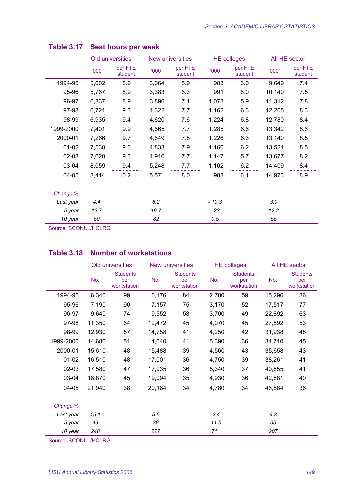|           |       | Old universities   |       | <b>New universities</b> |         | <b>HE colleges</b> | All HE sector |                    |  |
|-----------|-------|--------------------|-------|-------------------------|---------|--------------------|---------------|--------------------|--|
|           | '000  | per FTE<br>student | '000  | per FTE<br>student      | '000    | per FTE<br>student | '000          | per FTE<br>student |  |
| 1994-95   | 5,602 | 8.9                | 3,064 | 5.9                     | 983     | 6.0                | 9,649         | 7.4                |  |
| 95-96     | 5,767 | 8.9                | 3,383 | 6.3                     | 991     | 6.0                | 10,140        | 7.5                |  |
| 96-97     | 6,337 | 8.9                | 3,896 | 7.1                     | 1,078   | 5.9                | 11,312        | 7.8                |  |
| 97-98     | 6,721 | 9.3                | 4,322 | 7.7                     | 1,162   | 6.3                | 12,205        | 8.3                |  |
| 98-99     | 6,935 | 9.4                | 4,620 | 7.6                     | 1,224   | 6.8                | 12,780        | 8.4                |  |
| 1999-2000 | 7,401 | 9.9                | 4,665 | 7.7                     | 1,285   | 6.6                | 13,342        | 8.6                |  |
| 2000-01   | 7,266 | 9.7                | 4,649 | 7.8                     | 1,226   | 6.3                | 13,140        | 8.5                |  |
| $01 - 02$ | 7,530 | 9.6                | 4,833 | 7.9                     | 1,160   | 6.2                | 13,524        | 8.5                |  |
| $02 - 03$ | 7,620 | 9.3                | 4,910 | 7.7                     | 1,147   | 5.7                | 13,677        | 8.2                |  |
| 03-04     | 8,059 | 9.4                | 5,248 | 7.7                     | 1,102   | 6.2                | 14,409        | 8.4                |  |
| 04-05     | 8,414 | 10.2               | 5,571 | 8.0                     | 988     | 6.1                | 14,973        | 8.9                |  |
| Change %  |       |                    |       |                         |         |                    |               |                    |  |
| Last year | 4.4   |                    | 6.2   |                         | $-10.3$ |                    | 3.9           |                    |  |
| 5 year    | 13.7  |                    | 19.7  |                         | $-23$   |                    | 12.2          |                    |  |
| 10 year   | 50    |                    | 82    |                         | 0.5     |                    | 55            |                    |  |

# **Table 3.17 Seat hours per week**

Source: SCONUL/HCLRG

# **Table 3.18 Number of workstations**

|           |        | Old universities                      |        | New universities                      |         | <b>HE colleges</b>                    | All HE sector |                                       |  |
|-----------|--------|---------------------------------------|--------|---------------------------------------|---------|---------------------------------------|---------------|---------------------------------------|--|
|           | No.    | <b>Students</b><br>per<br>workstation | No.    | <b>Students</b><br>per<br>workstation | No.     | <b>Students</b><br>per<br>workstation | No.           | <b>Students</b><br>per<br>workstation |  |
| 1994-95   | 6,340  | 99                                    | 6,176  | 84                                    | 2,780   | 59                                    | 15,296        | 86                                    |  |
| 95-96     | 7,190  | 90                                    | 7,157  | 75                                    | 3,170   | 52                                    | 17,517        | 77                                    |  |
| 96-97     | 9,640  | 74                                    | 9,552  | 58                                    | 3,700   | 49                                    | 22,892        | 63                                    |  |
| 97-98     | 11,350 | 64                                    | 12,472 | 45                                    | 4,070   | 45                                    | 27,892        | 53                                    |  |
| 98-99     | 12,930 | 57                                    | 14,758 | 41                                    | 4,250   | 42                                    | 31,938        | 48                                    |  |
| 1999-2000 | 14,680 | 51                                    | 14,640 | 41                                    | 5,390   | 36                                    | 34,710        | 45                                    |  |
| 2000-01   | 15,610 | 48                                    | 15,488 | 39                                    | 4,560   | 43                                    | 35,658        | 43                                    |  |
| $01 - 02$ | 16,510 | 48                                    | 17,001 | 36                                    | 4,750   | 39                                    | 38,261        | 41                                    |  |
| $02 - 03$ | 17,580 | 47                                    | 17,935 | 36                                    | 5,340   | 37                                    | 40,855        | 41                                    |  |
| 03-04     | 18,870 | 45                                    | 19,094 | 35                                    | 4,930   | 36                                    | 42,881        | 40                                    |  |
| 04-05     | 21,940 | 38                                    | 20,164 | 34                                    | 4,780   | 34                                    | 46,884        | 36                                    |  |
| Change %  |        |                                       |        |                                       |         |                                       |               |                                       |  |
| Last year | 16.1   |                                       | 5.6    |                                       | $-2.4$  |                                       | 9.3           |                                       |  |
| 5 year    | 49     |                                       | 38     |                                       | $-11.5$ |                                       | 35            |                                       |  |
| 10 year   | 248    |                                       | 227    |                                       | 71      |                                       | 207           |                                       |  |

Source: SCONUL/HCLRG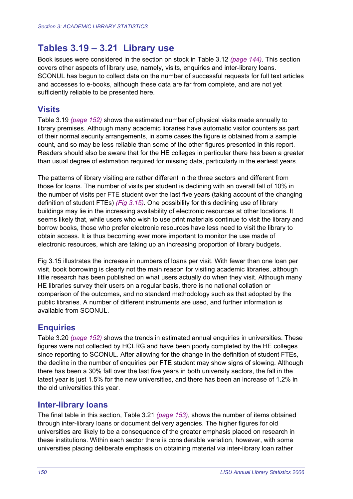# **Tables 3.19 – 3.21 Library use**

Book issues were considered in the section on stock in Table 3.12 *(page 144)*. This section covers other aspects of library use, namely, visits, enquiries and inter-library loans. SCONUL has begun to collect data on the number of successful requests for full text articles and accesses to e-books, although these data are far from complete, and are not yet sufficiently reliable to be presented here.

### **Visits**

Table 3.19 *(page 152)* shows the estimated number of physical visits made annually to library premises. Although many academic libraries have automatic visitor counters as part of their normal security arrangements, in some cases the figure is obtained from a sample count, and so may be less reliable than some of the other figures presented in this report. Readers should also be aware that for the HE colleges in particular there has been a greater than usual degree of estimation required for missing data, particularly in the earliest years.

The patterns of library visiting are rather different in the three sectors and different from those for loans. The number of visits per student is declining with an overall fall of 10% in the number of visits per FTE student over the last five years (taking account of the changing definition of student FTEs) *(Fig 3.15)*. One possibility for this declining use of library buildings may lie in the increasing availability of electronic resources at other locations. It seems likely that, while users who wish to use print materials continue to visit the library and borrow books, those who prefer electronic resources have less need to visit the library to obtain access. It is thus becoming ever more important to monitor the use made of electronic resources, which are taking up an increasing proportion of library budgets.

Fig 3.15 illustrates the increase in numbers of loans per visit. With fewer than one loan per visit, book borrowing is clearly not the main reason for visiting academic libraries, although little research has been published on what users actually do when they visit. Although many HE libraries survey their users on a regular basis, there is no national collation or comparison of the outcomes, and no standard methodology such as that adopted by the public libraries. A number of different instruments are used, and further information is available from SCONUL.

# **Enquiries**

Table 3.20 *(page 152)* shows the trends in estimated annual enquiries in universities. These figures were not collected by HCLRG and have been poorly completed by the HE colleges since reporting to SCONUL. After allowing for the change in the definition of student FTEs, the decline in the number of enquiries per FTE student may show signs of slowing. Although there has been a 30% fall over the last five years in both university sectors, the fall in the latest year is just 1.5% for the new universities, and there has been an increase of 1.2% in the old universities this year.

#### **Inter-library loans**

The final table in this section, Table 3.21 *(page 153)*, shows the number of items obtained through inter-library loans or document delivery agencies. The higher figures for old universities are likely to be a consequence of the greater emphasis placed on research in these institutions. Within each sector there is considerable variation, however, with some universities placing deliberate emphasis on obtaining material via inter-library loan rather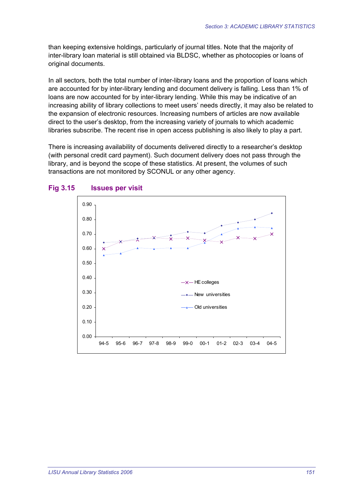than keeping extensive holdings, particularly of journal titles. Note that the majority of inter-library loan material is still obtained via BLDSC, whether as photocopies or loans of original documents.

In all sectors, both the total number of inter-library loans and the proportion of loans which are accounted for by inter-library lending and document delivery is falling. Less than 1% of loans are now accounted for by inter-library lending. While this may be indicative of an increasing ability of library collections to meet users' needs directly, it may also be related to the expansion of electronic resources. Increasing numbers of articles are now available direct to the user's desktop, from the increasing variety of journals to which academic libraries subscribe. The recent rise in open access publishing is also likely to play a part.

There is increasing availability of documents delivered directly to a researcher's desktop (with personal credit card payment). Such document delivery does not pass through the library, and is beyond the scope of these statistics. At present, the volumes of such transactions are not monitored by SCONUL or any other agency.



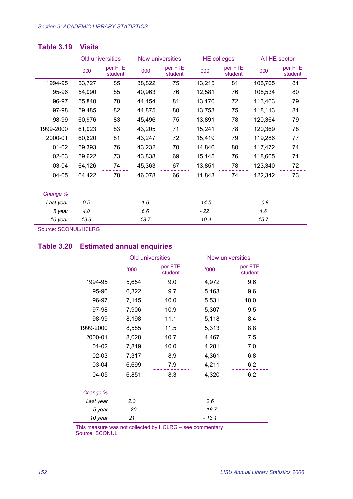|           | Old universities |                    |        | New universities   | <b>HE colleges</b> |                    | All HE sector |                    |  |
|-----------|------------------|--------------------|--------|--------------------|--------------------|--------------------|---------------|--------------------|--|
|           | '000             | per FTE<br>student | '000   | per FTE<br>student | <b>'000</b>        | per FTE<br>student | '000          | per FTE<br>student |  |
| 1994-95   | 53,727           | 85                 | 38,822 | 75                 | 13,215             | 81                 | 105,765       | 81                 |  |
| 95-96     | 54,990           | 85                 | 40,963 | 76                 | 12,581             | 76                 | 108,534       | 80                 |  |
| 96-97     | 55,840           | 78                 | 44,454 | 81                 | 13,170             | 72                 | 113,463       | 79                 |  |
| 97-98     | 59,485           | 82                 | 44,875 | 80                 | 13,753             | 75                 | 118,113       | 81                 |  |
| 98-99     | 60,976           | 83                 | 45,496 | 75                 | 13,891             | 78                 | 120,364       | 79                 |  |
| 1999-2000 | 61,923           | 83                 | 43,205 | 71                 | 15,241             | 78                 | 120,369       | 78                 |  |
| 2000-01   | 60,620           | 81                 | 43,247 | 72                 | 15,419             | 79                 | 119,286       | 77                 |  |
| $01 - 02$ | 59,393           | 76                 | 43,232 | 70                 | 14,846             | 80                 | 117,472       | 74                 |  |
| $02 - 03$ | 59,622           | 73                 | 43,838 | 69                 | 15,145             | 76                 | 118,605       | 71                 |  |
| 03-04     | 64,126           | 74                 | 45,363 | 67                 | 13,851             | 78                 | 123,340       | 72                 |  |
| $04 - 05$ | 64,422           | 78                 | 46,078 | 66                 | 11,843             | 74                 | 122,342       | 73                 |  |
| Change %  |                  |                    |        |                    |                    |                    |               |                    |  |
| Last year | 0.5              |                    | 1.6    |                    | $-14.5$            |                    | $-0.8$        |                    |  |
| 5 year    | 4.0              |                    | 6.6    |                    | - 22               |                    | 1.6           |                    |  |
| 10 year   | 19.9             |                    | 18.7   |                    | $-10.4$            |                    | 15.7          |                    |  |

#### **Table 3.19 Visits**

Source: SCONUL/HCLRG

#### **Table 3.20 Estimated annual enquiries**

|           |       | Old universities   |        | <b>New universities</b> |  |  |
|-----------|-------|--------------------|--------|-------------------------|--|--|
|           | 000'  | per FTE<br>student | '000   | per FTE<br>student      |  |  |
| 1994-95   | 5,654 | 9.0                | 4,972  | 9.6                     |  |  |
| 95-96     | 6,322 | 9.7                | 5,163  | 9.6                     |  |  |
| 96-97     | 7,145 | 10.0               | 5,531  | 10.0                    |  |  |
| 97-98     | 7,906 | 10.9               | 5,307  | 9.5                     |  |  |
| 98-99     | 8,198 | 11.1               | 5,118  | 8.4                     |  |  |
| 1999-2000 | 8,585 | 11.5               | 5,313  | 8.8                     |  |  |
| 2000-01   | 8,028 | 10.7               | 4,467  | 7.5                     |  |  |
| $01 - 02$ | 7,819 | 10.0               | 4,281  | 7.0                     |  |  |
| 02-03     | 7,317 | 8.9                | 4,361  | 6.8                     |  |  |
| 03-04     | 6,699 | 7.9                | 4,211  | 6.2                     |  |  |
| 04-05     | 6,851 | 8.3                | 4,320  | 6.2                     |  |  |
| Change %  |       |                    |        |                         |  |  |
| Last year | 2.3   |                    | 2.6    |                         |  |  |
| 5 year    | - 20  |                    | - 18.7 |                         |  |  |
| 10 year   | 21    |                    | - 13.1 |                         |  |  |

This measure was not collected by HCLRG – see commentary Source: SCONUL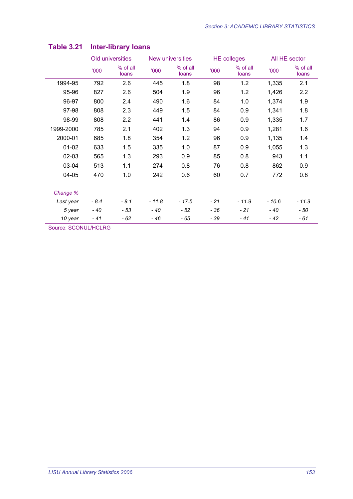|           |        | Old universities  |         | New universities          |      | <b>HE colleges</b> | All HE sector |                   |  |
|-----------|--------|-------------------|---------|---------------------------|------|--------------------|---------------|-------------------|--|
|           | '000   | % of all<br>loans | '000    | % of all<br>'000<br>loans |      | % of all<br>loans  | '000          | % of all<br>loans |  |
| 1994-95   | 792    | 2.6               | 445     | 1.8                       | 98   | 1.2                | 1,335         | 2.1               |  |
| 95-96     | 827    | 2.6               | 504     | 1.9                       | 96   | 1.2                | 1,426         | 2.2               |  |
| 96-97     | 800    | 2.4               | 490     | 1.6                       | 84   | 1.0                | 1,374         | 1.9               |  |
| 97-98     | 808    | 2.3               | 449     | 1.5                       | 84   | 0.9                | 1,341         | 1.8               |  |
| 98-99     | 808    | 2.2               | 441     | 1.4                       | 86   | 0.9                | 1,335         | 1.7               |  |
| 1999-2000 | 785    | 2.1               | 402     | 1.3                       | 94   | 0.9                | 1,281         | 1.6               |  |
| 2000-01   | 685    | 1.8               | 354     | 1.2                       | 96   | 0.9                | 1,135         | 1.4               |  |
| $01 - 02$ | 633    | 1.5               | 335     | 1.0                       | 87   | 0.9                | 1,055         | 1.3               |  |
| $02 - 03$ | 565    | 1.3               | 293     | 0.9                       | 85   | 0.8                | 943           | 1.1               |  |
| 03-04     | 513    | 1.1               | 274     | 0.8                       | 76   | 0.8                | 862           | 0.9               |  |
| $04 - 05$ | 470    | 1.0               | 242     | 0.6                       | 60   | 0.7                | 772           | 0.8               |  |
| Change %  |        |                   |         |                           |      |                    |               |                   |  |
| Last year | $-8.4$ | $-8.1$            | $-11.8$ | $-17.5$                   | - 21 | $-11.9$            | - 10.6        | $-11.9$           |  |
| 5 year    | - 40   | - 53              | - 40    | - 52                      | - 36 | - 21               | $-40$         | - 50              |  |
| 10 year   | - 41   | - 62              | - 46    | - 65                      | - 39 | - 41               | - 42          | - 61              |  |

# **Table 3.21 Inter-library loans**

Source: SCONUL/HCLRG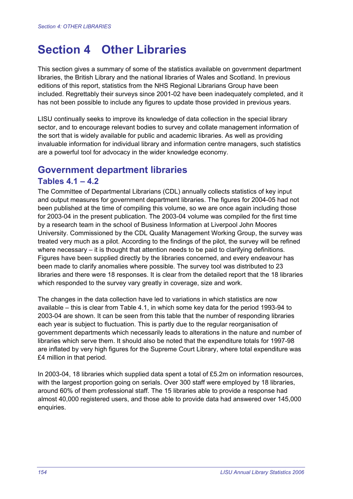# **Section 4 Other Libraries**

This section gives a summary of some of the statistics available on government department libraries, the British Library and the national libraries of Wales and Scotland. In previous editions of this report, statistics from the NHS Regional Librarians Group have been included. Regrettably their surveys since 2001-02 have been inadequately completed, and it has not been possible to include any figures to update those provided in previous years.

LISU continually seeks to improve its knowledge of data collection in the special library sector, and to encourage relevant bodies to survey and collate management information of the sort that is widely available for public and academic libraries. As well as providing invaluable information for individual library and information centre managers, such statistics are a powerful tool for advocacy in the wider knowledge economy.

# **Government department libraries**

#### **Tables 4.1 – 4.2**

The Committee of Departmental Librarians (CDL) annually collects statistics of key input and output measures for government department libraries. The figures for 2004-05 had not been published at the time of compiling this volume, so we are once again including those for 2003-04 in the present publication. The 2003-04 volume was compiled for the first time by a research team in the school of Business Information at Liverpool John Moores University. Commissioned by the CDL Quality Management Working Group, the survey was treated very much as a pilot. According to the findings of the pilot, the survey will be refined where necessary – it is thought that attention needs to be paid to clarifying definitions. Figures have been supplied directly by the libraries concerned, and every endeavour has been made to clarify anomalies where possible. The survey tool was distributed to 23 libraries and there were 18 responses. It is clear from the detailed report that the 18 libraries which responded to the survey vary greatly in coverage, size and work.

The changes in the data collection have led to variations in which statistics are now available – this is clear from Table 4.1, in which some key data for the period 1993-94 to 2003-04 are shown. It can be seen from this table that the number of responding libraries each year is subject to fluctuation. This is partly due to the regular reorganisation of government departments which necessarily leads to alterations in the nature and number of libraries which serve them. It should also be noted that the expenditure totals for 1997-98 are inflated by very high figures for the Supreme Court Library, where total expenditure was £4 million in that period.

In 2003-04, 18 libraries which supplied data spent a total of £5.2m on information resources, with the largest proportion going on serials. Over 300 staff were employed by 18 libraries, around 60% of them professional staff. The 15 libraries able to provide a response had almost 40,000 registered users, and those able to provide data had answered over 145,000 enquiries.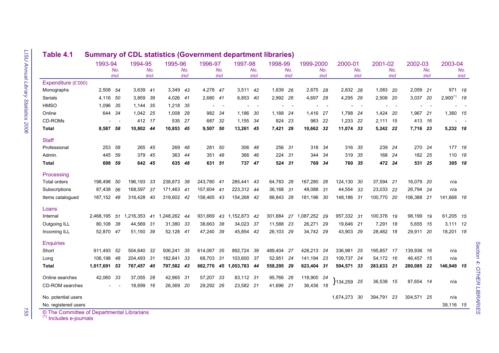|                                            | 1993-94      | No.<br>incl. | 1994-95    | No.<br>incl. | 1995-96    | No.<br>incl | 1996-97    | No.<br>incl | 1997-98      | No.<br>incl              | 1998-99   | No.<br>incl | 1999-2000  | No.<br>incl | 2000-01      | No.<br>incl | 2001-02    | No.<br>incl | 2002-03    | No.<br>incl | 2003-04       | No.<br>incl |
|--------------------------------------------|--------------|--------------|------------|--------------|------------|-------------|------------|-------------|--------------|--------------------------|-----------|-------------|------------|-------------|--------------|-------------|------------|-------------|------------|-------------|---------------|-------------|
| Expenditure (£'000)                        |              |              |            |              |            |             |            |             |              |                          |           |             |            |             |              |             |            |             |            |             |               |             |
| Monographs                                 | 2,508 54     |              | 3,639      | 41           | 3,349      | -43         | 4,278 47   |             | 3.511 42     |                          | 1,639 26  |             | 2.675 28   |             | 2.832 28     |             | 1.083 20   |             | 2,059 21   |             | 971 18        |             |
| Serials                                    | 4,116        | 50           | 3,859      | 39           | 4,026      | 41          | 2,680 41   |             | 6,853        | - 40                     | 2,992     | - 26        | 4,697      | -28         | 4,295        | - 29        | 2,508      | - 20        | 3,037      | -20         | $2,900^{(1)}$ | 18          |
| <b>HMSO</b>                                | 1,096        | 35           | 1,144      | 35           | 1,218      | 35          |            | $\sim$      |              | $\overline{\phantom{a}}$ |           | $\sim$      |            | $\sim$      |              | $\sim$      |            | $\sim$      |            |             |               |             |
| Online                                     | 644          | 34           | 1,042      | - 25         | 1,008      | -28         | 982        | - 34        | 1,186 30     |                          | 1,188 24  |             | 1,416 27   |             | 1,798 24     |             | 1,424 20   |             | 1,967 21   |             | 1,360 15      |             |
| CD-ROMs                                    |              |              | 412 17     |              | 535        | 27          | 687        | 32          | 1,155 34     |                          | 824       | -23         | 983 22     |             | 1,233 22     |             | 2,111 15   |             | 413 16     |             |               |             |
| Total                                      | 8,587 58     |              | 10,802 44  |              | 10.853 45  |             | 9.507      | -50         | 13,261 45    |                          | 7.421     | 29          | 10.662 32  |             | 11.074 33    |             | 5.242 22   |             | 7,716 23   |             | 5,232 18      |             |
| <b>Staff</b>                               |              |              |            |              |            |             |            |             |              |                          |           |             |            |             |              |             |            |             |            |             |               |             |
| Professional                               | 253          | 58           | 265        | 45           | 269        | 48          | 281        | 50          | 306          | 48                       | 256       | -31         | 318        | -34         | 316          | - 35        | 239        | - 24        | 270 24     |             | 177 18        |             |
| Admin.                                     | 445          | 59           | 379        | 45           | 363        | 44          | 351        | 48          | 366          | 46                       | 224       | -31         | 344        | 34          | 319          | - 35        | 168        | -24         | 182 25     |             | 110 18        |             |
| Total                                      | 698          | 59           | 642        | 45           | 635        | -48         | 631        | 51          | 737          | -47                      | 524       | -31         | 769        | -34         | 760 35       |             | 472 24     |             | 531 25     |             | 305 18        |             |
| Processing                                 |              |              |            |              |            |             |            |             |              |                          |           |             |            |             |              |             |            |             |            |             |               |             |
| <b>Total orders</b>                        | 198,498      | 50           | 196,193    | 33           | 238,873    | 38          | 243,780 41 |             | 285,441 43   |                          | 64,783    | -28         | 167,280    | - 26        | 124,130 30   |             | 37,594 21  |             | 16,079 20  |             | n/a           |             |
| Subscriptions                              | 87.438       | 56           | 168.597    | -37          | 171.463 41 |             | 157.604 41 |             | 223,312 44   |                          | 36.168 31 |             | 48.088     | - 31        | 44,554       | -33         | 23,033 22  |             | 26.794 24  |             | n/a           |             |
| Items catalogued                           | 187,152 48   |              | 316.428    | 40           | 319,602 42 |             | 158,465 43 |             | 154,268 42   |                          | 86,843    | - 28        | 181.196    | - 30        | 148,186 31   |             | 100.770 20 |             | 106,388 21 |             | 141.668 18    |             |
| Loans                                      |              |              |            |              |            |             |            |             |              |                          |           |             |            |             |              |             |            |             |            |             |               |             |
| Internal                                   | 2,468,195    | 51           | 1,216,353  | 41           | 1,248,262  | -44         | 931,669    | 43          | 1,152,873    | -42                      | 301,684   | 27          | 1,087,252  | -29         | 957,332 31   |             | 100,376 19 |             | 98,199     | - 19        | 61,205 15     |             |
| Outgoing ILL                               | 80.108       | -38          | 44,569     | 31           | 31,380     | 33          | 38,663     | -38         | 34,023       | -37                      | 11,588    | - 23        | 26,271     | -29         | 19.646 21    |             | 7,291      | - 18        | 5.655 15   |             | $3,111$ 12    |             |
| Incoming ILL                               | 52,870       | 47           | 51.150     | -39          | 52.128 41  |             | 47,240     | -39         | 45,854 42    |                          | 26,103 29 |             | 34,742 29  |             | 43,903 29    |             | 28,462 18  |             | 29,911 20  |             | 18,201 18     |             |
| <b>Enquiries</b>                           |              |              |            |              |            |             |            |             |              |                          |           |             |            |             |              |             |            |             |            |             |               |             |
| Short                                      | 911,493      | 52           | 504,640    | 32           | 506,241    | 35          | 614,067    | 35          | 892,724      | 39                       | 489,404   | 27          | 428,213 24 |             | 336,981      | -25         | 195,857 17 |             | 139,936 16 |             | n/a           |             |
| Long                                       | 106.198      | 48           | 204,493 31 |              | 182.841    | 33          | 68.703     | -31         | 103.600      | -37                      | 52,951 24 |             | 141.194    | -23         | 109.737 24   |             | 54,172 16  |             | 46,457 15  |             | n/a           |             |
| <b>Total</b>                               | 1,017,691 53 |              | 767,457    | - 40         | 797,582 43 |             | 682,770    |             | 45 1,053,783 | -44                      | 558,295   | - 29        | 623,404    | -31         | 504,571 33   |             | 283,633 21 |             | 280,085 22 |             | 146,949 15    |             |
| Online searches                            | 42,060       | 33           | 37,055     | -28          | 42,965     | - 31        | 57,207     | -33         | 83,112 31    |                          | 95,766 26 |             | 118,900 24 |             |              |             |            |             |            |             |               |             |
| CD-ROM searches                            |              |              | 18,699     | 16           | 26,369     | -20         | 29,292     | -26         | 23,582 21    |                          | 41.696 21 |             | 36,436 18  |             | }134,259 25  |             | 36,538 15  |             | 87,654 14  |             | n/a           |             |
| No. potential users                        |              |              |            |              |            |             |            |             |              |                          |           |             |            |             | 1,674,273 30 |             | 394,791    | 23          | 304,571 25 |             | n/a           |             |
| No. registered users                       |              |              |            |              |            |             |            |             |              |                          |           |             |            |             |              |             |            |             |            |             | 39,116 15     |             |
| © The Committee of Departmental Librarians |              |              |            |              |            |             |            |             |              |                          |           |             |            |             |              |             |            |             |            |             |               |             |

# **Table 4.1 Summary of CDL statistics (Government department libraries)**

155

٠,

 $(1)$  Includes e-journals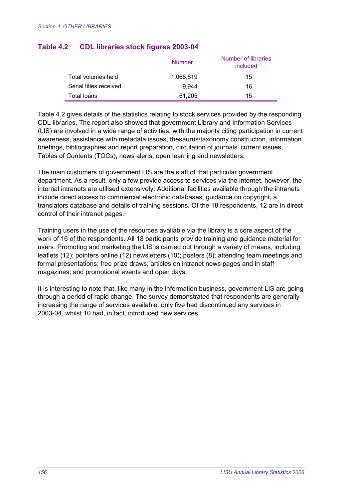|                        | <b>Number</b> | Number of libraries<br>included |
|------------------------|---------------|---------------------------------|
| Total volumes held     | 1,066,819     | 15                              |
| Serial titles received | 9.944         | 16                              |
| Total Ioans            | 61,205        | 15                              |

#### **Table 4.2 CDL libraries stock figures 2003-04**

Table 4.2 gives details of the statistics relating to stock services provided by the responding CDL libraries. The report also showed that government Library and Information Services (LIS) are involved in a wide range of activities, with the majority citing participation in current awareness, assistance with metadata issues, thesaurus/taxonomy construction, information briefings, bibliographies and report preparation, circulation of journals' current issues, Tables of Contents (TOCs), news alerts, open learning and newsletters.

The main customers of government LIS are the staff of that particular government department. As a result, only a few provide access to services via the internet, however, the internal intranets are utilised extensively. Additional facilities available through the intranets include direct access to commercial electronic databases, guidance on copyright, a translators database and details of training sessions. Of the 18 respondents, 12 are in direct control of their intranet pages.

Training users in the use of the resources available via the library is a core aspect of the work of 16 of the respondents. All 18 participants provide training and guidance material for users. Promoting and marketing the LIS is carried out through a variety of means, including leaflets (12); pointers online (12) newsletters (10); posters (8); attending team meetings and formal presentations; free prize draws; articles on intranet news pages and in staff magazines; and promotional events and open days.

It is interesting to note that, like many in the information business, government LIS are going through a period of rapid change. The survey demonstrated that respondents are generally increasing the range of services available: only five had discontinued any services in 2003-04, whilst 10 had, in fact, introduced new services.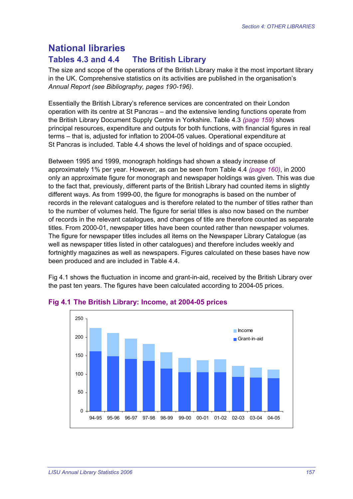# **National libraries**

# **Tables 4.3 and 4.4 The British Library**

The size and scope of the operations of the British Library make it the most important library in the UK. Comprehensive statistics on its activities are published in the organisation's *Annual Report (see Bibliography, pages 190-196)*.

Essentially the British Library's reference services are concentrated on their London operation with its centre at St Pancras – and the extensive lending functions operate from the British Library Document Supply Centre in Yorkshire. Table 4.3 *(page 159)* shows principal resources, expenditure and outputs for both functions, with financial figures in real terms – that is, adjusted for inflation to 2004-05 values. Operational expenditure at St Pancras is included. Table 4.4 shows the level of holdings and of space occupied.

Between 1995 and 1999, monograph holdings had shown a steady increase of approximately 1% per year. However, as can be seen from Table 4.4 *(page 160)*, in 2000 only an approximate figure for monograph and newspaper holdings was given. This was due to the fact that, previously, different parts of the British Library had counted items in slightly different ways. As from 1999-00, the figure for monographs is based on the number of records in the relevant catalogues and is therefore related to the number of titles rather than to the number of volumes held. The figure for serial titles is also now based on the number of records in the relevant catalogues, and changes of title are therefore counted as separate titles. From 2000-01, newspaper titles have been counted rather than newspaper volumes. The figure for newspaper titles includes all items on the Newspaper Library Catalogue (as well as newspaper titles listed in other catalogues) and therefore includes weekly and fortnightly magazines as well as newspapers. Figures calculated on these bases have now been produced and are included in Table 4.4.

Fig 4.1 shows the fluctuation in income and grant-in-aid, received by the British Library over the past ten years. The figures have been calculated according to 2004-05 prices.



#### **Fig 4.1 The British Library: Income, at 2004-05 prices**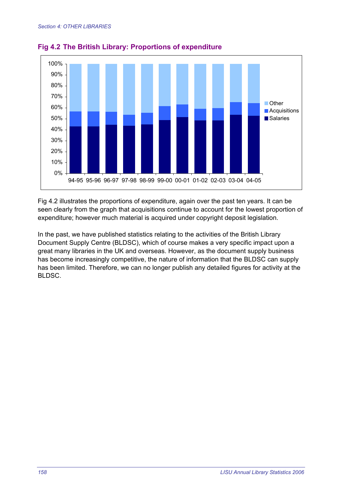

**Fig 4.2 The British Library: Proportions of expenditure** 

Fig 4.2 illustrates the proportions of expenditure, again over the past ten years. It can be seen clearly from the graph that acquisitions continue to account for the lowest proportion of expenditure; however much material is acquired under copyright deposit legislation.

In the past, we have published statistics relating to the activities of the British Library Document Supply Centre (BLDSC), which of course makes a very specific impact upon a great many libraries in the UK and overseas. However, as the document supply business has become increasingly competitive, the nature of information that the BLDSC can supply has been limited. Therefore, we can no longer publish any detailed figures for activity at the BLDSC.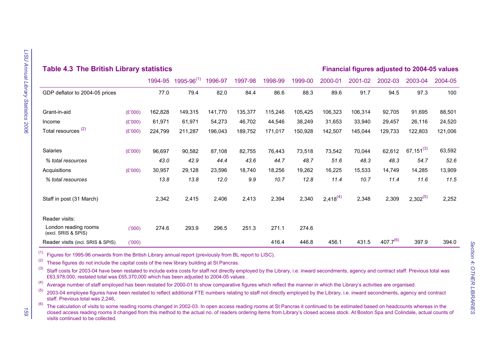| <b>Table 4.3 The British Library statistics</b><br><b>Financial figures adjusted to 2004-05 values</b> |         |         |                         |         |         |         |         |               |         |               |               |         |
|--------------------------------------------------------------------------------------------------------|---------|---------|-------------------------|---------|---------|---------|---------|---------------|---------|---------------|---------------|---------|
|                                                                                                        |         | 1994-95 | $1995-96^{(1)}$ 1996-97 |         | 1997-98 | 1998-99 | 1999-00 | 2000-01       | 2001-02 | 2002-03       | 2003-04       | 2004-05 |
| GDP deflator to 2004-05 prices                                                                         |         | 77.0    | 79.4                    | 82.0    | 84.4    | 86.6    | 88.3    | 89.6          | 91.7    | 94.5          | 97.3          | 100     |
| Grant-in-aid                                                                                           | (E'000) | 162,828 | 149,315                 | 141,770 | 135,377 | 115,246 | 105,425 | 106,323       | 106,314 | 92,705        | 91,695        | 88,501  |
| Income                                                                                                 | (E'000) | 61,971  | 61,971                  | 54,273  | 46,702  | 44,546  | 38,249  | 31,653        | 33,940  | 29,457        | 26,116        | 24,520  |
| Total resources <sup>(2)</sup>                                                                         | (E'000) | 224,799 | 211,287                 | 196,043 | 189,752 | 171,017 | 150,928 | 142,507       | 145,044 | 129,733       | 122,803       | 121,006 |
| Salaries                                                                                               | (E'000) | 96,697  | 90,582                  | 87,108  | 82,755  | 76,443  | 73,518  | 73,542        | 70,044  | 62,612        | 67,151 $(3)$  | 63,592  |
| % total resources                                                                                      |         | 43.0    | 42.9                    | 44.4    | 43.6    | 44.7    | 48.7    | 51.6          | 48.3    | 48.3          | 54.7          | 52.6    |
| Acquisitions                                                                                           | (E'000) | 30,957  | 29,128                  | 23,596  | 18,740  | 18,256  | 19,262  | 16,225        | 15,533  | 14,749        | 14,285        | 13,909  |
| % total resources                                                                                      |         | 13.8    | 13.8                    | 12.0    | 9.9     | 10.7    | 12.8    | 11.4          | 10.7    | 11.4          | 11.6          | 11.5    |
| Staff in post (31 March)                                                                               |         | 2,342   | 2,415                   | 2,406   | 2,413   | 2,394   | 2,340   | $2,418^{(4)}$ | 2,348   | 2,309         | $2,302^{(5)}$ | 2,252   |
| Reader visits:                                                                                         |         |         |                         |         |         |         |         |               |         |               |               |         |
| London reading rooms<br>(excl. SRIS & SPIS)                                                            | (1000)  | 274.6   | 293.9                   | 296.5   | 251.3   | 271.1   | 274.6   |               |         |               |               |         |
| Reader visits (incl. SRIS & SPIS)                                                                      | (000)   |         |                         |         |         | 416.4   | 446.8   | 456.1         | 431.5   | $407.7^{(6)}$ | 397.9         | 394.0   |

(1) Figures for 1995-96 onwards from the British Library annual report (previously from BL report to LISC).

 $(2)$  These figures do not include the capital costs of the new library building at St Pancras.

 $^{(3)}$  Staff costs for 2003-04 have been restated to include extra costs for staff not directly employed by the Library, i.e. inward secondments, agency and contract staff. Previous total was £63,978,000, restated total was £65,370,000 which has been adjusted to 2004-05 values .

<sup>(4)</sup> Average number of staff employed has been restated for 2000-01 to show comparative figures which reflect the manner in which the Library's activities are organised.

 $(5)$  2003-04 employee figures have been restated to reflect additional FTE numbers relating to staff not directly employed by the Library, i.e. inward secondments, agency and contract staff. Previous total was 2,246,

<sup>(6)</sup> The calculation of visits to some reading rooms changed in 2002-03. In open access reading rooms at St Pancras it continued to be estimated based on headcounts whereas in the closed access reading rooms it changed from this method to the actual no. of readers ordering items from Library's closed access stock. At Boston Spa and Colindale, actual counts of visits continued to be collected.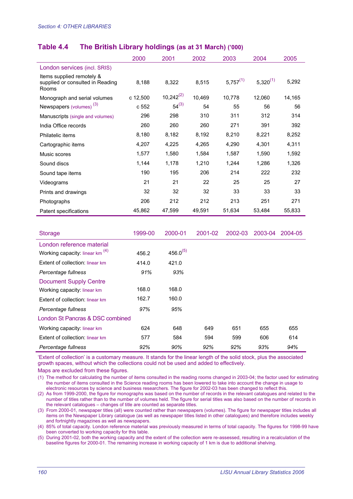#### **Table 4.4 The British Library holdings (as at 31 March) ('000)**

|                                                                        | 2000     | 2001           | 2002   | 2003          | 2004          | 2005   |
|------------------------------------------------------------------------|----------|----------------|--------|---------------|---------------|--------|
| London services (incl. SRIS)                                           |          |                |        |               |               |        |
| Items supplied remotely &<br>supplied or consulted in Reading<br>Rooms | 8,188    | 8,322          | 8,515  | $5,757^{(1)}$ | $5,320^{(1)}$ | 5,292  |
| Monograph and serial volumes                                           | c 12,500 | $10,242^{(2)}$ | 10,469 | 10,778        | 12,060        | 14,165 |
| Newspapers (volumes) <sup>(3)</sup>                                    | c 552    | $54^{(3)}$     | 54     | 55            | 56            | 56     |
| Manuscripts (single and volumes)                                       | 296      | 298            | 310    | 311           | 312           | 314    |
| India Office records                                                   | 260      | 260            | 260    | 271           | 391           | 392    |
| Philatelic items                                                       | 8,180    | 8,182          | 8,192  | 8,210         | 8,221         | 8,252  |
| Cartographic items                                                     | 4,207    | 4,225          | 4,265  | 4,290         | 4,301         | 4,311  |
| Music scores                                                           | 1,577    | 1,580          | 1,584  | 1,587         | 1,590         | 1,592  |
| Sound discs                                                            | 1,144    | 1,178          | 1,210  | 1,244         | 1,286         | 1,326  |
| Sound tape items                                                       | 190      | 195            | 206    | 214           | 222           | 232    |
| Videograms                                                             | 21       | 21             | 22     | 25            | 25            | 27     |
| Prints and drawings                                                    | 32       | 32             | 32     | 33            | 33            | 33     |
| Photographs                                                            | 206      | 212            | 212    | 213           | 251           | 271    |
| Patent specifications                                                  | 45,862   | 47,599         | 49,591 | 51,634        | 53,484        | 55,833 |

| <b>Storage</b>                             | 1999-00 | 2000-01       | 2001-02 | 2002-03 | 2003-04 | 2004-05 |
|--------------------------------------------|---------|---------------|---------|---------|---------|---------|
| London reference material                  |         |               |         |         |         |         |
| Working capacity: linear km <sup>(4)</sup> | 456.2   | $456.0^{(5)}$ |         |         |         |         |
| Extent of collection: linear km            | 414.0   | 421.0         |         |         |         |         |
| Percentage fullness                        | 91%     | 93%           |         |         |         |         |
| <b>Document Supply Centre</b>              |         |               |         |         |         |         |
| Working capacity: linear km                | 168.0   | 168.0         |         |         |         |         |
| Extent of collection: linear km            | 162.7   | 160.0         |         |         |         |         |
| Percentage fullness                        | 97%     | 95%           |         |         |         |         |
| London St Pancras & DSC combined           |         |               |         |         |         |         |
| Working capacity: linear km                | 624     | 648           | 649     | 651     | 655     | 655     |
| Extent of collection: linear km            | 577     | 584           | 594     | 599     | 606     | 614     |
| Percentage fullness                        | 92%     | 90%           | 92%     | 92%     | 93%     | 94%     |

'Extent of collection' is a customary measure. It stands for the linear length of the solid stock, plus the associated growth spaces, without which the collections could not be used and added to effectively.

Maps are excluded from these figures.

(1) The method for calculating the number of items consulted in the reading rooms changed in 2003-04; the factor used for estimating the number of items consulted in the Science reading rooms has been lowered to take into account the change in usage to electronic resources by science and business researchers. The figure for 2002-03 has been changed to reflect this.

(2) As from 1999-2000, the figure for monographs was based on the number of records in the relevant catalogues and related to the number of titles rather than to the number of volumes held. The figure for serial titles was also based on the number of records in the relevant catalogues – changes of title are counted as separate titles.

(3) From 2000-01, newspaper titles (all) were counted rather than newspapers (volumes). The figure for newspaper titles includes all items on the Newspaper Library catalogue (as well as newspaper titles listed in other catalogues) and therefore includes weekly and fortnightly magazines as well as newspapers.

(4) 85% of total capacity. London reference material was previously measured in terms of total capacity. The figures for 1998-99 have been converted to working capacity for this table.

(5) During 2001-02, both the working capacity and the extent of the collection were re-assessed, resulting in a recalculation of the baseline figures for 2000-01. The remaining increase in working capacity of 1 km is due to additional shelving.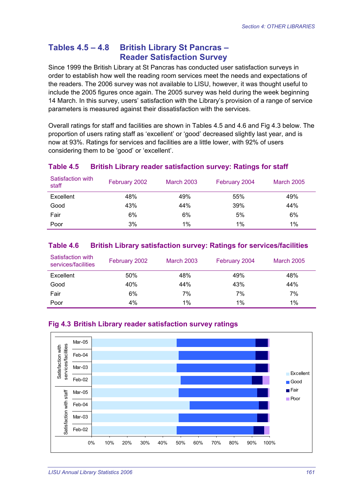### **Tables 4.5 – 4.8 British Library St Pancras – Reader Satisfaction Survey**

Since 1999 the British Library at St Pancras has conducted user satisfaction surveys in order to establish how well the reading room services meet the needs and expectations of the readers. The 2006 survey was not available to LISU, however, it was thought useful to include the 2005 figures once again. The 2005 survey was held during the week beginning 14 March. In this survey, users' satisfaction with the Library's provision of a range of service parameters is measured against their dissatisfaction with the services.

Overall ratings for staff and facilities are shown in Tables 4.5 and 4.6 and Fig 4.3 below. The proportion of users rating staff as 'excellent' or 'good' decreased slightly last year, and is now at 93%. Ratings for services and facilities are a little lower, with 92% of users considering them to be 'good' or 'excellent'.

#### **Table 4.5 British Library reader satisfaction survey: Ratings for staff**

| Satisfaction with<br>staff | February 2002 | <b>March 2003</b> | February 2004 | <b>March 2005</b> |
|----------------------------|---------------|-------------------|---------------|-------------------|
| Excellent                  | 48%           | 49%               | 55%           | 49%               |
| Good                       | 43%           | 44%               | 39%           | 44%               |
| Fair                       | 6%            | 6%                | 5%            | 6%                |
| Poor                       | 3%            | 1%                | 1%            | $1\%$             |

#### **Table 4.6 British Library satisfaction survey: Ratings for services/facilities**

| Satisfaction with<br>services/facilities | February 2002 | <b>March 2003</b> | February 2004 | <b>March 2005</b> |
|------------------------------------------|---------------|-------------------|---------------|-------------------|
| Excellent                                | 50%           | 48%               | 49%           | 48%               |
| Good                                     | 40%           | 44%               | 43%           | 44%               |
| Fair                                     | 6%            | 7%                | 7%            | 7%                |
| Poor                                     | 4%            | $1\%$             | $1\%$         | 1%                |

#### **Fig 4.3 British Library reader satisfaction survey ratings**

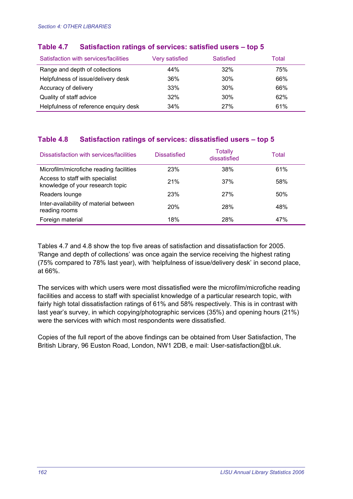| Satisfaction with services/facilities | Very satisfied | Satisfied  | Total |
|---------------------------------------|----------------|------------|-------|
| Range and depth of collections        | 44%            | 32%        | 75%   |
| Helpfulness of issue/delivery desk    | 36%            | 30%        | 66%   |
| Accuracy of delivery                  | 33%            | 30%        | 66%   |
| Quality of staff advice               | 32%            | 30%        | 62%   |
| Helpfulness of reference enquiry desk | 34%            | <b>27%</b> | 61%   |

#### **Table 4.7 Satisfaction ratings of services: satisfied users – top 5**

#### **Table 4.8 Satisfaction ratings of services: dissatisfied users – top 5**

| Dissatisfaction with services/facilities                            | <b>Dissatisfied</b> | <b>Totally</b><br>dissatisfied | Total |
|---------------------------------------------------------------------|---------------------|--------------------------------|-------|
| Microfilm/microfiche reading facilities                             | 23%                 | 38%                            | 61%   |
| Access to staff with specialist<br>knowledge of your research topic | 21%                 | 37%                            | 58%   |
| Readers lounge                                                      | 23%                 | 27%                            | 50%   |
| Inter-availability of material between<br>reading rooms             | <b>20%</b>          | 28%                            | 48%   |
| Foreign material                                                    | 18%                 | 28%                            | 47%   |

Tables 4.7 and 4.8 show the top five areas of satisfaction and dissatisfaction for 2005. 'Range and depth of collections' was once again the service receiving the highest rating (75% compared to 78% last year), with 'helpfulness of issue/delivery desk' in second place, at 66%.

The services with which users were most dissatisfied were the microfilm/microfiche reading facilities and access to staff with specialist knowledge of a particular research topic, with fairly high total dissatisfaction ratings of 61% and 58% respectively. This is in contrast with last year's survey, in which copying/photographic services (35%) and opening hours (21%) were the services with which most respondents were dissatisfied.

Copies of the full report of the above findings can be obtained from User Satisfaction, The British Library, 96 Euston Road, London, NW1 2DB, e mail: User-satisfaction@bl.uk.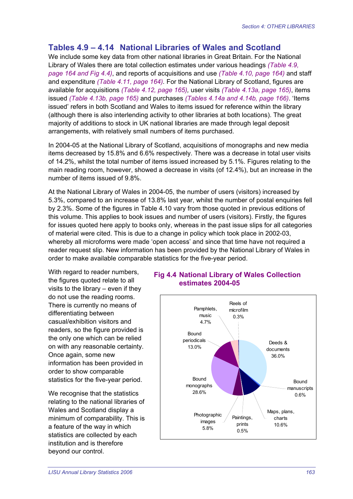# **Tables 4.9 – 4.14 National Libraries of Wales and Scotland**

We include some key data from other national libraries in Great Britain. For the National Library of Wales there are total collection estimates under various headings *(Table 4.9, page 164 and Fig 4.4)*, and reports of acquisitions and use *(Table 4.10, page 164)* and staff and expenditure *(Table 4.11, page 164).* For the National Library of Scotland, figures are available for acquisitions *(Table 4.12, page 165),* user visits *(Table 4.13a, page 165)*, items issued *(Table 4.13b, page 165)* and purchases *(Tables 4.14a and 4.14b, page 166)*. 'Items issued' refers in both Scotland and Wales to items issued for reference within the library (although there is also interlending activity to other libraries at both locations). The great majority of additions to stock in UK national libraries are made through legal deposit arrangements, with relatively small numbers of items purchased.

In 2004-05 at the National Library of Scotland, acquisitions of monographs and new media items decreased by 15.8% and 6.6% respectively. There was a decrease in total user visits of 14.2%, whilst the total number of items issued increased by 5.1%. Figures relating to the main reading room, however, showed a decrease in visits (of 12.4%), but an increase in the number of items issued of 9.8%.

At the National Library of Wales in 2004-05, the number of users (visitors) increased by 5.3%, compared to an increase of 13.8% last year, whilst the number of postal enquiries fell by 2.3%. Some of the figures in Table 4.10 vary from those quoted in previous editions of this volume. This applies to book issues and number of users (visitors). Firstly, the figures for issues quoted here apply to books only, whereas in the past issue slips for all categories of material were cited. This is due to a change in policy which took place in 2002-03, whereby all microforms were made 'open access' and since that time have not required a reader request slip. New information has been provided by the National Library of Wales in order to make available comparable statistics for the five-year period.

With regard to reader numbers, the figures quoted relate to all visits to the library – even if they do not use the reading rooms. There is currently no means of differentiating between casual/exhibition visitors and readers, so the figure provided is the only one which can be relied on with any reasonable certainty. Once again, some new information has been provided in order to show comparable statistics for the five-year period.

We recognise that the statistics relating to the national libraries of Wales and Scotland display a minimum of comparability. This is a feature of the way in which statistics are collected by each institution and is therefore beyond our control.

#### **Fig 4.4 National Library of Wales Collection estimates 2004-05**

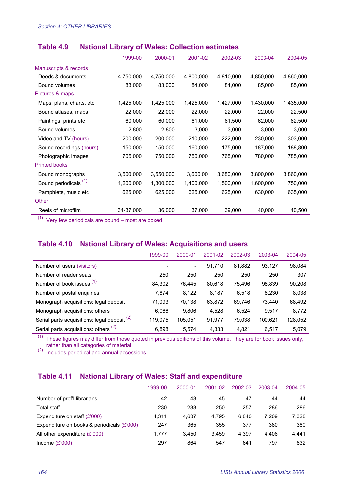|                                  | 1999-00   | 2000-01   | 2001-02   | 2002-03   | 2003-04   | 2004-05   |
|----------------------------------|-----------|-----------|-----------|-----------|-----------|-----------|
| Manuscripts & records            |           |           |           |           |           |           |
| Deeds & documents                | 4,750,000 | 4,750,000 | 4,800,000 | 4,810,000 | 4,850,000 | 4,860,000 |
| Bound volumes                    | 83,000    | 83,000    | 84,000    | 84,000    | 85,000    | 85,000    |
| Pictures & maps                  |           |           |           |           |           |           |
| Maps, plans, charts, etc         | 1,425,000 | 1,425,000 | 1,425,000 | 1,427,000 | 1,430,000 | 1,435,000 |
| Bound atlases, maps              | 22,000    | 22,000    | 22,000    | 22,000    | 22,000    | 22,500    |
| Paintings, prints etc.           | 60,000    | 60,000    | 61,000    | 61,500    | 62,000    | 62,500    |
| Bound volumes                    | 2,800     | 2,800     | 3,000     | 3,000     | 3,000     | 3,000     |
| Video and TV (hours)             | 200,000   | 200,000   | 210,000   | 222,000   | 230,000   | 303,000   |
| Sound recordings (hours)         | 150,000   | 150,000   | 160,000   | 175,000   | 187,000   | 188,800   |
| Photographic images              | 705,000   | 750,000   | 750,000   | 765,000   | 780,000   | 785,000   |
| <b>Printed books</b>             |           |           |           |           |           |           |
| Bound monographs                 | 3,500,000 | 3,550,000 | 3,600,00  | 3,680,000 | 3,800,000 | 3,860,000 |
| Bound periodicals <sup>(1)</sup> | 1,200,000 | 1,300,000 | 1,400,000 | 1,500,000 | 1,600,000 | 1,750,000 |
| Pamphlets, music etc             | 625,000   | 625,000   | 625,000   | 625,000   | 630,000   | 635,000   |
| Other                            |           |           |           |           |           |           |
| Reels of microfilm               | 34-37,000 | 36,000    | 37,000    | 39,000    | 40,000    | 40,500    |

#### **Table 4.9 National Library of Wales: Collection estimates**

 $(1)$  Very few periodicals are bound – most are boxed

#### **Table 4.10 National Library of Wales: Acquisitions and users**

|                                                         | 1999-00 | 2000-01                  | 2001-02 | 2002-03 | 2003-04 | 2004-05 |
|---------------------------------------------------------|---------|--------------------------|---------|---------|---------|---------|
| Number of users (visitors)                              |         | $\overline{\phantom{a}}$ | 91,710  | 81,882  | 93,127  | 98,084  |
| Number of reader seats                                  | 250     | 250                      | 250     | 250     | 250     | 307     |
| Number of book issues (1)                               | 84.302  | 76.445                   | 80,618  | 75.496  | 98,839  | 90,208  |
| Number of postal enquiries                              | 7.874   | 8,122                    | 8.187   | 6.518   | 8.230   | 8,038   |
| Monograph acquisitions: legal deposit                   | 71,093  | 70,138                   | 63,872  | 69,746  | 73,440  | 68,492  |
| Monograph acquisitions: others                          | 6.066   | 9,806                    | 4,528   | 6.524   | 9.517   | 8,772   |
| Serial parts acquisitions: legal deposit <sup>(2)</sup> | 119.075 | 105.051                  | 91,977  | 79,038  | 100,621 | 128,052 |
| Serial parts acquisitions: others <sup>(2)</sup>        | 6.898   | 5.574                    | 4.333   | 4.821   | 6.517   | 5,079   |

 $(1)$  These figures may differ from those quoted in previous editions of this volume. They are for book issues only, rather than all categories of material

(2) Includes periodical and annual accessions

#### **Table 4.11 National Library of Wales: Staff and expenditure**

|                                            | 1999-00 | 2000-01 | 2001-02 | 2002-03 | 2003-04 | 2004-05 |
|--------------------------------------------|---------|---------|---------|---------|---------|---------|
| Number of prof'l librarians                | 42      | 43      | 45      | 47      | 44      | 44      |
| <b>Total staff</b>                         | 230     | 233     | 250     | 257     | 286     | 286     |
| Expenditure on staff $(E'000)$             | 4.311   | 4.637   | 4.795   | 6.840   | 7.209   | 7,328   |
| Expenditure on books & periodicals (£'000) | 247     | 365     | 355     | 377     | 380     | 380     |
| All other expenditure $(E'000)$            | 1.777   | 3.450   | 3.459   | 4.397   | 4.406   | 4,441   |
| Income $(E'000)$                           | 297     | 864     | 547     | 641     | 797     | 832     |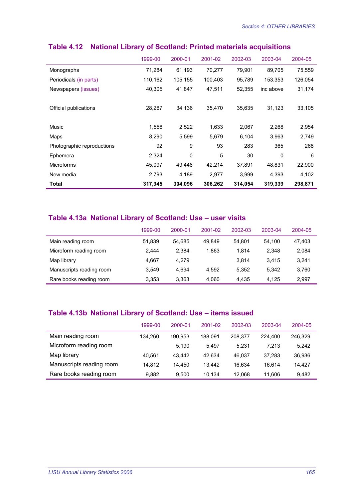|                            | 1999-00 | 2000-01     | 2001-02 | 2002-03 | 2003-04   | 2004-05 |
|----------------------------|---------|-------------|---------|---------|-----------|---------|
| Monographs                 | 71,284  | 61,193      | 70,277  | 79,901  | 89,705    | 75,559  |
| Periodicals (in parts)     | 110,162 | 105,155     | 100,403 | 95,789  | 153.353   | 126,054 |
| Newspapers (issues)        | 40,305  | 41,847      | 47,511  | 52,355  | inc above | 31,174  |
|                            |         |             |         |         |           |         |
| Official publications      | 28,267  | 34,136      | 35,470  | 35.635  | 31,123    | 33,105  |
|                            |         |             |         |         |           |         |
| Music                      | 1,556   | 2,522       | 1,633   | 2,067   | 2,268     | 2,954   |
| Maps                       | 8,290   | 5,599       | 5,679   | 6,104   | 3,963     | 2,749   |
| Photographic reproductions | 92      | 9           | 93      | 283     | 365       | 268     |
| Ephemera                   | 2,324   | $\mathbf 0$ | 5       | 30      | 0         | 6       |
| <b>Microforms</b>          | 45,097  | 49,446      | 42,214  | 37,891  | 48,831    | 22,900  |
| New media                  | 2,793   | 4,189       | 2,977   | 3,999   | 4,393     | 4,102   |
| Total                      | 317,945 | 304,096     | 306,262 | 314,054 | 319,339   | 298,871 |

### **Table 4.12 National Library of Scotland: Printed materials acquisitions**

#### **Table 4.13a National Library of Scotland: Use – user visits**

|                          | 1999-00 | 2000-01 | 2001-02 | 2002-03 | 2003-04 | 2004-05 |
|--------------------------|---------|---------|---------|---------|---------|---------|
| Main reading room        | 51.839  | 54.685  | 49.849  | 54.801  | 54.100  | 47.403  |
| Microform reading room   | 2.444   | 2.384   | 1,863   | 1.814   | 2.348   | 2,084   |
| Map library              | 4.667   | 4.279   |         | 3.814   | 3.415   | 3,241   |
| Manuscripts reading room | 3.549   | 4.694   | 4.592   | 5.352   | 5.342   | 3,760   |
| Rare books reading room  | 3.353   | 3,363   | 4.060   | 4.435   | 4.125   | 2,997   |

#### **Table 4.13b National Library of Scotland: Use – items issued**

|                          | 1999-00 | 2000-01 | 2001-02 | 2002-03 | 2003-04 | 2004-05 |
|--------------------------|---------|---------|---------|---------|---------|---------|
| Main reading room        | 134.260 | 190.953 | 188.091 | 208.377 | 224,400 | 246,329 |
| Microform reading room   |         | 5.190   | 5.497   | 5.231   | 7.213   | 5.242   |
| Map library              | 40.561  | 43.442  | 42.634  | 46.037  | 37.283  | 36,936  |
| Manuscripts reading room | 14.812  | 14.450  | 13.442  | 16.634  | 16.614  | 14.427  |
| Rare books reading room  | 9.882   | 9.500   | 10.134  | 12.068  | 11.606  | 9,482   |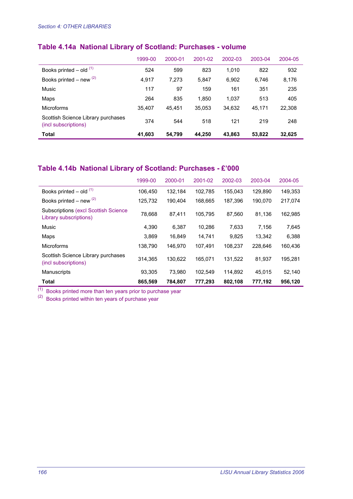# **Table 4.14a National Library of Scotland: Purchases - volume**

|                                                            | 1999-00 | 2000-01 | 2001-02 | 2002-03 | 2003-04 | $2004 - 05$ |
|------------------------------------------------------------|---------|---------|---------|---------|---------|-------------|
| Books printed $-$ old $(1)$                                | 524     | 599     | 823     | 1.010   | 822     | 932         |
| Books printed – new $(2)$                                  | 4.917   | 7.273   | 5.847   | 6,902   | 6,746   | 8,176       |
| Music                                                      | 117     | 97      | 159     | 161     | 351     | 235         |
| Maps                                                       | 264     | 835     | 1.850   | 1.037   | 513     | 405         |
| <b>Microforms</b>                                          | 35.407  | 45.451  | 35,053  | 34,632  | 45.171  | 22,308      |
| Scottish Science Library purchases<br>(incl subscriptions) | 374     | 544     | 518     | 121     | 219     | 248         |
| <b>Total</b>                                               | 41,603  | 54,799  | 44,250  | 43,863  | 53,822  | 32,625      |

# **Table 4.14b National Library of Scotland: Purchases - £'000**

|                                                                        | 1999-00 | 2000-01 | 2001-02 | 2002-03 | 2003-04 | 2004-05 |
|------------------------------------------------------------------------|---------|---------|---------|---------|---------|---------|
| Books printed $-$ old $(1)$                                            | 106.450 | 132.184 | 102,785 | 155.043 | 129.890 | 149.353 |
| Books printed – new $(2)$                                              | 125,732 | 190,404 | 168,665 | 187,396 | 190,070 | 217.074 |
| <b>Subscriptions (excl Scottish Science)</b><br>Library subscriptions) | 78,668  | 87.411  | 105.795 | 87.560  | 81.136  | 162,985 |
| Music                                                                  | 4.390   | 6.387   | 10.286  | 7,633   | 7.156   | 7,645   |
| Maps                                                                   | 3,869   | 16.849  | 14,741  | 9,825   | 13,342  | 6,388   |
| <b>Microforms</b>                                                      | 138,790 | 146.970 | 107.491 | 108.237 | 228.646 | 160,436 |
| Scottish Science Library purchases<br>(incl subscriptions)             | 314.365 | 130.622 | 165.071 | 131.522 | 81.937  | 195.281 |
| <b>Manuscripts</b>                                                     | 93,305  | 73.980  | 102.549 | 114.892 | 45.015  | 52,140  |
| <b>Total</b>                                                           | 865,569 | 784,807 | 777,293 | 802,108 | 777,192 | 956,120 |

 $<sup>(1)</sup>$  Books printed more than ten years prior to purchase year</sup>

 $(2)$  Books printed within ten years of purchase year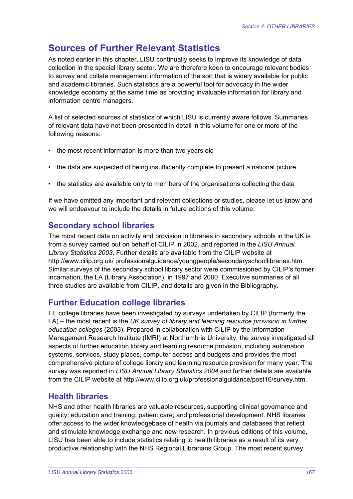# **Sources of Further Relevant Statistics**

As noted earlier in this chapter, LISU continually seeks to improve its knowledge of data collection in the special library sector. We are therefore keen to encourage relevant bodies to survey and collate management information of the sort that is widely available for public and academic libraries. Such statistics are a powerful tool for advocacy in the wider knowledge economy at the same time as providing invaluable information for library and information centre managers.

A list of selected sources of statistics of which LISU is currently aware follows. Summaries of relevant data have not been presented in detail in this volume for one or more of the following reasons:

- the most recent information is more than two years old
- the data are suspected of being insufficiently complete to present a national picture
- the statistics are available only to members of the organisations collecting the data

If we have omitted any important and relevant collections or studies, please let us know and we will endeavour to include the details in future editions of this volume.

# **Secondary school libraries**

The most recent data on activity and provision in libraries in secondary schools in the UK is from a survey carried out on behalf of CILIP in 2002, and reported in the *LISU Annual Library Statistics 2003*. Further details are available from the CILIP website at http://www.cilip.org.uk/ professionalguidance/youngpeople/secondaryschoollibraries.htm. Similar surveys of the secondary school library sector were commissioned by CILIP's former incarnation, the LA (Library Association), in 1997 and 2000. Executive summaries of all three studies are available from CILIP, and details are given in the Bibliography.

# **Further Education college libraries**

FE college libraries have been investigated by surveys undertaken by CILIP (formerly the LA) – the most recent is the *UK survey of library and learning resource provision in further education colleges* (2003). Prepared in collaboration with CILIP by the Information Management Research Institute (IMRI) at Northumbria University, the survey investigated all aspects of further education library and learning resource provision, including automation systems, services, study places, computer access and budgets and provides the most comprehensive picture of college library and learning resource provision for many year. The survey was reported in *LISU Annual Library Statistics 2004* and further details are available from the CILIP website at http://www.cilip.org.uk/professionalguidance/post16/survey.htm.

# **Health libraries**

NHS and other health libraries are valuable resources, supporting clinical governance and quality; education and training; patient care; and professional development. NHS libraries offer access to the wider knowledgebase of health via journals and databases that reflect and stimulate knowledge exchange and new research. In previous editions of this volume, LISU has been able to include statistics relating to health libraries as a result of its very productive relationship with the NHS Regional Librarians Group. The most recent survey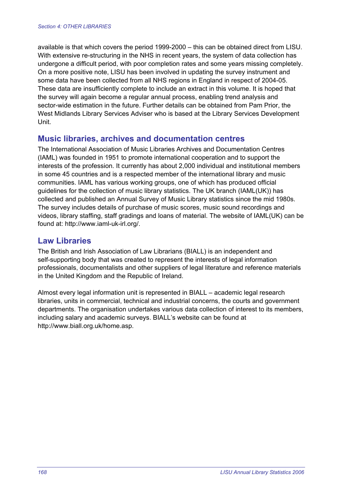available is that which covers the period 1999-2000 – this can be obtained direct from LISU. With extensive re-structuring in the NHS in recent years, the system of data collection has undergone a difficult period, with poor completion rates and some years missing completely. On a more positive note, LISU has been involved in updating the survey instrument and some data have been collected from all NHS regions in England in respect of 2004-05. These data are insufficiently complete to include an extract in this volume. It is hoped that the survey will again become a regular annual process, enabling trend analysis and sector-wide estimation in the future. Further details can be obtained from Pam Prior, the West Midlands Library Services Adviser who is based at the Library Services Development Unit.

#### **Music libraries, archives and documentation centres**

The International Association of Music Libraries Archives and Documentation Centres (IAML) was founded in 1951 to promote international cooperation and to support the interests of the profession. It currently has about 2,000 individual and institutional members in some 45 countries and is a respected member of the international library and music communities. IAML has various working groups, one of which has produced official guidelines for the collection of music library statistics. The UK branch (IAML(UK)) has collected and published an Annual Survey of Music Library statistics since the mid 1980s. The survey includes details of purchase of music scores, music sound recordings and videos, library staffing, staff gradings and loans of material. The website of IAML(UK) can be found at: http://www.iaml-uk-irl.org/.

#### **Law Libraries**

The British and Irish Association of Law Librarians (BIALL) is an independent and self-supporting body that was created to represent the interests of legal information professionals, documentalists and other suppliers of legal literature and reference materials in the United Kingdom and the Republic of Ireland.

Almost every legal information unit is represented in BIALL – academic legal research libraries, units in commercial, technical and industrial concerns, the courts and government departments. The organisation undertakes various data collection of interest to its members, including salary and academic surveys. BIALL's website can be found at http://www.biall.org.uk/home.asp.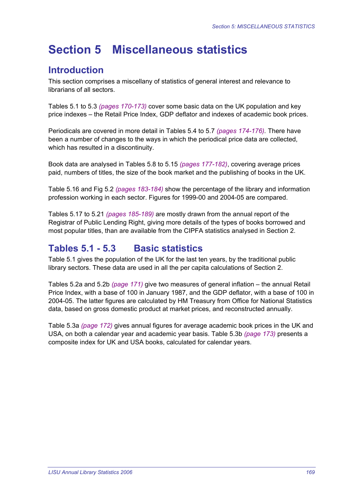# **Section 5 Miscellaneous statistics**

# **Introduction**

This section comprises a miscellany of statistics of general interest and relevance to librarians of all sectors.

Tables 5.1 to 5.3 *(pages 170-173)* cover some basic data on the UK population and key price indexes – the Retail Price Index, GDP deflator and indexes of academic book prices.

Periodicals are covered in more detail in Tables 5.4 to 5.7 *(pages 174-176).* There have been a number of changes to the ways in which the periodical price data are collected, which has resulted in a discontinuity.

Book data are analysed in Tables 5.8 to 5.15 *(pages 177-182)*, covering average prices paid, numbers of titles, the size of the book market and the publishing of books in the UK.

Table 5.16 and Fig 5.2 *(pages 183-184)* show the percentage of the library and information profession working in each sector. Figures for 1999-00 and 2004-05 are compared.

Tables 5.17 to 5.21 *(pages 185-189)* are mostly drawn from the annual report of the Registrar of Public Lending Right, giving more details of the types of books borrowed and most popular titles, than are available from the CIPFA statistics analysed in Section 2.

# **Tables 5.1 - 5.3 Basic statistics**

Table 5.1 gives the population of the UK for the last ten years, by the traditional public library sectors. These data are used in all the per capita calculations of Section 2.

Tables 5.2a and 5.2b *(page 171)* give two measures of general inflation – the annual Retail Price Index, with a base of 100 in January 1987, and the GDP deflator, with a base of 100 in 2004-05. The latter figures are calculated by HM Treasury from Office for National Statistics data, based on gross domestic product at market prices, and reconstructed annually.

Table 5.3a *(page 172)* gives annual figures for average academic book prices in the UK and USA, on both a calendar year and academic year basis. Table 5.3b *(page 173)* presents a composite index for UK and USA books, calculated for calendar years.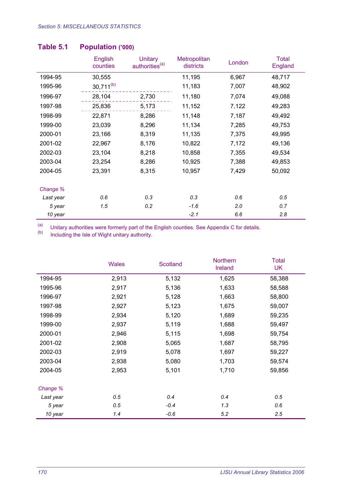|           | <b>English</b><br>counties | <b>Unitary</b><br>authorities <sup>(a)</sup> | Metropolitan<br>districts | London | <b>Total</b><br>England |
|-----------|----------------------------|----------------------------------------------|---------------------------|--------|-------------------------|
| 1994-95   | 30,555                     |                                              | 11,195                    | 6,967  | 48,717                  |
| 1995-96   | $30,711^{(b)}$             |                                              | 11,183                    | 7,007  | 48,902                  |
| 1996-97   | 28,104                     | 2,730                                        | 11,180                    | 7,074  | 49,088                  |
| 1997-98   | 25,836                     | 5,173                                        | 11,152                    | 7,122  | 49,283                  |
| 1998-99   | 22,871                     | 8,286                                        | 11,148                    | 7,187  | 49,492                  |
| 1999-00   | 23,039                     | 8,296                                        | 11,134                    | 7,285  | 49,753                  |
| 2000-01   | 23,166                     | 8,319                                        | 11,135                    | 7,375  | 49,995                  |
| 2001-02   | 22,967                     | 8,176                                        | 10,822                    | 7,172  | 49,136                  |
| 2002-03   | 23,104                     | 8,218                                        | 10,858                    | 7,355  | 49,534                  |
| 2003-04   | 23,254                     | 8,286                                        | 10,925                    | 7,388  | 49,853                  |
| 2004-05   | 23,391                     | 8,315                                        | 10,957                    | 7,429  | 50,092                  |
|           |                            |                                              |                           |        |                         |
| Change %  |                            |                                              |                           |        |                         |
| Last year | 0.6                        | 0.3                                          | 0.3                       | 0.6    | 0.5                     |
| 5 year    | 1.5                        | 0.2                                          | $-1.6$                    | 2.0    | 0.7                     |
| 10 year   |                            |                                              | $-2.1$                    | 6.6    | 2.8                     |

#### **Table 5.1 Population ('000)**

(a) Unitary authorities were formerly part of the English counties. See Appendix C for details.<br>(b) lineluding the lele of Wight unitary authority.

Including the Isle of Wight unitary authority.

|           | <b>Wales</b> | Scotland | <b>Northern</b><br>Ireland | <b>Total</b><br><b>UK</b> |
|-----------|--------------|----------|----------------------------|---------------------------|
| 1994-95   | 2,913        | 5,132    | 1,625                      | 58,388                    |
| 1995-96   | 2,917        | 5,136    | 1,633                      | 58,588                    |
| 1996-97   | 2,921        | 5,128    | 1,663                      | 58,800                    |
| 1997-98   | 2,927        | 5,123    | 1,675                      | 59,007                    |
| 1998-99   | 2,934        | 5,120    | 1,689                      | 59,235                    |
| 1999-00   | 2,937        | 5,119    | 1,688                      | 59,497                    |
| 2000-01   | 2,946        | 5,115    | 1,698                      | 59,754                    |
| 2001-02   | 2,908        | 5,065    | 1,687                      | 58,795                    |
| 2002-03   | 2,919        | 5,078    | 1,697                      | 59,227                    |
| 2003-04   | 2,938        | 5,080    | 1,703                      | 59,574                    |
| 2004-05   | 2,953        | 5,101    | 1,710                      | 59,856                    |
| Change %  |              |          |                            |                           |
| Last year | 0.5          | 0.4      | 0.4                        | 0.5                       |
| 5 year    | 0.5          | $-0.4$   | 1.3                        | 0.6                       |
| 10 year   | 1.4          | $-0.6$   | 5.2                        | 2.5                       |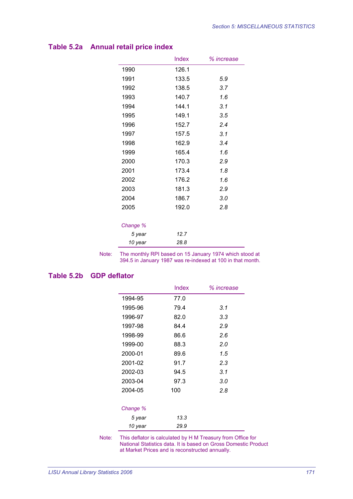|          | <b>Index</b> | % increase |
|----------|--------------|------------|
| 1990     | 126.1        |            |
| 1991     | 133.5        | 5.9        |
| 1992     | 138.5        | 3.7        |
| 1993     | 140.7        | 1.6        |
| 1994     | 144.1        | 3.1        |
| 1995     | 149.1        | 3.5        |
| 1996     | 152.7        | 2.4        |
| 1997     | 157.5        | 3.1        |
| 1998     | 162.9        | 3.4        |
| 1999     | 165.4        | 1.6        |
| 2000     | 170.3        | 2.9        |
| 2001     | 173.4        | 1.8        |
| 2002     | 176.2        | 1.6        |
| 2003     | 181.3        | 2.9        |
| 2004     | 186.7        | 3.0        |
| 2005     | 192.0        | 2.8        |
| Change % |              |            |
| 5 year   | 12.7         |            |
| 10 year  | 28.8         |            |

### **Table 5.2a Annual retail price index**

Note: The monthly RPI based on 15 January 1974 which stood at 394.5 in January 1987 was re-indexed at 100 in that month.

#### **Table 5.2b GDP deflator**

|          | Index | % increase |
|----------|-------|------------|
| 1994-95  | 77.0  |            |
| 1995-96  | 79.4  | 3.1        |
| 1996-97  | 82.0  | 3.3        |
| 1997-98  | 84.4  | 2.9        |
| 1998-99  | 86.6  | 2.6        |
| 1999-00  | 88.3  | 2.0        |
| 2000-01  | 89.6  | 1.5        |
| 2001-02  | 91.7  | 2.3        |
| 2002-03  | 94.5  | 3.1        |
| 2003-04  | 97.3  | 3.0        |
| 2004-05  | 100   | 2.8        |
| Change % |       |            |
| 5 year   | 13.3  |            |
| 10 year  | 29.9  |            |

Note: This deflator is calculated by H M Treasury from Office for National Statistics data. It is based on Gross Domestic Product at Market Prices and is reconstructed annually.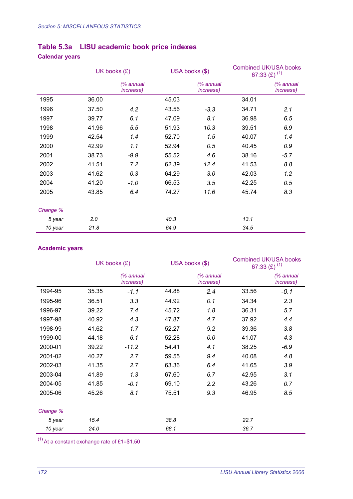## **Table 5.3a LISU academic book price indexes**

### **Calendar years**

|          | UK books $(E)$ |                                |       | USA books (\$)                 |       | <b>Combined UK/USA books</b><br>67:33 (£) $(1)$ |  |
|----------|----------------|--------------------------------|-------|--------------------------------|-------|-------------------------------------------------|--|
|          |                | (% annual<br><i>increase</i> ) |       | (% annual<br><i>increase</i> ) |       | $%$ annual<br><i>increase</i> )                 |  |
| 1995     | 36.00          |                                | 45.03 |                                | 34.01 |                                                 |  |
| 1996     | 37.50          | 4.2                            | 43.56 | $-3.3$                         | 34.71 | 2.1                                             |  |
| 1997     | 39.77          | 6.1                            | 47.09 | 8.1                            | 36.98 | 6.5                                             |  |
| 1998     | 41.96          | 5.5                            | 51.93 | 10.3                           | 39.51 | 6.9                                             |  |
| 1999     | 42.54          | 1.4                            | 52.70 | 1.5                            | 40.07 | 1.4                                             |  |
| 2000     | 42.99          | 1.1                            | 52.94 | 0.5                            | 40.45 | 0.9                                             |  |
| 2001     | 38.73          | $-9.9$                         | 55.52 | 4.6                            | 38.16 | $-5.7$                                          |  |
| 2002     | 41.51          | 7.2                            | 62.39 | 12.4                           | 41.53 | 8.8                                             |  |
| 2003     | 41.62          | 0.3                            | 64.29 | 3.0                            | 42.03 | 1.2                                             |  |
| 2004     | 41.20          | $-1.0$                         | 66.53 | 3.5                            | 42.25 | 0.5                                             |  |
| 2005     | 43.85          | 6.4                            | 74.27 | 11.6                           | 45.74 | 8.3                                             |  |
| Change % |                |                                |       |                                |       |                                                 |  |
| 5 year   | 2.0            |                                | 40.3  |                                | 13.1  |                                                 |  |
| 10 year  | 21.8           |                                | 64.9  |                                | 34.5  |                                                 |  |

#### **Academic years**

|          | UK books $(E)$ |                                 |       | USA books (\$)                 | <b>Combined UK/USA books</b><br>67:33 (£) $(1)$ |                                |
|----------|----------------|---------------------------------|-------|--------------------------------|-------------------------------------------------|--------------------------------|
|          |                | $%$ annual<br><i>increase</i> ) |       | (% annual<br><i>increase</i> ) |                                                 | (% annual<br><i>increase</i> ) |
| 1994-95  | 35.35          | $-1.1$                          | 44.88 | 2.4                            | 33.56                                           | $-0.1$                         |
| 1995-96  | 36.51          | 3.3                             | 44.92 | 0.1                            | 34.34                                           | 2.3                            |
| 1996-97  | 39.22          | 7.4                             | 45.72 | 1.8                            | 36.31                                           | 5.7                            |
| 1997-98  | 40.92          | 4.3                             | 47.87 | 4.7                            | 37.92                                           | 4.4                            |
| 1998-99  | 41.62          | 1.7                             | 52.27 | 9.2                            | 39.36                                           | 3.8                            |
| 1999-00  | 44.18          | 6.1                             | 52.28 | 0.0                            | 41.07                                           | 4.3                            |
| 2000-01  | 39.22          | $-11.2$                         | 54.41 | 4.1                            | 38.25                                           | $-6.9$                         |
| 2001-02  | 40.27          | 2.7                             | 59.55 | 9.4                            | 40.08                                           | 4.8                            |
| 2002-03  | 41.35          | 2.7                             | 63.36 | 6.4                            | 41.65                                           | 3.9                            |
| 2003-04  | 41.89          | 1.3                             | 67.60 | 6.7                            | 42.95                                           | 3.1                            |
| 2004-05  | 41.85          | $-0.1$                          | 69.10 | 2.2                            | 43.26                                           | 0.7                            |
| 2005-06  | 45.26          | 8.1                             | 75.51 | 9.3                            | 46.95                                           | 8.5                            |
| Change % |                |                                 |       |                                |                                                 |                                |
| 5 year   | 15.4           |                                 | 38.8  |                                | 22.7                                            |                                |
| 10 year  | 24.0           |                                 | 68.1  |                                | 36.7                                            |                                |

 $(1)$  At a constant exchange rate of £1=\$1.50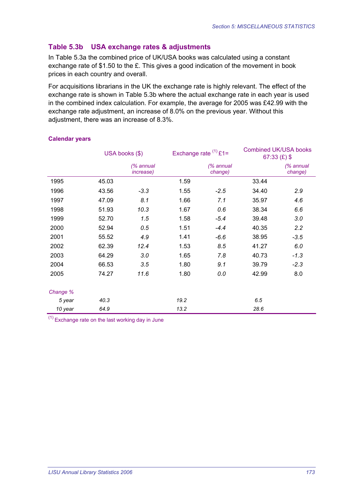#### **Table 5.3b USA exchange rates & adjustments**

In Table 5.3a the combined price of UK/USA books was calculated using a constant exchange rate of \$1.50 to the £. This gives a good indication of the movement in book prices in each country and overall.

For acquisitions librarians in the UK the exchange rate is highly relevant. The effect of the exchange rate is shown in Table 5.3b where the actual exchange rate in each year is used in the combined index calculation. For example, the average for 2005 was £42.99 with the exchange rate adjustment, an increase of 8.0% on the previous year. Without this adjustment, there was an increase of 8.3%.

|          | USA books (\$) |                                |      | Exchange rate $(1)$ £1= |       | <b>Combined UK/USA books</b><br>67:33 $(E)$ \$ |
|----------|----------------|--------------------------------|------|-------------------------|-------|------------------------------------------------|
|          |                | (% annual<br><i>increase</i> ) |      | $%$ annual<br>change)   |       | (% annual<br>change)                           |
| 1995     | 45.03          |                                | 1.59 |                         | 33.44 |                                                |
| 1996     | 43.56          | $-3.3$                         | 1.55 | $-2.5$                  | 34.40 | 2.9                                            |
| 1997     | 47.09          | 8.1                            | 1.66 | 7.1                     | 35.97 | 4.6                                            |
| 1998     | 51.93          | 10.3                           | 1.67 | 0.6                     | 38.34 | 6.6                                            |
| 1999     | 52.70          | 1.5                            | 1.58 | $-5.4$                  | 39.48 | 3.0                                            |
| 2000     | 52.94          | 0.5                            | 1.51 | $-4.4$                  | 40.35 | 2.2                                            |
| 2001     | 55.52          | 4.9                            | 1.41 | $-6.6$                  | 38.95 | $-3.5$                                         |
| 2002     | 62.39          | 12.4                           | 1.53 | 8.5                     | 41.27 | 6.0                                            |
| 2003     | 64.29          | 3.0                            | 1.65 | 7.8                     | 40.73 | $-1.3$                                         |
| 2004     | 66.53          | 3.5                            | 1.80 | 9.1                     | 39.79 | $-2.3$                                         |
| 2005     | 74.27          | 11.6                           | 1.80 | 0.0                     | 42.99 | 8.0                                            |
| Change % |                |                                |      |                         |       |                                                |
| 5 year   | 40.3           |                                | 19.2 |                         | 6.5   |                                                |
| 10 year  | 64.9           |                                | 13.2 |                         | 28.6  |                                                |

#### **Calendar years**

 $(1)$  Exchange rate on the last working day in June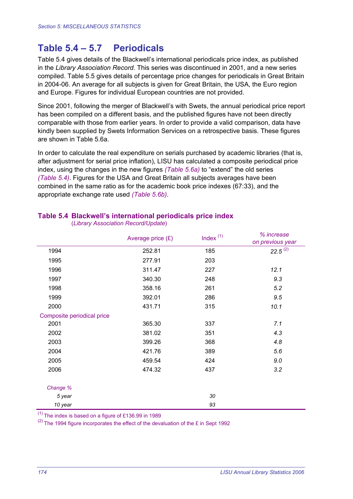## **Table 5.4 – 5.7 Periodicals**

Table 5.4 gives details of the Blackwell's international periodicals price index, as published in the *Library Association Record*. This series was discontinued in 2001, and a new series compiled. Table 5.5 gives details of percentage price changes for periodicals in Great Britain in 2004-06. An average for all subjects is given for Great Britain, the USA, the Euro region and Europe. Figures for individual European countries are not provided.

Since 2001, following the merger of Blackwell's with Swets, the annual periodical price report has been compiled on a different basis, and the published figures have not been directly comparable with those from earlier years. In order to provide a valid comparison, data have kindly been supplied by Swets Information Services on a retrospective basis. These figures are shown in Table 5.6a.

In order to calculate the real expenditure on serials purchased by academic libraries (that is, after adjustment for serial price inflation), LISU has calculated a composite periodical price index, using the changes in the new figures *(Table 5.6a)* to "extend" the old series *(Table 5.4)*. Figures for the USA and Great Britain all subjects averages have been combined in the same ratio as for the academic book price indexes (67:33), and the appropriate exchange rate used *(Table 5.6b)*.

|                            | Average price $(E)$ | Index $(1)$ | % increase<br>on previous year |
|----------------------------|---------------------|-------------|--------------------------------|
| 1994                       | 252.81              | 185         | $22.5^{(2)}$                   |
| 1995                       | 277.91              | 203         |                                |
| 1996                       | 311.47              | 227         | 12.1                           |
| 1997                       | 340.30              | 248         | 9.3                            |
| 1998                       | 358.16              | 261         | 5.2                            |
| 1999                       | 392.01              | 286         | 9.5                            |
| 2000                       | 431.71              | 315         | 10.1                           |
| Composite periodical price |                     |             |                                |
| 2001                       | 365.30              | 337         | 7.1                            |
| 2002                       | 381.02              | 351         | 4.3                            |
| 2003                       | 399.26              | 368         | 4.8                            |
| 2004                       | 421.76              | 389         | 5.6                            |
| 2005                       | 459.54              | 424         | 9.0                            |
| 2006                       | 474.32              | 437         | 3.2                            |
| Change %                   |                     |             |                                |
| 5 year                     |                     | 30          |                                |
| 10 year                    |                     | 93          |                                |

#### **Table 5.4 Blackwell's international periodicals price index**

(*Library Association Record/Update*)

 $(1)$  The index is based on a figure of £136.99 in 1989

 $(2)$  The 1994 figure incorporates the effect of the devaluation of the £ in Sept 1992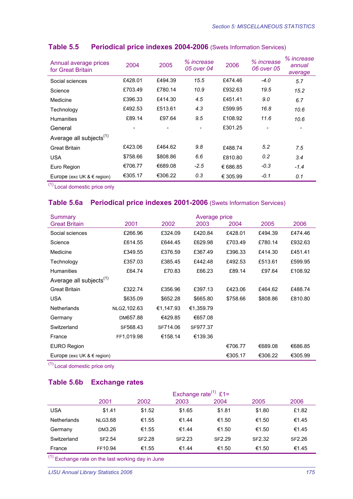| Annual average prices<br>for Great Britain | 2004     | 2005     | % increase<br>05 over 04 | 2006     | % increase<br>06 over 05 | % increase<br>annual<br>average |
|--------------------------------------------|----------|----------|--------------------------|----------|--------------------------|---------------------------------|
| Social sciences                            | £428.01  | £494.39  | 15.5                     | £474.46  | $-4.0$                   | 5.7                             |
| Science                                    | £703.49  | £780.14  | 10.9                     | £932.63  | 19.5                     | 15.2                            |
| Medicine                                   | £396.33  | £414.30  | 4.5                      | £451.41  | 9.0                      | 6.7                             |
| Technology                                 | £492.53  | £513.61  | 4.3                      | £599.95  | 16.8                     | 10.6                            |
| <b>Humanities</b>                          | £89.14   | £97.64   | 9.5                      | £108.92  | 11.6                     | 10.6                            |
| General                                    |          |          |                          | £301.25  |                          |                                 |
| Average all subjects <sup>(1)</sup>        |          |          |                          |          |                          |                                 |
| <b>Great Britain</b>                       | £423.06  | £464.62  | 9.8                      | £488.74  | 5.2                      | 7.5                             |
| <b>USA</b>                                 | \$758.66 | \$808.86 | 6.6                      | £810.80  | 0.2                      | 3.4                             |
| Euro Region                                | €706.77  | €689.08  | $-2.5$                   | € 686.85 | $-0.3$                   | $-1.4$                          |
| Europe (exc UK $& \in$ region)             | €305.17  | €306.22  | 0.3                      | € 305.99 | $-0.1$                   | 0.1                             |

#### **Table 5.5 Periodical price indexes 2004-2006** (Swets Information Services)

(1) Local domestic price only

#### **Table 5.6a Periodical price indexes 2001-2006** (Swets Information Services)

| Summary                             | Average price |           |           |          |          |         |
|-------------------------------------|---------------|-----------|-----------|----------|----------|---------|
| <b>Great Britain</b>                | 2001          | 2002      | 2003      | 2004     | 2005     | 2006    |
| Social sciences                     | £266.96       | £324.09   | £420.84   | £428.01  | £494.39  | £474.46 |
| Science                             | £614.55       | £644.45   | £629.98   | £703.49  | £780.14  | £932.63 |
| Medicine                            | £349.55       | £376.59   | £367.49   | £396.33  | £414.30  | £451.41 |
| Technology                          | £357.03       | £385.45   | £442.48   | £492.53  | £513.61  | £599.95 |
| <b>Humanities</b>                   | £64.74        | £70.83    | £66.23    | £89.14   | £97.64   | £108.92 |
| Average all subjects <sup>(1)</sup> |               |           |           |          |          |         |
| <b>Great Britain</b>                | £322.74       | £356.96   | £397.13   | £423.06  | £464.62  | £488.74 |
| <b>USA</b>                          | \$635.09      | \$652.28  | \$665.80  | \$758.66 | \$808.86 | £810.80 |
| <b>Netherlands</b>                  | NLG2,102.63   | €1,147.93 | €1,359.79 |          |          |         |
| Germany                             | DM657.88      | €429.85   | €657.08   |          |          |         |
| Switzerland                         | SF568.43      | SF714.06  | SF977.37  |          |          |         |
| France                              | FF1,019.98    | €158.14   | €139.36   |          |          |         |
| <b>EURO Region</b>                  |               |           |           | €706.77  | €689.08  | €686.85 |
| Europe (exc UK $\&$ $\in$ region)   |               |           |           | €305.17  | €306.22  | €305.99 |

(1) Local domestic price only

#### **Table 5.6b Exchange rates**

|                    | Exchange rate <sup>(1)</sup> £1= |               |        |               |        |        |
|--------------------|----------------------------------|---------------|--------|---------------|--------|--------|
|                    | 2001                             | 2002          | 2003   | 2004          | 2005   | 2006   |
| <b>USA</b>         | \$1.41                           | \$1.52        | \$1.65 | \$1.81        | \$1.80 | £1.82  |
| <b>Netherlands</b> | <b>NLG3.68</b>                   | €1.55         | €1.44  | €1.50         | €1.50  | €1.45  |
| Germany            | DM3.26                           | €1.55         | €1.44  | €1.50         | €1.50  | €1.45  |
| Switzerland        | SF2.54                           | <b>SF2.28</b> | SF2.23 | <b>SF2.29</b> | SF2.32 | SF2.26 |
| France             | FF10.94                          | €1.55         | €1.44  | €1.50         | €1.50  | €1.45  |
| $\sqrt{4}$         |                                  |               |        |               |        |        |

 $(1)$  Exchange rate on the last working day in June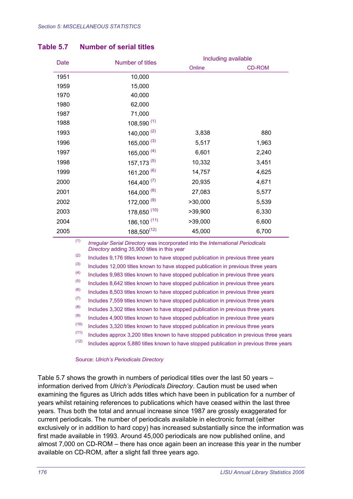#### **Table 5.7 Number of serial titles**

| Date | Number of titles |         | Including available |  |  |  |
|------|------------------|---------|---------------------|--|--|--|
|      |                  | Online  | <b>CD-ROM</b>       |  |  |  |
| 1951 | 10,000           |         |                     |  |  |  |
| 1959 | 15,000           |         |                     |  |  |  |
| 1970 | 40,000           |         |                     |  |  |  |
| 1980 | 62,000           |         |                     |  |  |  |
| 1987 | 71,000           |         |                     |  |  |  |
| 1988 | $108,590^{(1)}$  |         |                     |  |  |  |
| 1993 | $140,000^{(2)}$  | 3,838   | 880                 |  |  |  |
| 1996 | 165,000 $(3)$    | 5,517   | 1,963               |  |  |  |
| 1997 | $165,000^{(4)}$  | 6,601   | 2,240               |  |  |  |
| 1998 | $157, 173^{(5)}$ | 10,332  | 3,451               |  |  |  |
| 1999 | 161,200 (6)      | 14,757  | 4,625               |  |  |  |
| 2000 | $164,400^{ (7)}$ | 20,935  | 4,671               |  |  |  |
| 2001 | 164,000 (8)      | 27,083  | 5,577               |  |  |  |
| 2002 | 172,000 (9)      | >30,000 | 5,539               |  |  |  |
| 2003 | 178,650 (10)     | >39,900 | 6,330               |  |  |  |
| 2004 | 186,100 (11)     | >39,000 | 6,600               |  |  |  |
| 2005 | $188,500^{(12)}$ | 45,000  | 6,700               |  |  |  |

(1) *Irregular Serial Directory* was incorporated into the *International Periodicals Directory* adding 35,900 titles in this year

 $(2)$  Includes 9,176 titles known to have stopped publication in previous three years

 $(3)$  Includes 12,000 titles known to have stopped publication in previous three years

(4) Includes 9,983 titles known to have stopped publication in previous three years

 $(5)$  Includes 8,642 titles known to have stopped publication in previous three years

 $(6)$  Includes 8,503 titles known to have stopped publication in previous three years

 $(7)$  Includes 7,559 titles known to have stopped publication in previous three years

 $(8)$  Includes 3,302 titles known to have stopped publication in previous three years

 $(9)$  Includes 4,900 titles known to have stopped publication in previous three years

 $(10)$  Includes 3,320 titles known to have stopped publication in previous three years

 $(11)$  Includes approx 3,200 titles known to have stopped publication in previous three years

 $(12)$  Includes approx 5,880 titles known to have stopped publication in previous three years

#### Source: *Ulrich's Periodicals Directory*

Table 5.7 shows the growth in numbers of periodical titles over the last 50 years – information derived from *Ulrich's Periodicals Directory*. Caution must be used when examining the figures as Ulrich adds titles which have been in publication for a number of years whilst retaining references to publications which have ceased within the last three years. Thus both the total and annual increase since 1987 are grossly exaggerated for current periodicals. The number of periodicals available in electronic format (either exclusively or in addition to hard copy) has increased substantially since the information was first made available in 1993. Around 45,000 periodicals are now published online, and almost 7,000 on CD-ROM – there has once again been an increase this year in the number available on CD-ROM, after a slight fall three years ago.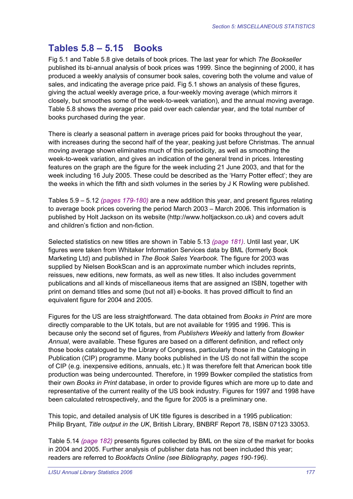## **Tables 5.8 – 5.15 Books**

Fig 5.1 and Table 5.8 give details of book prices. The last year for which *The Bookseller* published its bi-annual analysis of book prices was 1999. Since the beginning of 2000, it has produced a weekly analysis of consumer book sales, covering both the volume and value of sales, and indicating the average price paid. Fig 5.1 shows an analysis of these figures, giving the actual weekly average price, a four-weekly moving average (which mirrors it closely, but smoothes some of the week-to-week variation), and the annual moving average. Table 5.8 shows the average price paid over each calendar year, and the total number of books purchased during the year.

There is clearly a seasonal pattern in average prices paid for books throughout the year, with increases during the second half of the year, peaking just before Christmas. The annual moving average shown eliminates much of this periodicity, as well as smoothing the week-to-week variation, and gives an indication of the general trend in prices. Interesting features on the graph are the figure for the week including 21 June 2003, and that for the week including 16 July 2005. These could be described as the 'Harry Potter effect'; they are the weeks in which the fifth and sixth volumes in the series by J K Rowling were published.

Tables 5.9 – 5.12 *(pages 179-180)* are a new addition this year, and present figures relating to average book prices covering the period March 2003 – March 2006. This information is published by Holt Jackson on its website (http://www.holtjackson.co.uk) and covers adult and children's fiction and non-fiction.

Selected statistics on new titles are shown in Table 5.13 *(page 181)*. Until last year, UK figures were taken from Whitaker Information Services data by BML (formerly Book Marketing Ltd) and published in *The Book Sales Yearbook.* The figure for 2003 was supplied by Nielsen BookScan and is an approximate number which includes reprints, reissues, new editions, new formats, as well as new titles. It also includes government publications and all kinds of miscellaneous items that are assigned an ISBN, together with print on demand titles and some (but not all) e-books. It has proved difficult to find an equivalent figure for 2004 and 2005.

Figures for the US are less straightforward. The data obtained from *Books in Print* are more directly comparable to the UK totals, but are not available for 1995 and 1996. This is because only the second set of figures, from *Publishers Weekly* and latterly from *Bowker Annual*, were available. These figures are based on a different definition, and reflect only those books catalogued by the Library of Congress, particularly those in the Cataloging in Publication (CIP) programme. Many books published in the US do not fall within the scope of CIP (e.g. inexpensive editions, annuals, etc.) It was therefore felt that American book title production was being undercounted. Therefore, in 1999 Bowker compiled the statistics from their own *Books in Print* database, in order to provide figures which are more up to date and representative of the current reality of the US book industry. Figures for 1997 and 1998 have been calculated retrospectively, and the figure for 2005 is a preliminary one.

This topic, and detailed analysis of UK title figures is described in a 1995 publication: Philip Bryant, *Title output in the UK*, British Library, BNBRF Report 78, ISBN 07123 33053.

Table 5.14 *(page 182)* presents figures collected by BML on the size of the market for books in 2004 and 2005. Further analysis of publisher data has not been included this year; readers are referred to *Bookfacts Online (see Bibliography, pages 190-196)*.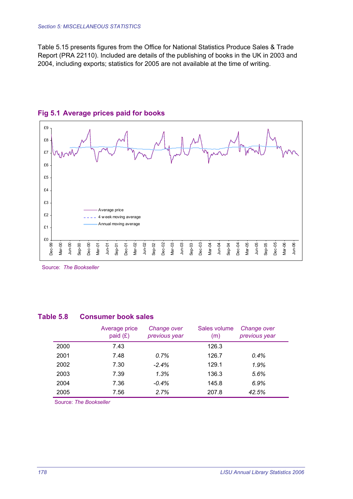Table 5.15 presents figures from the Office for National Statistics Produce Sales & Trade Report (PRA 22110). Included are details of the publishing of books in the UK in 2003 and 2004, including exports; statistics for 2005 are not available at the time of writing.



#### **Fig 5.1 Average prices paid for books**

Source: *The Bookseller* 

#### **Table 5.8 Consumer book sales**

|      | Average price<br>paid $(E)$ | Change over<br>previous year | Sales volume<br>(m) | Change over<br>previous year |
|------|-----------------------------|------------------------------|---------------------|------------------------------|
| 2000 | 7.43                        |                              | 126.3               |                              |
| 2001 | 7.48                        | 0.7%                         | 126.7               | $0.4\%$                      |
| 2002 | 7.30                        | $-2.4%$                      | 129.1               | 1.9%                         |
| 2003 | 7.39                        | 1.3%                         | 136.3               | 5.6%                         |
| 2004 | 7.36                        | $-0.4\%$                     | 145.8               | 6.9%                         |
| 2005 | 7.56                        | 2.7%                         | 207.8               | 42.5%                        |

Source: *The Bookseller*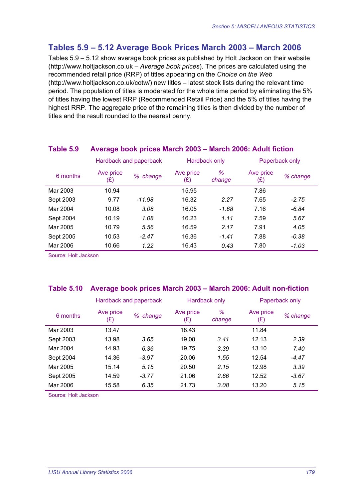### **Tables 5.9 – 5.12 Average Book Prices March 2003 – March 2006**

Tables 5.9 – 5.12 show average book prices as published by Holt Jackson on their website (http://www.holtjackson.co.uk – *Average book prices*). The prices are calculated using the recommended retail price (RRP) of titles appearing on the *Choice on the Web* (http://www.holtjackson.co.uk/cotw/) new titles – latest stock lists during the relevant time period. The population of titles is moderated for the whole time period by eliminating the 5% of titles having the lowest RRP (Recommended Retail Price) and the 5% of titles having the highest RRP. The aggregate price of the remaining titles is then divided by the number of titles and the result rounded to the nearest penny.

|           | ີ<br>Hardback and paperback |          |                          | Hardback only |                  | Paperback only |
|-----------|-----------------------------|----------|--------------------------|---------------|------------------|----------------|
| 6 months  | Ave price<br>(£)            | % change | Ave price<br>$(\pounds)$ | %<br>change   | Ave price<br>(E) | % change       |
| Mar 2003  | 10.94                       |          | 15.95                    |               | 7.86             |                |
| Sept 2003 | 9.77                        | $-11.98$ | 16.32                    | 2.27          | 7.65             | $-2.75$        |
| Mar 2004  | 10.08                       | 3.08     | 16.05                    | $-1.68$       | 7.16             | $-6.84$        |
| Sept 2004 | 10.19                       | 1.08     | 16.23                    | 1.11          | 7.59             | 5.67           |
| Mar 2005  | 10.79                       | 5.56     | 16.59                    | 2.17          | 7.91             | 4.05           |
| Sept 2005 | 10.53                       | $-2.47$  | 16.36                    | $-1.41$       | 7.88             | -0.38          |
| Mar 2006  | 10.66                       | 1.22     | 16.43                    | 0.43          | 7.80             | -1.03          |

#### **Table 5.9 Average book prices March 2003 – March 2006: Adult fiction**

Source: Holt Jackson

#### **Table 5.10 Average book prices March 2003 – March 2006: Adult non-fiction**

|           | Hardback and paperback |          | Hardback only    |                | Paperback only   |          |
|-----------|------------------------|----------|------------------|----------------|------------------|----------|
| 6 months  | Ave price<br>(£)       | % change | Ave price<br>(E) | $\%$<br>change | Ave price<br>(E) | % change |
| Mar 2003  | 13.47                  |          | 18.43            |                | 11.84            |          |
| Sept 2003 | 13.98                  | 3.65     | 19.08            | 3.41           | 12.13            | 2.39     |
| Mar 2004  | 14.93                  | 6.36     | 19.75            | 3.39           | 13.10            | 7.40     |
| Sept 2004 | 14.36                  | $-3.97$  | 20.06            | 1.55           | 12.54            | $-4.47$  |
| Mar 2005  | 15.14                  | 5.15     | 20.50            | 2.15           | 12.98            | 3.39     |
| Sept 2005 | 14.59                  | $-3.77$  | 21.06            | 2.66           | 12.52            | $-3.67$  |
| Mar 2006  | 15.58                  | 6.35     | 21.73            | 3.08           | 13.20            | 5.15     |

Source: Holt Jackson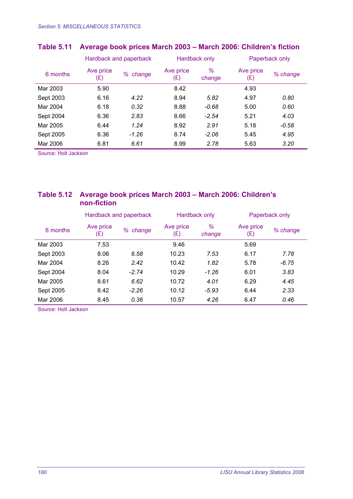|           | Hardback and paperback   |          | Hardback only    |             | Paperback only   |          |
|-----------|--------------------------|----------|------------------|-------------|------------------|----------|
| 6 months  | Ave price<br>$(\pounds)$ | % change | Ave price<br>(E) | ℅<br>change | Ave price<br>(E) | % change |
| Mar 2003  | 5.90                     |          | 8.42             |             | 4.93             |          |
| Sept 2003 | 6.16                     | 4.22     | 8.94             | 5.82        | 4.97             | 0.80     |
| Mar 2004  | 6.18                     | 0.32     | 8.88             | $-0.68$     | 5.00             | 0.60     |
| Sept 2004 | 6.36                     | 2.83     | 8.66             | $-2.54$     | 5.21             | 4.03     |
| Mar 2005  | 6.44                     | 1.24     | 8.92             | 2.91        | 5.18             | $-0.58$  |
| Sept 2005 | 6.36                     | $-1.26$  | 8.74             | $-2.06$     | 5.45             | 4.95     |
| Mar 2006  | 6.81                     | 6.61     | 8.99             | 2.78        | 5.63             | 3.20     |

### **Table 5.11 Average book prices March 2003 – March 2006: Children's fiction**

Source: Holt Jackson

#### **Table 5.12 Average book prices March 2003 – March 2006: Children's non-fiction**

|           | Hardback and paperback |          | Hardback only                     |             | Paperback only   |          |
|-----------|------------------------|----------|-----------------------------------|-------------|------------------|----------|
| 6 months  | Ave price<br>(£)       | % change | Ave price<br>$(\pmb{\mathrm{E}})$ | ℅<br>change | Ave price<br>(£) | % change |
| Mar 2003  | 7.53                   |          | 9.46                              |             | 5.69             |          |
| Sept 2003 | 8.06                   | 6.58     | 10.23                             | 7.53        | 6.17             | 7.78     |
| Mar 2004  | 8.26                   | 2.42     | 10.42                             | 1.82        | 5.78             | $-6.75$  |
| Sept 2004 | 8.04                   | $-2.74$  | 10.29                             | $-1.26$     | 6.01             | 3.83     |
| Mar 2005  | 8.61                   | 6.62     | 10.72                             | 4.01        | 6.29             | 4.45     |
| Sept 2005 | 8.42                   | $-2.26$  | 10.12                             | $-5.93$     | 6.44             | 2.33     |
| Mar 2006  | 8.45                   | 0.36     | 10.57                             | 4.26        | 6.47             | 0.46     |

Source: Holt Jackson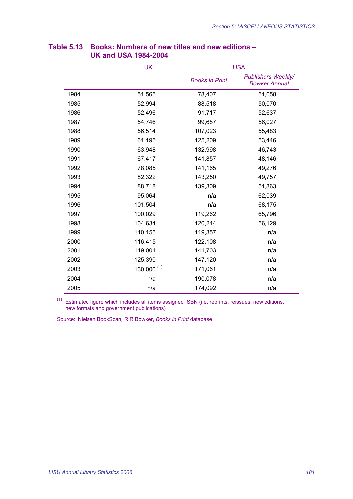|      | UK              | <b>USA</b>            |                                                   |  |
|------|-----------------|-----------------------|---------------------------------------------------|--|
|      |                 | <b>Books in Print</b> | <b>Publishers Weekly/</b><br><b>Bowker Annual</b> |  |
| 1984 | 51,565          | 78,407                | 51,058                                            |  |
| 1985 | 52,994          | 88,518                | 50,070                                            |  |
| 1986 | 52,496          | 91,717                | 52,637                                            |  |
| 1987 | 54,746          | 99,687                | 56,027                                            |  |
| 1988 | 56,514          | 107,023               | 55,483                                            |  |
| 1989 | 61,195          | 125,209               | 53,446                                            |  |
| 1990 | 63,948          | 132,998               | 46,743                                            |  |
| 1991 | 67,417          | 141,857               | 48,146                                            |  |
| 1992 | 78,085          | 141,165               | 49,276                                            |  |
| 1993 | 82,322          | 143,250               | 49,757                                            |  |
| 1994 | 88,718          | 139,309               | 51,863                                            |  |
| 1995 | 95,064          | n/a                   | 62,039                                            |  |
| 1996 | 101,504         | n/a                   | 68,175                                            |  |
| 1997 | 100,029         | 119,262               | 65,796                                            |  |
| 1998 | 104,634         | 120,244               | 56,129                                            |  |
| 1999 | 110,155         | 119,357               | n/a                                               |  |
| 2000 | 116,415         | 122,108               | n/a                                               |  |
| 2001 | 119,001         | 141,703               | n/a                                               |  |
| 2002 | 125,390         | 147,120               | n/a                                               |  |
| 2003 | $130,000^{(1)}$ | 171,061               | n/a                                               |  |
| 2004 | n/a             | 190,078               | n/a                                               |  |
| 2005 | n/a             | 174,092               | n/a                                               |  |

#### **Table 5.13 Books: Numbers of new titles and new editions – UK and USA 1984-2004**

 $<sup>(1)</sup>$  Estimated figure which includes all items assigned ISBN (i.e. reprints, reissues, new editions,</sup> new formats and government publications)

Source: Nielsen BookScan*,* R R Bowker, *Books in Print* database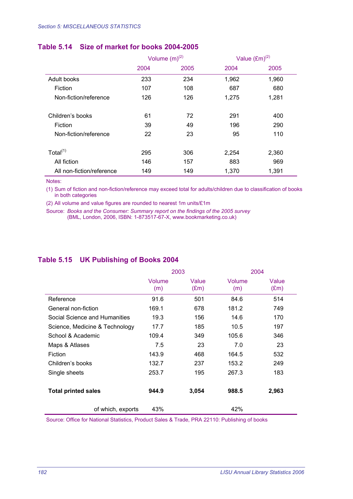#### **Table 5.14 Size of market for books 2004-2005**

|                           | Volume $(m)^{(2)}$ |      | Value $(\text{Em})^{(2)}$ |       |
|---------------------------|--------------------|------|---------------------------|-------|
|                           | 2004               | 2005 | 2004                      | 2005  |
| Adult books               | 233                | 234  | 1,962                     | 1,960 |
| Fiction                   | 107                | 108  | 687                       | 680   |
| Non-fiction/reference     | 126                | 126  | 1,275                     | 1,281 |
| Children's books          | 61                 | 72   | 291                       | 400   |
| Fiction                   | 39                 | 49   | 196                       | 290   |
| Non-fiction/reference     | 22                 | 23   | 95                        | 110   |
| Total $(1)$               | 295                | 306  | 2,254                     | 2,360 |
| All fiction               | 146                | 157  | 883                       | 969   |
| All non-fiction/reference | 149                | 149  | 1,370                     | 1,391 |

Notes:

(1) Sum of fiction and non-fiction/reference may exceed total for adults/children due to classification of books in both categories

(2) All volume and value figures are rounded to nearest 1m units/£1m

Source: *Books and the Consumer: Summary report on the findings of the 2005 survey* (BML, London, 2006, ISBN: 1-873517-67-X, www.bookmarketing.co.uk)

#### **Table 5.15 UK Publishing of Books 2004**

|                                | 2003          |                        | 2004          |                        |
|--------------------------------|---------------|------------------------|---------------|------------------------|
|                                | Volume<br>(m) | Value<br>$(\text{Em})$ | Volume<br>(m) | Value<br>$(\text{Em})$ |
| Reference                      | 91.6          | 501                    | 84.6          | 514                    |
| General non-fiction            | 169.1         | 678                    | 181.2         | 749                    |
| Social Science and Humanities  | 19.3          | 156                    | 14.6          | 170                    |
| Science, Medicine & Technology | 17.7          | 185                    | 10.5          | 197                    |
| School & Academic              | 109.4         | 349                    | 105.6         | 346                    |
| Maps & Atlases                 | 7.5           | 23                     | 7.0           | 23                     |
| Fiction                        | 143.9         | 468                    | 164.5         | 532                    |
| Children's books               | 132.7         | 237                    | 153.2         | 249                    |
| Single sheets                  | 253.7         | 195                    | 267.3         | 183                    |
|                                |               |                        |               |                        |
| <b>Total printed sales</b>     | 944.9         | 3,054                  | 988.5         | 2,963                  |
| of which, exports              | 43%           |                        | 42%           |                        |

Source: Office for National Statistics, Product Sales & Trade, PRA 22110: Publishing of books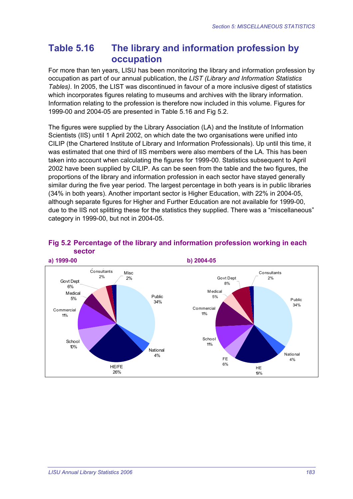## **Table 5.16 The library and information profession by occupation**

For more than ten years, LISU has been monitoring the library and information profession by occupation as part of our annual publication, the *LIST (Library and Information Statistics Tables)*. In 2005, the LIST was discontinued in favour of a more inclusive digest of statistics which incorporates figures relating to museums and archives with the library information. Information relating to the profession is therefore now included in this volume. Figures for 1999-00 and 2004-05 are presented in Table 5.16 and Fig 5.2.

The figures were supplied by the Library Association (LA) and the Institute of Information Scientists (IIS) until 1 April 2002, on which date the two organisations were unified into CILIP (the Chartered Institute of Library and Information Professionals). Up until this time, it was estimated that one third of IIS members were also members of the LA. This has been taken into account when calculating the figures for 1999-00. Statistics subsequent to April 2002 have been supplied by CILIP. As can be seen from the table and the two figures, the proportions of the library and information profession in each sector have stayed generally similar during the five year period. The largest percentage in both years is in public libraries (34% in both years). Another important sector is Higher Education, with 22% in 2004-05, although separate figures for Higher and Further Education are not available for 1999-00, due to the IIS not splitting these for the statistics they supplied. There was a "miscellaneous" category in 1999-00, but not in 2004-05.



#### **Fig 5.2 Percentage of the library and information profession working in each sector**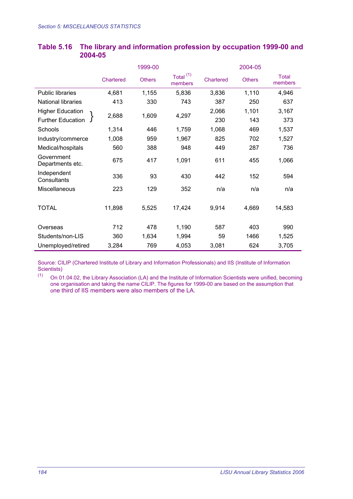|                                |           | 1999-00       |                                 |           | 2004-05       |                         |  |
|--------------------------------|-----------|---------------|---------------------------------|-----------|---------------|-------------------------|--|
|                                | Chartered | <b>Others</b> | Total <sup>(1)</sup><br>members | Chartered | <b>Others</b> | <b>Total</b><br>members |  |
| <b>Public libraries</b>        | 4,681     | 1,155         | 5,836                           | 3,836     | 1,110         | 4,946                   |  |
| <b>National libraries</b>      | 413       | 330           | 743                             | 387       | 250           | 637                     |  |
| <b>Higher Education</b>        | 2,688     | 1,609         | 4,297                           | 2,066     | 1,101         | 3,167                   |  |
| <b>Further Education</b>       |           |               |                                 | 230       | 143           | 373                     |  |
| Schools                        | 1,314     | 446           | 1,759                           | 1,068     | 469           | 1,537                   |  |
| Industry/commerce              | 1,008     | 959           | 1,967                           | 825       | 702           | 1,527                   |  |
| Medical/hospitals              | 560       | 388           | 948                             | 449       | 287           | 736                     |  |
| Government<br>Departments etc. | 675       | 417           | 1,091                           | 611       | 455           | 1,066                   |  |
| Independent<br>Consultants     | 336       | 93            | 430                             | 442       | 152           | 594                     |  |
| Miscellaneous                  | 223       | 129           | 352                             | n/a       | n/a           | n/a                     |  |
|                                |           |               |                                 |           |               |                         |  |
| <b>TOTAL</b>                   | 11,898    | 5,525         | 17,424                          | 9,914     | 4,669         | 14,583                  |  |
|                                |           |               |                                 |           |               |                         |  |
| Overseas                       | 712       | 478           | 1,190                           | 587       | 403           | 990                     |  |
| Students/non-LIS               | 360       | 1,634         | 1,994                           | 59        | 1466          | 1,525                   |  |
| Unemployed/retired             | 3,284     | 769           | 4,053                           | 3,081     | 624           | 3,705                   |  |

#### **Table 5.16 The library and information profession by occupation 1999-00 and 2004-05**

Source: CILIP (Chartered Institute of Library and Information Professionals) and IIS (Institute of Information Scientists)<br>(1) On  $\Omega$ 

On 01.04.02, the Library Association (LA) and the Institute of Information Scientists were unified, becoming one organisation and taking the name CILIP. The figures for 1999-00 are based on the assumption that one third of IIS members were also members of the LA.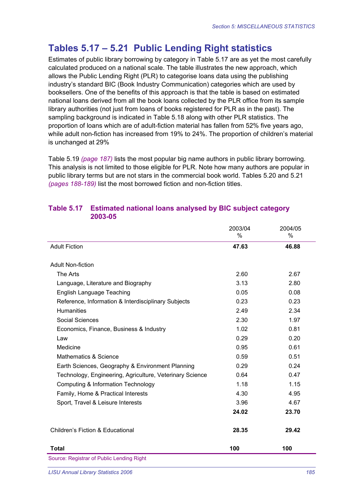## **Tables 5.17 – 5.21 Public Lending Right statistics**

Estimates of public library borrowing by category in Table 5.17 are as yet the most carefully calculated produced on a national scale. The table illustrates the new approach, which allows the Public Lending Right (PLR) to categorise loans data using the publishing industry's standard BIC (Book Industry Communication) categories which are used by booksellers. One of the benefits of this approach is that the table is based on estimated national loans derived from all the book loans collected by the PLR office from its sample library authorities (not just from loans of books registered for PLR as in the past). The sampling background is indicated in Table 5.18 along with other PLR statistics. The proportion of loans which are of adult-fiction material has fallen from 52% five years ago, while adult non-fiction has increased from 19% to 24%. The proportion of children's material is unchanged at 29%

Table 5.19 *(page 187)* lists the most popular big name authors in public library borrowing. This analysis is not limited to those eligible for PLR. Note how many authors are popular in public library terms but are not stars in the commercial book world. Tables 5.20 and 5.21 *(pages 188-189)* list the most borrowed fiction and non-fiction titles.

|                                                          | 2003/04<br>% | 2004/05<br>% |
|----------------------------------------------------------|--------------|--------------|
| <b>Adult Fiction</b>                                     | 47.63        | 46.88        |
| <b>Adult Non-fiction</b>                                 |              |              |
|                                                          |              |              |
| The Arts                                                 | 2.60         | 2.67         |
| Language, Literature and Biography                       | 3.13         | 2.80         |
| English Language Teaching                                | 0.05         | 0.08         |
| Reference, Information & Interdisciplinary Subjects      | 0.23         | 0.23         |
| <b>Humanities</b>                                        | 2.49         | 2.34         |
| Social Sciences                                          | 2.30         | 1.97         |
| Economics, Finance, Business & Industry                  | 1.02         | 0.81         |
| Law                                                      | 0.29         | 0.20         |
| Medicine                                                 | 0.95         | 0.61         |
| Mathematics & Science                                    | 0.59         | 0.51         |
| Earth Sciences, Geography & Environment Planning         | 0.29         | 0.24         |
| Technology, Engineering, Agriculture, Veterinary Science | 0.64         | 0.47         |
| Computing & Information Technology                       | 1.18         | 1.15         |
| Family, Home & Practical Interests                       | 4.30         | 4.95         |
| Sport, Travel & Leisure Interests                        | 3.96         | 4.67         |
|                                                          | 24.02        | 23.70        |
| Children's Fiction & Educational                         | 28.35        | 29.42        |
| <b>Total</b>                                             | 100          | 100          |
| Source: Registrar of Public Lending Right                |              |              |

#### **Table 5.17 Estimated national loans analysed by BIC subject category 2003-05**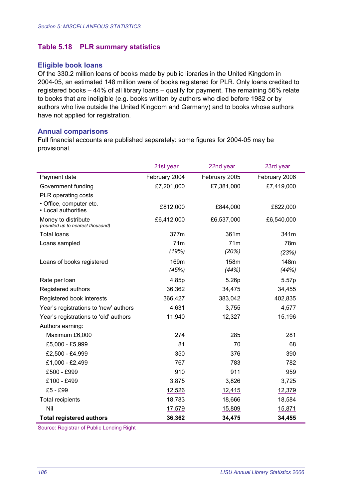#### **Table 5.18 PLR summary statistics**

#### **Eligible book loans**

Of the 330.2 million loans of books made by public libraries in the United Kingdom in 2004-05, an estimated 148 million were of books registered for PLR. Only loans credited to registered books – 44% of all library loans – qualify for payment. The remaining 56% relate to books that are ineligible (e.g. books written by authors who died before 1982 or by authors who live outside the United Kingdom and Germany) and to books whose authors have not applied for registration.

#### **Annual comparisons**

Full financial accounts are published separately: some figures for 2004-05 may be provisional.

|                                                         | 21st year     | 22nd year     | 23rd year     |
|---------------------------------------------------------|---------------|---------------|---------------|
| Payment date                                            | February 2004 | February 2005 | February 2006 |
| Government funding                                      | £7,201,000    | £7,381,000    | £7,419,000    |
| PLR operating costs                                     |               |               |               |
| · Office, computer etc.<br>• Local authorities          | £812,000      | £844,000      | £822,000      |
| Money to distribute<br>(rounded up to nearest thousand) | £6,412,000    | £6,537,000    | £6,540,000    |
| <b>Total loans</b>                                      | 377m          | 361m          | 341m          |
| Loans sampled                                           | 71m           | 71m           | 78m           |
|                                                         | (19%)         | (20%)         | (23%)         |
| Loans of books registered                               | 169m          | 158m          | 148m          |
|                                                         | (45%)         | (44%)         | (44%)         |
| Rate per loan                                           | 4.85p         | 5.26p         | 5.57p         |
| Registered authors                                      | 36,362        | 34,475        | 34,455        |
| Registered book interests                               | 366,427       | 383,042       | 402,835       |
| Year's registrations to 'new' authors                   | 4,631         | 3,755         | 4,577         |
| Year's registrations to 'old' authors                   | 11,940        | 12,327        | 15,196        |
| Authors earning:                                        |               |               |               |
| Maximum £6,000                                          | 274           | 285           | 281           |
| £5,000 - £5,999                                         | 81            | 70            | 68            |
| £2,500 - £4,999                                         | 350           | 376           | 390           |
| £1,000 - £2,499                                         | 767           | 783           | 782           |
| £500 - £999                                             | 910           | 911           | 959           |
| £100 - £499                                             | 3,875         | 3,826         | 3,725         |
| £5 - £99                                                | 12,526        | 12,415        | 12,379        |
| <b>Total recipients</b>                                 | 18,783        | 18,666        | 18,584        |
| Nil                                                     | 17,579        | 15,809        | 15,871        |
| <b>Total registered authors</b>                         | 36,362        | 34,475        | 34,455        |

Source: Registrar of Public Lending Right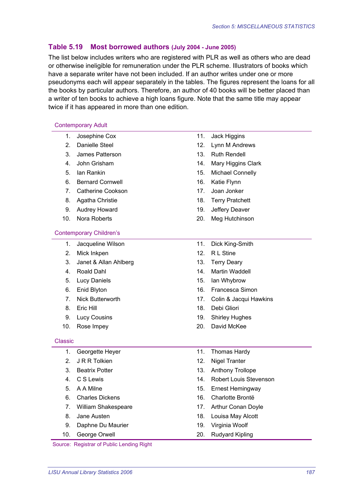#### **Table 5.19 Most borrowed authors (July 2004 - June 2005)**

The list below includes writers who are registered with PLR as well as others who are dead or otherwise ineligible for remuneration under the PLR scheme. Illustrators of books which have a separate writer have not been included. If an author writes under one or more pseudonyms each will appear separately in the tables. The figures represent the loans for all the books by particular authors. Therefore, an author of 40 books will be better placed than a writer of ten books to achieve a high loans figure. Note that the same title may appear twice if it has appeared in more than one edition.

#### Contemporary Adult

- 1. Josephine Cox 11. Jack Higgins
- 
- 3. James Patterson 13. Ruth Rendell
- 
- 
- 6. Bernard Cornwell 16. Katie Flynn
- 7. Catherine Cookson 17. Joan Jonker
- 
- 
- 

#### Contemporary Children's

- 1. Jacqueline Wilson 11. Dick King-Smith
- 2. Mick Inkpen 12. R L Stine
- 3. Janet & Allan Ahlberg 13. Terry Deary
- 
- 
- 
- 
- 
- 
- 

#### Classic

- 1. Georgette Heyer 11. Thomas Hardy
- 2. J R R Tolkien 12. Nigel Tranter
- 
- 
- 
- 
- 7. William Shakespeare 17. Arthur Conan Doyle
- 
- 9. Daphne Du Maurier 19. Virginia Woolf
- 

Source: Registrar of Public Lending Right

- 
- 2. Danielle Steel 12. Lynn M Andrews
	-
- 4. John Grisham 14. Mary Higgins Clark
- 5. Ian Rankin 15. Michael Connelly
	-
	-
- 8. Agatha Christie 18. Terry Pratchett
- 9. Audrey Howard **19. Jeffery Deaver**
- 10. Nora Roberts 20. Meg Hutchinson
	-
	-
	-
- 4. Roald Dahl 14. Martin Waddell
- 5. Lucy Daniels 15. Ian Whybrow
- 6. Enid Blyton 16. Francesca Simon
- 7. Nick Butterworth 17. Colin & Jacqui Hawkins
- 8. Eric Hill 18. Debi Gliori
- 9. Lucy Cousins 19. Shirley Hughes
- 10. Rose Impey 20. David McKee
	-
	-
- 3. Beatrix Potter 13. Anthony Trollope
- 4. C S Lewis 14. Robert Louis Stevenson
- 5. A A Milne 15. Ernest Hemingway
- 6. Charles Dickens 16. Charlotte Brontë
	-
- 8. Jane Austen 18. Louisa May Alcott
	-
- 10. George Orwell 20. Rudyard Kipling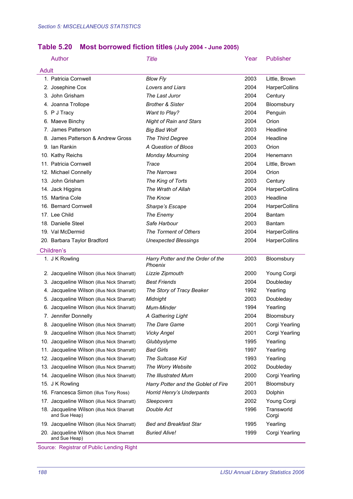### **Table 5.20 Most borrowed fiction titles (July 2004 - June 2005)**

| Author                                                      | Title                                        | Year | <b>Publisher</b>     |
|-------------------------------------------------------------|----------------------------------------------|------|----------------------|
| <b>Adult</b>                                                |                                              |      |                      |
| 1. Patricia Cornwell                                        | <b>Blow Fly</b>                              | 2003 | Little, Brown        |
| 2. Josephine Cox                                            | <b>Lovers and Liars</b>                      | 2004 | HarperCollins        |
| 3. John Grisham                                             | The Last Juror                               | 2004 | Century              |
| 4. Joanna Trollope                                          | <b>Brother &amp; Sister</b>                  | 2004 | Bloomsbury           |
| 5. P J Tracy                                                | Want to Play?                                | 2004 | Penguin              |
| 6. Maeve Binchy                                             | <b>Night of Rain and Stars</b>               | 2004 | Orion                |
| 7. James Patterson                                          | <b>Big Bad Wolf</b>                          | 2003 | Headline             |
| 8. James Patterson & Andrew Gross                           | The Third Degree                             | 2004 | Headline             |
| 9. Ian Rankin                                               | A Question of Bloos                          | 2003 | Orion                |
| 10. Kathy Reichs                                            | <b>Monday Mourning</b>                       | 2004 | Henemann             |
| 11. Patricia Cornwell                                       | Trace                                        | 2004 | Little, Brown        |
| 12. Michael Connelly                                        | <b>The Narrows</b>                           | 2004 | Orion                |
| 13. John Grisham                                            | The King of Torts                            | 2003 | Century              |
| 14. Jack Higgins                                            | The Wrath of Allah                           | 2004 | HarperCollins        |
| 15. Martina Cole                                            | The Know                                     | 2003 | Headline             |
| 16. Bernard Cornwell                                        | Sharpe's Escape                              | 2004 | <b>HarperCollins</b> |
| 17. Lee Child                                               | The Enemy                                    | 2004 | Bantam               |
| 18. Danielle Steel                                          | Safe Harbour                                 | 2003 | Bantam               |
| 19. Val McDermid                                            | The Torment of Others                        | 2004 | HarperCollins        |
| 20. Barbara Taylor Bradford                                 | <b>Unexpected Blessings</b>                  | 2004 | HarperCollins        |
| Children's                                                  |                                              |      |                      |
| 1. J K Rowling                                              | Harry Potter and the Order of the<br>Phoenix | 2003 | Bloomsbury           |
| 2. Jacqueline Wilson (illus Nick Sharratt)                  | Lizzie Zipmouth                              | 2000 | Young Corgi          |
| 3. Jacqueline Wilson (illus Nick Sharratt)                  | <b>Best Friends</b>                          | 2004 | Doubleday            |
| 4. Jacqueline Wilson (illus Nick Sharratt)                  | The Story of Tracy Beaker                    | 1992 | Yearling             |
| 5. Jacqueline Wilson (illus Nick Sharratt)                  | Midnight                                     | 2003 | Doubleday            |
| 6. Jacqueline Wilson (illus Nick Sharratt)                  | Mum-Minder                                   | 1994 | Yearling             |
| 7. Jennifer Donnelly                                        | A Gathering Light                            | 2004 | Bloomsbury           |
| 8. Jacqueline Wilson (illus Nick Sharratt)                  | The Dare Game                                | 2001 | Corgi Yearling       |
| 9. Jacqueline Wilson (illus Nick Sharratt)                  | Vicky Angel                                  | 2001 | Corgi Yearling       |
| 10. Jacqueline Wilson (illus Nick Sharratt)                 | Glubbyslyme                                  | 1995 | Yearling             |
| 11. Jacqueline Wilson (illus Nick Sharratt)                 | <b>Bad Girls</b>                             | 1997 | Yearling             |
| 12. Jacqueline Wilson (illus Nick Sharratt)                 | The Suitcase Kid                             | 1993 | Yearling             |
| 13. Jacqueline Wilson (illus Nick Sharratt)                 | The Worry Website                            | 2002 | Doubleday            |
| 14. Jacqueline Wilson (illus Nick Sharratt)                 | <b>The Illustrated Mum</b>                   | 2000 | Corgi Yearling       |
| 15. J K Rowling                                             | Harry Potter and the Goblet of Fire          | 2001 | Bloomsbury           |
| 16. Francesca Simon (illus Tony Ross)                       | Horrid Henry's Underpants                    | 2003 | Dolphin              |
| 17. Jacqueline Wilson (illus Nick Sharratt)                 | Sleepovers                                   | 2002 | Young Corgi          |
| 18. Jacqueline Wilson (illus Nick Sharratt<br>and Sue Heap) | Double Act                                   | 1996 | Transworld<br>Corgi  |
| 19. Jacqueline Wilson (illus Nick Sharratt)                 | <b>Bed and Breakfast Star</b>                | 1995 | Yearling             |
| 20. Jacqueline Wilson (illus Nick Sharratt<br>and Sue Heap) | <b>Buried Alive!</b>                         | 1999 | Corgi Yearling       |

Source: Registrar of Public Lending Right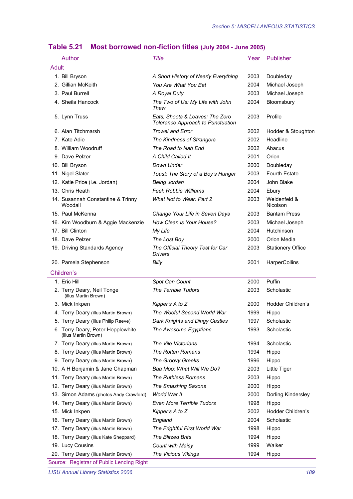|       | Author                                                    | <b>Title</b>                                                         | Year | Publisher                |
|-------|-----------------------------------------------------------|----------------------------------------------------------------------|------|--------------------------|
| Adult |                                                           |                                                                      |      |                          |
|       | 1. Bill Bryson                                            | A Short History of Nearly Everything                                 | 2003 | Doubleday                |
|       | 2. Gillian McKeith                                        | You Are What You Eat                                                 | 2004 | Michael Joseph           |
|       | 3. Paul Burrell                                           | A Royal Duty                                                         | 2003 | Michael Joseph           |
|       | 4. Sheila Hancock                                         | The Two of Us: My Life with John<br>Thaw                             | 2004 | Bloomsbury               |
|       | 5. Lynn Truss                                             | Eats, Shoots & Leaves: The Zero<br>Tolerance Approach to Punctuation | 2003 | Profile                  |
|       | 6. Alan Titchmarsh                                        | <b>Trowel and Error</b>                                              | 2002 | Hodder & Stoughton       |
|       | 7. Kate Adie                                              | The Kindness of Strangers                                            | 2002 | Headline                 |
|       | 8. William Woodruff                                       | The Road to Nab End                                                  | 2002 | Abacus                   |
|       | 9. Dave Pelzer                                            | A Child Called It                                                    | 2001 | Orion                    |
|       | 10. Bill Bryson                                           | Down Under                                                           | 2000 | Doubleday                |
|       | 11. Nigel Slater                                          | Toast: The Story of a Boy's Hunger                                   | 2003 | <b>Fourth Estate</b>     |
|       | 12. Katie Price (i.e. Jordan)                             | <b>Being Jordan</b>                                                  | 2004 | John Blake               |
|       | 13. Chris Heath                                           | Feel: Robbie Williams                                                | 2004 | Ebury                    |
|       | 14. Susannah Constantine & Trinny<br>Woodall              | What Not to Wear: Part 2                                             | 2003 | Weidenfeld &<br>Nicolson |
|       | 15. Paul McKenna                                          | Change Your Life in Seven Days                                       | 2003 | <b>Bantam Press</b>      |
|       | 16. Kim Woodburn & Aggie Mackenzie                        | How Clean is Your House?                                             | 2003 | Michael Joseph           |
|       | 17. Bill Clinton                                          | My Life                                                              | 2004 | Hutchinson               |
|       | 18. Dave Pelzer                                           | The Lost Boy                                                         | 2000 | Orion Media              |
|       | 19. Driving Standards Agency                              | The Official Theory Test for Car<br><b>Drivers</b>                   | 2003 | <b>Stationery Office</b> |
|       | 20. Pamela Stephenson                                     | Billy                                                                | 2001 | HarperCollins            |
|       | Children's                                                |                                                                      |      |                          |
|       | 1. Eric Hill                                              | Spot Can Count                                                       | 2000 | Puffin                   |
|       | 2. Terry Deary, Neil Tonge<br>(illus Martin Brown)        | The Terrible Tudors                                                  | 2003 | Scholastic               |
|       | 3. Mick Inkpen                                            | Kipper's A to Z                                                      | 2000 | Hodder Children's        |
|       | 4. Terry Deary (illus Martin Brown)                       | The Woeful Second World War                                          | 1999 | Hippo                    |
|       | 5. Terry Deary (illus Philip Reeve)                       | Dark Knights and Dingy Castles                                       | 1997 | Scholastic               |
|       | 6. Terry Deary, Peter Hepplewhite<br>(illus Martin Brown) | The Awesome Egyptians                                                | 1993 | Scholastic               |
|       | 7. Terry Deary (illus Martin Brown)                       | The Vile Victorians                                                  | 1994 | Scholastic               |
|       | 8. Terry Deary (illus Martin Brown)                       | The Rotten Romans                                                    | 1994 | Hippo                    |
|       | 9. Terry Deary (illus Martin Brown)                       | The Groovy Greeks                                                    | 1996 | Hippo                    |
|       | 10. A H Benjamin & Jane Chapman                           | Baa Moo: What Will We Do?                                            | 2003 | Little Tiger             |
|       | 11. Terry Deary (illus Martin Brown)                      | The Ruthless Romans                                                  | 2003 | Hippo                    |
|       | 12. Terry Deary (illus Martin Brown)                      | The Smashing Saxons                                                  | 2000 | Hippo                    |
|       | 13. Simon Adams (photos Andy Crawford)                    | World War II                                                         | 2000 | Dorling Kindersley       |
|       | 14. Terry Deary (illus Martin Brown)                      | Even More Terrible Tudors                                            | 1998 | Hippo                    |
|       | 15. Mick Inkpen                                           | Kipper's A to Z                                                      | 2002 | Hodder Children's        |
|       | 16. Terry Deary (illus Martin Brown)                      | England                                                              | 2004 | Scholastic               |
|       | 17. Terry Deary (illus Martin Brown)                      | The Frightful First World War                                        | 1998 | Hippo                    |
|       | 18. Terry Deary (illus Kate Sheppard)                     | <b>The Blitzed Brits</b>                                             | 1994 | Hippo                    |
|       | 19. Lucy Cousins                                          | <b>Count with Maisy</b>                                              | 1999 | Walker                   |
|       |                                                           |                                                                      |      |                          |
|       | 20. Terry Deary (illus Martin Brown)                      | The Vicious Vikings                                                  | 1994 | Hippo                    |

## **Table 5.21 Most borrowed non-fiction titles (July 2004 - June 2005)**

*LISU Annual Library Statistics 2006 189*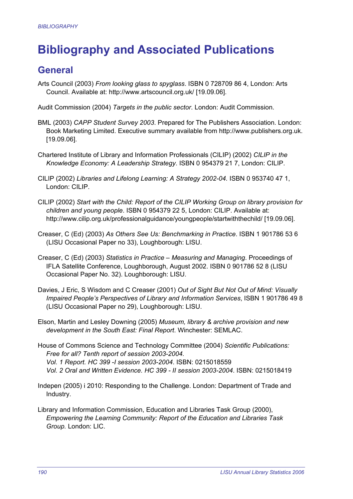# **Bibliography and Associated Publications**

## **General**

Arts Council (2003) *From looking glass to spyglass*. ISBN 0 728709 86 4, London: Arts Council. Available at: http://www.artscouncil.org.uk/ [19.09.06].

Audit Commission (2004) *Targets in the public sector*. London: Audit Commission.

- BML (2003) *CAPP Student Survey 2003*. Prepared for The Publishers Association. London: Book Marketing Limited. Executive summary available from http://www.publishers.org.uk. [19.09.06].
- Chartered Institute of Library and Information Professionals (CILIP) (2002) *CILIP in the Knowledge Economy: A Leadership Strategy*. ISBN 0 954379 21 7, London: CILIP.
- CILIP (2002) *Libraries and Lifelong Learning: A Strategy 2002-04.* ISBN 0 953740 47 1, London: CILIP.
- CILIP (2002) *Start with the Child: Report of the CILIP Working Group on library provision for children and young people*. ISBN 0 954379 22 5, London: CILIP. Available at: http://www.cilip.org.uk/professionalguidance/youngpeople/startwiththechild/ [19.09.06].
- Creaser, C (Ed) (2003) *As Others See Us: Benchmarking in Practice*. ISBN 1 901786 53 6 (LISU Occasional Paper no 33), Loughborough: LISU.
- Creaser, C (Ed) (2003) *Statistics in Practice Measuring and Managing*. Proceedings of IFLA Satellite Conference, Loughborough, August 2002. ISBN 0 901786 52 8 (LISU Occasional Paper No. 32). Loughborough: LISU.
- Davies, J Eric, S Wisdom and C Creaser (2001) *Out of Sight But Not Out of Mind: Visually Impaired People's Perspectives of Library and Information Services*, ISBN 1 901786 49 8 (LISU Occasional Paper no 29), Loughborough: LISU.
- Elson, Martin and Lesley Downing (2005) *Museum, library & archive provision and new development in the South East: Final Report*. Winchester: SEMLAC.
- House of Commons Science and Technology Committee (2004) *Scientific Publications: Free for all? Tenth report of session 2003-2004. Vol. 1 Report. HC 399 -I session 2003-2004*. ISBN: 0215018559 *Vol. 2 Oral and Written Evidence. HC 399 - II session 2003-2004*. ISBN: 0215018419
- Indepen (2005) i 2010: Responding to the Challenge. London: Department of Trade and Industry.
- Library and Information Commission, Education and Libraries Task Group (2000), *Empowering the Learning Community: Report of the Education and Libraries Task Group.* London: LIC.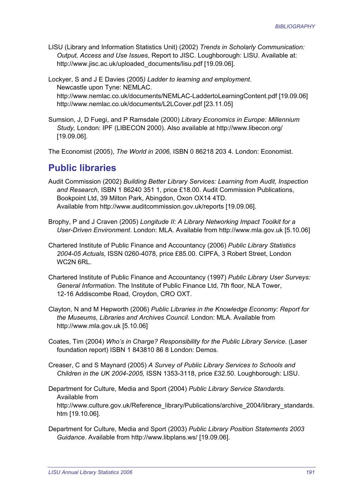LISU (Library and Information Statistics Unit) (2002) *Trends in Scholarly Communication: Output, Access and Use Issues*, Report to JISC. Loughborough: LISU. Available at: http://www.jisc.ac.uk/uploaded\_documents/lisu.pdf [19.09.06].

Lockyer, S and J E Davies (2005*) Ladder to learning and employment*. Newcastle upon Tyne: NEMLAC. http://www.nemlac.co.uk/documents/NEMLAC-LaddertoLearningContent.pdf [19.09.06] http://www.nemlac.co.uk/documents/L2LCover.pdf [23.11.05]

Sumsion, J, D Fuegi, and P Ramsdale (2000) *Library Economics in Europe: Millennium Study,* London: IPF (LIBECON 2000). Also available at http://www.libecon.org/ [19.09.06].

The Economist (2005), *The World in 2006,* ISBN 0 86218 203 4. London: Economist.

### **Public libraries**

- Audit Commission (2002) *Building Better Library Services: Learning from Audit, Inspection and Research*, ISBN 1 86240 351 1, price £18.00. Audit Commission Publications, Bookpoint Ltd, 39 Milton Park, Abingdon, Oxon OX14 4TD. Available from http://www.auditcommission.gov.uk/reports [19.09.06].
- Brophy, P and J Craven (2005) *Longitude II: A Library Networking Impact Toolkit for a User-Driven Environment*. London: MLA. Available from http://www.mla.gov.uk [5.10.06]
- Chartered Institute of Public Finance and Accountancy (2006) *Public Library Statistics 2004-05 Actuals,* ISSN 0260-4078, price £85.00. CIPFA, 3 Robert Street, London WC2N 6RL.
- Chartered Institute of Public Finance and Accountancy (1997) *Public Library User Surveys: General Information*. The Institute of Public Finance Ltd, 7th floor, NLA Tower, 12-16 Addiscombe Road, Croydon, CRO OXT.
- Clayton, N and M Hepworth (2006) *Public Libraries in the Knowledge Economy: Report for the Museums, Libraries and Archives Council*. London: MLA. Available from http://www.mla.gov.uk [5.10.06]
- Coates, Tim (2004) *Who's in Charge? Responsibility for the Public Library Service*. (Laser foundation report) ISBN 1 843810 86 8 London: Demos.
- Creaser, C and S Maynard (2005) *A Survey of Public Library Services to Schools and Children in the UK 2004-2005,* ISSN 1353-3118, price £32.50. Loughborough: LISU.

Department for Culture, Media and Sport (2004) *Public Library Service Standards.* Available from http://www.culture.gov.uk/Reference\_library/Publications/archive\_2004/library\_standards. htm [19.10.06].

Department for Culture, Media and Sport (2003) *Public Library Position Statements 2003 Guidance*. Available from http://www.libplans.ws/ [19.09.06].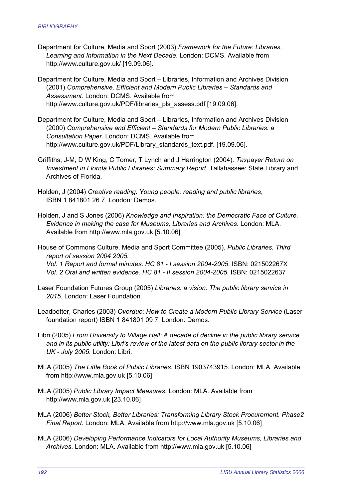- Department for Culture, Media and Sport (2003) *Framework for the Future: Libraries, Learning and Information in the Next Decade*. London: DCMS. Available from http://www.culture.gov.uk/ [19.09.06].
- Department for Culture, Media and Sport Libraries, Information and Archives Division (2001) *Comprehensive, Efficient and Modern Public Libraries – Standards and Assessment*. London: DCMS. Available from http://www.culture.gov.uk/PDF/libraries\_pls\_assess.pdf [19.09.06].
- Department for Culture, Media and Sport Libraries, Information and Archives Division (2000) *Comprehensive and Efficient – Standards for Modern Public Libraries: a Consultation Paper*. London: DCMS. Available from http://www.culture.gov.uk/PDF/Library\_standards\_text.pdf. [19.09.06].
- Griffiths, J-M, D W King, C Tomer, T Lynch and J Harrington (2004). *Taxpayer Return on Investment in Florida Public Libraries: Summary Report*. Tallahassee: State Library and Archives of Florida.
- Holden, J (2004) *Creative reading: Young people, reading and public libraries*, ISBN 1 841801 26 7. London: Demos.
- Holden, J and S Jones (2006) *Knowledge and Inspiration: the Democratic Face of Culture. Evidence in making the case for Museums, Libraries and Archives*. London: MLA. Available from http://www.mla.gov.uk [5.10.06]

House of Commons Culture, Media and Sport Committee (2005). *Public Libraries. Third report of session 2004 2005. Vol. 1 Report and formal minutes*. *HC 81 - I session 2004-2005*. ISBN: 021502267X *Vol. 2 Oral and written evidence. HC 81 - II session 2004-2005*. ISBN: 0215022637

- Laser Foundation Futures Group (2005) *Libraries: a vision. The public library service in 2015*. London: Laser Foundation.
- Leadbetter, Charles (2003) *Overdue: How to Create a Modern Public Library Service* (Laser foundation report) ISBN 1 841801 09 7. London: Demos.
- Libri (2005) *From University to Village Hall: A decade of decline in the public library service and in its public utility: Libri's review of the latest data on the public library sector in the UK - July 2005*. London: Libri.
- MLA (2005) *The Little Book of Public Libraries.* ISBN 1903743915. London: MLA. Available from http://www.mla.gov.uk [5.10.06]
- MLA (2005) *Public Library Impact Measures*. London: MLA. Available from http://www.mla.gov.uk [23.10.06]
- MLA (2006) *Better Stock, Better Libraries: Transforming Library Stock Procurement. Phase2 Final Report*. London: MLA. Available from http://www.mla.gov.uk [5.10.06]
- MLA (2006) *Developing Performance Indicators for Local Authority Museums, Libraries and Archives*. London: MLA. Available from http://www.mla.gov.uk [5.10.06]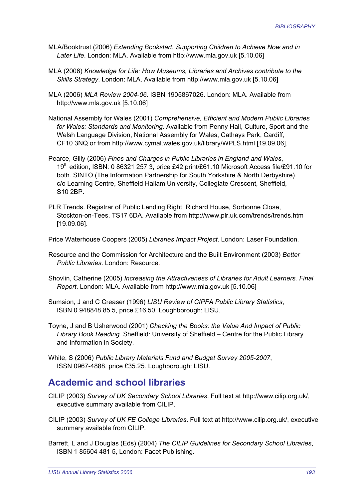- MLA/Booktrust (2006) *Extending Bookstart. Supporting Children to Achieve Now and in Later Life*. London: MLA. Available from http://www.mla.gov.uk [5.10.06]
- MLA (2006) *Knowledge for Life: How Museums, Libraries and Archives contribute to the Skills Strategy*. London: MLA. Available from http://www.mla.gov.uk [5.10.06]
- MLA (2006) *MLA Review 2004-06*. ISBN 1905867026. London: MLA. Available from http://www.mla.gov.uk [5.10.06]
- National Assembly for Wales (2001) *Comprehensive, Efficient and Modern Public Libraries for Wales: Standards and Monitoring*. Available from Penny Hall, Culture, Sport and the Welsh Language Division, National Assembly for Wales, Cathays Park, Cardiff, CF10 3NQ or from http://www.cymal.wales.gov.uk/library/WPLS.html [19.09.06].
- Pearce, Gilly (2006) *Fines and Charges in Public Libraries in England and Wales*, 19th edition, ISBN: 0 86321 257 3, price £42 print/£61.10 Microsoft Access file/£91.10 for both. SINTO (The Information Partnership for South Yorkshire & North Derbyshire), c/o Learning Centre, Sheffield Hallam University, Collegiate Crescent, Sheffield, S10 2BP.
- PLR Trends. Registrar of Public Lending Right, Richard House, Sorbonne Close, Stockton-on-Tees, TS17 6DA. Available from http://www.plr.uk.com/trends/trends.htm [19.09.06].

Price Waterhouse Coopers (2005) *Libraries Impact Project*. London: Laser Foundation.

- Resource and the Commission for Architecture and the Built Environment (2003) *Better Public Libraries*. London: Resource.
- Shovlin, Catherine (2005) *Increasing the Attractiveness of Libraries for Adult Learners. Final Report*. London: MLA. Available from http://www.mla.gov.uk [5.10.06]
- Sumsion, J and C Creaser (1996) *LISU Review of CIPFA Public Library Statistics*, ISBN 0 948848 85 5, price £16.50. Loughborough: LISU.
- Toyne, J and B Usherwood (2001) *Checking the Books: the Value And Impact of Public Library Book Reading*. Sheffield: University of Sheffield – Centre for the Public Library and Information in Society.
- White, S (2006) *Public Library Materials Fund and Budget Survey 2005-2007*, ISSN 0967-4888, price £35.25. Loughborough: LISU.

### **Academic and school libraries**

- CILIP (2003) *Survey of UK Secondary School Libraries*. Full text at http://www.cilip.org.uk/, executive summary available from CILIP.
- CILIP (2003) *Survey of UK FE College Libraries*. Full text at http://www.cilip.org.uk/, executive summary available from CILIP.
- Barrett, L and J Douglas (Eds) (2004) *The CILIP Guidelines for Secondary School Libraries*, ISBN 1 85604 481 5, London: Facet Publishing.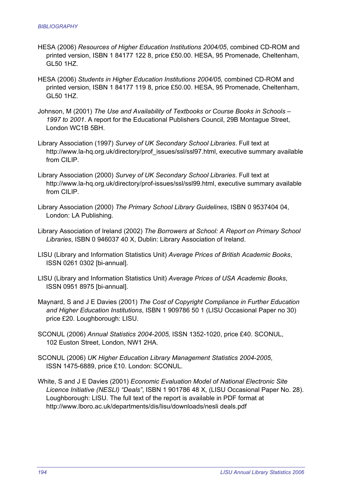- HESA (2006) *Resources of Higher Education Institutions 2004/05*, combined CD-ROM and printed version, ISBN 1 84177 122 8, price £50.00. HESA, 95 Promenade, Cheltenham, GL50 1HZ.
- HESA (2006) *Students in Higher Education Institutions 2004/05,* combined CD-ROM and printed version, ISBN 1 84177 119 8, price £50.00. HESA, 95 Promenade, Cheltenham, GL50 1HZ.
- Johnson, M (2001) *The Use and Availability of Textbooks or Course Books in Schools 1997 to 2001*. A report for the Educational Publishers Council, 29B Montague Street, London WC1B 5BH.
- Library Association (1997) *Survey of UK Secondary School Libraries*. Full text at http://www.la-hq.org.uk/directory/prof\_issues/ssl/ssl97.html, executive summary available from CII IP
- Library Association (2000) *Survey of UK Secondary School Libraries*. Full text at http://www.la-hq.org.uk/directory/prof-issues/ssl/ssl99.html, executive summary available from CILIP.
- Library Association (2000) *The Primary School Library Guidelines*, ISBN 0 9537404 04, London: LA Publishing.
- Library Association of Ireland (2002) *The Borrowers at School: A Report on Primary School Libraries*, ISBN 0 946037 40 X, Dublin: Library Association of Ireland.
- LISU (Library and Information Statistics Unit) *Average Prices of British Academic Books*, ISSN 0261 0302 [bi-annual].
- LISU (Library and Information Statistics Unit) *Average Prices of USA Academic Books*, ISSN 0951 8975 [bi-annual].
- Maynard, S and J E Davies (2001) *The Cost of Copyright Compliance in Further Education and Higher Education Institutions*, ISBN 1 909786 50 1 (LISU Occasional Paper no 30) price £20. Loughborough: LISU.
- SCONUL (2006) *Annual Statistics 2004-2005,* ISSN 1352-1020, price £40. SCONUL, 102 Euston Street, London, NW1 2HA.
- SCONUL (2006) *UK Higher Education Library Management Statistics 2004-2005*, ISSN 1475-6889, price £10. London: SCONUL.
- White, S and J E Davies (2001) *Economic Evaluation Model of National Electronic Site Licence Initiative (NESLI) "Deals"*, ISBN 1 901786 48 X, (LISU Occasional Paper No. 28). Loughborough: LISU. The full text of the report is available in PDF format at http://www.lboro.ac.uk/departments/dis/lisu/downloads/nesli deals.pdf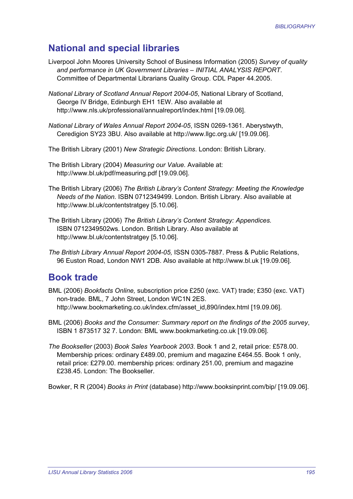## **National and special libraries**

- Liverpool John Moores University School of Business Information (2005) *Survey of quality and performance in UK Government Libraries – INITIAL ANALYSIS REPORT*. Committee of Departmental Librarians Quality Group. CDL Paper 44.2005.
- *National Library of Scotland Annual Report 2004-05*, National Library of Scotland, George IV Bridge, Edinburgh EH1 1EW. Also available at http://www.nls.uk/professional/annualreport/index.html [19.09.06].
- *National Library of Wales Annual Report 2004-05*, ISSN 0269-1361. Aberystwyth, Ceredigion SY23 3BU. Also available at http://www.llgc.org.uk/ [19.09.06].
- The British Library (2001) *New Strategic Directions*. London: British Library.
- The British Library (2004) *Measuring our Value.* Available at: http://www.bl.uk/pdf/measuring.pdf [19.09.06].
- The British Library (2006) *The British Library's Content Strategy: Meeting the Knowledge Needs of the Nation.* ISBN 0712349499. London. British Library. Also available at http://www.bl.uk/contentstratgey [5.10.06].
- The British Library (2006) *The British Library's Content Strategy: Appendices.*  ISBN 0712349502ws. London. British Library. Also available at http://www.bl.uk/contentstratgey [5.10.06].
- *The British Library Annual Report 2004-05,* ISSN 0305-7887. Press & Public Relations, 96 Euston Road, London NW1 2DB. Also available at http://www.bl.uk [19.09.06].

### **Book trade**

- BML (2006) *Bookfacts Online,* subscription price £250 (exc. VAT) trade; £350 (exc. VAT) non-trade. BML, 7 John Street, London WC1N 2ES. http://www.bookmarketing.co.uk/index.cfm/asset\_id,890/index.html [19.09.06].
- BML (2006) *Books and the Consumer: Summary report on the findings of the 2005 survey*, ISBN 1 873517 32 7. London: BML www.bookmarketing.co.uk [19.09.06].
- *The Bookseller* (2003) *Book Sales Yearbook 2003*. Book 1 and 2, retail price: £578.00. Membership prices: ordinary £489.00, premium and magazine £464.55. Book 1 only, retail price: £279.00. membership prices: ordinary 251.00, premium and magazine £238.45. London: The Bookseller.

Bowker, R R (2004) *Books in Print* (database) http://www.booksinprint.com/bip/ [19.09.06].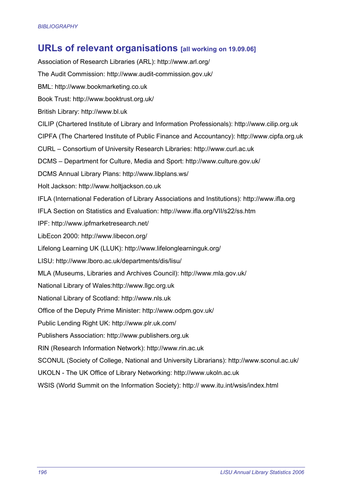## **URLs of relevant organisations [all working on 19.09.06]**

Association of Research Libraries (ARL): http://www.arl.org/ The Audit Commission: http://www.audit-commission.gov.uk/ BML: http://www.bookmarketing.co.uk Book Trust: http://www.booktrust.org.uk/ British Library: http://www.bl.uk CILIP (Chartered Institute of Library and Information Professionals): http://www.cilip.org.uk CIPFA (The Chartered Institute of Public Finance and Accountancy): http://www.cipfa.org.uk CURL – Consortium of University Research Libraries: http://www.curl.ac.uk DCMS – Department for Culture, Media and Sport: http://www.culture.gov.uk/ DCMS Annual Library Plans: http://www.libplans.ws/ Holt Jackson: http://www.holtjackson.co.uk IFLA (International Federation of Library Associations and Institutions): http://www.ifla.org IFLA Section on Statistics and Evaluation: http://www.ifla.org/VII/s22/ss.htm IPF: http://www.ipfmarketresearch.net/ LibEcon 2000: http://www.libecon.org/ Lifelong Learning UK (LLUK): http://www.lifelonglearninguk.org/ LISU: http://www.lboro.ac.uk/departments/dis/lisu/ MLA (Museums, Libraries and Archives Council): http://www.mla.gov.uk/ National Library of Wales:http://www.llgc.org.uk National Library of Scotland: http://www.nls.uk Office of the Deputy Prime Minister: http://www.odpm.gov.uk/ Public Lending Right UK: http://www.plr.uk.com/ Publishers Association: http://www.publishers.org.uk RIN (Research Information Network): http://www.rin.ac.uk SCONUL (Society of College, National and University Librarians): http://www.sconul.ac.uk/ UKOLN - The UK Office of Library Networking: http://www.ukoln.ac.uk WSIS (World Summit on the Information Society): http:// www.itu.int/wsis/index.html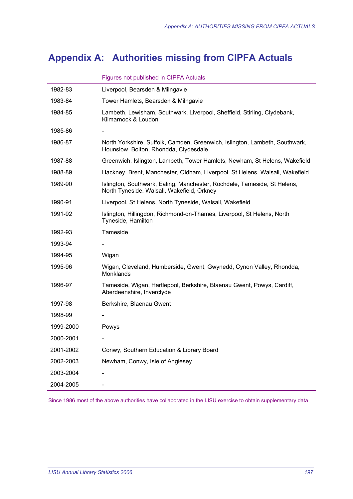## **Appendix A: Authorities missing from CIPFA Actuals**

| 1982-83   | Liverpool, Bearsden & Milngavie                                                                                        |
|-----------|------------------------------------------------------------------------------------------------------------------------|
| 1983-84   | Tower Hamlets, Bearsden & Milngavie                                                                                    |
| 1984-85   | Lambeth, Lewisham, Southwark, Liverpool, Sheffield, Stirling, Clydebank,<br>Kilmarnock & Loudon                        |
| 1985-86   |                                                                                                                        |
| 1986-87   | North Yorkshire, Suffolk, Camden, Greenwich, Islington, Lambeth, Southwark,<br>Hounslow, Bolton, Rhondda, Clydesdale   |
| 1987-88   | Greenwich, Islington, Lambeth, Tower Hamlets, Newham, St Helens, Wakefield                                             |
| 1988-89   | Hackney, Brent, Manchester, Oldham, Liverpool, St Helens, Walsall, Wakefield                                           |
| 1989-90   | Islington, Southwark, Ealing, Manchester, Rochdale, Tameside, St Helens,<br>North Tyneside, Walsall, Wakefield, Orkney |
| 1990-91   | Liverpool, St Helens, North Tyneside, Walsall, Wakefield                                                               |
| 1991-92   | Islington, Hillingdon, Richmond-on-Thames, Liverpool, St Helens, North<br>Tyneside, Hamilton                           |
| 1992-93   | Tameside                                                                                                               |
| 1993-94   |                                                                                                                        |
| 1994-95   | Wigan                                                                                                                  |
| 1995-96   | Wigan, Cleveland, Humberside, Gwent, Gwynedd, Cynon Valley, Rhondda,<br>Monklands                                      |
| 1996-97   | Tameside, Wigan, Hartlepool, Berkshire, Blaenau Gwent, Powys, Cardiff,<br>Aberdeenshire, Inverclyde                    |
| 1997-98   | Berkshire, Blaenau Gwent                                                                                               |
| 1998-99   |                                                                                                                        |
| 1999-2000 | Powys                                                                                                                  |
| 2000-2001 |                                                                                                                        |
| 2001-2002 | Conwy, Southern Education & Library Board                                                                              |
| 2002-2003 | Newham, Conwy, Isle of Anglesey                                                                                        |
| 2003-2004 |                                                                                                                        |
| 2004-2005 |                                                                                                                        |

Figures not published in CIPFA Actuals

Since 1986 most of the above authorities have collaborated in the LISU exercise to obtain supplementary data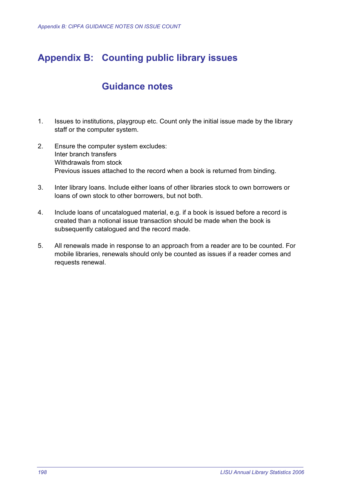## **Appendix B: Counting public library issues**

## **Guidance notes**

- 1. Issues to institutions, playgroup etc. Count only the initial issue made by the library staff or the computer system.
- 2. Ensure the computer system excludes: Inter branch transfers Withdrawals from stock Previous issues attached to the record when a book is returned from binding.
- 3. Inter library loans. Include either loans of other libraries stock to own borrowers or loans of own stock to other borrowers, but not both.
- 4. Include loans of uncatalogued material, e.g. if a book is issued before a record is created than a notional issue transaction should be made when the book is subsequently catalogued and the record made.
- 5. All renewals made in response to an approach from a reader are to be counted. For mobile libraries, renewals should only be counted as issues if a reader comes and requests renewal.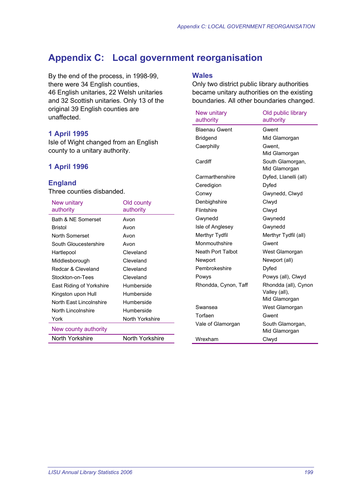## **Appendix C: Local government reorganisation**

By the end of the process, in 1998-99, there were 34 English counties, 46 English unitaries, 22 Welsh unitaries and 32 Scottish unitaries. Only 13 of the original 39 English counties are unaffected.

#### **1 April 1995**

Isle of Wight changed from an English county to a unitary authority.

#### **1 April 1996**

#### **England**

Three counties disbanded.

| New unitary<br>authority | Old county<br>authority |
|--------------------------|-------------------------|
| Bath & NE Somerset       | Avon                    |
| <b>Bristol</b>           | Avon                    |
| North Somerset           | Avon                    |
| South Gloucestershire    | Avon                    |
| Hartlepool               | Cleveland               |
| Middlesborough           | Cleveland               |
| Redcar & Cleveland       | Cleveland               |
| Stockton-on-Tees         | Cleveland               |
| East Riding of Yorkshire | Humberside              |
| Kingston upon Hull       | Humberside              |
| North East Lincolnshire  | Humberside              |
| North Lincolnshire       | Humberside              |
| York                     | North Yorkshire         |
| New county authority     |                         |
| North Yorkshire          | North Yorkshire         |

#### **Wales**

Only two district public library authorities became unitary authorities on the existing boundaries. All other boundaries changed.

| New unitary<br>authority | Old public library<br>authority |
|--------------------------|---------------------------------|
| <b>Blaenau Gwent</b>     | Gwent                           |
| Bridgend                 | Mid Glamorgan                   |
| Caerphilly               | Gwent.                          |
|                          | Mid Glamorgan                   |
| Cardiff                  | South Glamorgan,                |
|                          | Mid Glamorgan                   |
| Carmarthenshire          | Dyfed, Llanelli (all)           |
| Ceredigion               | Dyfed                           |
| Conwy                    | Gwynedd, Clwyd                  |
| Denbighshire             | Clwyd                           |
| Flintshire               | Clwyd                           |
| Gwynedd                  | Gwynedd                         |
| Isle of Anglesey         | Gwynedd                         |
| Merthyr Tydfil           | Merthyr Tydfil (all)            |
| Monmouthshire            | Gwent                           |
| Neath Port Talbot        | West Glamorgan                  |
| Newport                  | Newport (all)                   |
| Pembrokeshire            | Dyfed                           |
| Powys                    | Powys (all), Clwyd              |
| Rhondda, Cynon, Taff     | Rhondda (all), Cynon            |
|                          | Valley (all),                   |
|                          | Mid Glamorgan                   |
| Swansea                  | West Glamorgan                  |
| Torfaen                  | Gwent                           |
| Vale of Glamorgan        | South Glamorgan,                |
|                          | Mid Glamorgan                   |
| Wrexham                  | Clwyd                           |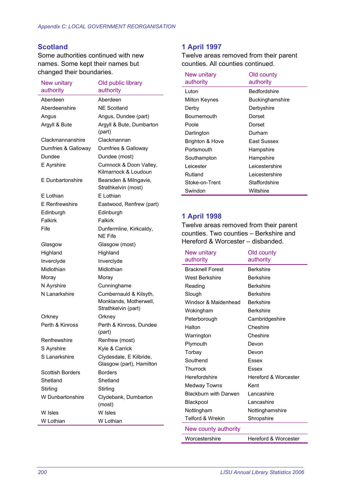#### **Scotland**

Some authorities continued with new names. Some kept their names but changed their boundaries.

| <b>New unitary</b><br>authority | Old public library<br>authority                                         |
|---------------------------------|-------------------------------------------------------------------------|
| Aberdeen                        | Aberdeen                                                                |
| Aberdeenshire                   | <b>NE Scotland</b>                                                      |
| Angus                           | Angus, Dundee (part)                                                    |
| Argyll & Bute                   | Argyll & Bute, Dumbarton                                                |
|                                 | (part)                                                                  |
| Clackmannanshire                | Clackmannan                                                             |
| Dumfries & Galloway             | Dumfries & Galloway                                                     |
| Dundee                          | Dundee (most)                                                           |
| E Ayrshire                      | Cumnock & Doon Valley,<br>Kilmarnock & Loudoun                          |
| E Dunbartonshire                | Bearsden & Milngavie,<br>Strathkelvin (most)                            |
| E Lothian                       | E Lothian                                                               |
| E Renfrewshire                  | Eastwood, Renfrew (part)                                                |
| Edinburgh                       | Edinburgh                                                               |
| Falkirk                         | Falkirk                                                                 |
| Fife                            | Dunfermline, Kirkcaldy,<br>NF Fife                                      |
| Glasgow                         | Glasgow (most)                                                          |
| Highland                        | Highland                                                                |
| Inverclyde                      | Inverclyde                                                              |
| Midlothian                      | Midlothian                                                              |
| Moray                           | Moray                                                                   |
| N Ayrshire                      | Cunninghame                                                             |
| N Lanarkshire                   | Cumbernauld & Kilsyth,<br>Monklands, Motherwell,<br>Strathkelvin (part) |
| Orkney                          | Orkney                                                                  |
| Perth & Kinross                 | Perth & Kinross, Dundee<br>(part)                                       |
| Renfrewshire                    | Renfrew (most)                                                          |
| S Ayrshire                      | Kyle & Carrick                                                          |
| S Lanarkshire                   | Clydesdale, E Kilbride,<br>Glasgow (part), Hamilton                     |
| <b>Scottish Borders</b>         | <b>Borders</b>                                                          |
| Shetland                        | Shetland                                                                |
| Stirling                        | Stirling                                                                |
| W Dunbartonshire                | Clydebank, Dumbarton<br>(most)                                          |
| W Isles                         | W Isles                                                                 |
| W Lothian                       | W Lothian                                                               |

#### **1 April 1997**

Twelve areas removed from their parent counties. All counties continued.

| <b>New unitary</b><br>authority | Old county<br>authority |
|---------------------------------|-------------------------|
| Luton                           | <b>Bedfordshire</b>     |
| Milton Keynes                   | <b>Buckinghamshire</b>  |
| Derby                           | Derbyshire              |
| <b>Bournemouth</b>              | Dorset                  |
| Poole                           | Dorset                  |
| Darlington                      | Durham                  |
| Brighton & Hove                 | Fast Sussex             |
| Portsmouth                      | Hampshire               |
| Southampton                     | Hampshire               |
| Leicester                       | I eicestershire         |
| Rutland                         | Leicestershire          |
| Stoke-on-Trent                  | Staffordshire           |
| Swindon                         | Wiltshire               |

#### **1 April 1998**

Twelve areas removed from their parent counties. Two counties – Berkshire and Hereford & Worcester – disbanded.

| New unitary                  | Old county           |
|------------------------------|----------------------|
| authority                    | authority            |
| <b>Bracknell Forest</b>      | <b>Berkshire</b>     |
| West Berkshire               | <b>Berkshire</b>     |
| Reading                      | <b>Berkshire</b>     |
| Slough                       | <b>Berkshire</b>     |
| Windsor & Maidenhead         | <b>Berkshire</b>     |
| Wokingham                    | <b>Berkshire</b>     |
| Peterborough                 | Cambridgeshire       |
| Halton                       | Cheshire             |
| Warrington                   | Cheshire             |
| Plymouth                     | Devon                |
| Torbay                       | Devon                |
| Southend                     | Essex                |
| Thurrock                     | <b>Fssex</b>         |
| Herefordshire                | Hereford & Worcester |
| <b>Medway Towns</b>          | Kent                 |
| <b>Blackburn with Darwen</b> | Lancashire           |
| Blackpool                    | Lancashire           |
| Nottingham                   | Nottinghamshire      |
| <b>Telford &amp; Wrekin</b>  | Shropshire           |
| New county authority         |                      |
| Worcestershire               | Hereford & Worcester |